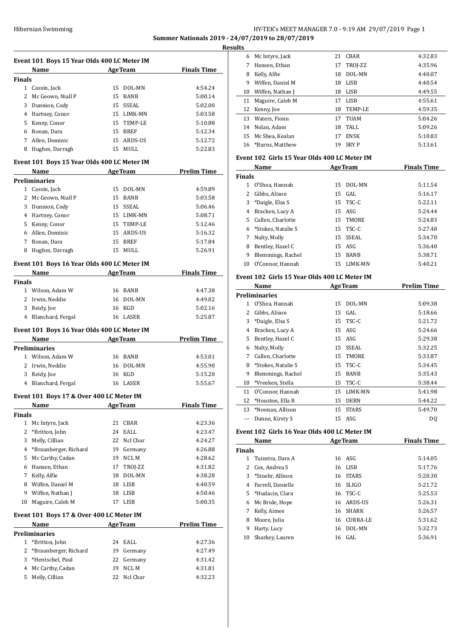## Hibernian Swimming HY-TEK's MEET MANAGER 7.0 - 9:19 AM 29/07/2019 Page 1 **Summer Nationals 2019 - 24/07/2019 to 28/07/2019**

**Results**

|               | Event 101 Boys 15 Year Olds 400 LC Meter IM                                                                     |          |                         |                                       |  |
|---------------|-----------------------------------------------------------------------------------------------------------------|----------|-------------------------|---------------------------------------|--|
|               | Name                                                                                                            |          | <b>AgeTeam</b>          | <b>Finals Time</b>                    |  |
| <b>Finals</b> |                                                                                                                 |          |                         |                                       |  |
|               | 1 Cassin, Jack                                                                                                  |          | 15 DOL-MN               | 4:54.24                               |  |
|               | 2 Mc Geown, Niall P                                                                                             |          | 15 BANB                 | 5:00.14                               |  |
|               | 3 Dunnion, Cody                                                                                                 |          | 15 SSEAL                | 5:02.00                               |  |
|               | 4 Hartney, Conor                                                                                                |          | 15 LIMK-MN              | 5:03.58                               |  |
|               | 5 Kenny, Conor                                                                                                  |          | 15 TEMP-LE              | 5:10.88                               |  |
|               | 6 Ronan, Dara                                                                                                   |          | 15 BREF                 | 5:12.34                               |  |
|               | 7 Allen, Dominic                                                                                                |          | 15 ARDS-US              | 5:12.72                               |  |
|               | 8 Hughes, Darragh                                                                                               |          | 15 MULL                 | 5:22.83                               |  |
|               | Event 101 Boys 15 Year Olds 400 LC Meter IM                                                                     |          |                         |                                       |  |
|               | Name                                                                                                            |          | <b>AgeTeam</b>          | <b>Prelim Time</b>                    |  |
|               | <b>Preliminaries</b>                                                                                            |          |                         |                                       |  |
|               | 1 Cassin, Jack                                                                                                  |          | 15 DOL-MN               | 4:59.89                               |  |
|               | 2 Mc Geown, Niall P                                                                                             |          | 15 BANB                 | 5:03.58                               |  |
|               | 3 Dunnion, Cody                                                                                                 |          | 15 SSEAL                | 5:06.46                               |  |
|               | 4 Hartney, Conor                                                                                                |          | 15 LIMK-MN              | 5:08.71                               |  |
|               | 5 Kenny, Conor                                                                                                  |          | 15 TEMP-LE              | 5:12.46                               |  |
|               | 6 Allen, Dominic                                                                                                |          | 15 ARDS-US              | 5:16.32                               |  |
|               | 7 Ronan, Dara                                                                                                   |          | 15 BREF                 | 5:17.84                               |  |
| 8             | Hughes, Darragh                                                                                                 |          | 15 MULL                 | 5:26.91                               |  |
|               | Event 101 Boys 16 Year Olds 400 LC Meter IM                                                                     |          |                         |                                       |  |
|               | Name AgeTeam                                                                                                    |          |                         | <b>Finals Time</b>                    |  |
| <b>Finals</b> |                                                                                                                 |          |                         |                                       |  |
|               | 1 Wilson, Adam W                                                                                                |          | 16 BANB                 | 4:47.38                               |  |
|               | 2 Irwin, Neddie                                                                                                 |          | 16 DOL-MN               | 4:49.02                               |  |
|               | 3 Reidy, Joe                                                                                                    |          | 16 KGD                  | 5:02.16                               |  |
| 4             | Blanchard, Fergal                                                                                               |          | 16 LASER                | 5:25.87                               |  |
|               | Event 101 Boys 16 Year Olds 400 LC Meter IM                                                                     |          |                         |                                       |  |
|               | Name                                                                                                            |          |                         | <b>Example 2 Age Team</b> Prelim Time |  |
|               | <b>Preliminaries</b>                                                                                            |          |                         |                                       |  |
|               |                                                                                                                 |          |                         |                                       |  |
|               | 1 Wilson. Adam W                                                                                                |          | 16 BANB                 | 4:53.01                               |  |
|               | 2 Irwin, Neddie                                                                                                 |          | 16 DOL-MN               | 4:55.90                               |  |
|               | 3 Reidy, Joe                                                                                                    |          | 16 KGD                  | 5:15.20                               |  |
|               | 4 Blanchard, Fergal                                                                                             |          | 16 LASER                | 5:55.67                               |  |
|               | Event 101 Boys 17 & Over 400 LC Meter IM                                                                        |          |                         |                                       |  |
|               |                                                                                                                 |          | <b>AgeTeam</b>          | <b>Finals Time</b>                    |  |
| <b>Finals</b> | Name                                                                                                            |          |                         |                                       |  |
| 1             | Mc Intyre, Jack                                                                                                 | 21       | CBAR                    | 4:23.36                               |  |
| 2             | *Britton, John                                                                                                  | 24       | EALL                    | 4:23.47                               |  |
| 3             | Melly, Cillian                                                                                                  | 22       | Ncl Cbar                | 4:24.27                               |  |
|               | 4 *Braunberger, Richard                                                                                         | 19       | Germany                 | 4:26.88                               |  |
| 5             | Mc Carthy, Cadan                                                                                                |          | 19 NCL M                | 4:28.62                               |  |
|               | 6 Hansen, Ethan                                                                                                 |          | 17 TROJ-ZZ              | 4:31.82                               |  |
| 7             | Kelly, Alfie                                                                                                    | 18       | DOL-MN                  | 4:38.28                               |  |
|               | 8 Wiffen, Daniel M                                                                                              |          | 18 LISB                 | 4:40.59                               |  |
|               | 9 Wiffen, Nathan J                                                                                              | 18       | LISB                    | 4:50.46                               |  |
| 10            | Maguire, Caleb M                                                                                                |          | 17 LISB                 | 5:00.35                               |  |
|               | Event 101 Boys 17 & Over 400 LC Meter IM                                                                        |          |                         |                                       |  |
|               | Name and the set of the set of the set of the set of the set of the set of the set of the set of the set of the |          | <b>AgeTeam</b>          | <b>Prelim Time</b>                    |  |
|               | <b>Preliminaries</b>                                                                                            |          |                         |                                       |  |
| 1             | *Britton, John                                                                                                  | 24       | EALL                    | 4:27.36                               |  |
| 2             | *Braunberger, Richard                                                                                           | 19       | Germany                 | 4:27.49                               |  |
| 3             | *Hentschel, Paul                                                                                                | 22       | Germany                 | 4:31.42                               |  |
| 4<br>5        | Mc Carthy, Cadan<br>Melly, Cillian                                                                              | 19<br>22 | <b>NCLM</b><br>Ncl Cbar | 4:31.81<br>4:32.23                    |  |

| uits |                    |    |             |         |
|------|--------------------|----|-------------|---------|
| 6    | Mc Intyre, Jack    | 21 | CBAR        | 4:32.83 |
|      | Hansen. Ethan      | 17 | TROJ-ZZ     | 4:35.96 |
| 8    | Kelly, Alfie       | 18 | DOL-MN      | 4:40.07 |
| 9    | Wiffen, Daniel M   | 18 | LISB        | 4:40.54 |
| 10   | Wiffen, Nathan J   | 18 | LISB        | 4:49.55 |
| 11   | Maguire, Caleb M   | 17 | LISB        | 4:55.61 |
| 12   | Kenny, Joe         | 18 | TEMP-LE     | 4:59.35 |
| 13   | Waters. Fionn      | 17 | TUAM        | 5:04.26 |
| 14   | Nolan, Adam        | 18 | TALL        | 5:09.26 |
| 15   | Mc Shea. Kealan    | 17 | <b>ENSK</b> | 5:10.83 |
|      | 16 *Burns. Matthew | 19 | <b>SRYP</b> | 5:13.61 |

## **Event 102 Girls 15 Year Olds 400 LC Meter IM**

| Name          |                      |     | <b>AgeTeam</b> | <b>Finals Time</b> |
|---------------|----------------------|-----|----------------|--------------------|
| <b>Finals</b> |                      |     |                |                    |
|               | O'Shea. Hannah       | 15  | DOL-MN         | 5:11.54            |
| 2             | Gibbs, Alison        |     | $15$ GAL       | 5:16.17            |
| 3             | *Daigle, Elsa S      |     | $15$ TSC-C     | 5:22.11            |
| 4             | Bracken, Lucy A      |     | 15 ASG         | 5:24.44            |
|               | 5 Cullen, Charlotte  | 15  | TMORE          | 5:24.83            |
|               | 6 *Stokes, Natalie S |     | 15 TSC-C       | 5:27.48            |
| 7             | Nulty, Molly         |     | 15 SSEAL       | 5:34.70            |
| 8             | Bentley, Hazel C     |     | $15$ ASG       | 5:36.40            |
| 9             | Blemmings, Rachel    | 15  | <b>BANB</b>    | 5:38.71            |
| 10            | O'Connor, Hannah     | 15. | LIMK-MN        | 5:40.21            |

## **Event 102 Girls 15 Year Olds 400 LC Meter IM**

|    | Name                 | <b>AgeTeam</b> |              | <b>Prelim Time</b> |
|----|----------------------|----------------|--------------|--------------------|
|    | <b>Preliminaries</b> |                |              |                    |
| 1. | O'Shea, Hannah       | 15             | DOL-MN       | 5:09.38            |
| 2  | Gibbs, Alison        | 15             | GAL          | 5:18.66            |
| 3  | *Daigle, Elsa S      |                | 15 TSC-C     | 5:21.72            |
| 4  | Bracken, Lucy A      | 15             | ASG          | 5:24.66            |
| 5. | Bentley, Hazel C     | 15             | ASG          | 5:29.38            |
| 6  | Nulty, Molly         | 15             | SSEAL        | 5:32.25            |
| 7  | Cullen, Charlotte    | 15             | TMORE        | 5:33.87            |
| 8  | *Stokes, Natalie S   | 15             | TSC-C        | 5:34.45            |
| 9  | Blemmings, Rachel    | 15             | <b>BANB</b>  | 5:35.43            |
| 10 | *Vreeken, Stella     | 15             | TSC-C        | 5:38.44            |
| 11 | O'Connor, Hannah     | 15             | LIMK-MN      | 5:41.98            |
| 12 | *Houston, Ella R     | 15             | <b>DEBN</b>  | 5:44.22            |
| 13 | *Noonan, Allison     | 15             | <b>STARS</b> | 5:49.70            |
|    | Dunne, Kirsty S      | 15             | ASG          | DO.                |

## **Event 102 Girls 16 Year Olds 400 LC Meter IM**

|               | Name<br><b>AgeTeam</b> |    |              | <b>Finals Time</b> |
|---------------|------------------------|----|--------------|--------------------|
| <b>Finals</b> |                        |    |              |                    |
|               | Tuinstra, Dara A       |    | 16 ASG       | 5:14.05            |
| 2             | Cox, Andrea S          |    | 16 LISB      | 5:17.76            |
| 3             | *Stoehr, Allison       |    | 16 STARS     | 5:20.30            |
| 4             | Farrell, Danielle      | 16 | <b>SLIGO</b> | 5:21.72            |
|               | 5 *Hudacin, Clara      | 16 | TSC-C        | 5:25.53            |
|               | 6 Mc Bride, Hope       |    | 16 ARDS-US   | 5:26.31            |
| 7             | Kelly, Aimee           | 16 | <b>SHARK</b> | 5:26.57            |
| 8             | Moore, Julia           | 16 | CURRA-LE     | 5:31.62            |
| 9             | Harty, Lucy            | 16 | DOL-MN       | 5:32.73            |
| 10            | Sharkey, Lauren        |    | 16 GAL       | 5:36.91            |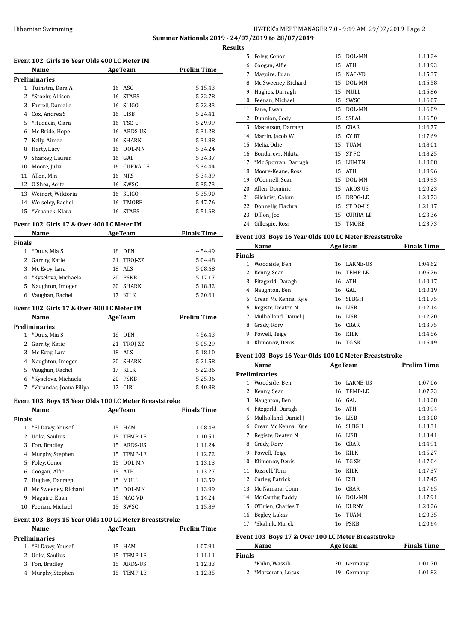## Hibernian Swimming HY-TEK's MEET MANAGER 7.0 - 9:19 AM 29/07/2019 Page 2 **Summer Nationals 2019 - 24/07/2019 to 28/07/2019**

**Results**

|                | Event 102 Girls 16 Year Olds 400 LC Meter IM          |         |                       | <u>ке.</u>         |
|----------------|-------------------------------------------------------|---------|-----------------------|--------------------|
|                | Name                                                  |         | <b>AgeTeam</b>        | <b>Prelim Time</b> |
|                | <b>Preliminaries</b>                                  |         |                       |                    |
| $\mathbf{1}$   | Tuinstra, Dara A                                      |         | 16 ASG                | 5:15.43            |
| $\overline{2}$ | *Stoehr, Allison                                      |         | 16 STARS              | 5:22.78            |
|                | 3 Farrell, Danielle                                   |         | 16 SLIGO              | 5:23.33            |
|                | 4 Cox, Andrea S                                       |         | 16 LISB               | 5:24.41            |
|                | 5 *Hudacin, Clara                                     |         | 16 TSC-C              | 5:29.99            |
|                | 6 Mc Bride, Hope                                      |         | 16 ARDS-US            | 5:31.28            |
| 7              | Kelly, Aimee                                          |         | 16 SHARK              | 5:31.88            |
| 8              | Harty, Lucy                                           |         | 16 DOL-MN             | 5:34.24            |
| 9<br>10        | Sharkey, Lauren                                       |         | 16 GAL<br>16 CURRA-LE | 5:34.37<br>5:34.44 |
| 11             | Moore, Julia<br>Allen, Min                            |         | 16 NRS                | 5:34.89            |
|                | 12 O'Shea, Aoife                                      |         | 16 SWSC               | 5:35.73            |
|                | 13 Weinert, Wiktoria                                  |         | 16 SLIGO              | 5:35.90            |
|                | 14 Wolseley, Rachel                                   | 16      | TMORE                 | 5:47.76            |
| 15             | *Vrbanek, Klara                                       |         | 16 STARS              | 5:51.68            |
|                |                                                       |         |                       |                    |
|                | Event 102 Girls 17 & Over 400 LC Meter IM<br>Name     |         | <b>AgeTeam</b>        | <b>Finals Time</b> |
| <b>Finals</b>  |                                                       |         |                       |                    |
|                | 1 *Duus, Mia S                                        |         | 18 DEN                | 4:54.49            |
|                | 2 Garrity, Katie                                      | 21      | TROJ-ZZ               | 5:04.48            |
|                | 3 Mc Evoy, Lara                                       | 18      | ALS                   | 5:08.68            |
|                | 4 *Kyselova, Michaela                                 |         | 20 PSKB               | 5:17.17            |
|                | 5 Naughton, Imogen                                    |         | 20 SHARK              | 5:18.82            |
| 6              | Vaughan, Rachel                                       | 17      | <b>KILK</b>           | 5:20.61            |
|                | Event 102 Girls 17 & Over 400 LC Meter IM             |         |                       |                    |
|                | Name                                                  | AgeTeam |                       | <b>Prelim Time</b> |
|                | <b>Preliminaries</b>                                  |         |                       |                    |
|                | 1 *Duus, Mia S                                        |         | 18 DEN                | 4:56.43            |
|                | 2 Garrity, Katie                                      | 21      | TROJ-ZZ               | 5:05.29            |
|                | 3 Mc Evoy, Lara                                       | 18      | ALS                   | 5:18.10            |
|                | 4 Naughton, Imogen                                    | 20      | <b>SHARK</b>          | 5:21.58            |
| 5              | Vaughan, Rachel                                       | 17      | KILK                  | 5:22.86            |
| 6              | *Kyselova, Michaela                                   |         | 20 PSKB               | 5:25.06            |
| 7              | *Varandas, Joana Filipa                               |         | 17 CIRL               | 5:40.88            |
|                | Event 103 Boys 15 Year Olds 100 LC Meter Breaststroke |         |                       |                    |
|                | Name                                                  |         | <b>AgeTeam</b>        | <b>Finals Time</b> |
| <b>Finals</b>  | 1 *El Dawy, Yousef                                    |         | 15 HAM                | 1:08.49            |
|                | 2 Uoka, Saulius                                       | 15      | TEMP-LE               | 1:10.51            |
|                | 3 Fon, Bradley                                        | 15      | ARDS-US               | 1:11.24            |
|                | 4 Murphy, Stephen                                     | 15      | TEMP-LE               | 1:12.72            |
|                | 5 Foley, Conor                                        | 15      | DOL-MN                | 1:13.13            |
|                | 6 Coogan, Alfie                                       |         | 15 ATH                | 1:13.27            |
|                | 7 Hughes, Darragh                                     | 15      | MULL                  | 1:13.59            |
|                | 8 Mc Sweeney, Richard                                 | 15      | DOL-MN                | 1:13.99            |
| 9              | Maguire, Euan                                         | 15      | NAC-VD                | 1:14.24            |
| 10             | Feenan, Michael                                       |         | 15 SWSC               | 1:15.89            |
|                | Event 103 Boys 15 Year Olds 100 LC Meter Breaststroke |         |                       |                    |
|                | Name                                                  |         | <b>AgeTeam</b>        | <b>Prelim Time</b> |
|                | <b>Preliminaries</b>                                  |         |                       |                    |
|                | 1 *El Dawy, Yousef                                    |         | 15 HAM                | 1:07.91            |
|                | 2 Uoka, Saulius                                       | 15      | TEMP-LE               | 1:11.11            |
|                | 3 Fon, Bradley                                        | 15      | ARDS-US               | 1:12.83            |
|                | 4 Murphy, Stephen                                     | 15      | TEMP-LE               | 1:12.85            |
|                |                                                       |         |                       |                    |

| มเร |                      |    |                 |         |
|-----|----------------------|----|-----------------|---------|
| 5   | Foley, Conor         | 15 | DOL-MN          | 1:13.24 |
| 6   | Coogan, Alfie        | 15 | <b>ATH</b>      | 1:13.93 |
| 7   | Maguire, Euan        | 15 | NAC-VD          | 1:15.37 |
| 8   | Mc Sweeney, Richard  | 15 | DOL-MN          | 1:15.58 |
| 9   | Hughes, Darragh      | 15 | <b>MULL</b>     | 1:15.86 |
| 10  | Feenan, Michael      | 15 | SWSC            | 1:16.07 |
| 11  | Fane, Ewan           | 15 | DOL-MN          | 1:16.09 |
| 12  | Dunnion, Cody        | 15 | <b>SSEAL</b>    | 1:16.50 |
| 13  | Masterson, Darragh   | 15 | CBAR            | 1:16.77 |
| 14  | Martin, Jacob W      | 15 | CY BT           | 1:17.69 |
| 15  | Melia, Odie          | 15 | <b>TUAM</b>     | 1:18.01 |
| 16  | Bondarevs, Nikita    | 15 | <b>STFC</b>     | 1:18.25 |
| 17  | *Mc Sporran, Darragh | 15 | <b>LHMTN</b>    | 1:18.88 |
| 18  | Moore-Keane, Ross    | 15 | <b>ATH</b>      | 1:18.96 |
| 19  | O'Connell, Sean      | 15 | DOL-MN          | 1:19.93 |
| 20  | Allen, Dominic       | 15 | ARDS-US         | 1:20.23 |
| 21  | Gilchrist, Calum     | 15 | DROG-LE         | 1:20.73 |
| 22  | Donnelly, Fiachra    | 15 | ST DO-US        | 1:21.17 |
| 23  | Dillon, Joe          | 15 | <b>CURRA-LE</b> | 1:23.36 |
| 24  | Gillespie, Ross      | 15 | TMORE           | 1:23.73 |

## **Event 103 Boys 16 Year Olds 100 LC Meter Breaststroke**

| Name          |                        |    | <b>AgeTeam</b>  | <b>Finals Time</b> |
|---------------|------------------------|----|-----------------|--------------------|
| <b>Finals</b> |                        |    |                 |                    |
|               | Woodside, Ben          | 16 | <b>LARNE-US</b> | 1:04.62            |
| $\mathbf{Z}$  | Kenny, Sean            |    | 16 TEMP-LE      | 1:06.76            |
| 3             | Fitzgerld, Daragh      |    | 16 ATH          | 1:10.17            |
| 4             | Naughton, Ben          |    | 16 GAL          | 1:10.19            |
|               | 5 Crean Mc Kenna, Kyle |    | 16 SLBGH        | 1:11.75            |
| 6             | Registe, Deaten N      |    | 16 LISB         | 1:12.14            |
| 7             | Mulholland, Daniel J   | 16 | LISB            | 1:12.20            |
| 8             | Grady, Rory            | 16 | CBAR            | 1:13.75            |
| 9             | Powell, Teige          | 16 | <b>KILK</b>     | 1:14.56            |
| 10            | Klimonov, Denis        | 16 | TG SK           | 1:16.49            |

## **Event 103 Boys 16 Year Olds 100 LC Meter Breaststroke**

|    | Name                 | <b>AgeTeam</b> |                 | <b>Prelim Time</b> |
|----|----------------------|----------------|-----------------|--------------------|
|    | <b>Preliminaries</b> |                |                 |                    |
| 1  | Woodside, Ben        | 16             | <b>LARNE-US</b> | 1:07.06            |
| 2  | Kenny, Sean          | 16             | TEMP-LE         | 1:07.73            |
| 3  | Naughton, Ben        | 16             | GAL             | 1:10.28            |
| 4  | Fitzgerld, Daragh    | 16             | ATH             | 1:10.94            |
| 5  | Mulholland, Daniel J | 16             | LISB            | 1:13.08            |
| 6  | Crean Mc Kenna, Kyle | 16             | <b>SLBGH</b>    | 1:13.31            |
| 7  | Registe, Deaten N    | 16             | LISB            | 1:13.41            |
| 8  | Grady, Rory          | 16             | <b>CBAR</b>     | 1:14.91            |
| 9  | Powell, Teige        | 16             | KILK            | 1:15.27            |
| 10 | Klimonov, Denis      | 16             | TG SK           | 1:17.04            |
| 11 | Russell, Tom         | 16             | KILK            | 1:17.37            |
| 12 | Curley, Patrick      | 16             | ESB             | 1:17.45            |
| 13 | Mc Namara, Conn      | 16             | CBAR            | 1:17.65            |
| 14 | Mc Carthy, Paddy     | 16             | DOL-MN          | 1:17.91            |
| 15 | O'Brien, Charles T   | 16             | <b>KLRNY</b>    | 1:20.26            |
| 16 | Begley, Lukas        | 16             | <b>TUAM</b>     | 1:20.35            |
| 17 | *Skalnik, Marek      | 16             | PSKB            | 1:20.64            |

## **Event 103 Boys 17 & Over 100 LC Meter Breaststroke**

| Name                | <b>AgeTeam</b> | <b>Finals Time</b> |
|---------------------|----------------|--------------------|
| <b>Finals</b>       |                |                    |
| 1 *Kuhn, Wassili    | 20 Germany     | 1:01.70            |
| 2 *Matzerath, Lucas | 19 Germany     | 1:01.83            |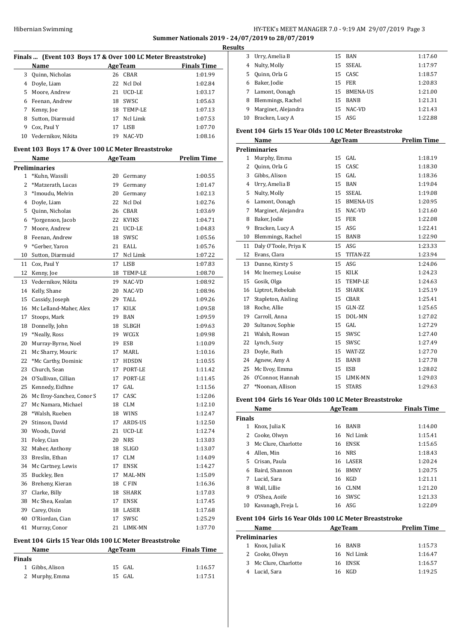## Hibernian Swimming HY-TEK's MEET MANAGER 7.0 - 9:19 AM 29/07/2019 Page 3 **Summer Nationals 2019 - 24/07/2019 to 28/07/2019**

**Results**

|                           |                |                                                    | Finals  (Event 103 Boys 17 & Over 100 LC Meter Breaststroke) |
|---------------------------|----------------|----------------------------------------------------|--------------------------------------------------------------|
| Name                      |                | <b>AgeTeam</b>                                     | <b>Finals Time</b>                                           |
| Quinn, Nicholas           |                | 26 CBAR                                            | 1:01.99                                                      |
| 4 Doyle, Liam             | 22             | Ncl Dol                                            | 1:02.84                                                      |
| Moore, Andrew             | 21             | UCD-LE                                             | 1:03.17                                                      |
| 6 Feenan, Andrew          | 18             | SWSC                                               | 1:05.63                                                      |
| 7 Kenny, Joe              | 18             | TEMP-LE                                            | 1:07.13                                                      |
| 8 Sutton, Diarmuid        | 17             | Ncl Limk                                           | 1:07.53                                                      |
| Cox, Paul Y               | 17             | LISB                                               | 1:07.70                                                      |
| Vedernikov, Nikita        |                | 19 NAC-VD                                          | 1:08.16                                                      |
|                           |                | Event 103 Boys 17 & Over 100 LC Meter Breaststroke |                                                              |
| Name                      | <b>AgeTeam</b> |                                                    | <b>Prelim Time</b>                                           |
| <b>Preliminaries</b>      |                |                                                    |                                                              |
| 1 *Kuhn, Wassili          |                | 20 Germany                                         | 1:00.55                                                      |
| *Matzerath, Lucas         | 19             | Germany                                            | 1:01.47                                                      |
| *Imoudu, Melvin           | 20             | Germany                                            | 1:02.13                                                      |
| 4 Doyle, Liam             | 22             | Ncl Dol                                            | 1:02.76                                                      |
| Quinn, Nicholas           |                | 26 CBAR                                            | 1:03.69                                                      |
| *Jorgenson, Jacob         | 22             | <b>KVIKS</b>                                       | 1:04.71                                                      |
| 7 Moore, Andrew           | 21             | UCD-LE                                             | 1:04.83                                                      |
| 8 Feenan, Andrew          | 18             | SWSC                                               | 1:05.56                                                      |
| *Gerber, Yaron            |                | 21 EALL                                            | 1:05.76                                                      |
| Sutton, Diarmuid          | 17             | Ncl Limk                                           | 1:07.22                                                      |
| Cox, Paul Y               |                | 17 LISB                                            | 1:07.83                                                      |
| Kenny, Joe                | 18             | TEMP-LE                                            | 1:08.70                                                      |
| 13 Vedernikov, Nikita     | 19             | NAC-VD                                             | 1:08.92                                                      |
| 14 Kelly, Shane           | 20             | NAC-VD                                             | 1:08.96                                                      |
| 15 Cassidy, Joseph        | 29             | TALL                                               | 1:09.26                                                      |
| 16 Mc Lelland-Maher, Alex | 17             | KILK                                               | 1:09.58                                                      |
| Stoops, Mark              | 19             | BAN                                                | 1:09.59                                                      |
| Donnelly, John            | 18             | SLBGH                                              | 1:09.63                                                      |
| *Neally, Ross             |                | 19 WCGX                                            | 1:09.98                                                      |
| 20 Murray-Byrne, Noel     |                | 19 ESB                                             | 1:10.09                                                      |
| 21 Mc Sharry, Mouric      | 17             | MARL                                               | 1:10.16                                                      |
| 22 *Mc Carthy, Dominic    | 17             | HDSDN                                              | 1:10.55                                                      |
| Church, Sean              | 17             | PORT-LE                                            | 1:11.42                                                      |
| O'Sullivan, Cillian       | 17             | PORT-LE                                            | 1:11.45                                                      |
| Kennedy, Eidhne           | 17             | GAL                                                | 1:11.56                                                      |
| Mc Ilroy-Sanchez, Conor S | 17             | CASC                                               | 1:12.06                                                      |
| Mc Namara, Michael        | 18             | CLM                                                | 1:12.10                                                      |
| *Walsh, Rueben            | 18             | WINS                                               | 1:12.47                                                      |
| Stinson, David            | 17             | ARDS-US                                            | 1:12.50                                                      |
| Woods, David              | 21             | UCD-LE                                             | 1:12.74                                                      |
| Foley, Cian               | 20             | <b>NRS</b>                                         | 1:13.03                                                      |
| Maher, Anthony            | 18             | <b>SLIGO</b>                                       | 1:13.07                                                      |
| Breslin, Ethan            | 17             | CLM                                                | 1:14.09                                                      |
| Mc Cartney, Lewis         | 17             | <b>ENSK</b>                                        | 1:14.27                                                      |
|                           |                |                                                    |                                                              |
| Buckley, Ben              | 17             | MAL-MN                                             | 1:15.09                                                      |
| Breheny, Kieran           | 18             | C FIN                                              | 1:16.36                                                      |
| Clarke, Billy             | 18             | SHARK                                              | 1:17.03                                                      |
| Mc Shea, Kealan           | 17             | ENSK                                               | 1:17.45                                                      |
| Carey, Oisin              | 18             | LASER                                              | 1:17.68                                                      |
| O'Riordan, Cian           | 17             | SWSC                                               | 1:25.29                                                      |
| Murray, Conor             | 21             | LIMK-MN                                            | 1:37.70                                                      |
|                           |                |                                                    | Event 104 Girls 15 Year Olds 100 LC Meter Breaststroke       |

| <b>Name</b>   |                 | <b>AgeTeam</b> | <b>Finals Time</b> |
|---------------|-----------------|----------------|--------------------|
| <b>Finals</b> |                 |                |                    |
|               | 1 Gibbs, Alison | 15 GAL         | 1:16.57            |
|               | 2 Murphy, Emma  | 15 GAL         | 1:17.51            |

| s  |                     |    |                 |         |
|----|---------------------|----|-----------------|---------|
| 3  | Urry, Amelia B      | 15 | BAN             | 1:17.60 |
| 4  | Nulty, Molly        |    | 15 SSEAL        | 1:17.97 |
| 5. | Quinn, Orla G       |    | 15 CASC         | 1:18.57 |
| 6  | Baker, Jodie        |    | 15 FER          | 1:20.83 |
| 7  | Lamont, Oonagh      | 15 | <b>BMENA-US</b> | 1:21.00 |
| 8  | Blemmings, Rachel   |    | 15 BANB         | 1:21.31 |
| 9  | Marginet, Alejandra | 15 | NAC-VD          | 1:21.43 |
| 10 | Bracken, Lucy A     |    | 15 ASG          | 1:22.88 |

### **Event 104 Girls 15 Year Olds 100 LC Meter Breaststroke**

|                | Name                  |    | <b>AgeTeam</b>  | <b>Prelim Time</b> |
|----------------|-----------------------|----|-----------------|--------------------|
|                | <b>Preliminaries</b>  |    |                 |                    |
| 1              | Murphy, Emma          | 15 | GAL.            | 1:18.19            |
| $\overline{2}$ | Quinn, Orla G         | 15 | CASC            | 1:18.30            |
| 3              | Gibbs, Alison         | 15 | GAL.            | 1:18.36            |
| $\overline{4}$ | Urry, Amelia B        | 15 | <b>BAN</b>      | 1:19.04            |
| 5              | Nulty, Molly          | 15 | <b>SSEAL</b>    | 1:19.08            |
| 6              | Lamont, Oonagh        | 15 | <b>BMENA-US</b> | 1:20.95            |
| 7              | Marginet, Alejandra   | 15 | NAC-VD          | 1:21.60            |
| 8              | Baker, Jodie          | 15 | <b>FER</b>      | 1:22.08            |
| 9              | Bracken, Lucy A       | 15 | ASG             | 1:22.41            |
| 10             | Blemmings, Rachel     | 15 | <b>BANB</b>     | 1:22.90            |
| 11             | Daly O'Toole, Priya K | 15 | ASG             | 1:23.33            |
| 12             | Evans, Clara          | 15 | <b>TITAN-ZZ</b> | 1:23.94            |
| 13             | Dunne, Kirsty S       | 15 | ASG             | 1:24.06            |
| 14             | Mc Inerney, Louise    | 15 | <b>KILK</b>     | 1:24.23            |
| 15             | Gosik, Olga           | 15 | <b>TEMP-LE</b>  | 1:24.63            |
| 16             | Liptrot, Rebekah      | 15 | <b>SHARK</b>    | 1:25.19            |
| 17             | Stapleton, Aisling    | 15 | CBAR            | 1:25.41            |
| 18             | Roche, Allie          | 15 | $GLN-ZZ$        | 1:25.65            |
| 19             | Carroll, Anna         | 15 | DOL-MN          | 1:27.02            |
| 20             | Sultanov, Sophie      | 15 | GAL             | 1:27.29            |
| 21             | Walsh, Rowan          | 15 | SWSC            | 1:27.40            |
| 22             | Lynch, Suzy           | 15 | SWSC            | 1:27.49            |
| 23             | Doyle, Ruth           | 15 | WAT-ZZ          | 1:27.70            |
| 24             | Agnew, Amy A          | 15 | <b>BANB</b>     | 1:27.78            |
| 25             | Mc Evoy, Emma         | 15 | <b>ESB</b>      | 1:28.02            |
| 26             | O'Connor, Hannah      | 15 | LIMK-MN         | 1:29.03            |
| 27             | *Noonan, Allison      | 15 | <b>STARS</b>    | 1:29.63            |
|                |                       |    |                 |                    |

## **Event 104 Girls 16 Year Olds 100 LC Meter Breaststroke**

|    | Name                |    | <b>AgeTeam</b> | <b>Finals Time</b> |  |  |  |
|----|---------------------|----|----------------|--------------------|--|--|--|
|    | <b>Finals</b>       |    |                |                    |  |  |  |
| 1. | Knox, Julia K       | 16 | <b>BANB</b>    | 1:14.00            |  |  |  |
| 2  | Cooke, Olwyn        |    | 16 Ncl Limk    | 1:15.41            |  |  |  |
| 3  | Mc Clure, Charlotte | 16 | <b>ENSK</b>    | 1:15.65            |  |  |  |
| 4  | Allen, Min          |    | 16 NRS         | 1:18.43            |  |  |  |
| 5  | Crisan, Paula       |    | 16 LASER       | 1:20.24            |  |  |  |
| 6  | Baird, Shannon      | 16 | <b>BMNY</b>    | 1:20.75            |  |  |  |
| 7  | Lucid, Sara         |    | 16 KGD         | 1:21.11            |  |  |  |
| 8  | Wall. Lillie        |    | 16 CLNM        | 1:21.20            |  |  |  |
| 9  | O'Shea, Aoife       | 16 | <b>SWSC</b>    | 1:21.33            |  |  |  |
| 10 | Kavanagh, Freja L   |    | $16$ ASG       | 1:22.09            |  |  |  |

### **Event 104 Girls 16 Year Olds 100 LC Meter Breaststroke**

| Name                  |  | <b>AgeTeam</b> | <b>Prelim Time</b> |  |  |  |
|-----------------------|--|----------------|--------------------|--|--|--|
| Preliminaries         |  |                |                    |  |  |  |
| 1 Knox, Julia K       |  | 16 BANB        | 1:15.73            |  |  |  |
| 2 Cooke, Olwyn        |  | 16 Ncl Limk    | 1:16.47            |  |  |  |
| 3 Mc Clure, Charlotte |  | 16 ENSK        | 1:16.57            |  |  |  |
| Lucid, Sara           |  | 16 KGD         | 1:19.25            |  |  |  |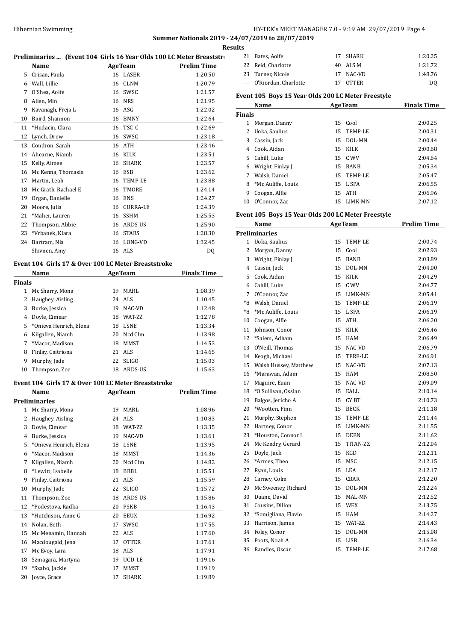## HY-TEK's MEET MANAGER 7.0 - 9:19 AM 29/07/2019 Page 4

**Summer Nationals 2019 - 24/07/2019 to 28/07/2019**

| Name                                                                                                                                      |                                                                                                                                                                                                                                                                                                                                                    |                   | <b>Prelim Time</b>                                                                                                                                                                                                                                                                                                                                                                                                                                                                                                                                                                                   |
|-------------------------------------------------------------------------------------------------------------------------------------------|----------------------------------------------------------------------------------------------------------------------------------------------------------------------------------------------------------------------------------------------------------------------------------------------------------------------------------------------------|-------------------|------------------------------------------------------------------------------------------------------------------------------------------------------------------------------------------------------------------------------------------------------------------------------------------------------------------------------------------------------------------------------------------------------------------------------------------------------------------------------------------------------------------------------------------------------------------------------------------------------|
| 5 Crisan, Paula                                                                                                                           |                                                                                                                                                                                                                                                                                                                                                    |                   | 1:20.50                                                                                                                                                                                                                                                                                                                                                                                                                                                                                                                                                                                              |
|                                                                                                                                           |                                                                                                                                                                                                                                                                                                                                                    |                   | 1:20.79                                                                                                                                                                                                                                                                                                                                                                                                                                                                                                                                                                                              |
|                                                                                                                                           |                                                                                                                                                                                                                                                                                                                                                    |                   | 1:21.57                                                                                                                                                                                                                                                                                                                                                                                                                                                                                                                                                                                              |
|                                                                                                                                           |                                                                                                                                                                                                                                                                                                                                                    |                   | 1:21.95                                                                                                                                                                                                                                                                                                                                                                                                                                                                                                                                                                                              |
|                                                                                                                                           |                                                                                                                                                                                                                                                                                                                                                    |                   | 1:22.02                                                                                                                                                                                                                                                                                                                                                                                                                                                                                                                                                                                              |
|                                                                                                                                           |                                                                                                                                                                                                                                                                                                                                                    |                   | 1:22.64                                                                                                                                                                                                                                                                                                                                                                                                                                                                                                                                                                                              |
|                                                                                                                                           |                                                                                                                                                                                                                                                                                                                                                    |                   | 1:22.69                                                                                                                                                                                                                                                                                                                                                                                                                                                                                                                                                                                              |
|                                                                                                                                           |                                                                                                                                                                                                                                                                                                                                                    |                   | 1:23.18                                                                                                                                                                                                                                                                                                                                                                                                                                                                                                                                                                                              |
|                                                                                                                                           |                                                                                                                                                                                                                                                                                                                                                    |                   | 1:23.46                                                                                                                                                                                                                                                                                                                                                                                                                                                                                                                                                                                              |
| 14 Ahearne, Niamh                                                                                                                         |                                                                                                                                                                                                                                                                                                                                                    |                   | 1:23.51                                                                                                                                                                                                                                                                                                                                                                                                                                                                                                                                                                                              |
| 15 Kelly, Aimee                                                                                                                           |                                                                                                                                                                                                                                                                                                                                                    |                   | 1:23.57                                                                                                                                                                                                                                                                                                                                                                                                                                                                                                                                                                                              |
| 16 Mc Kenna, Thomasin                                                                                                                     |                                                                                                                                                                                                                                                                                                                                                    |                   | 1:23.62                                                                                                                                                                                                                                                                                                                                                                                                                                                                                                                                                                                              |
| 17 Martin, Leah                                                                                                                           |                                                                                                                                                                                                                                                                                                                                                    |                   | 1:23.88                                                                                                                                                                                                                                                                                                                                                                                                                                                                                                                                                                                              |
| 18 Mc Grath, Rachael E                                                                                                                    |                                                                                                                                                                                                                                                                                                                                                    | TMORE             | 1:24.14                                                                                                                                                                                                                                                                                                                                                                                                                                                                                                                                                                                              |
| 19 Organ, Danielle                                                                                                                        |                                                                                                                                                                                                                                                                                                                                                    |                   | 1:24.27                                                                                                                                                                                                                                                                                                                                                                                                                                                                                                                                                                                              |
| 20 Moore, Julia                                                                                                                           |                                                                                                                                                                                                                                                                                                                                                    |                   | 1:24.39                                                                                                                                                                                                                                                                                                                                                                                                                                                                                                                                                                                              |
| 21<br>*Maher, Lauren                                                                                                                      |                                                                                                                                                                                                                                                                                                                                                    |                   | 1:25.53                                                                                                                                                                                                                                                                                                                                                                                                                                                                                                                                                                                              |
| 22 Thompson, Abbie                                                                                                                        |                                                                                                                                                                                                                                                                                                                                                    |                   | 1:25.90                                                                                                                                                                                                                                                                                                                                                                                                                                                                                                                                                                                              |
| 23 *Vrbanek, Klara                                                                                                                        |                                                                                                                                                                                                                                                                                                                                                    |                   | 1:28.30                                                                                                                                                                                                                                                                                                                                                                                                                                                                                                                                                                                              |
| 24 Bartram, Nia                                                                                                                           |                                                                                                                                                                                                                                                                                                                                                    |                   | 1:32.45                                                                                                                                                                                                                                                                                                                                                                                                                                                                                                                                                                                              |
| $\frac{1}{2} \left( \frac{1}{2} \right) \left( \frac{1}{2} \right) \left( \frac{1}{2} \right) \left( \frac{1}{2} \right)$<br>Shivnen, Amy |                                                                                                                                                                                                                                                                                                                                                    |                   | DQ                                                                                                                                                                                                                                                                                                                                                                                                                                                                                                                                                                                                   |
|                                                                                                                                           |                                                                                                                                                                                                                                                                                                                                                    |                   |                                                                                                                                                                                                                                                                                                                                                                                                                                                                                                                                                                                                      |
|                                                                                                                                           |                                                                                                                                                                                                                                                                                                                                                    |                   | <b>Finals Time</b>                                                                                                                                                                                                                                                                                                                                                                                                                                                                                                                                                                                   |
| <b>Finals</b>                                                                                                                             |                                                                                                                                                                                                                                                                                                                                                    |                   |                                                                                                                                                                                                                                                                                                                                                                                                                                                                                                                                                                                                      |
| 1 Mc Sharry, Mona                                                                                                                         |                                                                                                                                                                                                                                                                                                                                                    |                   | 1:08.39                                                                                                                                                                                                                                                                                                                                                                                                                                                                                                                                                                                              |
|                                                                                                                                           |                                                                                                                                                                                                                                                                                                                                                    |                   | 1:10.45                                                                                                                                                                                                                                                                                                                                                                                                                                                                                                                                                                                              |
| 3 Burke, Jessica                                                                                                                          |                                                                                                                                                                                                                                                                                                                                                    |                   | 1:12.48                                                                                                                                                                                                                                                                                                                                                                                                                                                                                                                                                                                              |
|                                                                                                                                           |                                                                                                                                                                                                                                                                                                                                                    |                   | 1:12.78                                                                                                                                                                                                                                                                                                                                                                                                                                                                                                                                                                                              |
|                                                                                                                                           |                                                                                                                                                                                                                                                                                                                                                    |                   | 1:13.34                                                                                                                                                                                                                                                                                                                                                                                                                                                                                                                                                                                              |
|                                                                                                                                           |                                                                                                                                                                                                                                                                                                                                                    | Ncd Clm           | 1:13.98                                                                                                                                                                                                                                                                                                                                                                                                                                                                                                                                                                                              |
| $7^{\circ}$                                                                                                                               |                                                                                                                                                                                                                                                                                                                                                    |                   | 1:14.53                                                                                                                                                                                                                                                                                                                                                                                                                                                                                                                                                                                              |
|                                                                                                                                           |                                                                                                                                                                                                                                                                                                                                                    |                   | 1:14.65                                                                                                                                                                                                                                                                                                                                                                                                                                                                                                                                                                                              |
|                                                                                                                                           |                                                                                                                                                                                                                                                                                                                                                    |                   | 1:15.03                                                                                                                                                                                                                                                                                                                                                                                                                                                                                                                                                                                              |
| Thompson, Zoe                                                                                                                             |                                                                                                                                                                                                                                                                                                                                                    |                   | 1:15.63                                                                                                                                                                                                                                                                                                                                                                                                                                                                                                                                                                                              |
|                                                                                                                                           |                                                                                                                                                                                                                                                                                                                                                    |                   |                                                                                                                                                                                                                                                                                                                                                                                                                                                                                                                                                                                                      |
|                                                                                                                                           |                                                                                                                                                                                                                                                                                                                                                    |                   | <b>Prelim Time</b>                                                                                                                                                                                                                                                                                                                                                                                                                                                                                                                                                                                   |
|                                                                                                                                           |                                                                                                                                                                                                                                                                                                                                                    |                   |                                                                                                                                                                                                                                                                                                                                                                                                                                                                                                                                                                                                      |
|                                                                                                                                           |                                                                                                                                                                                                                                                                                                                                                    |                   |                                                                                                                                                                                                                                                                                                                                                                                                                                                                                                                                                                                                      |
| 1 Mc Sharry, Mona                                                                                                                         |                                                                                                                                                                                                                                                                                                                                                    | 19 MARL           | 1:08.96                                                                                                                                                                                                                                                                                                                                                                                                                                                                                                                                                                                              |
| $\overline{2}$<br>Haughey, Aisling                                                                                                        |                                                                                                                                                                                                                                                                                                                                                    | 24 ALS            | 1:10.83                                                                                                                                                                                                                                                                                                                                                                                                                                                                                                                                                                                              |
| 3 Doyle, Eimear                                                                                                                           |                                                                                                                                                                                                                                                                                                                                                    | 18 WAT-ZZ         | 1:13.35                                                                                                                                                                                                                                                                                                                                                                                                                                                                                                                                                                                              |
| 4 Burke, Jessica                                                                                                                          | 19                                                                                                                                                                                                                                                                                                                                                 | NAC-VD            | 1:13.61                                                                                                                                                                                                                                                                                                                                                                                                                                                                                                                                                                                              |
| *Onieva Henrich, Elena                                                                                                                    |                                                                                                                                                                                                                                                                                                                                                    | 18 LSNE           | 1:13.95                                                                                                                                                                                                                                                                                                                                                                                                                                                                                                                                                                                              |
| *Macor, Madison                                                                                                                           | 18                                                                                                                                                                                                                                                                                                                                                 | MMST              | 1:14.36                                                                                                                                                                                                                                                                                                                                                                                                                                                                                                                                                                                              |
| Kilgallen, Niamh                                                                                                                          | 20                                                                                                                                                                                                                                                                                                                                                 | Ncd Clm           | 1:14.82                                                                                                                                                                                                                                                                                                                                                                                                                                                                                                                                                                                              |
| *Lewitt, Isabelle                                                                                                                         |                                                                                                                                                                                                                                                                                                                                                    | 18 BRBL           | 1:15.51                                                                                                                                                                                                                                                                                                                                                                                                                                                                                                                                                                                              |
| Finlay, Caitriona                                                                                                                         | 21                                                                                                                                                                                                                                                                                                                                                 | ALS               | 1:15.59                                                                                                                                                                                                                                                                                                                                                                                                                                                                                                                                                                                              |
| Murphy, Jade                                                                                                                              | 22                                                                                                                                                                                                                                                                                                                                                 | SLIGO             | 1:15.72                                                                                                                                                                                                                                                                                                                                                                                                                                                                                                                                                                                              |
| Thompson, Zoe                                                                                                                             | 18                                                                                                                                                                                                                                                                                                                                                 | ARDS-US           | 1:15.86                                                                                                                                                                                                                                                                                                                                                                                                                                                                                                                                                                                              |
|                                                                                                                                           |                                                                                                                                                                                                                                                                                                                                                    |                   |                                                                                                                                                                                                                                                                                                                                                                                                                                                                                                                                                                                                      |
| *Podestova, Radka                                                                                                                         |                                                                                                                                                                                                                                                                                                                                                    | 20 PSKB           | 1:16.43                                                                                                                                                                                                                                                                                                                                                                                                                                                                                                                                                                                              |
| *Hutchison, Anne G                                                                                                                        | 20                                                                                                                                                                                                                                                                                                                                                 | EEUX              | 1:16.92                                                                                                                                                                                                                                                                                                                                                                                                                                                                                                                                                                                              |
| Nolan, Beth                                                                                                                               | 17                                                                                                                                                                                                                                                                                                                                                 | SWSC              | 1:17.55                                                                                                                                                                                                                                                                                                                                                                                                                                                                                                                                                                                              |
| Mc Menamin, Hannah                                                                                                                        |                                                                                                                                                                                                                                                                                                                                                    | 22 ALS            | 1:17.60                                                                                                                                                                                                                                                                                                                                                                                                                                                                                                                                                                                              |
| Macdougald, Jena<br>16                                                                                                                    | 17                                                                                                                                                                                                                                                                                                                                                 | <b>OTTER</b>      | 1:17.61                                                                                                                                                                                                                                                                                                                                                                                                                                                                                                                                                                                              |
| 17<br>Mc Evoy, Lara                                                                                                                       | 18                                                                                                                                                                                                                                                                                                                                                 | ALS               | 1:17.91                                                                                                                                                                                                                                                                                                                                                                                                                                                                                                                                                                                              |
| Szmagara, Martyna<br>*Szabo, Jackie                                                                                                       | 17                                                                                                                                                                                                                                                                                                                                                 | 19 UCD-LE<br>MMST | 1:19.16<br>1:19.19                                                                                                                                                                                                                                                                                                                                                                                                                                                                                                                                                                                   |
|                                                                                                                                           | 6 Wall, Lillie<br>7 O'Shea, Aoife<br>8 Allen, Min<br>Kavanagh, Freja L<br>10 Baird, Shannon<br>*Hudacin, Clara<br>12 Lynch, Drew<br>13 Condron, Sarah<br>Name<br>2 Haughey, Aisling<br>4 Doyle, Eimear<br>5 *Onieva Henrich, Elena<br>6 Kilgallen, Niamh<br>*Macor, Madison<br>8 Finlay, Caitriona<br>Murphy, Jade<br>Name<br><b>Preliminaries</b> |                   | Preliminaries  (Event 104 Girls 16 Year Olds 100 LC Meter Breaststro<br><b>AgeTeam</b><br>16 LASER<br>16 CLNM<br>16 SWSC<br>16 NRS<br>16 ASG<br>16 BMNY<br>16 TSC-C<br>16 SWSC<br>16 ATH<br>16 KILK<br>16 SHARK<br>16 ESB<br>16 TEMP-LE<br>16<br>16 ENS<br>16 CURRA-LE<br>16 SSHM<br>16 ARDS-US<br>16 STARS<br>16 LONG-VD<br>16 ALS<br>Event 104 Girls 17 & Over 100 LC Meter Breaststroke<br><b>AgeTeam</b><br>19 MARL<br>24 ALS<br>19 NAC-VD<br>18 WAT-ZZ<br>18 LSNE<br>20<br>18 MMST<br>21 ALS<br>22 SLIGO<br>18 ARDS-US<br>Event 104 Girls 17 & Over 100 LC Meter Breaststroke<br><b>AgeTeam</b> |

| ĽS |                          |              |         |
|----|--------------------------|--------------|---------|
|    | 21 Bates, Aoife          | 17 SHARK     | 1:20.25 |
|    | 22 Reid, Charlotte       | 40 ALSM      | 1:21.72 |
|    | 23 Turner, Nicole        | 17 NAC-VD    | 1:48.76 |
|    | --- O'Riordan, Charlotte | <b>OTTER</b> | DO      |

## **Event 105 Boys 15 Year Olds 200 LC Meter Freestyle**

|    | Name               |    | <b>AgeTeam</b> | <b>Finals Time</b> |  |  |  |
|----|--------------------|----|----------------|--------------------|--|--|--|
|    | Finals             |    |                |                    |  |  |  |
| 1  | Morgan, Danny      |    | 15 Cool        | 2:00.25            |  |  |  |
| 2  | Uoka, Saulius      |    | 15 TEMP-LE     | 2:00.31            |  |  |  |
| 3  | Cassin, Jack       |    | 15 DOL-MN      | 2:00.44            |  |  |  |
| 4  | Cook, Aidan        |    | 15 KILK        | 2:00.68            |  |  |  |
| 5. | Cahill, Luke       |    | 15 C WV        | 2:04.64            |  |  |  |
| 6  | Wright, Finlay J   |    | 15 BANB        | 2:05.34            |  |  |  |
| 7  | Walsh, Daniel      |    | 15 TEMP-LE     | 2:05.47            |  |  |  |
| 8  | *Mc Auliffe, Louis |    | 15 L SPA       | 2:06.55            |  |  |  |
| 9  | Coogan, Alfie      | 15 | ATH            | 2:06.96            |  |  |  |
| 10 | O'Connor, Zac      |    | 15 LIMK-MN     | 2:07.12            |  |  |  |

## **Event 105 Boys 15 Year Olds 200 LC Meter Freestyle**

|                | Name                  |    | <b>AgeTeam</b> | <b>Prelim Time</b> |
|----------------|-----------------------|----|----------------|--------------------|
|                | Preliminaries         |    |                |                    |
| 1              | Uoka, Saulius         | 15 | <b>TEMP-LE</b> | 2:00.74            |
| 2              | Morgan, Danny         | 15 | Cool           | 2:02.93            |
| 3              | Wright, Finlay J      | 15 | <b>BANB</b>    | 2:03.89            |
| $\overline{4}$ | Cassin, Jack          | 15 | DOL-MN         | 2:04.00            |
| 5              | Cook, Aidan           | 15 | <b>KILK</b>    | 2:04.29            |
| 6              | Cahill, Luke          | 15 | C WV           | 2:04.77            |
| 7              | O'Connor, Zac         |    | 15 LIMK-MN     | 2:05.41            |
| $*8$           | Walsh, Daniel         | 15 | TEMP-LE        | 2:06.19            |
| *8             | *Mc Auliffe, Louis    | 15 | L SPA          | 2:06.19            |
| 10             | Coogan, Alfie         | 15 | ATH            | 2:06.20            |
| 11             | Johnson, Conor        | 15 | KILK           | 2:06.46            |
| 12             | *Salem, Adham         | 15 | HAM            | 2:06.49            |
| 13             | O'Neill, Thomas       | 15 | NAC-VD         | 2:06.79            |
| 14             | Keogh, Michael        | 15 | TERE-LE        | 2:06.91            |
| 15             | Walsh Hussey, Matthew | 15 | NAC-VD         | 2:07.13            |
| 16             | *Marawan, Adam        | 15 | <b>HAM</b>     | 2:08.50            |
| 17             | Maguire, Euan         | 15 | NAC-VD         | 2:09.09            |
| 18             | *O'Sullivan, Ossian   | 15 | EALL           | 2:10.14            |
| 19             | Balgos, Jericho A     | 15 | CY BT          | 2:10.73            |
| 20             | *Wootten, Finn        | 15 | <b>BECK</b>    | 2:11.18            |
| 21             | Murphy, Stephen       | 15 | TEMP-LE        | 2:11.44            |
| 22             | Hartney, Conor        | 15 | LIMK-MN        | 2:11.55            |
| 23             | *Houston, Connor L    | 15 | <b>DEBN</b>    | 2:11.62            |
| 24             | Mc Kendry, Gerard     | 15 | TITAN-ZZ       | 2:12.04            |
| 25             | Doyle, Jack           | 15 | KGD            | 2:12.11            |
| 26             | *Armes, Theo          | 15 | MSC            | 2:12.15            |
| 27             | Ryan, Louis           | 15 | LEA            | 2:12.17            |
| 28             | Carney, Colm          | 15 | CBAR           | 2:12.20            |
| 29             | Mc Sweeney, Richard   | 15 | DOL-MN         | 2:12.24            |
| 30             | Duane, David          | 15 | MAL-MN         | 2:12.52            |
| 31             | Cousins, Dillon       | 15 | WEX            | 2:13.75            |
| 32             | *Somigliana, Flavio   | 15 | HAM            | 2:14.27            |
| 33             | Harrison, James       | 15 | WAT-ZZ         | 2:14.43            |
| 34             | Foley, Conor          | 15 | DOL-MN         | 2:15.08            |
| 35             | Poots, Noah A         | 15 | <b>LISB</b>    | 2:16.34            |
| 36             | Randles, Oscar        | 15 | TEMP-LE        | 2:17.68            |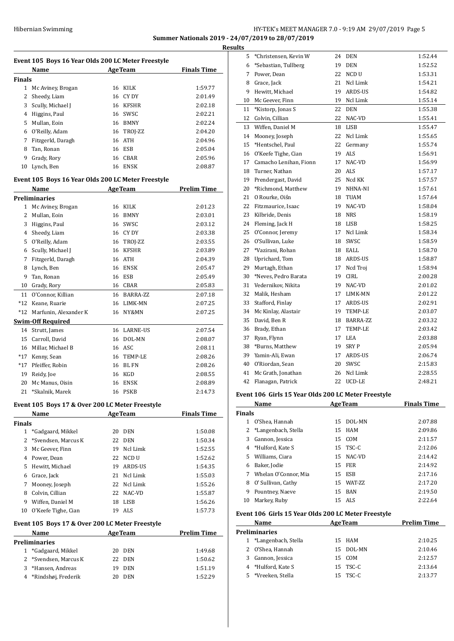## HY-TEK's MEET MANAGER 7.0 - 9:19 AM 29/07/2019 Page 5 **Summer Nationals 2019 - 24/07/2019 to 28/07/2019**

**Results**

|                | Name                                               |    | <b>AgeTeam</b> | <b>Finals Time</b> |
|----------------|----------------------------------------------------|----|----------------|--------------------|
| <b>Finals</b>  |                                                    |    |                |                    |
| $\mathbf{1}$   | Mc Aviney, Brogan                                  | 16 | <b>KILK</b>    | 1:59.77            |
| $\overline{2}$ | Sheedy, Liam                                       | 16 | CY DY          | 2:01.49            |
| 3              | Scully, Michael J                                  | 16 | KFSHR          | 2:02.18            |
| 4              | Higgins, Paul                                      | 16 | SWSC           | 2:02.21            |
| 5              | Mullan, Eoin                                       |    | 16 BMNY        | 2:02.24            |
|                | 6 O'Reilly, Adam                                   |    | 16 TROJ-ZZ     | 2:04.20            |
| 7              | Fitzgerld, Daragh                                  | 16 | <b>ATH</b>     | 2:04.96            |
| 8              | Tan, Ronan                                         | 16 | ESB            | 2:05.04            |
| 9              | Grady, Rory                                        | 16 | CBAR           | 2:05.96            |
| 10             | Lynch, Ben                                         | 16 | ENSK           | 2:08.87            |
|                | Event 105 Boys 16 Year Olds 200 LC Meter Freestyle |    |                |                    |
|                | Name                                               |    | <b>AgeTeam</b> | <b>Prelim Time</b> |
|                | <b>Preliminaries</b>                               |    |                |                    |
| 1              | Mc Aviney, Brogan                                  | 16 | KILK           | 2:01.23            |
| 2              | Mullan, Eoin                                       | 16 | BMNY           | 2:03.01            |
| 3              | Higgins, Paul                                      | 16 | SWSC           | 2:03.12            |
|                | 4 Sheedy, Liam                                     |    | 16 CY DY       | 2:03.38            |
| 5              | O'Reilly, Adam                                     | 16 | TROJ-ZZ        | 2:03.55            |
| 6              | Scully, Michael J                                  | 16 | <b>KFSHR</b>   | 2:03.89            |
| 7              | Fitzgerld, Daragh                                  | 16 | ATH            | 2:04.39            |
| 8              | Lynch, Ben                                         | 16 | <b>ENSK</b>    | 2:05.47            |
| 9              | Tan. Ronan                                         | 16 | ESB            | 2:05.49            |
| 10             | Grady, Rory                                        | 16 | <b>CBAR</b>    | 2:05.83            |
| 11             | O'Connor, Killian                                  | 16 | BARRA-ZZ       | 2:07.18            |
| *12            | Keane, Ruarie                                      | 16 | LIMK-MN        | 2:07.25            |
| $*12$          | Marfunin, Alexander K                              | 16 | NY&MN          | 2:07.25            |
|                | <b>Swim-Off Required</b>                           |    |                |                    |
| 14             | Strutt, James                                      |    | 16 LARNE-US    | 2:07.54            |
| 15             | Carroll, David                                     | 16 | DOL-MN         | 2:08.07            |
| 16             | Millar, Michael B                                  | 16 | ASC            | 2:08.11            |
| $*17$          | Kenny, Sean                                        | 16 | TEMP-LE        | 2:08.26            |
| $*17$          | Pfeiffer, Robin                                    |    | 16 BL FN       | 2:08.26            |

# \*Skalnik, Marek 16 PSKB 2:14.73

## **Event 105 Boys 17 & Over 200 LC Meter Freestyle**

|        | Name                  |    | <b>AgeTeam</b> | <b>Finals Time</b> |
|--------|-----------------------|----|----------------|--------------------|
| Finals |                       |    |                |                    |
|        | *Gadgaard, Mikkel     | 20 | <b>DEN</b>     | 1:50.08            |
|        | 2 *Svendsen, Marcus K |    | 22 DEN         | 1:50.34            |
| 3      | Mc Geever, Finn       | 19 | Ncl Limk       | 1:52.55            |
| 4      | Power, Dean           | 22 | NCD U          | 1:52.62            |
| 5.     | Hewitt, Michael       | 19 | ARDS-US        | 1:54.35            |
| 6      | Grace, Jack           | 21 | Ncl Limk       | 1:55.03            |
| 7      | Mooney, Joseph        |    | 22 Ncl Limk    | 1:55.26            |
| 8      | Colvin, Cillian       | 22 | NAC-VD         | 1:55.87            |
| 9      | Wiffen, Daniel M      | 18 | LISB           | 1:56.26            |
| 10     | O'Keefe Tighe, Cian   | 19 | ALS            | 1:57.73            |

 Reidy, Joe 16 KGD 2:08.55 Mc Manus, Oisin 16 ENSK 2:08.89

## **Event 105 Boys 17 & Over 200 LC Meter Freestyle**

| <b>Name</b>   |                       | <b>AgeTeam</b> |            | <b>Prelim Time</b> |  |  |  |
|---------------|-----------------------|----------------|------------|--------------------|--|--|--|
| Preliminaries |                       |                |            |                    |  |  |  |
|               | *Gadgaard, Mikkel     |                | 20 DEN     | 1:49.68            |  |  |  |
|               | 2 *Svendsen, Marcus K |                | 22 DEN     | 1:50.62            |  |  |  |
|               | 3 *Hansen, Andreas    | 19.            | DEN        | 1:51.19            |  |  |  |
|               | 4 *Rindshøj, Frederik | 20.            | <b>DEN</b> | 1:52.29            |  |  |  |

| ults |                        |    |                 |         |
|------|------------------------|----|-----------------|---------|
| 5    | *Christensen, Kevin W  | 24 | <b>DEN</b>      | 1:52.44 |
| 6    | *Sebastian, Tullberg   | 19 | <b>DEN</b>      | 1:52.52 |
| 7    | Power, Dean            | 22 | NCD U           | 1:53.31 |
| 8    | Grace, Jack            | 21 | Ncl Limk        | 1:54.21 |
| 9    | Hewitt, Michael        | 19 | ARDS-US         | 1:54.82 |
| 10   | Mc Geever, Finn        | 19 | Ncl Limk        | 1:55.14 |
| 11   | *Kistorp, Jonas S      | 22 | <b>DEN</b>      | 1:55.38 |
| 12   | Colvin, Cillian        | 22 | NAC-VD          | 1:55.41 |
| 13   | Wiffen, Daniel M       | 18 | <b>LISB</b>     | 1:55.47 |
| 14   | Mooney, Joseph         | 22 | <b>Ncl Limk</b> | 1:55.65 |
| 15   | *Hentschel, Paul       | 22 | Germany         | 1:55.74 |
| 16   | O'Keefe Tighe, Cian    | 19 | <b>ALS</b>      | 1:56.91 |
| 17   | Camacho Lenihan, Fionn | 17 | NAC-VD          | 1:56.99 |
| 18   | Turner, Nathan         | 20 | <b>ALS</b>      | 1:57.17 |
| 19   | Prendergast, David     | 25 | Ncd KK          | 1:57.57 |
| 20   | *Richmond, Matthew     | 19 | NHNA-NI         | 1:57.61 |
| 21   | O Rourke, Oiśn         | 18 | <b>TUAM</b>     | 1:57.64 |
| 22   | Fitzmaurice, Isaac     | 19 | NAC-VD          | 1:58.04 |
| 23   | Kilbride, Denis        | 18 | <b>NRS</b>      | 1:58.19 |
| 24   | Fleming, Jack H        | 18 | LISB            | 1:58.25 |
| 25   | O'Connor, Jeremy       |    | 17 Ncl Limk     | 1:58.34 |
| 26   | O'Sullivan, Luke       |    | 18 SWSC         | 1:58.59 |
| 27   | *Vazirani, Rohan       |    | 18 EALL         | 1:58.70 |
| 28   | Uprichard, Tom         |    | 18 ARDS-US      | 1:58.87 |
| 29   | Murtagh, Ethan         |    | 17 Ncd Troj     | 1:58.94 |
| 30   | *Neves, Pedro Barata   | 19 | CIRL            | 2:00.28 |
| 31   | Vedernikov. Nikita     | 19 | NAC-VD          | 2:01.02 |
| 32   | Malik, Hesham          | 17 | LIMK-MN         | 2:01.22 |
| 33   | Stafford, Finlay       | 17 | ARDS-US         | 2:02.91 |
| 34   | Mc Kinlay, Alastair    | 19 | <b>TEMP-LE</b>  | 2:03.07 |
| 35   | David, Ben R           |    | 18 BARRA-ZZ     | 2:03.32 |
| 36   | Brady, Ethan           | 17 | <b>TEMP-LE</b>  | 2:03.42 |
| 37   | Ryan, Flynn            | 17 | LEA             | 2:03.88 |
| 38   | *Burns, Matthew        | 19 | <b>SRYP</b>     | 2:05.94 |
| 39   | Yamin-Ali, Ewan        | 17 | ARDS-US         | 2:06.74 |
| 40   | O'Riordan, Sean        | 20 | SWSC            | 2:15.83 |
| 41   | Mc Grath, Jonathan     | 26 | Ncl Limk        | 2:28.55 |
| 42   | Flanagan, Patrick      | 22 | UCD-LE          | 2:48.21 |

### **Event 106 Girls 15 Year Olds 200 LC Meter Freestyle**

|               | Name                  | <b>AgeTeam</b> |                 | <b>Finals Time</b> |
|---------------|-----------------------|----------------|-----------------|--------------------|
| <b>Finals</b> |                       |                |                 |                    |
|               | O'Shea, Hannah        | 15.            | DOL-MN          | 2:07.88            |
|               | 2 *Langenbach, Stella |                | 15 HAM          | 2:09.86            |
| 3             | Gannon, Jessica       |                | 15 COM          | 2:11.57            |
| 4             | *Hulford, Kate S      |                | $15$ TSC-C      | 2:12.06            |
| 5.            | Williams. Ciara       | 15             | NAC-VD          | 2:14.42            |
| 6             | Baker, Jodie          |                | 15 FER          | 2:14.92            |
| 7             | Whelan O'Connor, Mia  |                | 15 ESB          | 2:17.16            |
| 8             | O' Sullivan, Cathy    | 15.            | <b>WAT-7.7.</b> | 2:17.20            |
| 9             | Pountney, Naeve       |                | 15 BAN          | 2:19.50            |
| 10            | Markey, Ruby          |                | 15 ALS          | 2:22.64            |

## **Event 106 Girls 15 Year Olds 200 LC Meter Freestyle**

| Name                  |  | <b>Prelim Time</b>                                                          |
|-----------------------|--|-----------------------------------------------------------------------------|
| Preliminaries         |  |                                                                             |
| 1 *Langenbach, Stella |  | 2:10.25                                                                     |
| 2 O'Shea, Hannah      |  | 2:10.46                                                                     |
| Gannon, Jessica       |  | 2:12.57                                                                     |
| 4 *Hulford, Kate S    |  | 2:13.64                                                                     |
| 5 *Vreeken, Stella    |  | 2:13.77                                                                     |
|                       |  | <b>AgeTeam</b><br>15 HAM<br>15 DOL-MN<br>15 COM<br>$15$ TSC-C<br>$15$ TSC-C |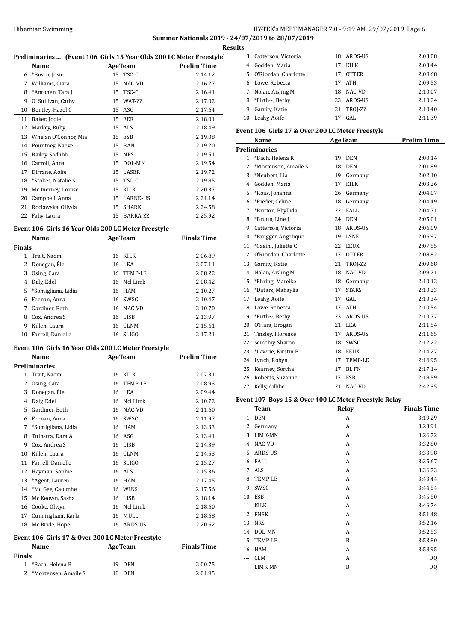## HY-TEK's MEET MANAGER 7.0 - 9:19 AM 29/07/2019 Page 6 **Summer Nationals 2019 - 24/07/2019 to 28/07/2019**

<u>Its</u>

|               | Preliminaries  (Event 106 Girls 15 Year Olds 200 LC Meter Freestyle) |    |                         |                    |
|---------------|----------------------------------------------------------------------|----|-------------------------|--------------------|
|               | Name                                                                 |    | <b>AgeTeam</b>          | <b>Prelim Time</b> |
|               | 6 *Bosco, Josie                                                      |    | 15 TSC-C                | 2:14.12            |
|               | 7 Williams, Ciara                                                    |    | 15 NAC-VD               | 2:16.27            |
|               | 8 *Antonen, Tara J                                                   |    | 15 TSC-C                | 2:16.41            |
|               | 9 O' Sullivan, Cathy                                                 |    | 15 WAT-ZZ               | 2:17.02            |
|               | 10 Bentley, Hazel C                                                  |    | 15 ASG                  | 2:17.64            |
|               | 11 Baker, Jodie                                                      |    | <b>15 FER</b>           | 2:18.01            |
|               | 12 Markey, Ruby                                                      |    | 15 ALS                  | 2:18.49            |
|               | 13 Whelan O'Connor, Mia                                              |    | 15 ESB                  | 2:19.08            |
|               | 14 Pountney, Naeve                                                   |    | 15 BAN                  | 2:19.20            |
|               | 15 Bailey, Sadhbh                                                    |    | 15 NRS                  | 2:19.51            |
|               | 16 Carroll, Anna                                                     |    | 15 DOL-MN               | 2:19.54            |
|               | 17 Dirrane, Aoife                                                    |    | 15 LASER                | 2:19.72            |
|               | 18 *Stokes, Natalie S                                                |    | 15 TSC-C                | 2:19.85            |
|               | 19 Mc Inerney, Louise                                                |    | 15 KILK                 | 2:20.37            |
|               |                                                                      |    |                         |                    |
|               | 20 Campbell, Anna<br>21 Roclawska, Oliwia                            |    | 15 LARNE-US<br>15 SHARK | 2:21.14            |
|               |                                                                      |    |                         | 2:24.58            |
|               | 22 Fahy, Laura                                                       |    | 15 BARRA-ZZ             | 2:25.92            |
|               | Event 106 Girls 16 Year Olds 200 LC Meter Freestyle                  |    |                         |                    |
|               | Name<br><u> 1990 - John Barn Barns, mars a</u>                       |    | <b>AgeTeam</b>          | <b>Finals Time</b> |
| <b>Finals</b> | 1 Trait, Naomi                                                       |    | 16 KILK                 | 2:06.89            |
|               | 2 Donegan, Éle                                                       |    | 16 LEA                  | 2:07.11            |
|               | 3 Osing, Cara                                                        |    | 16 TEMP-LE              | 2:08.22            |
|               | 4 Daly, Edel                                                         |    | 16 Ncl Limk             | 2:08.42            |
|               | 5 *Somigliana, Lidia                                                 |    | 16 HAM                  | 2:10.27            |
|               | 6 Feenan, Anna                                                       |    | 16 SWSC                 | 2:10.47            |
|               |                                                                      |    | 16 NAC-VD               |                    |
|               | 7 Gardiner, Beth                                                     |    |                         | 2:10.70            |
|               | 8 Cox, Andrea S                                                      |    | 16 LISB                 | 2:13.97            |
|               | 9 Killen, Laura                                                      |    | 16 CLNM                 | 2:15.61            |
|               | 10 Farrell, Danielle                                                 |    | 16 SLIGO                | 2:17.21            |
|               | Event 106 Girls 16 Year Olds 200 LC Meter Freestyle                  |    |                         |                    |
|               | Name                                                                 |    | <b>AgeTeam</b>          | <b>Prelim Time</b> |
|               | <b>Preliminaries</b><br>Trait, Naomi                                 |    |                         |                    |
| 1             |                                                                      |    | 16 KILK                 | 2:07.31            |
| 2             | Osing, Cara                                                          | 16 | TEMP-LE                 | 2:08.93            |
| 3             | Donegan, Éle                                                         |    | 16 LEA                  | 2:09.44            |
| 4             | Daly, Edel                                                           |    | 16 Ncl Limk             | 2:10.72            |
| 5             | Gardiner, Beth                                                       |    | 16 NAC-VD               | 2:11.60            |
|               | 6 Feenan, Anna                                                       |    | 16 SWSC                 | 2:11.97            |
| 7             | *Somigliana, Lidia                                                   |    | 16 HAM                  | 2:13.33            |
| 8             | Tuinstra, Dara A                                                     |    | 16 ASG                  | 2:13.41            |
| 9             | Cox, Andrea S                                                        |    | 16 LISB                 | 2:14.39            |
| 10            | Killen, Laura                                                        |    | 16 CLNM                 | 2:14.53            |
| 11            | Farrell, Danielle                                                    | 16 | <b>SLIGO</b>            | 2:15.27            |
| 12            | Hayman, Sophie                                                       |    | 16 ALS                  | 2:15.36            |
| 13            | *Agent, Lauren                                                       |    | 16 HAM                  | 2:17.45            |
| 14            | *Mc Gee, Caoimhe                                                     |    | 16 WINS                 | 2:17.56            |
| 15            | Mc Keown, Sasha                                                      |    | 16 LISB                 | 2:18.14            |
|               | 16 Cooke, Olwyn                                                      | 16 | Ncl Limk                | 2:18.60            |
|               | 17 Cunningham, Karla                                                 | 16 | MULL                    | 2:18.68            |
| 18            | Mc Bride, Hope                                                       |    | 16 ARDS-US              | 2:20.62            |
|               |                                                                      |    |                         |                    |
|               | Event 106 Girls 17 & Over 200 LC Meter Freestyle<br>Name             |    | <b>AgeTeam</b>          | <b>Finals Time</b> |
| <b>Finals</b> |                                                                      |    |                         |                    |
| $\mathbf{1}$  | *Bach, Helena R                                                      |    | 19 DEN                  | 2:00.75            |
|               | *Mortensen, Amaile S                                                 |    | 18 DEN                  | 2:01.95            |

| s  |                        |    |              |         |
|----|------------------------|----|--------------|---------|
| 3  | Catterson, Victoria    | 18 | ARDS-US      | 2:03.08 |
| 4  | Godden, Maria          | 17 | KILK         | 2:03.44 |
|    | 5 O'Riordan, Charlotte | 17 | <b>OTTER</b> | 2:08.68 |
| 6  | Lowe, Rebecca          | 17 | ATH          | 2:09.53 |
| 7  | Nolan, Aisling M       | 18 | NAC-VD       | 2:10.07 |
| 8  | *Firth $\sim$ , Bethy  | 23 | ARDS-US      | 2:10.24 |
| 9  | Garrity, Katie         | 21 | TROI-ZZ      | 2:10.40 |
| 10 | Leahy, Aoife           | 17 | GAL.         | 2:11.39 |

## **Event 106 Girls 17 & Over 200 LC Meter Freestyle**

|                | Name                  |    | <b>AgeTeam</b> | <b>Prelim Time</b> |
|----------------|-----------------------|----|----------------|--------------------|
|                | <b>Preliminaries</b>  |    |                |                    |
| $\mathbf{1}$   | *Bach, Helena R       | 19 | <b>DEN</b>     | 2:00.14            |
| 2              | *Mortensen, Amaile S  | 18 | <b>DEN</b>     | 2:01.89            |
| 3              | *Neubert, Lia         | 19 | Germany        | 2:02.10            |
| $\overline{4}$ | Godden, Maria         | 17 | <b>KILK</b>    | 2:03.26            |
| 5              | *Roas, Johanna        | 26 | Germany        | 2:04.07            |
| 6              | *Rieder, Celine       | 18 | Germany        | 2:04.49            |
| 7              | *Britton, Phyllida    | 22 | EALL           | 2:04.71            |
| 8              | *Bruun, Line J        | 24 | <b>DEN</b>     | 2:05.01            |
| 9              | Catterson, Victoria   | 18 | ARDS-US        | 2:06.09            |
| 10             | *Brugger, Angelique   | 19 | <b>LSNE</b>    | 2:06.97            |
| 11             | *Casini, Juliette C   | 22 | <b>EEUX</b>    | 2:07.55            |
| 12             | O'Riordan, Charlotte  | 17 | <b>OTTER</b>   | 2:08.82            |
| 13             | Garrity, Katie        | 21 | TROJ-ZZ        | 2:09.68            |
| 14             | Nolan, Aisling M      | 18 | NAC-VD         | 2:09.71            |
| 15             | *Ehring, Mareike      | 18 | Germany        | 2:10.12            |
| 16             | *Datars, Mahaylia     | 17 | <b>STARS</b>   | 2:10.23            |
| 17             | Leahy, Aoife          | 17 | GAL.           | 2:10.34            |
| 18             | Lowe, Rebecca         | 17 | <b>ATH</b>     | 2:10.54            |
| 19             | *Firth $\sim$ , Bethy | 23 | ARDS-US        | 2:10.77            |
| 20             | O'Hara, Brogán        | 21 | LEA            | 2:11.54            |
| 21             | Tinsley, Florence     | 17 | <b>ARDS-US</b> | 2:11.65            |
| 22             | Semchiy, Sharon       | 18 | SWSC           | 2:12.22            |
| 23             | *Lawrie, Kirstin E    | 18 | <b>EEUX</b>    | 2:14.27            |
| 24             | Lynch, Robyn          | 17 | TEMP-LE        | 2:16.95            |
| 25             | Kearney, Sorcha       | 17 | <b>BLFN</b>    | 2:17.14            |
| 26             | Roberts, Suzanne      | 17 | <b>ESB</b>     | 2:18.59            |
| 27             | Kelly, Ailbhe         | 21 | NAC-VD         | 2:42.35            |

### **Event 107 Boys 15 & Over 400 LC Meter Freestyle Relay**

|       | <b>Team</b>    | Relay | <b>Finals Time</b> |
|-------|----------------|-------|--------------------|
| 1     | <b>DEN</b>     | A     | 3:19.29            |
| 2     | Germany        | A     | 3:23.91            |
| 3     | LIMK-MN        | A     | 3:26.72            |
| 4     | NAC-VD         | A     | 3:32.80            |
| 5.    | <b>ARDS-US</b> | A     | 3:33.98            |
| 6     | EALL           | A     | 3:35.67            |
| 7     | <b>ALS</b>     | A     | 3:36.73            |
| 8     | TEMP-LE        | A     | 3:43.44            |
| 9     | SWSC           | A     | 3:44.54            |
| 10    | ESB            | A     | 3:45.50            |
| 11    | <b>KILK</b>    | A     | 3:46.74            |
| 12    | <b>ENSK</b>    | A     | 3:51.48            |
| 13    | <b>NRS</b>     | A     | 3:52.16            |
| 14    | DOL-MN         | A     | 3:52.53            |
| 15    | TEMP-LE        | B     | 3:53.80            |
| 16    | <b>HAM</b>     | A     | 3:58.95            |
| $---$ | <b>CLM</b>     | A     | DQ                 |
|       | LIMK-MN        | B     | DQ                 |
|       |                |       |                    |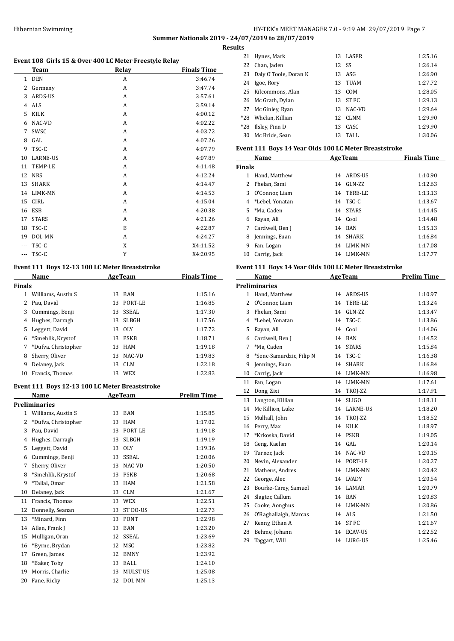## Hibernian Swimming HY-TEK's MEET MANAGER 7.0 - 9:19 AM 29/07/2019 Page 7 **Summer Nationals 2019 - 24/07/2019 to 28/07/2019**

**Results**

|                | Event 108 Girls 15 & Over 400 LC Meter Freestyle Relay<br>Team |                | <b>Relay</b>   | <b>Finals Time</b> |
|----------------|----------------------------------------------------------------|----------------|----------------|--------------------|
| $\mathbf{1}$   | <b>DEN</b>                                                     |                | A              | 3:46.74            |
|                | 2 Germany                                                      |                | A              | 3:47.74            |
| 3              | ARDS-US                                                        |                | A              | 3:57.61            |
|                | 4 ALS                                                          |                | A              | 3:59.14            |
| 5              | KILK                                                           |                | A              | 4:00.12            |
| 6              | NAC-VD                                                         |                | A              | 4:02.22            |
| 7              | SWSC                                                           |                | A              | 4:03.72            |
| 8              | GAL                                                            |                | A              | 4:07.26            |
| 9              | TSC-C                                                          |                | A              |                    |
| 10             | LARNE-US                                                       |                | A              | 4:07.79            |
| 11             | TEMP-LE                                                        |                | A              | 4:07.89            |
|                |                                                                |                |                | 4:11.48            |
| 12             | <b>NRS</b>                                                     |                | A              | 4:12.24            |
| 13             | <b>SHARK</b>                                                   |                | A              | 4:14.47            |
| 14             | LIMK-MN                                                        |                | A              | 4:14.53            |
| 15             | <b>CIRL</b>                                                    |                | A              | 4:15.04            |
| 16             | ESB                                                            |                | A              | 4:20.38            |
| 17             | <b>STARS</b>                                                   |                | A              | 4:21.26            |
| 18             | TSC-C                                                          |                | B              | 4:22.87            |
|                | 19 DOL-MN                                                      |                | A              | 4:24.27            |
|                | --- TSC-C                                                      |                | X              | X4:11.52           |
| $\overline{a}$ | TSC-C                                                          |                | Y              | X4:20.95           |
|                | Event 111 Boys 12-13 100 LC Meter Breaststroke                 |                |                |                    |
|                | Name                                                           |                | <b>AgeTeam</b> | <b>Finals Time</b> |
| <b>Finals</b>  |                                                                |                |                |                    |
|                | 1 Williams, Austin S                                           | 13             | BAN            | 1:15.16            |
|                | 2 Pau, David                                                   |                | 13 PORT-LE     | 1:16.85            |
| 3              | Cummings, Benji                                                |                | 13 SSEAL       | 1:17.30            |
|                | 4 Hughes, Darragh                                              |                | 13 SLBGH       | 1:17.56            |
| 5              | Leggett, David                                                 |                | 13 OLY         | 1:17.72            |
| 6              | *Smehlik, Krystof                                              |                | 13 PSKB        | 1:18.71            |
| 7              | *Dufva, Christopher                                            |                | 13 HAM         | 1:19.18            |
| 8              | Sherry, Oliver                                                 |                | 13 NAC-VD      | 1:19.83            |
| 9              | Delaney, Jack                                                  | 13             | CLM            | 1:22.18            |
| 10             | Francis, Thomas                                                | 13             | WEX            | 1:22.83            |
|                | Event 111 Boys 12-13 100 LC Meter Breaststroke                 |                |                |                    |
|                | <u>Name</u>                                                    | <b>AgeTeam</b> |                | <b>Prelim Time</b> |
|                | <b>Preliminaries</b>                                           |                |                |                    |
| $\mathbf{1}$   | Williams, Austin S                                             | 13             | <b>BAN</b>     | 1:15.85            |
| 2              | *Dufva, Christopher                                            | 13             | HAM            | 1:17.02            |
| 3              | Pau, David                                                     | 13             | PORT-LE        | 1:19.18            |
| 4              | Hughes, Darragh                                                | 13             | <b>SLBGH</b>   | 1:19.19            |
| 5              | Leggett, David                                                 | 13             | <b>OLY</b>     | 1:19.36            |
| 6              | Cummings, Benji                                                | 13             | SSEAL          | 1:20.06            |
| 7              | Sherry, Oliver                                                 | 13             | NAC-VD         | 1:20.50            |
| 8              | *Smehlik, Krystof                                              | 13             | <b>PSKB</b>    | 1:20.68            |
| 9              | *Tallal, Omar                                                  | 13             | HAM            | 1:21.58            |
| 10             | Delaney, Jack                                                  | 13             | CLM            | 1:21.67            |
| 11             | Francis, Thomas                                                | 13             | <b>WEX</b>     | 1:22.51            |
| 12             | Donnelly, Seanan                                               | 13             | ST DO-US       | 1:22.73            |
|                | *Minard, Finn                                                  | 13             | <b>PONT</b>    | 1:22.98            |
| 13             |                                                                |                |                |                    |
| 14             | Allen, Frank J                                                 | 13             | BAN            | 1:23.20            |
| 15             | Mulligan, Oran                                                 | 12             | SSEAL          | 1:23.69            |
| 16             | *Byrne, Brydan                                                 | 12             | MSC            | 1:23.82            |
| 17             | Green, James                                                   | 12             | <b>BMNY</b>    | 1:23.92            |
| 18             | *Baker, Toby                                                   | 13             | EALL           | 1:24.10            |
| 19             | Morris, Charlie                                                | 13             | MULST-US       | 1:25.08            |
| 20             | Fane, Ricky                                                    | 12             | DOL-MN         | 1:25.13            |

| LЭ    |                       |       |          |         |
|-------|-----------------------|-------|----------|---------|
| 21    | Hynes, Mark           |       | 13 LASER | 1:25.16 |
| 22    | Chan, Jaden           | 12 SS |          | 1:26.14 |
| 23    | Daly O'Toole, Doran K |       | 13 ASG   | 1:26.90 |
| 24    | Igoe, Rory            |       | 13 TUAM  | 1:27.72 |
| 25    | Kilcommons. Alan      | 13    | COM      | 1:28.05 |
|       | 26 Mc Grath, Dylan    |       | 13 ST FC | 1:29.13 |
| 27    | Mc Ginley, Ryan       | 13    | NAC-VD   | 1:29.64 |
| $*28$ | Whelan, Killian       | 12    | CLNM     | 1:29.90 |
| $*28$ | Ilsley, Finn D        | 13    | CASC.    | 1:29.90 |
| 30    | Mc Bride, Sean        | 13    | TALL     | 1:30.06 |
|       |                       |       |          |         |

## **Event 111 Boys 14 Year Olds 100 LC Meter Breaststroke**

| Name          |                 |    | <b>AgeTeam</b> | <b>Finals Time</b> |
|---------------|-----------------|----|----------------|--------------------|
| <b>Finals</b> |                 |    |                |                    |
|               | Hand, Matthew   | 14 | ARDS-US        | 1:10.90            |
| 2.            | Phelan, Sami    | 14 | GLN-ZZ         | 1:12.63            |
| 3             | O'Connor, Liam  | 14 | TERE-LE        | 1:13.13            |
| 4             | *Lebel, Yonatan | 14 | TSC-C          | 1:13.67            |
| 5.            | *Ma. Caden      | 14 | <b>STARS</b>   | 1:14.45            |
| 6             | Rayan, Ali      |    | 14 Cool        | 1:14.48            |
| 7             | Cardwell, Ben J | 14 | <b>BAN</b>     | 1:15.13            |
| 8             | Jennings, Euan  | 14 | SHARK          | 1:16.84            |
| 9             | Fan, Logan      | 14 | LIMK-MN        | 1:17.08            |
| 10            | Carrig, Jack    | 14 | LIMK-MN        | 1:17.77            |
|               |                 |    |                |                    |

## **Event 111 Boys 14 Year Olds 100 LC Meter Breaststroke**

|              | Name                     |    | <b>AgeTeam</b>  | <b>Prelim Time</b> |
|--------------|--------------------------|----|-----------------|--------------------|
|              | <b>Preliminaries</b>     |    |                 |                    |
| $\mathbf{1}$ | Hand, Matthew            | 14 | ARDS-US         | 1:10.97            |
| 2            | O'Connor, Liam           | 14 | <b>TERE-LE</b>  | 1:13.24            |
| 3            | Phelan, Sami             | 14 | GLN-ZZ          | 1:13.47            |
| 4            | *Lebel, Yonatan          | 14 | TSC-C           | 1:13.86            |
| 5            | Rayan, Ali               | 14 | Cool            | 1:14.06            |
| 6            | Cardwell, Ben J          | 14 | <b>BAN</b>      | 1:14.52            |
| 7            | *Ma, Caden               | 14 | <b>STARS</b>    | 1:15.84            |
| 8            | *Senc-Samardzic, Filip N | 14 | TSC-C           | 1:16.38            |
| 9            | Jennings, Euan           | 14 | <b>SHARK</b>    | 1:16.84            |
| 10           | Carrig, Jack             | 14 | LIMK-MN         | 1:16.98            |
| 11           | Fan, Logan               | 14 | LIMK-MN         | 1:17.61            |
| 12           | Dong, Zixi               | 14 | TROJ-ZZ         | 1:17.91            |
| 13           | Langton, Killian         | 14 | <b>SLIGO</b>    | 1:18.11            |
| 14           | Mc Killion, Luke         | 14 | <b>LARNE-US</b> | 1:18.20            |
| 15           | Mulhall, John            | 14 | TROJ-ZZ         | 1:18.52            |
| 16           | Perry, Max               | 14 | <b>KILK</b>     | 1:18.97            |
| 17           | *Krkoska, David          | 14 | <b>PSKB</b>     | 1:19.05            |
| 18           | Geng, Kaelan             | 14 | GAL.            | 1:20.14            |
| 19           | Turner, Jack             | 14 | NAC-VD          | 1:20.15            |
| 20           | Nevin, Alexander         | 14 | PORT-LE         | 1:20.27            |
| 21           | Matheus, Andres          | 14 | LIMK-MN         | 1:20.42            |
| 22           | George, Alec             | 14 | <b>LVADY</b>    | 1:20.54            |
| 23           | Bourke-Carey, Samuel     | 14 | LAMAR           | 1:20.79            |
| 24           | Slagter, Callum          | 14 | <b>BAN</b>      | 1:20.83            |
| 25           | Cooke, Aonghus           | 14 | LIMK-MN         | 1:20.86            |
| 26           | O'Raghallaigh, Marcas    | 14 | ALS             | 1:21.50            |
| 27           | Kenny, Ethan A           | 14 | <b>ST FC</b>    | 1:21.67            |
| 28           | Behme, Johann            | 14 | <b>ECAV-US</b>  | 1:22.52            |
| 29           | Taggart, Will            | 14 | LURG-US         | 1:25.46            |
|              |                          |    |                 |                    |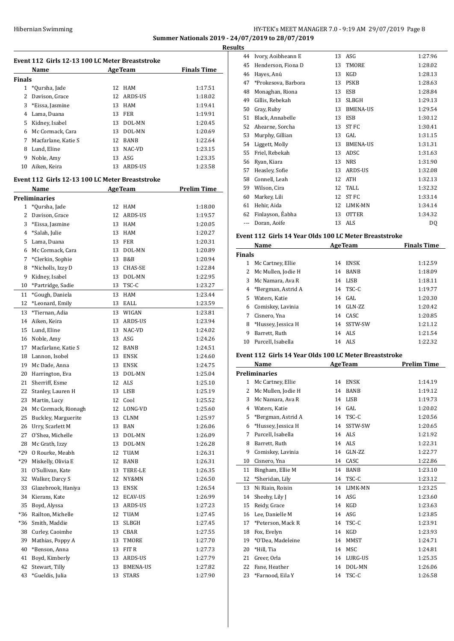## HY-TEK's MEET MANAGER 7.0 - 9:19 AM 29/07/2019 Page 8 **Summer Nationals 2019 - 24/07/2019 to 28/07/2019**

**Results**

| Event 112 Girls 12-13 100 LC Meter Breaststroke |                                                 |          |                          |                    |  |
|-------------------------------------------------|-------------------------------------------------|----------|--------------------------|--------------------|--|
|                                                 | <b>Name</b>                                     |          | <b>AgeTeam</b>           | <b>Finals Time</b> |  |
| Finals                                          |                                                 |          |                          |                    |  |
| 1                                               | *Qursha, Jade                                   | 12       | HAM                      | 1:17.51            |  |
| 2                                               | Davison, Grace                                  | 12       | ARDS-US                  | 1:18.02            |  |
| 3                                               | *Eissa, Jasmine                                 |          | 13 HAM                   | 1:19.41            |  |
|                                                 | 4 Lama, Duana                                   |          | 13 FER                   | 1:19.91            |  |
|                                                 | 5 Kidney, Isabel                                |          | 13 DOL-MN                | 1:20.45            |  |
| $7^{\circ}$                                     | 6 Mc Cormack, Cara                              |          | 13 DOL-MN                | 1:20.69<br>1:22.64 |  |
|                                                 | Macfarlane, Katie S                             |          | 12 BANB                  |                    |  |
| 8                                               | Lund, Eline                                     |          | 13 NAC-VD<br>ASG         | 1:23.15            |  |
| 9<br>10                                         | Noble, Amy<br>Aiken, Keira                      | 13<br>13 | ARDS-US                  | 1:23.35<br>1:23.58 |  |
|                                                 |                                                 |          |                          |                    |  |
|                                                 | Event 112 Girls 12-13 100 LC Meter Breaststroke |          |                          |                    |  |
|                                                 | Name                                            |          | <b>AgeTeam</b>           | <b>Prelim Time</b> |  |
|                                                 | Preliminaries                                   |          |                          |                    |  |
| 1                                               | *Qursha, Jade                                   | 12       | HAM                      | 1:18.00            |  |
|                                                 | 2 Davison, Grace                                | 12       | ARDS-US                  | 1:19.57            |  |
| 3                                               | *Eissa, Jasmine                                 |          | 13 HAM                   | 1:20.05            |  |
|                                                 | 4 *Salah, Julie                                 | 13       | HAM                      | 1:20.27            |  |
| 5                                               | Lama, Duana                                     |          | 13 FER                   | 1:20.31            |  |
|                                                 | 6 Mc Cormack, Cara                              |          | 13 DOL-MN                | 1:20.89            |  |
| 7                                               | *Clerkin, Sophie                                |          | 13 B&B                   | 1:20.94            |  |
| 8<br>9                                          | *Nicholls, Izzy D                               | 13<br>13 | <b>CHAS-SE</b><br>DOL-MN | 1:22.84<br>1:22.95 |  |
| 10                                              | Kidney, Isabel                                  |          | 13 TSC-C                 | 1:23.27            |  |
| 11                                              | *Partridge, Sadie<br>*Gough, Daniela            | 13       | <b>HAM</b>               | 1:23.44            |  |
| 12                                              | *Leonard, Emily                                 | 13       | EALL                     | 1:23.59            |  |
| 13                                              | *Tiernan, Adia                                  | 13       | WIGAN                    | 1:23.81            |  |
| 14                                              | Aiken, Keira                                    | 13       | ARDS-US                  | 1:23.94            |  |
| 15                                              | Lund, Eline                                     | 13       | NAC-VD                   | 1:24.02            |  |
| 16                                              | Noble, Amy                                      | 13       | ASG                      | 1:24.26            |  |
| 17                                              | Macfarlane, Katie S                             |          | 12 BANB                  | 1:24.51            |  |
| 18                                              | Lannon, Isobel                                  | 13       | ENSK                     | 1:24.60            |  |
| 19                                              | Mc Dade, Anna                                   |          | 13 ENSK                  | 1:24.75            |  |
| 20                                              | Harrington, Eva                                 | 13       | DOL-MN                   | 1:25.04            |  |
| 21                                              | Sherriff, Esme                                  |          | 12 ALS                   | 1:25.10            |  |
| 22                                              | Stanley, Lauren H                               |          | 13 LISB                  | 1:25.19            |  |
| 23                                              | Martin, Lucy                                    |          | 12 Cool                  | 1:25.52            |  |
| 24                                              | Mc Cormack, Rionagh                             | 12       | LONG-VD                  | 1:25.60            |  |
| 25                                              | Buckley, Marguerite                             | 13       | CLNM                     | 1:25.97            |  |
| 26                                              | Urry, Scarlett M                                | 13       | <b>BAN</b>               | 1:26.06            |  |
| 27                                              | O'Shea, Michelle                                | 13       | DOL-MN                   | 1:26.09            |  |
| 28                                              | Mc Grath, Izzy                                  | 13       | DOL-MN                   | 1:26.28            |  |
| *29                                             | O Rourke, Meabh                                 | 12       | TUAM                     | 1:26.31            |  |
| *29                                             | Miskelly, Olivia E                              | 12       | BANB                     | 1:26.31            |  |
| 31                                              | O'Sullivan, Kate                                | 13       | TERE-LE                  | 1:26.35            |  |
| 32                                              | Walker, Darcy S                                 | 12       | NY&MN                    | 1:26.50            |  |
| 33                                              | Glazebrook, Haniya                              | 13       | ENSK                     | 1:26.54            |  |
| 34                                              | Kierans, Kate                                   | 12       | <b>ECAV-US</b>           | 1:26.99            |  |
| 35                                              | Boyd, Alyssa                                    | 13       | ARDS-US                  | 1:27.23            |  |
| *36                                             | Railton, Michelle                               | 12       | TUAM                     | 1:27.45            |  |
| *36                                             | Smith, Maddie                                   | 13       | SLBGH                    | 1:27.45            |  |
| 38                                              | Curley, Caoimhe                                 | 13       | CBAR                     | 1:27.55            |  |
| 39                                              | Mathias, Poppy A                                | 13       | TMORE                    | 1:27.70            |  |
| 40                                              | *Benson, Anna                                   | 13       | FIT R                    | 1:27.73            |  |
| 41                                              | Boyd, Kimberly                                  | 13       | ARDS-US                  | 1:27.79            |  |
| 42                                              | Stewart, Tilly                                  | 13       | BMENA-US                 | 1:27.82            |  |
| 43                                              | *Gueldis, Julia                                 | 13       | <b>STARS</b>             | 1:27.90            |  |

| เร  |                     |    |                 |         |
|-----|---------------------|----|-----------------|---------|
| 44  | Ivory, Aoibheann E  | 13 | ASG             | 1:27.96 |
| 45  | Henderson, Fiona D  | 13 | <b>TMORE</b>    | 1:28.02 |
| 46  | Hayes, Anú          | 13 | KGD             | 1:28.13 |
| 47  | *Prokesova, Barbora | 13 | <b>PSKB</b>     | 1:28.63 |
| 48  | Monaghan, Riona     | 13 | <b>ESB</b>      | 1:28.84 |
| 49  | Gillis, Rebekah     | 13 | <b>SLBGH</b>    | 1:29.13 |
| 50  | Gray, Ruby          | 13 | <b>BMENA-US</b> | 1:29.54 |
| 51  | Black, Annabelle    | 13 | <b>ESB</b>      | 1:30.12 |
| 52  | Ahearne, Sorcha     | 13 | <b>STFC</b>     | 1:30.41 |
| 53  | Murphy, Gillian     | 13 | GAL             | 1:31.15 |
| 54  | Liggett, Molly      | 13 | <b>BMENA-US</b> | 1:31.31 |
| 55  | Friel, Rebekah      | 13 | ADSC            | 1:31.63 |
| 56  | Ryan, Kiara         | 13 | <b>NRS</b>      | 1:31.90 |
| 57  | Heasley, Sofie      | 13 | ARDS-US         | 1:32.08 |
| 58  | Connell, Leah       | 12 | <b>ATH</b>      | 1:32.13 |
| 59  | Wilson, Cira        | 12 | TALL            | 1:32.32 |
| 60  | Markey, Lili        | 12 | <b>STFC</b>     | 1:33.14 |
| 61  | Hehir, Aida         | 12 | LIMK-MN         | 1:34.14 |
| 62  | Finlayson, Éabha    | 13 | <b>OTTER</b>    | 1:34.32 |
| --- | Doran, Aoife        | 13 | ALS             | DQ      |

## **Event 112 Girls 14 Year Olds 100 LC Meter Breaststroke**

| Name          |                     |    | <b>AgeTeam</b> | <b>Finals Time</b> |
|---------------|---------------------|----|----------------|--------------------|
| <b>Finals</b> |                     |    |                |                    |
| 1             | Mc Cartney, Ellie   | 14 | ENSK           | 1:12.59            |
| 2             | Mc Mullen, Jodie H  |    | 14 BANB        | 1:18.09            |
| 3             | Mc Namara, Ava R    | 14 | LISB           | 1:18.11            |
| 4             | *Bergman, Astrid A  |    | 14 TSC-C       | 1:19.77            |
| 5.            | Waters, Katie       |    | $14$ GAL       | 1:20.30            |
|               | 6 Comiskey, Lavinia | 14 | GLN-ZZ         | 1:20.42            |
|               | Cisnero, Yna        |    | 14 CASC        | 1:20.85            |
| 8             | *Hussey, Jessica H  |    | 14 SSTW-SW     | 1:21.12            |
| 9             | Barrett. Ruth       |    | 14 ALS         | 1:21.54            |
| 10            | Purcell, Isabella   | 14 | ALS            | 1:22.32            |

## **Event 112 Girls 14 Year Olds 100 LC Meter Breaststroke**

|              | Name                 |    | <b>AgeTeam</b> | <b>Prelim Time</b> |
|--------------|----------------------|----|----------------|--------------------|
|              | <b>Preliminaries</b> |    |                |                    |
| $\mathbf{1}$ | Mc Cartney, Ellie    | 14 | <b>ENSK</b>    | 1:14.19            |
| 2            | Mc Mullen, Jodie H   | 14 | <b>BANB</b>    | 1:19.12            |
| 3            | Mc Namara, Ava R     |    | 14 LISB        | 1:19.73            |
| 4            | Waters, Katie        | 14 | GAL.           | 1:20.02            |
| 5            | *Bergman, Astrid A   | 14 | TSC-C          | 1:20.56            |
| 6            | *Hussey, Jessica H   | 14 | SSTW-SW        | 1:20.65            |
| 7            | Purcell, Isabella    |    | 14 ALS         | 1:21.92            |
| 8            | Barrett, Ruth        | 14 | ALS            | 1:22.31            |
| 9            | Comiskey, Lavinia    | 14 | GLN-ZZ         | 1:22.77            |
| 10           | Cisnero, Yna         | 14 | CASC           | 1:22.86            |
| 11           | Bingham, Ellie M     | 14 | <b>BANB</b>    | 1:23.10            |
| 12           | *Sheridan, Lily      | 14 | TSC-C          | 1:23.12            |
| 13           | Ni Riain, Roisin     | 14 | LIMK-MN        | 1:23.25            |
| 14           | Sheehy, Lily J       | 14 | ASG            | 1:23.60            |
| 15           | Reidy, Grace         | 14 | KGD            | 1:23.63            |
| 16           | Lee, Danielle M      | 14 | ASG            | 1:23.85            |
| 17           | *Peterson, Mack R    | 14 | TSC-C          | 1:23.91            |
| 18           | Fox, Evelyn          | 14 | KGD            | 1:23.93            |
| 19           | *O'Dea, Madeleine    | 14 | MMST           | 1:24.71            |
| 20           | *Hill, Tia           | 14 | MSC            | 1:24.81            |
| 21           | Greer, Orla          | 14 | LURG-US        | 1:25.35            |
| 22           | Fane, Heather        | 14 | DOL-MN         | 1:26.06            |
| 23           | *Farnood, Eila Y     | 14 | TSC-C          | 1:26.58            |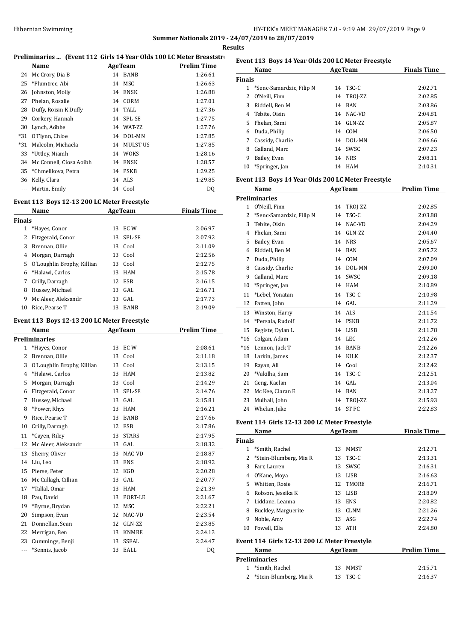## Hibernian Swimming HY-TEK's MEET MANAGER 7.0 - 9:19 AM 29/07/2019 Page 9 **Summer Nationals 2019 - 24/07/2019 to 28/07/2019**

**Results**

|              |                                             |    |                | Kesu                                                                 |  |
|--------------|---------------------------------------------|----|----------------|----------------------------------------------------------------------|--|
|              |                                             |    |                | Preliminaries  (Event 112 Girls 14 Year Olds 100 LC Meter Breaststro |  |
|              | Name                                        |    | <b>AgeTeam</b> | <b>Prelim Time</b>                                                   |  |
| 24           | Mc Crory, Dia B                             |    | 14 BANB        | 1:26.61                                                              |  |
|              | 25 *Plumtree, Abi                           |    | 14 MSC         | 1:26.63                                                              |  |
|              | 26 Johnston, Molly                          |    | 14 ENSK        | 1:26.88                                                              |  |
|              | 27 Phelan, Rosalie                          |    | 14 CORM        | 1:27.01                                                              |  |
| 28           | Duffy, Roisin K Duffy                       |    | 14 TALL        | 1:27.36                                                              |  |
| 29           | Corkery, Hannah                             |    | 14 SPL-SE      | 1:27.75                                                              |  |
| 30           | Lynch, Aóbhe                                |    | 14 WAT-ZZ      | 1:27.76                                                              |  |
| $*31$        | O'Flynn, Chloe                              |    | 14 DOL-MN      | 1:27.85                                                              |  |
| $*31$        | Malcolm, Michaela                           |    | 14 MULST-US    | 1:27.85                                                              |  |
| 33           | *Uttley, Niamh                              |    | 14 WOKS        | 1:28.16                                                              |  |
| 34           | Mc Connell, Ciosa Aoibh                     |    | 14 ENSK        | 1:28.57                                                              |  |
|              | 35 *Chmelikova, Petra                       |    | 14 PSKB        | 1:29.25                                                              |  |
|              | 36 Kelly, Clara                             |    | 14 ALS         | 1:29.85                                                              |  |
| $\cdots$     | Martin, Emily                               |    | 14 Cool        | DQ                                                                   |  |
|              |                                             |    |                |                                                                      |  |
|              | Event 113 Boys 12-13 200 LC Meter Freestyle |    |                |                                                                      |  |
|              | Name<br><b>AgeTeam</b>                      |    |                | <b>Finals Time</b>                                                   |  |
| Finals       |                                             |    |                |                                                                      |  |
|              | 1 *Hayes, Conor                             |    | 13 ECW         | 2:06.97                                                              |  |
| $\mathbf{2}$ | Fitzgerald, Conor                           |    | 13 SPL-SE      | 2:07.92                                                              |  |
| 3            | Brennan, Ollie                              |    | 13 Cool        | 2:11.09                                                              |  |
| 4            | Morgan, Darragh                             |    | 13 Cool        | 2:12.56                                                              |  |
| 5            | O'Loughlin Brophy, Killian                  |    | 13 Cool        | 2:12.75                                                              |  |
| 6            | *Halawi, Carlos                             |    | 13 HAM         | 2:15.78                                                              |  |
| 7            | Crilly, Darragh                             |    | 12 ESB         | 2:16.15                                                              |  |
|              | 8 Hussey, Michael                           |    | 13 GAL         | 2:16.71                                                              |  |
| 9            | Mc Aleer, Aleksandr                         |    | 13 GAL         | 2:17.73                                                              |  |
|              | 10 Rice, Pearse T                           |    | 13 BANB        | 2:19.09                                                              |  |
|              |                                             |    |                |                                                                      |  |
|              | Event 113 Boys 12-13 200 LC Meter Freestyle |    |                |                                                                      |  |
|              | Name<br><b>Example 2 Age Team</b>           |    |                | <b>Prelim Time</b>                                                   |  |
|              | Preliminaries                               |    |                |                                                                      |  |
|              | 1 *Hayes, Conor                             |    | 13 ECW         | 2:08.61                                                              |  |
| $\mathbf{2}$ | Brennan, Ollie                              |    | 13 Cool        | 2:11.18                                                              |  |
| 3            | O'Loughlin Brophy, Killian                  |    | 13 Cool        | 2:13.15                                                              |  |
|              | 4 *Halawi, Carlos                           |    | 13 HAM         | 2:13.82                                                              |  |
| 5            | Morgan, Darragh                             |    | 13 Cool        | 2:14.29                                                              |  |
| 6            | Fitzgerald, Conor                           | 13 | SPL-SE         | 2:14.76                                                              |  |
| 7            | Hussey, Michael                             | 13 | GAL            | 2:15.81                                                              |  |
| 8            | *Power, Rhys                                | 13 | HAM            | 2:16.21                                                              |  |
| 9            | Rice, Pearse T                              | 13 | <b>BANB</b>    | 2:17.66                                                              |  |
| 10           | Crilly, Darragh                             |    | 12 ESB         | 2:17.86                                                              |  |
| 11           | *Cayen, Riley                               | 13 | <b>STARS</b>   | 2:17.95                                                              |  |
| $12\,$       | Mc Aleer, Aleksandr                         | 13 | GAL            | 2:18.32                                                              |  |
| 13           | Sherry, Oliver                              | 13 | NAC-VD         | 2:18.87                                                              |  |
| 14           | Liu, Leo                                    | 13 | ENS            | 2:18.92                                                              |  |
| 15           | Pierse, Peter                               | 12 | KGD            | 2:20.28                                                              |  |
| 16           | Mc Cullagh, Cillian                         | 13 | GAL            | 2:20.77                                                              |  |
| 17           | *Tallal, Omar                               | 13 | HAM            | 2:21.39                                                              |  |
| 18           | Pau, David                                  | 13 | PORT-LE        | 2:21.67                                                              |  |
| 19           | *Byrne, Brydan                              | 12 | MSC            | 2:22.21                                                              |  |
| 20           | Simpson, Evan                               | 12 | NAC-VD         | 2:23.54                                                              |  |
| 21           | Donnellan, Sean                             | 12 | GLN-ZZ         | 2:23.85                                                              |  |
| 22           | Merrigan, Ben                               | 13 | KNMRE          | 2:24.13                                                              |  |
| 23           | Cummings, Benji                             | 13 | SSEAL          | 2:24.47                                                              |  |
| ---          | *Sennis, Jacob                              | 13 | EALL           |                                                                      |  |
|              |                                             |    |                | DQ                                                                   |  |

| Event 113 Boys 14 Year Olds 200 LC Meter Freestyle |                            |                  |                    |  |  |  |
|----------------------------------------------------|----------------------------|------------------|--------------------|--|--|--|
|                                                    | Name                       | <b>AgeTeam</b>   | <b>Finals Time</b> |  |  |  |
| <b>Finals</b>                                      |                            |                  |                    |  |  |  |
|                                                    | 1 *Senc-Samardzic, Filip N | TSC-C<br>14      | 2:02.71            |  |  |  |
| 2                                                  | O'Neill, Finn              | TROI-ZZ<br>14    | 2:02.85            |  |  |  |
| 3                                                  | Riddell, Ben M             | BAN<br>14        | 2:03.86            |  |  |  |
| 4                                                  | Tebite, Oisin              | NAC-VD<br>14     | 2:04.81            |  |  |  |
| 5.                                                 | Phelan, Sami               | GLN-ZZ<br>14     | 2:05.87            |  |  |  |
| 6                                                  | Duda, Philip               | COM<br>14        | 2:06.50            |  |  |  |
|                                                    | Cassidy, Charlie           | DOL-MN<br>14     | 2:06.66            |  |  |  |
| 8                                                  | Galland, Marc              | SWSC<br>14       | 2:07.23            |  |  |  |
| 9                                                  | Bailey, Evan               | <b>NRS</b><br>14 | 2:08.11            |  |  |  |
| 10                                                 | *Springer, Jan             | HAM<br>14        | 2:10.31            |  |  |  |

## **Event 113 Boys 14 Year Olds 200 LC Meter Freestyle**

|                | Name                     |    | <b>AgeTeam</b> | <b>Prelim Time</b> |
|----------------|--------------------------|----|----------------|--------------------|
|                | <b>Preliminaries</b>     |    |                |                    |
| 1              | O'Neill, Finn            | 14 | TROJ-ZZ        | 2:02.85            |
| 2              | *Senc-Samardzic, Filip N | 14 | TSC-C          | 2:03.88            |
| 3              | Tebite, Oisin            | 14 | NAC-VD         | 2:04.29            |
| $\overline{4}$ | Phelan, Sami             | 14 | GLN-ZZ         | 2:04.40            |
| 5              | Bailey, Evan             | 14 | <b>NRS</b>     | 2:05.67            |
| 6              | Riddell, Ben M           | 14 | <b>BAN</b>     | 2:05.72            |
| 7              | Duda, Philip             | 14 | COM            | 2:07.09            |
| 8              | Cassidy, Charlie         | 14 | DOL-MN         | 2:09.00            |
| 9              | Galland. Marc            | 14 | SWSC           | 2:09.18            |
| 10             | *Springer, Jan           | 14 | <b>HAM</b>     | 2:10.89            |
| 11             | *Lebel, Yonatan          | 14 | TSC-C          | 2:10.98            |
| 12             | Patten, John             | 14 | GAL            | 2:11.29            |
| 13             | Winston, Harry           | 14 | <b>ALS</b>     | 2:11.54            |
| 14             | *Persala, Rudolf         | 14 | <b>PSKB</b>    | 2:11.72            |
| 15             | Registe, Dylan L         | 14 | <b>LISB</b>    | 2:11.78            |
| $*16$          | Colgan, Adam             | 14 | LEC            | 2:12.26            |
| $*16$          | Lennon, Jack T           | 14 | <b>BANB</b>    | 2:12.26            |
| 18             | Larkin, James            | 14 | <b>KILK</b>    | 2:12.37            |
| 19             | Rayan, Ali               | 14 | Cool           | 2:12.42            |
| 20             | *Vakilha, Sam            | 14 | TSC-C          | 2:12.51            |
| 21             | Geng, Kaelan             | 14 | GAL            | 2:13.04            |
| 22             | Mc Kee, Ciaran E         | 14 | <b>BAN</b>     | 2:13.27            |
| 23             | Mulhall, John            | 14 | TROJ-ZZ        | 2:15.93            |
| 24             | Whelan, Jake             | 14 | <b>STFC</b>    | 2:22.83            |

## **Event 114 Girls 12-13 200 LC Meter Freestyle**

|                                              | Name                   | <b>AgeTeam</b> |                | <b>Finals Time</b> |  |  |
|----------------------------------------------|------------------------|----------------|----------------|--------------------|--|--|
| Finals                                       |                        |                |                |                    |  |  |
| 1.                                           | *Smith, Rachel         | 13             | <b>MMST</b>    | 2:12.71            |  |  |
| 2                                            | *Stein-Blumberg, Mia R | 13             | TSC-C          | 2:13.31            |  |  |
| 3                                            | Farr, Lauren           | 13             | SWSC           | 2:16.31            |  |  |
| 4                                            | O'Kane, Moya           | 13             | LISB           | 2:16.63            |  |  |
| 5.                                           | Whitten, Rosie         | 12             | <b>TMORE</b>   | 2:16.71            |  |  |
| 6                                            | Robson, Jessika K      | 13             | LISB           | 2:18.09            |  |  |
| 7                                            | Liddane, Leanna        | 13             | <b>ENS</b>     | 2:20.82            |  |  |
| 8                                            | Buckley, Marguerite    | 13             | CLNM           | 2:21.26            |  |  |
| 9                                            | Noble, Amy             | 13             | ASG            | 2:22.74            |  |  |
| 10                                           | Powell, Ella           | 13             | ATH            | 2:24.80            |  |  |
| Event 114 Girls 12-13 200 LC Meter Freestyle |                        |                |                |                    |  |  |
|                                              | Name                   |                | <b>AgeTeam</b> | <b>Prelim Time</b> |  |  |
| Preliminaries                                |                        |                |                |                    |  |  |

| enminaries |                          |  |          |         |  |  |
|------------|--------------------------|--|----------|---------|--|--|
|            | 1 *Smith. Rachel         |  | 13 MMST  | 2:15.71 |  |  |
|            | 2 *Stein-Blumberg, Mia R |  | 13 TSC-C | 2:16.37 |  |  |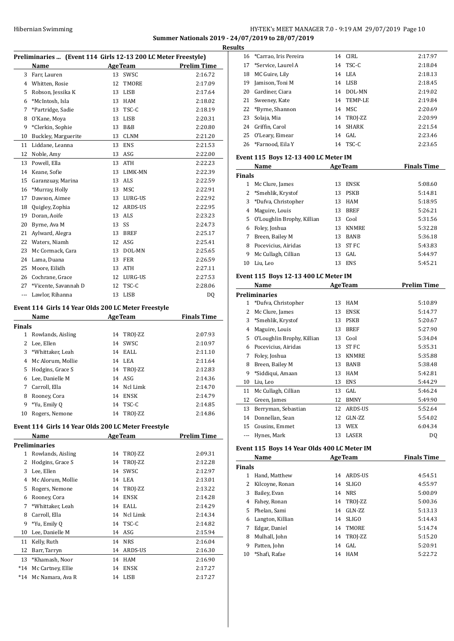## HY-TEK's MEET MANAGER 7.0 - 9:19 AM 29/07/2019 Page 10 **Summer Nationals 2019 - 24/07/2019 to 28/07/2019**

**Results**

|               | Preliminaries  (Event 114 Girls 12-13 200 LC Meter Freestyle) |    |                |                    |
|---------------|---------------------------------------------------------------|----|----------------|--------------------|
|               | Name                                                          |    | Age Team       | <b>Prelim Time</b> |
|               | 3 Farr, Lauren                                                |    | 13 SWSC        | 2:16.72            |
|               | 4 Whitten, Rosie                                              | 12 | TMORE          | 2:17.09            |
|               | 5 Robson, Jessika K                                           |    | 13 LISB        | 2:17.64            |
| 6             | *McIntosh, Isla                                               |    | 13 HAM         | 2:18.02            |
|               | 7 *Partridge, Sadie                                           |    | 13 TSC-C       | 2:18.19            |
| 8             | O'Kane, Moya                                                  |    | 13 LISB        | 2:20.31            |
| 9             | *Clerkin, Sophie                                              |    | 13 B&B         | 2:20.80            |
| 10            | Buckley, Marguerite                                           |    | 13 CLNM        | 2:21.20            |
| 11            | Liddane, Leanna                                               |    | 13 ENS         | 2:21.53            |
| 12            | Noble, Amy                                                    |    | 13 ASG         | 2:22.00            |
|               | 13 Powell, Ella                                               |    | 13 ATH         | 2:22.23            |
|               | 14 Keane, Sofie                                               |    | 13 LIMK-MN     | 2:22.39            |
| 15            | Garanzuay, Marina                                             |    | 13 ALS         | 2:22.59            |
| 16            | *Murray, Holly                                                |    | 13 MSC         | 2:22.91            |
| 17            | Dawson, Aimee                                                 |    | 13 LURG-US     | 2:22.92            |
| 18            | Quigley, Zophia                                               |    | 12 ARDS-US     | 2:22.95            |
|               | 19 Doran, Aoife                                               |    | 13 ALS         | 2:23.23            |
|               | 20 Byrne, Ava M                                               | 13 | SS             | 2:24.73            |
|               | 21 Aylward, Alegra                                            |    | 13 BREF        | 2:25.17            |
|               | 22 Waters, Niamh                                              |    | 12 ASG         | 2:25.41            |
|               | 23 Mc Cormack, Cara                                           |    | 13 DOL-MN      | 2:25.65            |
|               | 24 Lama, Duana                                                |    | 13 FER         | 2:26.59            |
|               | 25 Moore, Eilidh                                              |    | 13 ATH         | 2:27.11            |
|               | 26 Cochrane, Grace                                            |    | 12 LURG-US     | 2:27.53            |
|               | 27 *Vicente, Savannah D                                       |    | 12 TSC-C       | 2:28.06            |
|               | --- Lawlor, Rihanna                                           |    | 13 LISB        | DQ                 |
|               | Event 114 Girls 14 Year Olds 200 LC Meter Freestyle           |    |                |                    |
|               | Name                                                          |    | <b>AgeTeam</b> | <b>Finals Time</b> |
| <b>Finals</b> |                                                               |    |                |                    |
|               | 1 Rowlands, Aisling                                           |    | 14 TROJ-ZZ     | 2:07.93            |
|               | 2 Lee, Ellen                                                  |    | 14 SWSC        | 2:10.97            |
|               | 3 *Whittaker, Leah                                            |    | 14 EALL        | 2:11.10            |
|               | 4 Mc Alorum, Mollie                                           |    | 14 LEA         | 2:11.64            |
| 5             | Hodgins, Grace S                                              |    | 14 TROJ-ZZ     | 2:12.83            |
| 6             | Lee, Danielle M                                               |    | $14$ ASG       | 2:14.36            |
| 7             | Carroll, Ella                                                 |    | 14 Ncl Limk    | 2:14.70            |
| 8             | Rooney, Cora                                                  | 14 | <b>ENSK</b>    | 2:14.79            |
| 9             | *Yu, Emily Q                                                  | 14 | TSC-C          | 2:14.85            |
| 10            | Rogers, Nemone                                                | 14 | TROJ-ZZ        | 2:14.86            |
|               | Event 114 Girls 14 Year Olds 200 LC Meter Freestyle           |    |                |                    |
|               | Name                                                          |    | <b>AgeTeam</b> | <b>Prelim Time</b> |
|               | <b>Preliminaries</b>                                          |    |                |                    |
| $\mathbf{1}$  | Rowlands, Aisling                                             |    | 14 TROJ-ZZ     | 2:09.31            |
| 2             | Hodgins, Grace S                                              | 14 | TROJ-ZZ        | 2:12.28            |
| 3             | Lee, Ellen                                                    | 14 | SWSC           | 2:12.97            |
|               | 4 Mc Alorum, Mollie                                           |    | 14 LEA         | 2:13.01            |
| 5             | Rogers, Nemone                                                |    | 14 TROJ-ZZ     | 2:13.22            |
|               | 6 Rooney, Cora                                                |    | 14 ENSK        | 2:14.28            |
| 7             | *Whittaker, Leah                                              |    | 14 EALL        | 2:14.29            |
| 8             | Carroll, Ella                                                 | 14 | Ncl Limk       | 2:14.34            |

 \*Yu, Emily Q 14 TSC-C 2:14.82 Lee, Danielle M 14 ASG 2:15.94 Kelly, Ruth 14 NRS 2:16.04 Barr, Tarryn 14 ARDS-US 2:16.30 \*Khamash, Noor 14 HAM 2:16.90 \*14 Mc Cartney, Ellie 14 ENSK 2:17.27 \*14 Mc Namara, Ava R 14 LISB 2:17.27

| LS |                          |    |            |         |
|----|--------------------------|----|------------|---------|
|    | 16 *Carrao, Iris Pereira |    | 14 CIRL    | 2:17.97 |
|    | 17 *Service, Laurel A    |    | 14 TSC-C   | 2:18.04 |
| 18 | MC Guire, Lily           |    | 14 LEA     | 2:18.13 |
| 19 | Jamison, Toni M          | 14 | LISB       | 2:18.45 |
| 20 | Gardiner, Ciara          | 14 | DOL-MN     | 2:19.02 |
|    | 21 Sweeney, Kate         |    | 14 TEMP-LE | 2:19.84 |
|    | 22 *Byrne, Shannon       |    | 14 MSC     | 2:20.69 |
| 23 | Solaja, Mia              |    | 14 TROJ-ZZ | 2:20.99 |
|    | 24 Griffin, Carol        | 14 | SHARK      | 2:21.54 |
| 25 | O'Leary, Eimear          | 14 | GAL.       | 2:23.46 |
|    | 26 *Farnood, Eila Y      |    | 14 TSC-C   | 2:23.65 |

## **Event 115 Boys 12-13 400 LC Meter IM**

| Name          |                              |    | <b>AgeTeam</b> | <b>Finals Time</b> |  |
|---------------|------------------------------|----|----------------|--------------------|--|
| <b>Finals</b> |                              |    |                |                    |  |
| 1             | Mc Clure, James              | 13 | <b>ENSK</b>    | 5:08.60            |  |
|               | 2 *Smehlik, Krystof          | 13 | <b>PSKB</b>    | 5:14.81            |  |
|               | 3 *Dufva, Christopher        | 13 | <b>HAM</b>     | 5:18.95            |  |
| 4             | Maguire, Louis               | 13 | <b>BREF</b>    | 5:26.21            |  |
|               | 5 O'Loughlin Brophy, Killian | 13 | Cool           | 5:31.56            |  |
| 6             | Foley, Joshua                | 13 | <b>KNMRE</b>   | 5:32.28            |  |
| 7             | Breen, Bailey M              | 13 | <b>BANB</b>    | 5:36.18            |  |
| 8             | Pocevicius, Airidas          | 13 | ST FC          | 5:43.83            |  |
| 9             | Mc Cullagh, Cillian          | 13 | GAL            | 5:44.97            |  |
| 10            | Liu, Leo                     | 13 | <b>ENS</b>     | 5:45.21            |  |

## **Event 115 Boys 12-13 400 LC Meter IM**

|    | Name                       |    | <b>AgeTeam</b> | <b>Prelim Time</b> |
|----|----------------------------|----|----------------|--------------------|
|    | <b>Preliminaries</b>       |    |                |                    |
| 1  | *Dufva, Christopher        | 13 | <b>HAM</b>     | 5:10.89            |
| 2  | Mc Clure, James            | 13 | <b>ENSK</b>    | 5:14.77            |
| 3  | *Smehlik, Krystof          | 13 | <b>PSKB</b>    | 5:20.67            |
| 4  | Maguire, Louis             | 13 | <b>BREF</b>    | 5:27.90            |
| 5  | O'Loughlin Brophy, Killian | 13 | Cool           | 5:34.04            |
| 6  | Pocevicius, Airidas        | 13 | ST FC          | 5:35.31            |
| 7  | Foley, Joshua              | 13 | <b>KNMRE</b>   | 5:35.88            |
| 8  | Breen, Bailey M            | 13 | <b>BANB</b>    | 5:38.48            |
| 9  | *Siddiqui, Amaan           | 13 | <b>HAM</b>     | 5:42.81            |
| 10 | Liu, Leo                   | 13 | <b>ENS</b>     | 5:44.29            |
| 11 | Mc Cullagh, Cillian        | 13 | GAL            | 5:46.24            |
| 12 | Green, James               | 12 | <b>BMNY</b>    | 5:49.90            |
| 13 | Berryman, Sebastian        | 12 | <b>ARDS-US</b> | 5:52.64            |
| 14 | Donnellan, Sean            | 12 | GLN-ZZ         | 5:54.02            |
| 15 | Cousins, Emmet             | 13 | <b>WEX</b>     | 6:04.34            |
|    | Hynes, Mark                | 13 | LASER          | DQ                 |

## **Event 115 Boys 14 Year Olds 400 LC Meter IM**

| Name          |                  | <b>AgeTeam</b> | <b>Finals Time</b> |         |
|---------------|------------------|----------------|--------------------|---------|
| <b>Finals</b> |                  |                |                    |         |
|               | Hand, Matthew    | 14             | ARDS-US            | 4:54.51 |
|               | Kilcoyne, Ronan  | 14             | <b>SLIGO</b>       | 4:55.97 |
| 3             | Bailey, Evan     | 14             | <b>NRS</b>         | 5:00.09 |
| 4             | Fahey, Ronan     | 14             | TROI-ZZ            | 5:00.36 |
| 5.            | Phelan, Sami     | 14             | $GLN-ZZ$           | 5:13.13 |
| 6             | Langton, Killian | 14             | <b>SLIGO</b>       | 5:14.43 |
| 7             | Edgar, Daniel    | 14             | <b>TMORE</b>       | 5:14.74 |
| 8             | Mulhall, John    |                | 14 TROJ-ZZ         | 5:15.20 |
| 9             | Patten, John     | 14             | GAL.               | 5:20.91 |
| 10            | *Shafi, Rafae    | 14             | <b>HAM</b>         | 5:22.72 |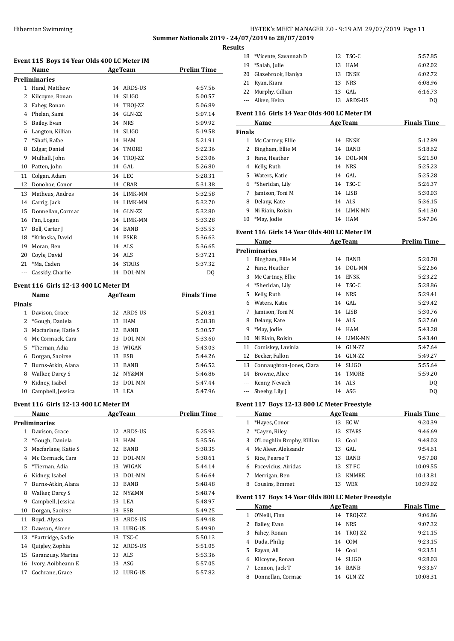## Hibernian Swimming HY-TEK's MEET MANAGER 7.0 - 9:19 AM 29/07/2019 Page 11 **Summer Nationals 2019 - 24/07/2019 to 28/07/2019**

**Results**

|              | Name                 |    | <b>AgeTeam</b> | <b>Prelim Time</b> |
|--------------|----------------------|----|----------------|--------------------|
|              | <b>Preliminaries</b> |    |                |                    |
| $\mathbf{1}$ | Hand, Matthew        | 14 | ARDS-US        | 4:57.56            |
| 2            | Kilcoyne, Ronan      | 14 | <b>SLIGO</b>   | 5:00.57            |
| 3            | Fahev, Ronan         | 14 | TROJ-ZZ        | 5:06.89            |
| 4            | Phelan, Sami         | 14 | GLN-ZZ         | 5:07.14            |
| 5            | Bailey, Evan         | 14 | <b>NRS</b>     | 5:09.92            |
| 6            | Langton, Killian     | 14 | <b>SLIGO</b>   | 5:19.58            |
| 7            | *Shafi, Rafae        | 14 | <b>HAM</b>     | 5:21.91            |
| 8            | Edgar, Daniel        | 14 | TMORE          | 5:22.36            |
| 9            | Mulhall, John        | 14 | TROJ-ZZ        | 5:23.06            |
| 10           | Patten, John         | 14 | GAL            | 5:26.80            |
| 11           | Colgan, Adam         | 14 | <b>LEC</b>     | 5:28.31            |
| 12           | Donohoe, Conor       | 14 | <b>CBAR</b>    | 5:31.38            |
| 13           | Matheus, Andres      | 14 | LIMK-MN        | 5:32.58            |
| 14           | Carrig, Jack         | 14 | LIMK-MN        | 5:32.70            |
| 15           | Donnellan, Cormac    | 14 | GLN-ZZ         | 5:32.80            |
| 16           | Fan, Logan           | 14 | <b>LIMK-MN</b> | 5:33.28            |
| 17           | Bell, Carter J       | 14 | <b>BANB</b>    | 5:35.53            |
| 18           | *Krkoska, David      | 14 | <b>PSKB</b>    | 5:36.63            |
| 19           | Moran, Ben           | 14 | <b>ALS</b>     | 5:36.65            |
| 20           | Coyle, David         | 14 | ALS            | 5:37.21            |
| 21           | *Ma, Caden           | 14 | <b>STARS</b>   | 5:37.32            |
| ---          | Cassidy, Charlie     | 14 | DOL-MN         | DQ                 |

#### **Event 116 Girls 12-13 400 LC Meter IM**

| Name   |                     |    | <b>AgeTeam</b> | <b>Finals Time</b> |  |
|--------|---------------------|----|----------------|--------------------|--|
| Finals |                     |    |                |                    |  |
|        | Davison, Grace      | 12 | ARDS-US        | 5:20.81            |  |
| 2      | *Gough, Daniela     | 13 | HAM            | 5:28.38            |  |
| 3      | Macfarlane, Katie S | 12 | <b>BANB</b>    | 5:30.57            |  |
| 4      | Mc Cormack, Cara    | 13 | DOL-MN         | 5:33.60            |  |
| 5.     | *Tiernan, Adia      | 13 | WIGAN          | 5:43.03            |  |
| 6      | Dorgan, Saoirse     | 13 | ESB            | 5:44.26            |  |
| 7      | Burns-Atkin, Alana  | 13 | BANB           | 5:46.52            |  |
| 8      | Walker, Darcy S     | 12 | NY&MN          | 5:46.86            |  |
| 9      | Kidney, Isabel      | 13 | DOL-MN         | 5:47.44            |  |
| 10     | Campbell, Jessica   | 13 | LEA            | 5:47.96            |  |

#### **Event 116 Girls 12-13 400 LC Meter IM**

|    | Name                |    | <b>AgeTeam</b> | <b>Prelim Time</b> |
|----|---------------------|----|----------------|--------------------|
|    | Preliminaries       |    |                |                    |
| 1  | Davison, Grace      | 12 | ARDS-US        | 5:25.93            |
| 2  | *Gough, Daniela     | 13 | <b>HAM</b>     | 5:35.56            |
| 3  | Macfarlane, Katie S | 12 | <b>BANB</b>    | 5:38.35            |
| 4  | Mc Cormack, Cara    | 13 | DOL-MN         | 5:38.61            |
| 5  | *Tiernan, Adia      | 13 | WIGAN          | 5:44.14            |
| 6  | Kidney, Isabel      | 13 | DOL-MN         | 5:46.64            |
| 7  | Burns-Atkin, Alana  | 13 | <b>BANB</b>    | 5:48.48            |
| 8  | Walker, Darcy S     | 12 | NY&MN          | 5:48.74            |
| 9  | Campbell, Jessica   | 13 | LEA            | 5:48.97            |
| 10 | Dorgan, Saoirse     | 13 | <b>ESB</b>     | 5:49.25            |
| 11 | Boyd, Alyssa        | 13 | ARDS-US        | 5:49.48            |
| 12 | Dawson, Aimee       | 13 | LURG-US        | 5:49.90            |
| 13 | *Partridge, Sadie   | 13 | TSC-C          | 5:50.13            |
| 14 | Quigley, Zophia     | 12 | ARDS-US        | 5:51.05            |
| 15 | Garanzuay, Marina   | 13 | <b>ALS</b>     | 5:53.36            |
| 16 | Ivory, Aoibheann E  | 13 | ASG            | 5:57.05            |
| 17 | Cochrane, Grace     | 12 | LURG-US        | 5:57.82            |
|    |                     |    |                |                    |

| แร |                         |     |             |                |
|----|-------------------------|-----|-------------|----------------|
|    | 18 *Vicente, Savannah D |     | 12 TSC-C    | 5:57.85        |
| 19 | *Salah, Julie           |     | 13 HAM      | 6:02.02        |
|    | 20 Glazebrook, Haniya   | 13  | <b>ENSK</b> | 6:02.72        |
|    | 21 Ryan, Kiara          |     | 13 NRS      | 6:08.96        |
|    | 22 Murphy, Gillian      | 13. | GAL.        | 6:16.73        |
|    | --- Aiken, Keira        | 13  | ARDS-US     | D <sub>0</sub> |
|    |                         |     |             |                |

## **Event 116 Girls 14 Year Olds 400 LC Meter IM**

| <b>AgeTeam</b><br>Name |                   |    | <b>Finals Time</b> |         |
|------------------------|-------------------|----|--------------------|---------|
| <b>Finals</b>          |                   |    |                    |         |
| 1                      | Mc Cartney, Ellie | 14 | <b>ENSK</b>        | 5:12.89 |
|                        | Bingham, Ellie M  | 14 | <b>BANB</b>        | 5:18.62 |
| 3                      | Fane, Heather     | 14 | DOL-MN             | 5:21.50 |
| 4                      | Kelly, Ruth       |    | 14 NRS             | 5:25.23 |
| 5.                     | Waters, Katie     |    | 14 GAL             | 5:25.28 |
|                        | 6 *Sheridan, Lily |    | 14 TSC-C           | 5:26.37 |
| 7                      | Jamison, Toni M   |    | 14 LISB            | 5:30.03 |
| 8                      | Delany, Kate      |    | 14 ALS             | 5:36.15 |
| 9                      | Ni Riain, Roisin  | 14 | LIMK-MN            | 5:41.30 |
| 10                     | *May, Jodie       | 14 | HAM                | 5:47.06 |

### **Event 116 Girls 14 Year Olds 400 LC Meter IM**

|          | Name                     | <b>AgeTeam</b> |              | Prelim Time |
|----------|--------------------------|----------------|--------------|-------------|
|          | <b>Preliminaries</b>     |                |              |             |
| 1        | Bingham, Ellie M         | 14             | <b>BANB</b>  | 5:20.78     |
| 2        | Fane, Heather            | 14             | DOL-MN       | 5:22.66     |
| 3        | Mc Cartney, Ellie        | 14             | <b>ENSK</b>  | 5:23.22     |
| 4        | *Sheridan, Lily          | 14             | TSC-C        | 5:28.86     |
| 5        | Kelly, Ruth              | 14             | <b>NRS</b>   | 5:29.41     |
| 6        | Waters, Katie            | 14             | GAL.         | 5:29.42     |
| 7        | Jamison, Toni M          | 14             | LISB         | 5:30.76     |
| 8        | Delany, Kate             | 14             | ALS          | 5:37.60     |
| 9        | *May, Jodie              | 14             | <b>HAM</b>   | 5:43.28     |
| 10       | Ni Riain, Roisin         | 14             | LIMK-MN      | 5:43.40     |
| 11       | Comiskey, Lavinia        | 14             | GLN-ZZ       | 5:47.64     |
| 12       | Becker, Fallon           | 14             | GLN-ZZ       | 5:49.27     |
| 13       | Connaughton-Jones, Ciara | 14             | <b>SLIGO</b> | 5:55.64     |
| 14       | Browne, Alice            | 14             | <b>TMORE</b> | 5:59.20     |
| $\cdots$ | Kenny, Nevaeh            | 14             | ALS          | DO.         |
|          | Sheehy, Lily J           |                | 14 ASG       | DO.         |

## **Event 117 Boys 12-13 800 LC Meter Freestyle**

 $\overline{a}$ 

|    | Name                       | <b>AgeTeam</b>     | <b>Finals Time</b> |
|----|----------------------------|--------------------|--------------------|
|    | *Hayes, Conor              | EC W<br>13         | 9:20.39            |
|    | *Cayen, Riley              | <b>STARS</b><br>13 | 9:46.69            |
| 3  | O'Loughlin Brophy, Killian | Cool<br>13         | 9:48.03            |
|    | Mc Aleer, Aleksandr        | GAL<br>13          | 9:54.61            |
| 5. | Rice, Pearse T             | <b>BANB</b><br>13  | 9:57.08            |
| 6  | Pocevicius, Airidas        | ST FC<br>13        | 10:09.55           |
|    | Merrigan, Ben              | <b>KNMRE</b><br>13 | 10:13.81           |
| 8  | Cousins, Emmet             | WEX<br>13          | 10:39.02           |

## **Event 117 Boys 14 Year Olds 800 LC Meter Freestyle**

|    | Name              |    | <b>AgeTeam</b> | <b>Finals Time</b> |
|----|-------------------|----|----------------|--------------------|
| 1. | O'Neill, Finn     |    | 14 TROJ-ZZ     | 9:06.86            |
| 2  | Bailey, Evan      | 14 | <b>NRS</b>     | 9:07.32            |
| 3  | Fahey, Ronan      | 14 | TROI-ZZ        | 9:21.15            |
| 4  | Duda, Philip      | 14 | COM            | 9:23.15            |
| 5. | Rayan, Ali        |    | 14 Cool        | 9:23.51            |
| 6. | Kilcoyne, Ronan   | 14 | <b>SLIGO</b>   | 9:28.03            |
| 7  | Lennon, Jack T    | 14 | <b>BANB</b>    | 9:33.67            |
| 8  | Donnellan, Cormac | 14 | $GLN-ZZ$       | 10:08.31           |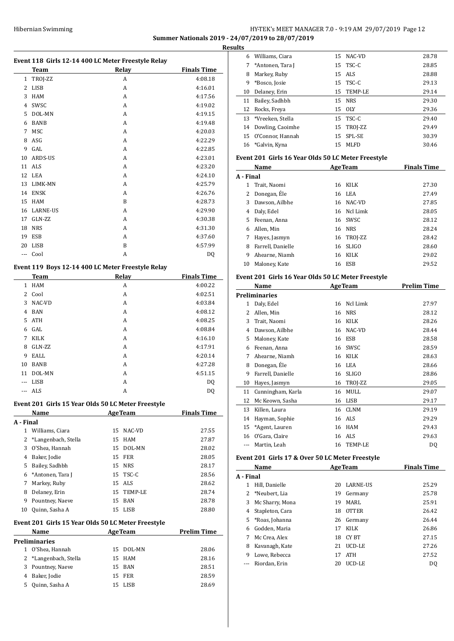## HY-TEK's MEET MANAGER 7.0 - 9:19 AM 29/07/2019 Page 12 **Summer Nationals 2019 - 24/07/2019 to 28/07/2019**

**Results**

|              | Hibernian Swimming   |                                                             | <b>Summer Nationals 20</b> |
|--------------|----------------------|-------------------------------------------------------------|----------------------------|
|              | Team                 | Event 118 Girls 12-14 400 LC Meter Freestyle Relay<br>Relay | <b>Finals Time</b>         |
| $\mathbf{1}$ | TROJ-ZZ              | A                                                           | 4:08.18                    |
| 2            | LISB                 | A                                                           | 4:16.01                    |
| 3            | HAM                  | А                                                           | 4:17.56                    |
| 4            | SWSC                 | A                                                           | 4:19.02                    |
| 5            | DOL-MN               | A                                                           | 4:19.15                    |
| 6            | BANB                 | A                                                           | 4:19.48                    |
| 7            | MSC                  | A                                                           | 4:20.03                    |
| 8            | ASG                  | A                                                           | 4:22.29                    |
| 9            | GAL                  | A                                                           | 4:22.85                    |
| 10           | ARDS-US              | A                                                           | 4:23.01                    |
| 11           | ALS                  | A                                                           | 4:23.20                    |
| 12           | LEA                  | A                                                           | 4:24.10                    |
| 13           | LIMK-MN              | A                                                           | 4:25.79                    |
| 14           | ENSK                 | A                                                           | 4:26.76                    |
| 15           | HAM                  | B                                                           | 4:28.73                    |
|              | 16 LARNE-US          | A                                                           | 4:29.90                    |
| 17           | GLN-ZZ               | A                                                           | 4:30.38                    |
| 18           | NRS                  | A                                                           | 4:31.30                    |
|              | 19 ESB               | A                                                           | 4:37.60                    |
| 20           | LISB                 | B                                                           | 4:57.99                    |
| ---          | Cool                 | А                                                           | DQ                         |
|              |                      |                                                             |                            |
|              |                      | Event 119 Boys 12-14 400 LC Meter Freestyle Relay           |                            |
|              | Team                 | <b>Relay</b>                                                | <b>Finals Time</b>         |
|              | 1 HAM                | A                                                           | 4:00.22                    |
| 2            | Cool                 | A                                                           | 4:02.51                    |
| 3            | NAC-VD               | A                                                           | 4:03.84                    |
| 4            | BAN                  | A                                                           | 4:08.12                    |
| 5            | ATH                  | A                                                           | 4:08.25                    |
| 6            | GAL                  | A                                                           | 4:08.84                    |
| 7            | <b>KILK</b>          | A                                                           | 4:16.10                    |
| 8            | GLN-ZZ               | A                                                           | 4:17.91                    |
| 9            | EALL                 | A                                                           | 4:20.14                    |
|              | 10 BANB              | А                                                           | 4:27.28                    |
|              | 11 DOL-MN            | A                                                           | 4:51.15                    |
|              | --- LISB             | А                                                           | DQ                         |
|              | --- ALS              | A                                                           | DQ                         |
|              |                      | Event 201 Girls 15 Year Olds 50 LC Meter Freestyle          |                            |
|              | Name                 | <b>AgeTeam</b>                                              | <b>Finals Time</b>         |
| A - Final    |                      |                                                             |                            |
| $\mathbf{1}$ | Williams, Ciara      | 15<br>NAC-VD                                                | 27.55                      |
| 2            | *Langenbach, Stella  | 15<br>HAM                                                   | 27.87                      |
| 3            | O'Shea, Hannah       | 15 DOL-MN                                                   | 28.02                      |
|              | 4 Baker, Jodie       | 15<br>FER                                                   | 28.05                      |
| 5            | Bailey, Sadhbh       | 15 NRS                                                      | 28.17                      |
| 6            | *Antonen, Tara J     | 15<br>TSC-C                                                 | 28.56                      |
| 7            | Markey, Ruby         | 15 ALS                                                      | 28.62                      |
|              | 8 Delaney, Erin      | 15 TEMP-LE                                                  | 28.74                      |
| 9            | Pountney, Naeve      | <b>BAN</b><br>15                                            | 28.78                      |
| 10           | Quinn, Sasha A       | 15<br>LISB                                                  | 28.80                      |
|              |                      | Event 201 Girls 15 Year Olds 50 LC Meter Freestyle          |                            |
|              | <u>Name</u>          | Age Team                                                    | <b>Prelim Time</b>         |
|              | <b>Preliminaries</b> |                                                             |                            |

| name                  | лде теаш  |       |
|-----------------------|-----------|-------|
| eliminaries           |           |       |
| 1 O'Shea, Hannah      | 15 DOL-MN | 28.06 |
| 2 *Langenbach, Stella | 15 HAM    | 28.16 |
| 3 Pountney, Naeve     | 15 BAN    | 28.51 |
| 4 Baker, Jodie        | 15 FER    | 28.59 |
| 5 Quinn, Sasha A      | 15 LISB   | 28.69 |
|                       |           |       |

| llts |                     |    |               |       |
|------|---------------------|----|---------------|-------|
| 6    | Williams, Ciara     |    | 15 NAC-VD     | 28.78 |
|      | *Antonen, Tara J    |    | 15 TSC-C      | 28.85 |
| 8    | Markey, Ruby        |    | 15 ALS        | 28.88 |
| 9    | *Bosco, Josie       |    | 15 TSC-C      | 29.13 |
| 10   | Delaney, Erin       |    | 15 TEMP-LE    | 29.14 |
| 11   | Bailey, Sadhbh      | 15 | <b>NRS</b>    | 29.30 |
|      | 12 Rocks, Freya     |    | 15 OLY        | 29.36 |
|      | 13 *Vreeken, Stella |    | 15 TSC-C      | 29.40 |
|      | 14 Dowling, Caoimhe |    | 15 TROJ-ZZ    | 29.49 |
|      | 15 O'Connor, Hannah | 15 | <b>SPL-SE</b> | 30.39 |
| 16   | *Galvin, Kyna       | 15 | MLFD          | 30.46 |

## **Event 201 Girls 16 Year Olds 50 LC Meter Freestyle**

|           | Name              |    | <b>AgeTeam</b> | <b>Finals Time</b> |
|-----------|-------------------|----|----------------|--------------------|
| A - Final |                   |    |                |                    |
| 1         | Trait, Naomi      | 16 | <b>KILK</b>    | 27.30              |
| 2         | Donegan, Éle      |    | 16 LEA         | 27.49              |
| 3         | Dawson, Ailbhe    | 16 | NAC-VD         | 27.85              |
| 4         | Daly, Edel        |    | 16 Ncl Limk    | 28.05              |
| 5.        | Feenan, Anna      | 16 | <b>SWSC</b>    | 28.12              |
| 6         | Allen, Min        |    | 16 NRS         | 28.24              |
| 7         | Hayes, Jasmyn     |    | 16 TROJ-ZZ     | 28.42              |
| 8         | Farrell, Danielle | 16 | <b>SLIGO</b>   | 28.60              |
| 9         | Ahearne, Niamh    | 16 | KILK           | 29.02              |
| 10        | Maloney, Kate     | 16 | ESB            | 29.52              |

## **Event 201 Girls 16 Year Olds 50 LC Meter Freestyle**

|    | Name                 |    | <b>AgeTeam</b> | <b>Prelim Time</b> |
|----|----------------------|----|----------------|--------------------|
|    | <b>Preliminaries</b> |    |                |                    |
| 1  | Daly, Edel           | 16 | Ncl Limk       | 27.97              |
| 2  | Allen, Min           | 16 | <b>NRS</b>     | 28.12              |
| 3  | Trait, Naomi         | 16 | KILK           | 28.26              |
| 4  | Dawson, Ailbhe       | 16 | NAC-VD         | 28.44              |
| 5  | Maloney, Kate        | 16 | <b>ESB</b>     | 28.58              |
| 6  | Feenan, Anna         | 16 | SWSC           | 28.59              |
| 7  | Ahearne, Niamh       | 16 | KILK           | 28.63              |
| 8  | Donegan, Ele         | 16 | LEA            | 28.66              |
| 9  | Farrell, Danielle    | 16 | <b>SLIGO</b>   | 28.86              |
| 10 | Hayes, Jasmyn        | 16 | TROJ-ZZ        | 29.05              |
| 11 | Cunningham, Karla    | 16 | MULL           | 29.07              |
| 12 | Mc Keown, Sasha      | 16 | <b>LISB</b>    | 29.17              |
| 13 | Killen, Laura        | 16 | <b>CLNM</b>    | 29.19              |
| 14 | Hayman, Sophie       | 16 | ALS            | 29.29              |
| 15 | *Agent, Lauren       | 16 | <b>HAM</b>     | 29.43              |
| 16 | O'Gara, Claire       | 16 | ALS            | 29.63              |
|    | Martin, Leah         | 16 | <b>TEMP-LE</b> | DQ                 |

## **Event 201 Girls 17 & Over 50 LC Meter Freestyle**

| Name      |                  |    | <b>AgeTeam</b>  | <b>Finals Time</b> |
|-----------|------------------|----|-----------------|--------------------|
| A - Final |                  |    |                 |                    |
| 1         | Hill, Danielle   | 20 | <b>LARNE-US</b> | 25.29              |
|           | 2 *Neubert, Lia  | 19 | Germany         | 25.78              |
| 3         | Mc Sharry, Mona  | 19 | MARI.           | 25.91              |
| 4         | Stapleton, Cara  | 18 | <b>OTTER</b>    | 26.42              |
|           | 5 *Roas, Johanna | 26 | Germany         | 26.44              |
| 6         | Godden, Maria    | 17 | KILK            | 26.86              |
| 7         | Mc Crea, Alex    | 18 | CY BT           | 27.15              |
| 8         | Kavanagh, Kate   | 21 | UCD-LE          | 27.26              |
| 9         | Lowe, Rebecca    | 17 | <b>ATH</b>      | 27.52              |
|           | Riordan, Erin    | 20 | UCD-LE          | D <sub>0</sub>     |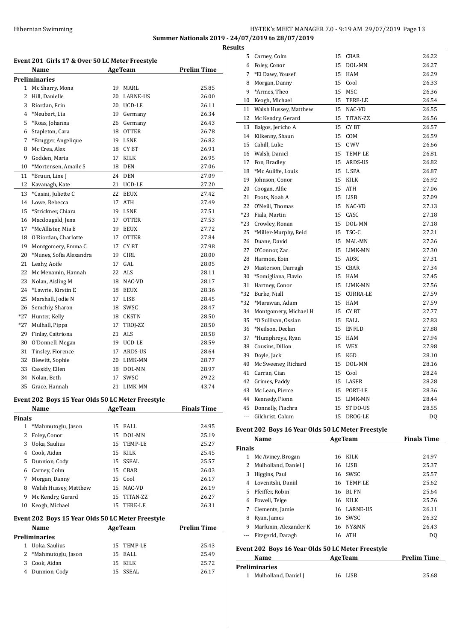## Hibernian Swimming **HY-TEK's MEET MANAGER 7.0 - 9:19 AM 29/07/2019** Page 13 **Summer Nationals 2019 - 24/07/2019 to 28/07/2019 Resul**

**Event 201 Girls 17 & Over 50 LC Meter Freestyle Name Age Team Prelim Time Preliminaries** Mc Sharry, Mona 19 MARL 25.85 Hill, Danielle 20 LARNE-US 26.00 Riordan, Erin 20 UCD-LE 26.11 \*Neubert, Lia 19 Germany 26.34 \*Roas, Johanna 26 Germany 26.43 Stapleton, Cara 18 OTTER 26.78 \*Brugger, Angelique 19 LSNE 26.82 8 Mc Crea, Alex 18 CY BT 26.91 Godden, Maria 17 KILK 26.95 10 \*Mortensen, Amaile S 18 DEN 27.06 11 \*Bruun, Line J 24 DEN 27.09 Kavanagh, Kate 21 UCD-LE 27.20 \*Casini, Juliette C 22 EEUX 27.42 Lowe, Rebecca 17 ATH 27.49 15 \*Strickner, Chiara 19 LSNE 27.51 Macdougald, Jena 17 OTTER 27.53 17 \*McAllister, Mia E 19 EEUX 27.72 O'Riordan, Charlotte 17 OTTER 27.84 19 Montgomery, Emma C 17 CY BT 27.98 \*Nunes, Sofia Alexandra 19 CIRL 28.00 Leahy, Aoife 17 GAL 28.05 22 Mc Menamin, Hannah 22 ALS 28.11 23 Nolan, Aisling M 18 NAC-VD 28.17 24 \*Lawrie, Kirstin E 18 EEUX 28.36 25 Marshall, Jodie N 17 LISB 28.45 Semchiy, Sharon 18 SWSC 28.47 \*27 Hunter, Kelly 18 CKSTN 28.50 \*27 Mulhall, Pippa 17 TROJ-ZZ 28.50 Finlay, Caitriona 21 ALS 28.58 O'Donnell, Megan 19 UCD-LE 28.59 Tinsley, Florence 17 ARDS-US 28.64 Blewitt, Sophie 20 LIMK-MN 28.77 33 Cassidy, Ellen 18 DOL-MN 28.97 Nolan, Beth 17 SWSC 29.22 Grace, Hannah 21 LIMK-MN 43.74 **Event 202 Boys 15 Year Olds 50 LC Meter Freestyle Name Age Team Finals Time Finals** \*Mahmutoglu, Jason 15 EALL 24.95 Foley, Conor 15 DOL-MN 25.19 Uoka, Saulius 15 TEMP-LE 25.27 Cook, Aidan 15 KILK 25.45 Dunnion, Cody 15 SSEAL 25.57 Carney, Colm 15 CBAR 26.03 Morgan, Danny 15 Cool 26.17 Walsh Hussey, Matthew 15 NAC-VD 26.19 9 Mc Kendry, Gerard 15 TITAN-ZZ 26.27 Keogh, Michael 15 TERE-LE 26.31 **Event 202 Boys 15 Year Olds 50 LC Meter Freestyle Name Age Team Prelim Time Preliminaries** Uoka, Saulius 15 TEMP-LE 25.43 \*Mahmutoglu, Jason 15 EALL 25.49 Cook, Aidan 15 KILK 25.72 Dunnion, Cody 15 SSEAL 26.17

| lts   |                       |    |                 |       |
|-------|-----------------------|----|-----------------|-------|
| 5.    | Carney, Colm          | 15 | CBAR            | 26.22 |
| 6     | Foley, Conor          | 15 | DOL-MN          | 26.27 |
| 7     | *El Dawy, Yousef      | 15 | HAM             | 26.29 |
| 8     | Morgan, Danny         | 15 | Cool            | 26.33 |
| 9     | *Armes, Theo          | 15 | MSC             | 26.36 |
| 10    | Keogh, Michael        | 15 | TERE-LE         | 26.54 |
| 11    | Walsh Hussey, Matthew | 15 | NAC-VD          | 26.55 |
| 12    | Mc Kendry, Gerard     | 15 | TITAN-ZZ        | 26.56 |
| 13    | Balgos, Jericho A     | 15 | CY BT           | 26.57 |
| 14    | Kilkenny, Shaun       | 15 | COM             | 26.59 |
| 15    | Cahill, Luke          | 15 | C WV            | 26.66 |
| 16    | Walsh, Daniel         | 15 | TEMP-LE         | 26.81 |
| 17    | Fon, Bradley          | 15 | ARDS-US         | 26.82 |
| 18    | *Mc Auliffe, Louis    | 15 | L SPA           | 26.87 |
| 19    | Johnson, Conor        | 15 | KILK            | 26.92 |
| 20    | Coogan, Alfie         | 15 | ATH             | 27.06 |
| 21    | Poots, Noah A         | 15 | LISB            | 27.09 |
| 22    | O'Neill, Thomas       | 15 | NAC-VD          | 27.13 |
| $*23$ | Fiala, Martin         | 15 | CASC            | 27.18 |
| $*23$ | Crowley, Ronan        | 15 | DOL-MN          | 27.18 |
| 25    | *Miller-Murphy, Reid  | 15 | TSC-C           | 27.21 |
| 26    | Duane, David          | 15 | MAL-MN          | 27.26 |
| 27    | O'Connor, Zac         | 15 | LIMK-MN         | 27.30 |
| 28    | Harmon, Eoin          | 15 | ADSC            | 27.31 |
| 29    | Masterson, Darragh    |    | 15 CBAR         | 27.34 |
| 30    | *Somigliana, Flavio   | 15 | HAM             | 27.45 |
| 31    | Hartney, Conor        | 15 | LIMK-MN         | 27.56 |
| *32   | Burke, Niall          | 15 | <b>CURRA-LE</b> | 27.59 |
| *32   | *Marawan, Adam        | 15 | HAM             | 27.59 |
| 34    | Montgomery, Michael H |    | 15 CYBT         | 27.77 |
| 35    | *O'Sullivan, Ossian   | 15 | EALL            | 27.83 |
| 36    | *Neilson, Declan      | 15 | <b>ENFLD</b>    | 27.88 |
| 37    | *Humphreys, Ryan      | 15 | HAM             | 27.94 |
| 38    | Cousins, Dillon       | 15 | WEX             | 27.98 |
| 39    | Doyle, Jack           | 15 | KGD             | 28.10 |
| 40    | Mc Sweeney, Richard   | 15 | DOL-MN          | 28.16 |
| 41    | Curran, Cian          | 15 | Cool            | 28.24 |
| 42    | Grimes, Paddy         | 15 | LASER           | 28.28 |
| 43    | Mc Lean, Pierce       | 15 | PORT-LE         | 28.36 |
| 44    | Kennedy, Fionn        | 15 | LIMK-MN         | 28.44 |
| 45    | Donnelly, Fiachra     | 15 | ST DO-US        | 28.55 |
| ---   | Gilchrist, Calum      | 15 | DROG-LE         | DQ    |
|       |                       |    |                 |       |

## **Event 202 Boys 16 Year Olds 50 LC Meter Freestyle**

|               | Name                  | <b>AgeTeam</b> |                 | <b>Finals Time</b> |  |
|---------------|-----------------------|----------------|-----------------|--------------------|--|
| <b>Finals</b> |                       |                |                 |                    |  |
| 1             | Mc Aviney, Brogan     | 16             | KILK            | 24.97              |  |
| 2             | Mulholland, Daniel J  | 16             | LISB            | 25.37              |  |
| 3             | Higgins, Paul         | 16             | <b>SWSC</b>     | 25.57              |  |
| 4             | Lovenitski, Daniil    |                | 16 TEMP-LE      | 25.62              |  |
|               | 5 Pfeiffer. Robin     | 16             | BL FN           | 25.64              |  |
| 6             | Powell, Teige         | 16             | KILK            | 25.76              |  |
| 7             | Clements, Jamie       | 16             | <b>LARNE-US</b> | 26.11              |  |
| 8             | Ryan, James           | 16             | SWSC            | 26.32              |  |
| 9             | Marfunin, Alexander K | 16             | NY&MN           | 26.43              |  |
|               | Fitzgerld, Daragh     | 16             | ATH             | DO.                |  |

## **Event 202 Boys 16 Year Olds 50 LC Meter Freestyle**

| Name                   | <b>AgeTeam</b> | <b>Prelim Time</b> |
|------------------------|----------------|--------------------|
| <b>Preliminaries</b>   |                |                    |
| 1 Mulholland, Daniel J | 16 LISB        | 25.68              |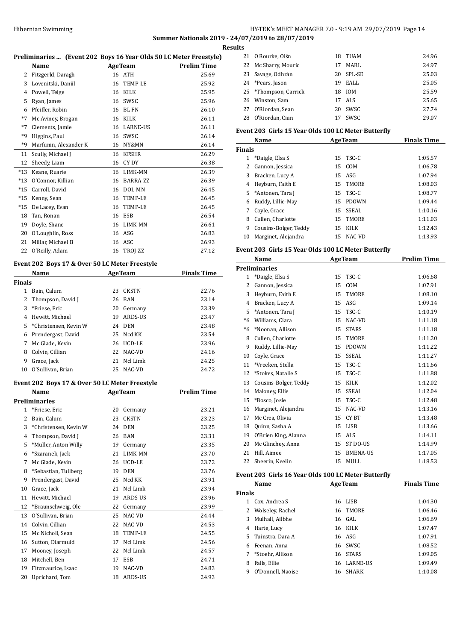## Hibernian Swimming **HY-TEK's MEET MANAGER 7.0 - 9:19 AM 29/07/2019** Page 14

## **Summer Nationals 2019 - 24/07/2019 to 28/07/2019**

|               | Preliminaries  (Event 202 Boys 16 Year Olds 50 LC Meter Freestyle) |    |                |                    | <b>Results</b><br>2 |
|---------------|--------------------------------------------------------------------|----|----------------|--------------------|---------------------|
|               | Name                                                               |    | <b>AgeTeam</b> | <b>Prelim Time</b> | 2                   |
|               | 2 Fitzgerld, Daragh                                                |    | 16 ATH         | 25.69              | 2                   |
|               | 3 Lovenitski, Daniil                                               |    | 16 TEMP-LE     | 25.92              | 2                   |
|               | 4 Powell, Teige                                                    |    | 16 KILK        | 25.95              | 2                   |
|               |                                                                    |    | 16 SWSC        | 25.96              | 2                   |
|               | 5 Ryan, James                                                      |    | 16 BL FN       | 26.10              | 2                   |
|               | 6 Pfeiffer, Robin                                                  |    |                |                    | 2                   |
| *7            | Mc Aviney, Brogan                                                  |    | 16 KILK        | 26.11              |                     |
| $*7$          | Clements, Jamie                                                    |    | 16 LARNE-US    | 26.11              | Eve                 |
| *9            | Higgins, Paul                                                      |    | 16 SWSC        | 26.14              |                     |
| *9            | Marfunin, Alexander K                                              |    | 16 NY&MN       | 26.14              | Fin                 |
| 11            | Scully, Michael J                                                  |    | 16 KFSHR       | 26.29              |                     |
| 12            | Sheedy, Liam                                                       |    | 16 CY DY       | 26.38              |                     |
|               | *13 Keane, Ruarie                                                  |    | 16 LIMK-MN     | 26.39              |                     |
|               | *13 O'Connor, Killian                                              |    | 16 BARRA-ZZ    | 26.39              |                     |
|               | *15 Carroll, David                                                 |    | 16 DOL-MN      | 26.45              |                     |
|               | *15 Kenny, Sean                                                    |    | 16 TEMP-LE     | 26.45              |                     |
|               | *15 De Lacey, Evan                                                 |    | 16 TEMP-LE     | 26.45              |                     |
|               | 18 Tan, Ronan                                                      |    | 16 ESB         | 26.54              |                     |
|               | 19 Doyle, Shane                                                    |    | 16 LIMK-MN     | 26.61              |                     |
|               | 20 O'Loughlin, Ross                                                |    | 16 ASG         | 26.83              | 1                   |
|               | 21 Millar, Michael B                                               |    | 16 ASC         | 26.93              |                     |
|               | 22 O'Reilly, Adam                                                  |    | 16 TROJ-ZZ     | 27.12              | Eve                 |
|               | Event 202 Boys 17 & Over 50 LC Meter Freestyle<br>Name             |    | AgeTeam        | <b>Finals Time</b> | Pre                 |
| <b>Finals</b> |                                                                    |    |                |                    |                     |
|               | 1 Bain, Calum                                                      |    | 23 CKSTN       | 22.76              |                     |
|               | 2 Thompson, David J                                                |    | 26 BAN         | 23.14              |                     |
|               | 3 *Friese, Eric                                                    |    | 20 Germany     | 23.39              |                     |
|               | 4 Hewitt, Michael                                                  |    | 19 ARDS-US     | 23.47              |                     |
|               | 5 *Christensen, Kevin W                                            |    | 24 DEN         | 23.48              |                     |
|               | 6 Prendergast, David                                               |    | 25 Ncd KK      | 23.54              |                     |
|               | 7 Mc Glade, Kevin                                                  |    | 26 UCD-LE      | 23.96              |                     |
|               | 8 Colvin, Cillian                                                  |    | 22 NAC-VD      | 24.16              |                     |
| 9             | Grace, Jack                                                        | 21 | Ncl Limk       | 24.25              | 1                   |
|               | 10 O'Sullivan, Brian                                               |    | 25 NAC-VD      | 24.72              | 1                   |
|               |                                                                    |    |                |                    | 1                   |
|               | Event 202 Boys 17 & Over 50 LC Meter Freestyle<br>Name             |    | <b>AgeTeam</b> | <b>Prelim Time</b> | 1<br>1              |
|               | <b>Preliminaries</b>                                               |    |                |                    | 1                   |
| $\mathbf{1}$  | *Friese, Eric                                                      | 20 | Germany        | 23.21              | 1                   |
| 2             | Bain, Calum                                                        | 23 | <b>CKSTN</b>   | 23.23              | 1                   |
|               | 3 *Christensen, Kevin W                                            | 24 | DEN            | 23.25              | 1                   |
|               | 4 Thompson, David J                                                | 26 | BAN            | 23.31              |                     |
| 5             | *Müller, Anton Willy                                               | 19 | Germany        | 23.35              | 2                   |
| 6             | *Szaranek, Jack                                                    | 21 | LIMK-MN        | 23.70              | 2                   |
| 7             | Mc Glade, Kevin                                                    | 26 | UCD-LE         | 23.72              | 2                   |
| 8             | *Sebastian, Tullberg                                               | 19 | <b>DEN</b>     | 23.76              |                     |
| 9             | Prendergast, David                                                 | 25 | Ncd KK         | 23.91              | Eve                 |
| 10            | Grace, Jack                                                        | 21 | Ncl Limk       | 23.94              |                     |
| 11            | Hewitt, Michael                                                    | 19 | ARDS-US        | 23.96              | Fin                 |
|               |                                                                    | 22 |                |                    |                     |
| 12            | *Braunschweig, Ole                                                 |    | Germany        | 23.99              |                     |
| 13            | O'Sullivan, Brian                                                  | 25 | NAC-VD         | 24.44              |                     |
| 14            | Colvin, Cillian                                                    | 22 | NAC-VD         | 24.53              |                     |
| 15            | Mc Nicholl, Sean                                                   | 18 | TEMP-LE        | 24.55              |                     |
| 16            | Sutton, Diarmuid                                                   | 17 | Ncl Limk       | 24.56              |                     |
| 17            | Mooney, Joseph                                                     | 22 | Ncl Limk       | 24.57              |                     |
|               | 18 Mitchell, Ben                                                   | 17 | ESB            | 24.71              |                     |
| 19            | Fitzmaurice, Isaac                                                 | 19 | NAC-VD         | 24.83              |                     |
| 20            | Uprichard, Tom                                                     | 18 | ARDS-US        | 24.93              |                     |

| LS. |                       |    |            |       |
|-----|-----------------------|----|------------|-------|
|     | 21 O Rourke, Oiśn     | 18 | TUAM       | 24.96 |
|     | 22 Mc Sharry, Mouric  | 17 | MARI.      | 24.97 |
|     | 23 Savage, Odhrán     |    | 20 SPL-SE  | 25.03 |
|     | 24 *Pears, Jason      | 19 | EALL       | 25.05 |
|     | 25 *Thompson, Carrick | 18 | <b>IOM</b> | 25.59 |
|     | 26 Winston, Sam       | 17 | ALS.       | 25.65 |
|     | 27 O'Riordan, Sean    |    | 20 SWSC    | 27.74 |
|     | 28 O'Riordan, Cian    | 17 | SWSC.      | 29.07 |

## **Event 203 Girls 15 Year Olds 100 LC Meter Butterfly**

| Name          |                       |     | <b>AgeTeam</b> | <b>Finals Time</b> |
|---------------|-----------------------|-----|----------------|--------------------|
| <b>Finals</b> |                       |     |                |                    |
|               | *Daigle, Elsa S       |     | $15$ TSC-C     | 1:05.57            |
| 2             | Gannon, Jessica       | 15  | COM            | 1:06.78            |
| 3             | Bracken, Lucy A       |     | $15$ ASG       | 1:07.94            |
| 4             | Heyburn, Faith E      |     | 15 TMORE       | 1:08.03            |
|               | 5 *Antonen, Tara J    |     | $15$ TSC-C     | 1:08.77            |
| 6             | Ruddy, Lillie-May     | 15  | <b>PDOWN</b>   | 1:09.44            |
|               | Coyle, Grace          | 15. | SSEAL          | 1:10.16            |
| 8             | Cullen. Charlotte     | 15  | <b>TMORE</b>   | 1:11.03            |
| 9             | Cousins-Bolger, Teddy | 15  | KILK           | 1:12.43            |
| 10            | Marginet, Alejandra   | 15  | NAC-VD         | 1:13.93            |

## **Event 203 Girls 15 Year Olds 100 LC Meter Butterfly**

|      | Name                  | <b>AgeTeam</b> |                 | <b>Prelim Time</b> |
|------|-----------------------|----------------|-----------------|--------------------|
|      | <b>Preliminaries</b>  |                |                 |                    |
| 1    | *Daigle, Elsa S       | 15             | TSC-C           | 1:06.68            |
| 2    | Gannon, Jessica       | 15             | COM             | 1:07.91            |
| 3    | Heyburn, Faith E      | 15             | <b>TMORE</b>    | 1:08.10            |
| 4    | Bracken, Lucy A       | 15             | ASG             | 1:09.14            |
| 5    | *Antonen, Tara J      | 15             | TSC-C           | 1:10.19            |
| $*6$ | Williams, Ciara       | 15             | NAC-VD          | 1:11.18            |
| $*6$ | *Noonan, Allison      | 15             | <b>STARS</b>    | 1:11.18            |
| 8    | Cullen, Charlotte     | 15             | <b>TMORE</b>    | 1:11.20            |
| 9    | Ruddy, Lillie-May     | 15             | <b>PDOWN</b>    | 1:11.22            |
| 10   | Coyle, Grace          | 15             | <b>SSEAL</b>    | 1:11.27            |
| 11   | *Vreeken, Stella      | 15             | TSC-C           | 1:11.66            |
| 12   | *Stokes, Natalie S    | 15             | TSC-C           | 1:11.88            |
| 13   | Cousins-Bolger, Teddy | 15             | KILK            | 1:12.02            |
| 14   | Maloney, Ellie        | 15             | <b>SSEAL</b>    | 1:12.04            |
| 15   | *Bosco, Josie         | 15             | TSC-C           | 1:12.48            |
| 16   | Marginet, Alejandra   | 15             | NAC-VD          | 1:13.16            |
| 17   | Mc Crea, Olivia       | 15             | CY BT           | 1:13.48            |
| 18   | Quinn, Sasha A        | 15             | <b>LISB</b>     | 1:13.66            |
| 19   | O'Brien King, Alanna  | 15             | ALS             | 1:14.11            |
| 20   | Mc Glinchey, Anna     | 15             | ST DO-US        | 1:14.99            |
| 21   | Hill, Aimee           | 15             | <b>BMENA-US</b> | 1:17.05            |
| 22   | Sheerin, Keelin       | 15             | MULL            | 1:18.53            |

## **Event 203 Girls 16 Year Olds 100 LC Meter Butterfly**

|               | Name              | <b>AgeTeam</b> |                 | <b>Finals Time</b> |
|---------------|-------------------|----------------|-----------------|--------------------|
| <b>Finals</b> |                   |                |                 |                    |
| 1             | Cox, Andrea S     | 16             | LISB            | 1:04.30            |
| 2             | Wolseley, Rachel  |                | 16 TMORE        | 1:06.46            |
| 3             | Mulhall, Ailbhe   |                | 16 GAL          | 1:06.69            |
| 4             | Harte, Lucy       |                | 16 KILK         | 1:07.47            |
| 5.            | Tuinstra, Dara A  |                | 16 ASG          | 1:07.91            |
| 6             | Feenan, Anna      |                | 16 SWSC         | 1:08.52            |
|               | *Stoehr. Allison  | 16             | <b>STARS</b>    | 1:09.05            |
| 8             | Falls, Ellie      | 16             | <b>LARNE-US</b> | 1:09.49            |
| 9             | O'Donnell, Naoise | 16             | SHARK           | 1:10.08            |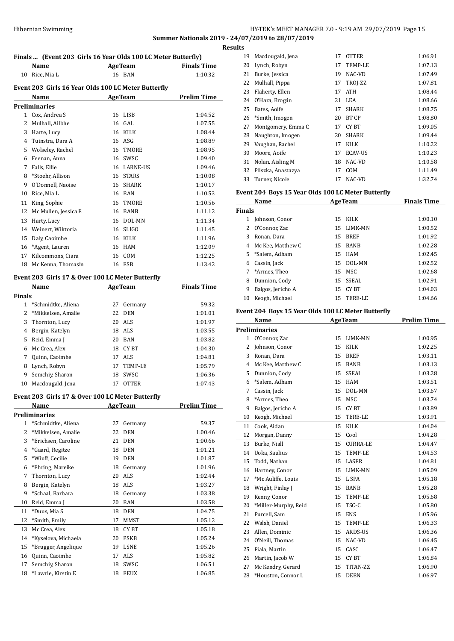## HY-TEK's MEET MANAGER 7.0 - 9:19 AM 29/07/2019 Page 15 **Summer Nationals 2019 - 24/07/2019 to 28/07/2019**

|               | Finals  (Event 203 Girls 16 Year Olds 100 LC Meter Butterfly) |                                      |              |                     | <b>Results</b><br>1 |
|---------------|---------------------------------------------------------------|--------------------------------------|--------------|---------------------|---------------------|
|               | Name<br><b>Example 2</b> Age Team                             |                                      |              | <b>Finals Time</b>  |                     |
|               | 10 Rice, Mia L                                                |                                      | 16 BAN       | 1:10.32             |                     |
|               |                                                               |                                      |              |                     |                     |
|               | Event 203 Girls 16 Year Olds 100 LC Meter Butterfly           |                                      |              |                     |                     |
|               | Name<br><b>AgeTeam</b>                                        |                                      |              | <b>Prelim Time</b>  |                     |
|               | <b>Preliminaries</b>                                          |                                      |              |                     |                     |
|               | 1 Cox, Andrea S                                               |                                      | 16 LISB      | 1:04.52             |                     |
|               | 2 Mulhall, Ailbhe                                             |                                      | 16 GAL       | 1:07.55             |                     |
|               | 3 Harte, Lucy                                                 |                                      | 16 KILK      | 1:08.44             |                     |
|               | 4 Tuinstra, Dara A                                            |                                      | 16 ASG       | 1:08.89             |                     |
|               | 5 Wolseley, Rachel                                            |                                      | 16 TMORE     | 1:08.95             |                     |
|               | 6 Feenan, Anna                                                |                                      | 16 SWSC      | 1:09.40             |                     |
| $7^{\circ}$   | Falls, Ellie                                                  |                                      | 16 LARNE-US  | 1:09.46             |                     |
| 8             | *Stoehr, Allison                                              |                                      | 16 STARS     | 1:10.08             |                     |
|               | 9 O'Donnell, Naoise                                           |                                      | 16 SHARK     | 1:10.17             |                     |
| 10            | Rice, Mia L                                                   |                                      | 16 BAN       | 1:10.53             | Eve                 |
| 11            | King, Sophie                                                  |                                      | 16 TMORE     | 1:10.56             |                     |
| 12            | Mc Mullen, Jessica E                                          |                                      | 16 BANB      | 1:11.12             | Fin                 |
| 13            | Harty, Lucy                                                   |                                      | 16 DOL-MN    | 1:11.34             |                     |
|               | 14 Weinert, Wiktoria                                          | 16                                   | <b>SLIGO</b> | 1:11.45             |                     |
|               | 15 Daly, Caoimhe                                              |                                      | 16 KILK      | 1:11.96             |                     |
|               | 16 *Agent, Lauren                                             |                                      | 16 HAM       | 1:12.09             |                     |
|               | 17 Kilcommons, Ciara                                          |                                      | 16 COM       | 1:12.25             |                     |
|               | 18 Mc Kenna, Thomasin                                         |                                      | 16 ESB       | 1:13.42             |                     |
|               | Event 203 Girls 17 & Over 100 LC Meter Butterfly              |                                      |              |                     |                     |
|               | Name                                                          |                                      |              | AgeTeam Finals Time |                     |
| <b>Finals</b> |                                                               |                                      |              |                     |                     |
|               | 1 *Schmidtke, Aliena                                          | 27                                   | Germany      | 59.32               |                     |
|               | 2 *Mikkelsen, Amalie                                          |                                      | 22 DEN       | 1:01.01             | Eve                 |
| 3             | Thornton, Lucy                                                |                                      | 20 ALS       | 1:01.97             |                     |
|               | 4 Bergin, Katelyn                                             |                                      | 18 ALS       | 1:03.55             | Pre                 |
|               | 5 Reid, Emma J                                                |                                      | 20 BAN       | 1:03.82             |                     |
|               | 6 Mc Crea, Alex                                               |                                      | 18 CYBT      | 1:04.30             |                     |
|               | 7 Quinn, Caoimhe                                              |                                      | 17 ALS       | 1:04.81             |                     |
|               | 8 Lynch, Robyn                                                |                                      | 17 TEMP-LE   | 1:05.79             |                     |
| 9             | Semchiy, Sharon                                               |                                      | 18 SWSC      | 1:06.36             |                     |
| 10            | Macdougald, Jena                                              |                                      | 17 OTTER     | 1:07.43             |                     |
|               | Event 203 Girls 17 & Over 100 LC Meter Butterfly              |                                      |              |                     |                     |
|               |                                                               | $\mathbf{A} = \mathbf{B} \mathbf{A}$ |              | Dave Line TPL       |                     |

|                | Name                 | <b>AgeTeam</b> |             | <b>Prelim Time</b> |
|----------------|----------------------|----------------|-------------|--------------------|
|                | <b>Preliminaries</b> |                |             |                    |
| 1              | *Schmidtke, Aliena   | 27             | Germany     | 59.37              |
| 2              | *Mikkelsen, Amalie   | 22             | <b>DEN</b>  | 1:00.46            |
| 3              | *Erichsen, Caroline  | 21             | <b>DEN</b>  | 1:00.66            |
| $\overline{4}$ | *Gaard, Regitze      | 18             | <b>DEN</b>  | 1:01.21            |
| 5              | *Wiuff, Cecilie      | 19             | <b>DEN</b>  | 1:01.87            |
| 6              | *Ehring, Mareike     | 18             | Germany     | 1:01.96            |
| 7              | Thornton, Lucy       | 20             | ALS         | 1:02.44            |
| 8              | Bergin, Katelyn      | 18             | ALS         | 1:03.27            |
| 9              | *Schaal, Barbara     | 18             | Germany     | 1:03.38            |
| 10             | Reid, Emma J         | 20             | <b>BAN</b>  | 1:03.58            |
| 11             | *Duus, Mia S         | 18             | <b>DEN</b>  | 1:04.75            |
| 12             | *Smith, Emily        | 17             | <b>MMST</b> | 1:05.12            |
| 13             | Mc Crea, Alex        | 18             | CY BT       | 1:05.18            |
| 14             | *Kyselova, Michaela  | 20             | <b>PSKB</b> | 1:05.24            |
| 15             | *Brugger, Angelique  | 19             | <b>LSNE</b> | 1:05.26            |
| 16             | Quinn, Caoimhe       | 17             | ALS         | 1:05.82            |
| 17             | Semchiy, Sharon      | 18             | <b>SWSC</b> | 1:06.51            |
| 18             | *Lawrie, Kirstin E   | 18             | <b>EEUX</b> | 1:06.85            |
|                |                      |                |             |                    |

| LЭ |                    |    |                |         |
|----|--------------------|----|----------------|---------|
| 19 | Macdougald, Jena   | 17 | <b>OTTER</b>   | 1:06.91 |
| 20 | Lynch, Robyn       | 17 | TEMP-LE        | 1:07.13 |
| 21 | Burke, Jessica     | 19 | NAC-VD         | 1:07.49 |
| 22 | Mulhall, Pippa     | 17 | TROJ-ZZ        | 1:07.81 |
| 23 | Flaherty, Ellen    | 17 | <b>ATH</b>     | 1:08.44 |
| 24 | O'Hara, Brogán     | 21 | LEA            | 1:08.66 |
| 25 | Bates, Aoife       | 17 | <b>SHARK</b>   | 1:08.75 |
| 26 | *Smith, Imogen     | 20 | BT CP          | 1:08.80 |
| 27 | Montgomery, Emma C | 17 | CY BT          | 1:09.05 |
| 28 | Naughton, Imogen   | 20 | <b>SHARK</b>   | 1:09.44 |
| 29 | Vaughan, Rachel    | 17 | <b>KILK</b>    | 1:10.22 |
| 30 | Moore, Aoife       | 17 | <b>ECAV-US</b> | 1:10.23 |
| 31 | Nolan, Aisling M   | 18 | NAC-VD         | 1:10.58 |
| 32 | Pliszka, Anastazya | 17 | COM            | 1:11.49 |
| 33 | Turner, Nicole     | 17 | NAC-VD         | 1:32.74 |

## **Event 204 Boys 15 Year Olds 100 LC Meter Butterfly**

|               | Name              |    | <b>AgeTeam</b> | <b>Finals Time</b> |
|---------------|-------------------|----|----------------|--------------------|
| <b>Finals</b> |                   |    |                |                    |
| 1             | Johnson, Conor    | 15 | KILK           | 1:00.10            |
| 2             | O'Connor. Zac     |    | 15 LIMK-MN     | 1:00.52            |
| 3             | Ronan, Dara       | 15 | <b>BREF</b>    | 1:01.92            |
| 4             | Mc Kee, Matthew C | 15 | <b>BANB</b>    | 1:02.28            |
|               | 5 *Salem, Adham   |    | 15 HAM         | 1:02.45            |
| 6             | Cassin, Jack      | 15 | DOL-MN         | 1:02.52            |
|               | 7 *Armes, Theo    |    | 15 MSC         | 1:02.68            |
| 8             | Dunnion, Cody     |    | 15 SSEAL       | 1:02.91            |
| 9             | Balgos, Jericho A | 15 | CY BT          | 1:04.03            |
| 10            | Keogh, Michael    | 15 | TERE-LE        | 1:04.66            |

## **Event 204 Boys 15 Year Olds 100 LC Meter Butterfly**

|              | Name                 |    | <b>AgeTeam</b>  | <b>Prelim Time</b> |
|--------------|----------------------|----|-----------------|--------------------|
|              | <b>Preliminaries</b> |    |                 |                    |
| $\mathbf{1}$ | O'Connor, Zac        | 15 | <b>LIMK-MN</b>  | 1:00.95            |
| 2            | Johnson, Conor       | 15 | <b>KILK</b>     | 1:02.25            |
| 3            | Ronan, Dara          | 15 | <b>BREF</b>     | 1:03.11            |
| 4            | Mc Kee, Matthew C    | 15 | <b>BANB</b>     | 1:03.13            |
| 5            | Dunnion, Cody        | 15 | <b>SSEAL</b>    | 1:03.28            |
| 6            | *Salem. Adham        | 15 | <b>HAM</b>      | 1:03.51            |
| 7            | Cassin, Jack         | 15 | DOL-MN          | 1:03.67            |
| 8            | *Armes, Theo         | 15 | <b>MSC</b>      | 1:03.74            |
| 9            | Balgos, Jericho A    | 15 | CY BT           | 1:03.89            |
| 10           | Keogh, Michael       | 15 | TERE-LE         | 1:03.91            |
| 11           | Cook, Aidan          | 15 | <b>KILK</b>     | 1:04.04            |
| 12           | Morgan, Danny        | 15 | Cool            | 1:04.28            |
| 13           | Burke, Niall         | 15 | <b>CURRA-LE</b> | 1:04.47            |
| 14           | Uoka, Saulius        | 15 | <b>TEMP-LE</b>  | 1:04.53            |
| 15           | Todd, Nathan         | 15 | LASER           | 1:04.81            |
| 16           | Hartney, Conor       | 15 | LIMK-MN         | 1:05.09            |
| 17           | *Mc Auliffe, Louis   | 15 | L SPA           | 1:05.18            |
| 18           | Wright, Finlay J     | 15 | <b>BANB</b>     | 1:05.28            |
| 19           | Kenny, Conor         | 15 | TEMP-LE         | 1:05.68            |
| 20           | *Miller-Murphy, Reid | 15 | TSC-C           | 1:05.80            |
| 21           | Purcell, Sam         | 15 | <b>ENS</b>      | 1:05.96            |
| 22           | Walsh, Daniel        | 15 | TEMP-LE         | 1:06.33            |
| 23           | Allen, Dominic       | 15 | ARDS-US         | 1:06.36            |
| 24           | O'Neill, Thomas      | 15 | NAC-VD          | 1:06.45            |
| 25           | Fiala, Martin        | 15 | CASC            | 1:06.47            |
| 26           | Martin, Jacob W      | 15 | <b>CYBT</b>     | 1:06.84            |
| 27           | Mc Kendry, Gerard    | 15 | TITAN-ZZ        | 1:06.90            |
| 28           | *Houston, Connor L   | 15 | <b>DEBN</b>     | 1:06.97            |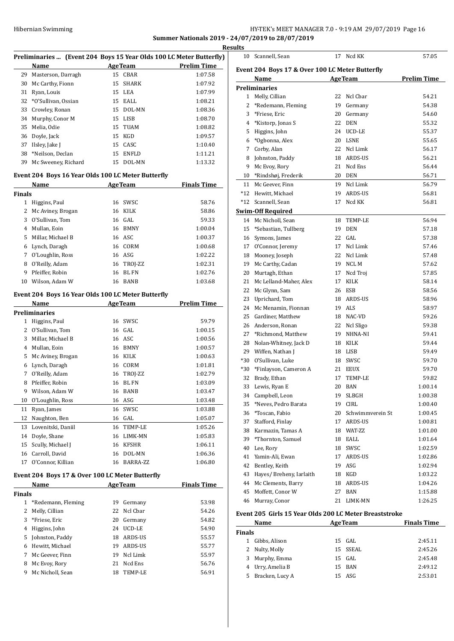## HY-TEK's MEET MANAGER 7.0 - 9:19 AM 29/07/2019 Page 16 **Summer Nationals 2019 - 24/07/2019 to 28/07/2019**

**Results**

|               |                      |    |                                                    | Preliminaries  (Event 204 Boys 15 Year Olds 100 LC Meter Butterfly) |
|---------------|----------------------|----|----------------------------------------------------|---------------------------------------------------------------------|
|               | Name                 |    | <b>AgeTeam</b>                                     | <b>Prelim Time</b>                                                  |
| 29            | Masterson, Darragh   | 15 | CBAR                                               | 1:07.58                                                             |
| 30            | Mc Carthy, Fionn     | 15 | <b>SHARK</b>                                       | 1:07.92                                                             |
| 31            | Ryan, Louis          |    | 15 LEA                                             | 1:07.99                                                             |
| 32            | *O'Sullivan, Ossian  |    | 15 EALL                                            | 1:08.21                                                             |
| 33            | Crowley, Ronan       |    | 15 DOL-MN                                          | 1:08.36                                                             |
| 34            | Murphy, Conor M      |    | 15 LISB                                            | 1:08.70                                                             |
| 35            | Melia, Odie          |    | 15 TUAM                                            | 1:08.82                                                             |
|               | 36 Doyle, Jack       | 15 | KGD                                                | 1:09.57                                                             |
| 37            | Ilsley, Jake J       |    | 15 CASC                                            | 1:10.40                                                             |
| 38            | *Neilson, Declan     |    | 15 ENFLD                                           | 1:11.21                                                             |
| 39            | Mc Sweeney, Richard  |    | 15 DOL-MN                                          | 1:13.32                                                             |
|               |                      |    | Event 204 Boys 16 Year Olds 100 LC Meter Butterfly |                                                                     |
|               | Name                 |    | <b>AgeTeam</b>                                     | <b>Finals Time</b>                                                  |
| <b>Finals</b> |                      |    |                                                    |                                                                     |
| 1             | Higgins, Paul        | 16 | SWSC                                               | 58.76                                                               |
| 2             | Mc Aviney, Brogan    |    | 16 KILK                                            | 58.86                                                               |
| 3             | O'Sullivan. Tom      |    | 16 GAL                                             | 59.33                                                               |
| 4             | Mullan, Eoin         |    | 16 BMNY                                            | 1:00.04                                                             |
| 5             | Millar, Michael B    |    | 16 ASC                                             | 1:00.37                                                             |
|               | 6 Lynch, Daragh      |    | 16 CORM                                            | 1:00.68                                                             |
|               | 7 O'Loughlin, Ross   |    | 16 ASG                                             | 1:02.22                                                             |
|               | 8 O'Reilly, Adam     |    | 16 TROJ-ZZ                                         | 1:02.31                                                             |
| 9             | Pfeiffer, Robin      | 16 | <b>BL FN</b>                                       | 1:02.76                                                             |
| 10            | Wilson, Adam W       |    | 16 BANB                                            | 1:03.68                                                             |
|               |                      |    | Event 204 Boys 16 Year Olds 100 LC Meter Butterfly |                                                                     |
|               | Name                 |    | <b>AgeTeam</b>                                     | <b>Prelim Time</b>                                                  |
|               | <b>Preliminaries</b> |    |                                                    |                                                                     |
| 1             | Higgins, Paul        |    | 16 SWSC                                            | 59.79                                                               |
| 2             | O'Sullivan, Tom      |    | 16 GAL                                             | 1:00.15                                                             |
| 3             | Millar, Michael B    |    | 16 ASC                                             | 1:00.56                                                             |
|               | 4 Mullan, Eoin       |    | 16 BMNY                                            | 1:00.57                                                             |
| 5             | Mc Aviney, Brogan    |    | 16 KILK                                            | 1:00.63                                                             |
|               | 6 Lynch, Daragh      |    | 16 CORM                                            | 1:01.81                                                             |
| 7             | O'Reilly, Adam       |    | 16 TROJ-ZZ                                         | 1:02.79                                                             |
| 8             | Pfeiffer, Robin      | 16 | <b>BL FN</b>                                       | 1:03.09                                                             |
| 9             | Wilson, Adam W       |    | 16 BANB                                            | 1:03.47                                                             |
| 10            | O'Loughlin, Ross     |    | 16 ASG                                             | 1:03.48                                                             |
|               | Ryan, James          |    | SWSC                                               |                                                                     |
| 11            |                      | 16 |                                                    | 1:03.88                                                             |
| 12            | Naughton, Ben        | 16 | GAL                                                | 1:05.07                                                             |
| 13            | Lovenitski, Daniil   | 16 | TEMP-LE                                            | 1:05.26                                                             |
| 14            | Doyle, Shane         |    | 16 LIMK-MN                                         | 1:05.83                                                             |
| 15            | Scully, Michael J    |    | 16 KFSHR                                           | 1:06.11                                                             |
| 16            | Carroll, David       | 16 | DOL-MN                                             | 1:06.36                                                             |
| 17            | O'Connor, Killian    | 16 | BARRA-ZZ                                           | 1:06.80                                                             |
|               |                      |    | Event 204 Boys 17 & Over 100 LC Meter Butterfly    |                                                                     |
|               | Name                 |    | <b>AgeTeam</b>                                     | <b>Finals Time</b>                                                  |
| <b>Finals</b> |                      |    |                                                    |                                                                     |
| $\mathbf{1}$  | *Redemann, Fleming   | 19 | Germany                                            | 53.98                                                               |
| 2             | Melly, Cillian       | 22 | Ncl Cbar                                           | 54.26                                                               |
| 3             | *Friese, Eric        | 20 | Germany                                            | 54.82                                                               |
| 4             | Higgins, John        | 24 | UCD-LE                                             | 54.90                                                               |
| 5.            | Johnston, Paddy      | 18 | ARDS-US                                            | 55.57                                                               |
| 6             | Hewitt, Michael      | 19 | ARDS-US                                            | 55.77                                                               |
| 7             | Mc Geever, Finn      | 19 | Ncl Limk                                           | 55.97                                                               |
| 8             | Mc Evoy, Rory        | 21 | Ncd Ens                                            | 56.76                                                               |
| 9             | Mc Nicholl, Sean     | 18 | TEMP-LE                                            | 56.91                                                               |
|               |                      |    |                                                    |                                                                     |

|     | 10 Scannell, Sean                                      | 17 | Ned KK                             | 57.05              |
|-----|--------------------------------------------------------|----|------------------------------------|--------------------|
|     | Event 204 Boys 17 & Over 100 LC Meter Butterfly        |    |                                    |                    |
|     | Name                                                   |    | <b>AgeTeam</b>                     | <b>Prelim Time</b> |
|     | <b>Preliminaries</b>                                   |    |                                    |                    |
|     | 1 Melly, Cillian                                       | 22 | Ncl Cbar                           | 54.21              |
| 2   | *Redemann, Fleming                                     | 19 | Germany                            | 54.38              |
| 3   | *Friese, Eric                                          | 20 | Germany                            | 54.60              |
| 4   | *Kistorp, Jonas S                                      | 22 | <b>DEN</b>                         | 55.32              |
| 5   | Higgins, John                                          | 24 | UCD-LE                             | 55.37              |
| 6   | *Ogbonna, Alex                                         | 20 | <b>LSNE</b>                        | 55.65              |
| 7   | Corby, Alan                                            | 22 | Ncl Limk                           | 56.17              |
|     | 8 Johnston, Paddy                                      | 18 | ARDS-US                            | 56.21              |
| 9   | Mc Evoy, Rory                                          | 21 | Ncd Ens                            | 56.44              |
|     | 10 *Rindshøj, Frederik                                 | 20 | <b>DEN</b>                         | 56.71              |
| 11  | Mc Geever, Finn                                        | 19 | Ncl Limk                           | 56.79              |
|     | *12 Hewitt, Michael                                    | 19 | ARDS-US                            | 56.81              |
|     | *12 Scannell, Sean                                     | 17 | Ncd KK                             | 56.81              |
|     | <b>Swim-Off Required</b>                               |    |                                    |                    |
|     | 14 Mc Nicholl, Sean                                    |    | 18 TEMP-LE                         | 56.94              |
|     | 15 *Sebastian, Tullberg                                | 19 | <b>DEN</b>                         | 57.18              |
|     | 16 Symons, James                                       | 22 | GAL.                               | 57.38              |
|     | 17 O'Connor, Jeremy                                    | 17 | Ncl Limk                           | 57.46              |
|     | 18 Mooney, Joseph                                      | 22 | Ncl Limk                           | 57.48              |
|     | 19 Mc Carthy, Cadan                                    | 19 | NCL M                              | 57.62              |
|     | 20 Murtagh, Ethan                                      | 17 | Ncd Troi                           | 57.85              |
| 21  |                                                        | 17 | KILK                               | 58.14              |
|     | Mc Lelland-Maher, Alex                                 | 26 |                                    |                    |
|     | 22 Mc Glynn, Sam                                       |    | ESB<br>18 ARDS-US                  | 58.56              |
|     | 23 Uprichard, Tom                                      |    |                                    | 58.96              |
|     | 24 Mc Menamin, Fionnan                                 | 19 | ALS                                | 58.97              |
| 25  | Gardiner, Matthew                                      | 18 | NAC-VD                             | 59.26              |
|     | 26 Anderson, Ronan                                     | 22 | Ncl Sligo<br>NHNA-NI               | 59.38              |
|     | 27 *Richmond, Matthew                                  | 19 |                                    | 59.41              |
|     | 28 Nolan-Whitney, Jack D                               |    | 18 KILK                            | 59.44              |
|     | 29 Wiffen, Nathan J                                    | 18 | LISB                               | 59.49              |
| *30 | O'Sullivan, Luke                                       | 18 | SWSC                               | 59.70              |
|     | *30 *Finlayson, Cameron A                              | 21 | <b>EEUX</b>                        | 59.70              |
| 32  | Brady, Ethan                                           | 17 | TEMP-LE                            | 59.82              |
| 33  | Lewis, Ryan E                                          | 20 | <b>BAN</b>                         | 1:00.14            |
| 34  | Campbell, Leon                                         | 19 | SLBGH                              | 1:00.38            |
| 35  | *Neves, Pedro Barata                                   | 19 | CIRL<br>Schwimmverein St           | 1:00.40            |
|     | 36 *Toscan, Fabio                                      | 20 |                                    | 1:00.45            |
|     | 37 Stafford, Finlay                                    | 17 | ARDS-US                            | 1:00.81            |
|     | 38 Karmazin, Tamas A                                   |    | 18 WAT-ZZ                          | 1:01.00            |
|     | 39 *Thornton, Samuel                                   | 18 | EALL                               | 1:01.64            |
|     | 40 Lee, Rory                                           | 18 | SWSC                               | 1:02.59            |
|     | 41 Yamin-Ali, Ewan                                     | 17 | ARDS-US                            | 1:02.86            |
|     | 42 Bentley, Keith                                      |    | 19 ASG                             | 1:02.94            |
|     | 43 Hayes/Breheny, Iarlaith                             |    | 18 KGD                             | 1:03.22            |
|     | 44 Mc Clements, Barry                                  |    | 18 ARDS-US                         | 1:04.26            |
|     | 45 Moffett, Conor W                                    | 27 | BAN                                | 1:15.88            |
|     | 46 Murray, Conor                                       |    | 21 LIMK-MN                         | 1:26.25            |
|     | Event 205 Girls 15 Year Olds 200 LC Meter Breaststroke |    | $A \sim \text{Tr} \cdot \text{Tr}$ | EinaloTime         |

|        | Name             | <b>AgeTeam</b> | <b>Finals Time</b> |
|--------|------------------|----------------|--------------------|
| Finals |                  |                |                    |
|        | Gibbs, Alison    | $15$ GAL       | 2:45.11            |
|        | 2 Nulty, Molly   | 15 SSEAL       | 2:45.26            |
|        | 3 Murphy, Emma   | 15 GAL         | 2:45.48            |
|        | 4 Urry, Amelia B | 15 BAN         | 2:49.12            |
| 5.     | Bracken, Lucy A  | 15 ASG         | 2:53.01            |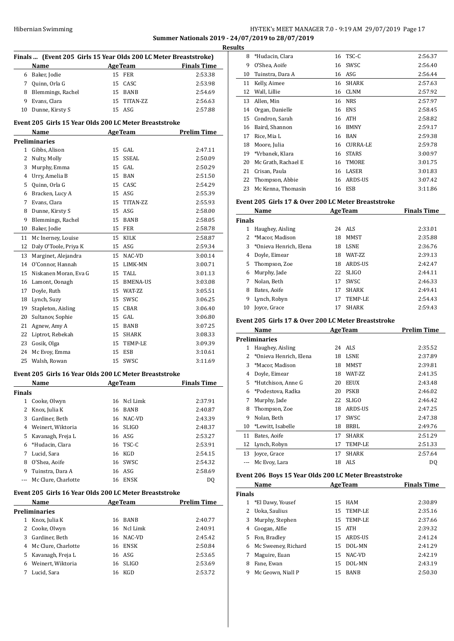## HY-TEK's MEET MANAGER 7.0 - 9:19 AM 29/07/2019 Page 17 **Summer Nationals 2019 - 24/07/2019 to 28/07/2019 Results**

 $\overline{a}$ 

 $\overline{a}$ 

|               | Finals  (Event 205 Girls 15 Year Olds 200 LC Meter Breaststroke)<br>Name |        | <b>AgeTeam</b>         | <b>Finals Time</b>                       |
|---------------|--------------------------------------------------------------------------|--------|------------------------|------------------------------------------|
|               | 6 Baker, Jodie                                                           | 15     | <b>FER</b>             | 2:53.38                                  |
| 7             | Quinn, Orla G                                                            |        | 15 CASC                | 2:53.98                                  |
|               | 8 Blemmings, Rachel                                                      |        | 15 BANB                | 2:54.69                                  |
| 9             | Evans, Clara                                                             |        | 15 TITAN-ZZ            | 2:56.63                                  |
| 10            | Dunne, Kirsty S                                                          | 15     | ASG                    | 2:57.88                                  |
|               | Event 205 Girls 15 Year Olds 200 LC Meter Breaststroke                   |        |                        |                                          |
|               | Name                                                                     |        | <b>AgeTeam</b>         | <b>Prelim Time</b>                       |
|               | Preliminaries                                                            |        |                        |                                          |
|               | 1 Gibbs, Alison                                                          | 15     | GAL                    | 2:47.11                                  |
| 2             | Nulty, Molly                                                             | 15     | SSEAL                  | 2:50.09                                  |
| 3             | Murphy, Emma                                                             |        | 15 GAL                 | 2:50.29                                  |
| 4             | Urry, Amelia B                                                           | 15     | BAN                    | 2:51.50                                  |
| 5             | Quinn, Orla G                                                            |        | 15 CASC                | 2:54.29                                  |
| 6             | Bracken, Lucy A                                                          | 15     | ASG                    | 2:55.39                                  |
| 7             | Evans, Clara                                                             | 15     | TITAN-ZZ               | 2:55.93                                  |
| 8             | Dunne, Kirsty S                                                          | 15     | ASG                    | 2:58.00                                  |
| 9             | Blemmings, Rachel                                                        | 15     | BANB                   | 2:58.05                                  |
| 10            | Baker, Jodie                                                             | 15     | FER                    | 2:58.78                                  |
| 11            | Mc Inerney, Louise                                                       | 15     | KILK                   | 2:58.87                                  |
| 12            | Daly O'Toole, Priya K                                                    |        | 15 ASG                 | 2:59.34                                  |
| 13            | Marginet, Alejandra                                                      |        | 15 NAC-VD              | 3:00.14                                  |
| 14            | O'Connor, Hannah                                                         |        | 15 LIMK-MN             | 3:00.71                                  |
| 15            | Niskanen Moran, Eva G                                                    |        | 15 TALL                | 3:01.13                                  |
| 16            | Lamont, Oonagh                                                           |        | 15 BMENA-US            | 3:03.08                                  |
| 17            | Doyle, Ruth                                                              |        | 15 WAT-ZZ              | 3:05.51                                  |
| 18            | Lynch, Suzy                                                              |        | 15 SWSC                | 3:06.25                                  |
|               |                                                                          |        | 15 CBAR                |                                          |
| 19            | Stapleton, Aisling                                                       |        |                        | 3:06.40                                  |
| 20            | Sultanov, Sophie                                                         |        | 15 GAL                 | 3:06.80                                  |
| 21            | Agnew, Amy A                                                             | 15     | BANB                   | 3:07.25                                  |
| 22            | Liptrot, Rebekah                                                         |        | 15 SHARK               | 3:08.33                                  |
| 23            | Gosik, Olga                                                              |        | 15 TEMP-LE             | 3:09.39                                  |
| 24            | Mc Evoy, Emma                                                            | 15     | ESB                    | 3:10.61                                  |
| 25            | Walsh, Rowan                                                             | 15     | SWSC                   | 3:11.69                                  |
|               | Event 205 Girls 16 Year Olds 200 LC Meter Breaststroke                   |        |                        | Finals Time                              |
| <b>Finals</b> | Name<br><b>AgeTeam</b>                                                   |        |                        |                                          |
| 1             | Cooke, Olwyn                                                             | 16     | Ncl Limk               | 2:37.91                                  |
| 2             | Knox, Julia K                                                            |        | 16 BANB                | 2:40.87                                  |
| 3             | Gardiner, Beth                                                           |        | 16 NAC-VD              | 2:43.39                                  |
|               | 4 Weinert, Wiktoria                                                      |        | 16 SLIGO               | 2:48.37                                  |
|               | Kavanagh, Freja L                                                        |        | 16 ASG                 | 2:53.27                                  |
|               |                                                                          |        | 16 TSC-C               | 2:53.91                                  |
| 5             |                                                                          |        |                        | 2:54.15                                  |
| 6             | *Hudacin, Clara                                                          |        |                        |                                          |
|               | 7 Lucid, Sara                                                            | 16 KGD |                        |                                          |
| 8             | O'Shea, Aoife                                                            |        | 16 SWSC                | 2:54.32                                  |
| 9             | Tuinstra, Dara A                                                         |        | 16 ASG                 |                                          |
| ---           | Mc Clure, Charlotte                                                      | 16     | ENSK                   | 2:58.69<br>DQ                            |
|               | Event 205 Girls 16 Year Olds 200 LC Meter Breaststroke<br>Name           |        |                        | <b>Prelim Time</b>                       |
|               | Preliminaries                                                            |        | <b>AgeTeam</b>         |                                          |
| $1 \quad$     | Knox, Julia K                                                            |        | 16 BANB                |                                          |
| 2             |                                                                          |        | 16 Ncl Limk            | 2:40.91                                  |
| 3             | Cooke, Olwyn<br>Gardiner, Beth                                           |        | 16 NAC-VD              | 2:45.42                                  |
|               |                                                                          |        |                        |                                          |
|               | 4 Mc Clure, Charlotte                                                    |        | 16 ENSK                |                                          |
| 5.<br>6       | Kavanagh, Freja L<br>Weinert, Wiktoria                                   | 16     | 16 ASG<br><b>SLIGO</b> | 2:40.77<br>2:50.84<br>2:53.65<br>2:53.69 |

| LУ |                     |    |                 |         |
|----|---------------------|----|-----------------|---------|
| 8  | *Hudacin, Clara     | 16 | TSC-C           | 2:56.37 |
| 9  | O'Shea, Aoife       | 16 | SWSC            | 2:56.40 |
| 10 | Tuinstra, Dara A    | 16 | ASG             | 2:56.44 |
| 11 | Kelly, Aimee        | 16 | <b>SHARK</b>    | 2:57.63 |
| 12 | Wall, Lillie        | 16 | CLNM            | 2:57.92 |
| 13 | Allen, Min          | 16 | <b>NRS</b>      | 2:57.97 |
| 14 | Organ, Danielle     | 16 | <b>ENS</b>      | 2:58.45 |
| 15 | Condron, Sarah      | 16 | <b>ATH</b>      | 2:58.82 |
| 16 | Baird, Shannon      | 16 | <b>BMNY</b>     | 2:59.17 |
| 17 | Rice, Mia L         | 16 | <b>BAN</b>      | 2:59.38 |
| 18 | Moore, Julia        | 16 | <b>CURRA-LE</b> | 2:59.78 |
| 19 | *Vrbanek, Klara     | 16 | <b>STARS</b>    | 3:00.97 |
| 20 | Mc Grath, Rachael E | 16 | <b>TMORE</b>    | 3:01.75 |
| 21 | Crisan, Paula       | 16 | LASER           | 3:01.83 |
| 22 | Thompson, Abbie     | 16 | ARDS-US         | 3:07.42 |
| 23 | Mc Kenna, Thomasin  | 16 | ESB             | 3:11.86 |
|    |                     |    |                 |         |

## **Event 205 Girls 17 & Over 200 LC Meter Breaststroke**

|               | Name                   |    | <b>AgeTeam</b>  | <b>Finals Time</b> |
|---------------|------------------------|----|-----------------|--------------------|
| <b>Finals</b> |                        |    |                 |                    |
| 1             | Haughey, Aisling       |    | 24 ALS          | 2:33.01            |
|               | 2 *Macor, Madison      | 18 | MMST            | 2:35.88            |
| 3             | *Onieva Henrich, Elena | 18 | <b>LSNE</b>     | 2:36.76            |
| 4             | Doyle, Eimear          | 18 | <b>WAT-7.7.</b> | 2:39.13            |
|               | 5 Thompson, Zoe        | 18 | <b>ARDS-US</b>  | 2:42.47            |
| 6             | Murphy, Jade           | 22 | <b>SLIGO</b>    | 2:44.11            |
|               | Nolan, Beth            | 17 | SWSC            | 2:46.33            |
| 8             | Bates, Aoife           | 17 | <b>SHARK</b>    | 2:49.41            |
| 9             | Lynch, Robyn           | 17 | TEMP-LE         | 2:54.43            |
| 10            | Jovce, Grace           | 17 | <b>SHARK</b>    | 2:59.43            |

## **Event 205 Girls 17 & Over 200 LC Meter Breaststroke**

|    | Name                   |    | <b>AgeTeam</b>  | <b>Prelim Time</b> |
|----|------------------------|----|-----------------|--------------------|
|    | <b>Preliminaries</b>   |    |                 |                    |
| 1  | Haughey, Aisling       |    | 24 ALS          | 2:35.52            |
| 2  | *Onieva Henrich, Elena | 18 | <b>LSNE</b>     | 2:37.89            |
| 3  | *Macor, Madison        | 18 | MMST            | 2:39.81            |
| 4  | Doyle, Eimear          | 18 | <b>WAT-7.7.</b> | 2:41.35            |
| 5  | *Hutchison, Anne G     | 20 | EEUX            | 2:43.48            |
| 6  | *Podestova, Radka      | 20 | <b>PSKB</b>     | 2:46.02            |
| 7  | Murphy, Jade           | 22 | <b>SLIGO</b>    | 2:46.42            |
| 8  | Thompson, Zoe          | 18 | ARDS-US         | 2:47.25            |
| 9  | Nolan, Beth            | 17 | SWSC            | 2:47.38            |
| 10 | *Lewitt, Isabelle      | 18 | <b>BRBL</b>     | 2:49.76            |
| 11 | Bates, Aoife           | 17 | <b>SHARK</b>    | 2:51.29            |
| 12 | Lynch, Robyn           | 17 | TEMP-LE         | 2:51.33            |
| 13 | Joyce, Grace           | 17 | <b>SHARK</b>    | 2:57.64            |
|    | Mc Evoy, Lara          | 18 | <b>ALS</b>      | DQ                 |

## **Event 206 Boys 15 Year Olds 200 LC Meter Breaststroke**

|               | Name                |    | <b>AgeTeam</b> | <b>Finals Time</b> |
|---------------|---------------------|----|----------------|--------------------|
| <b>Finals</b> |                     |    |                |                    |
|               | 1 *El Dawy, Yousef  | 15 | HAM            | 2:30.89            |
|               | Uoka, Saulius       |    | 15 TEMP-LE     | 2:35.16            |
| 3             | Murphy, Stephen     |    | 15 TEMP-LE     | 2:37.66            |
| 4             | Coogan, Alfie       | 15 | ATH            | 2:39.32            |
| 5.            | Fon, Bradley        |    | 15 ARDS-US     | 2:41.24            |
| 6             | Mc Sweeney, Richard |    | 15 DOL-MN      | 2:41.29            |
|               | Maguire, Euan       | 15 | NAC-VD         | 2:42.19            |
| 8             | Fane, Ewan          | 15 | DOL-MN         | 2:43.19            |
| 9             | Mc Geown. Niall P   | 15 | BANB           | 2:50.30            |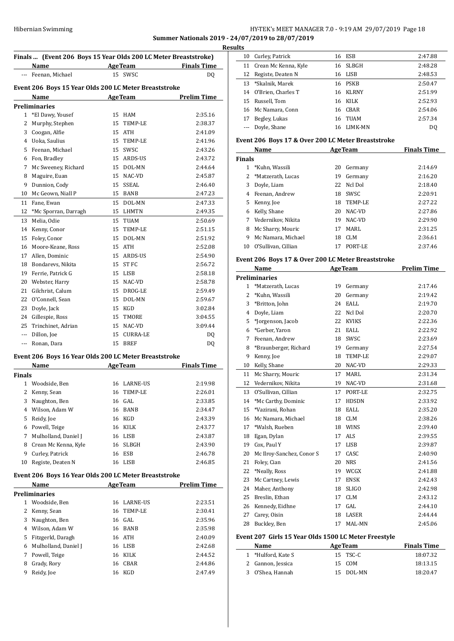# HY-TEK's MEET MANAGER 7.0 - 9:19 AM 29/07/2019 Page 18

**Summer Nationals 2019 - 24/07/2019 to 28/07/2019**

|        |                                                               |    |                   | Finals  (Event 206 Boys 15 Year Olds 200 LC Meter Breaststroke)<br><b>Example 2 AgeTeam Example 2 Finals Time</b> |
|--------|---------------------------------------------------------------|----|-------------------|-------------------------------------------------------------------------------------------------------------------|
|        | Name<br>Feenan, Michael                                       |    | 15 SWSC           | DQ                                                                                                                |
|        |                                                               |    |                   |                                                                                                                   |
|        | Event 206 Boys 15 Year Olds 200 LC Meter Breaststroke<br>Name |    | <b>AgeTeam</b>    | <b>Prelim Time</b>                                                                                                |
|        | <b>Preliminaries</b>                                          |    |                   |                                                                                                                   |
|        | 1 *El Dawy, Yousef                                            |    | 15 HAM            | 2:35.16                                                                                                           |
| 2      | Murphy, Stephen                                               | 15 | TEMP-LE           | 2:38.37                                                                                                           |
|        | 3 Coogan, Alfie                                               |    | 15 ATH            | 2:41.09                                                                                                           |
|        | 4 Uoka, Saulius                                               |    | 15 TEMP-LE        | 2:41.96                                                                                                           |
|        | 5 Feenan, Michael                                             | 15 | SWSC              | 2:43.26                                                                                                           |
|        | 6 Fon, Bradley                                                |    | 15 ARDS-US        | 2:43.72                                                                                                           |
| 7      | Mc Sweeney, Richard                                           | 15 | DOL-MN            | 2:44.64                                                                                                           |
| 8      | Maguire, Euan                                                 |    | 15 NAC-VD         | 2:45.87                                                                                                           |
| 9      | Dunnion, Cody                                                 | 15 | SSEAL             | 2:46.40                                                                                                           |
| 10     | Mc Geown, Niall P                                             |    | 15 BANB           | 2:47.23                                                                                                           |
| 11     | Fane, Ewan                                                    | 15 | DOL-MN            | 2:47.33                                                                                                           |
| 12     | *Mc Sporran, Darragh                                          |    | 15 LHMTN          | 2:49.35                                                                                                           |
| 13     | Melia, Odie                                                   | 15 | <b>TUAM</b>       | 2:50.69                                                                                                           |
|        |                                                               |    | TEMP-LE           | 2:51.15                                                                                                           |
|        | 14 Kenny, Conor<br>15 Foley, Conor                            | 15 | 15 DOL-MN         | 2:51.92                                                                                                           |
|        | 16 Moore-Keane, Ross                                          |    | 15 ATH            | 2:52.08                                                                                                           |
|        |                                                               |    | 15 ARDS-US        | 2:54.90                                                                                                           |
|        | 17 Allen, Dominic                                             | 15 | ST FC             | 2:56.72                                                                                                           |
|        | 18 Bondarevs, Nikita<br>19 Ferrie, Patrick G                  |    | 15 LISB           | 2:58.18                                                                                                           |
|        | 20 Webster, Harry                                             | 15 | NAC-VD            | 2:58.78                                                                                                           |
|        |                                                               | 15 |                   | 2:59.49                                                                                                           |
|        | 21 Gilchrist, Calum<br>22 O'Connell, Sean                     | 15 | DROG-LE<br>DOL-MN | 2:59.67                                                                                                           |
|        |                                                               | 15 | KGD               | 3:02.84                                                                                                           |
|        | 23 Doyle, Jack                                                |    | 15 TMORE          |                                                                                                                   |
|        | 24 Gillespie, Ross                                            |    |                   | 3:04.55                                                                                                           |
|        | 25 Trinchinet, Adrian                                         | 15 | NAC-VD            | 3:09.44                                                                                                           |
|        | --- Dillon, Joe                                               | 15 | CURRA-LE          | DQ                                                                                                                |
|        | --- Ronan, Dara                                               |    | 15 BREF           | DQ                                                                                                                |
|        | Event 206 Boys 16 Year Olds 200 LC Meter Breaststroke         |    |                   |                                                                                                                   |
|        | Name                                                          |    | <b>AgeTeam</b>    | <b>Finals Time</b>                                                                                                |
| Finals |                                                               |    |                   |                                                                                                                   |
|        |                                                               |    |                   |                                                                                                                   |
|        | 1 Woodside, Ben                                               |    | 16 LARNE-US       |                                                                                                                   |
| 2      | Kenny, Sean                                                   | 16 | TEMP-LE           |                                                                                                                   |
| 3      | Naughton, Ben                                                 | 16 | GAL               |                                                                                                                   |
|        | 4 Wilson, Adam W                                              | 16 | BANB              |                                                                                                                   |
|        | 5 Reidy, Joe                                                  |    | 16 KGD            |                                                                                                                   |
|        | 6 Powell, Teige                                               |    | 16 KILK           |                                                                                                                   |
| 7      | Mulholland, Daniel J                                          |    | 16 LISB           |                                                                                                                   |
|        | 8 Crean Mc Kenna, Kyle                                        | 16 | SLBGH             |                                                                                                                   |
| 9      | Curley, Patrick                                               |    | 16 ESB            |                                                                                                                   |
| 10     | Registe, Deaten N                                             |    | 16 LISB           |                                                                                                                   |
|        | Event 206 Boys 16 Year Olds 200 LC Meter Breaststroke         |    |                   | 2:19.98<br>2:26.01<br>2:33.85<br>2:34.47<br>2:43.39<br>2:43.77<br>2:43.87<br>2:43.90<br>2:46.78<br>2:46.85        |
|        | Name                                                          |    | <b>AgeTeam</b>    | <b>Prelim Time</b>                                                                                                |
|        | <b>Preliminaries</b>                                          |    |                   |                                                                                                                   |
|        | 1 Woodside, Ben                                               |    | 16 LARNE-US       |                                                                                                                   |
| 2      | Kenny, Sean                                                   | 16 | TEMP-LE           | 2:23.51<br>2:30.41                                                                                                |
|        | 3 Naughton, Ben                                               |    | 16 GAL            | 2:35.96                                                                                                           |
|        | 4 Wilson, Adam W                                              |    | 16 BANB           |                                                                                                                   |
|        | 5 Fitzgerld, Daragh                                           |    | 16 ATH            |                                                                                                                   |
|        | 6 Mulholland, Daniel J                                        |    | 16 LISB           |                                                                                                                   |
|        | 7 Powell, Teige                                               |    | 16 KILK           | 2:35.98<br>2:40.09<br>2:42.68<br>2:44.52                                                                          |
|        | 8 Grady, Rory                                                 |    | 16 CBAR           | 2:44.86                                                                                                           |

| sults |                       |    |              |         |  |  |
|-------|-----------------------|----|--------------|---------|--|--|
| 10    | Curley, Patrick       |    | 16 ESB       | 2:47.88 |  |  |
| 11    | Crean Mc Kenna, Kyle  | 16 | SLBGH        | 2:48.28 |  |  |
| 12    | Registe, Deaten N     |    | 16 LISB      | 2:48.53 |  |  |
| 13    | *Skalnik, Marek       |    | 16 PSKB      | 2:50.47 |  |  |
|       | 14 O'Brien, Charles T | 16 | <b>KLRNY</b> | 2:51.99 |  |  |
| 15    | Russell, Tom          |    | 16 KILK      | 2:52.93 |  |  |
| 16    | Mc Namara, Conn       | 16 | CBAR         | 2:54.06 |  |  |
| 17    | Begley, Lukas         | 16 | TUAM         | 2:57.34 |  |  |
|       | Doyle, Shane          | 16 | LIMK-MN      | DO.     |  |  |
|       |                       |    |              |         |  |  |

## **Event 206 Boys 17 & Over 200 LC Meter Breaststroke**

|    | Name                | <b>AgeTeam</b> |         | <b>Finals Time</b> |  |  |  |  |  |
|----|---------------------|----------------|---------|--------------------|--|--|--|--|--|
|    | <b>Finals</b>       |                |         |                    |  |  |  |  |  |
|    | *Kuhn, Wassili      | 20             | Germany | 2:14.69            |  |  |  |  |  |
|    | 2 *Matzerath, Lucas | 19             | Germany | 2:16.20            |  |  |  |  |  |
| 3  | Doyle, Liam         | 22             | Ncl Dol | 2:18.40            |  |  |  |  |  |
| 4  | Feenan, Andrew      | 18             | SWSC.   | 2:20.91            |  |  |  |  |  |
| 5. | Kenny, Joe          | 18             | TEMP-LE | 2:27.22            |  |  |  |  |  |
| 6  | Kelly, Shane        | 20             | NAC-VD  | 2:27.86            |  |  |  |  |  |
| 7  | Vedernikov. Nikita  | 19             | NAC-VD  | 2:29.90            |  |  |  |  |  |
| 8  | Mc Sharry, Mouric   | 17             | MARI.   | 2:31.25            |  |  |  |  |  |
| 9  | Mc Namara, Michael  | 18             | CLM     | 2:36.61            |  |  |  |  |  |
| 10 | O'Sullivan, Cillian | 17             | PORT-LE | 2:37.46            |  |  |  |  |  |

## **Event 206 Boys 17 & Over 200 LC Meter Breaststroke**

|                | Name                      |    | <b>AgeTeam</b> | <b>Prelim Time</b> |
|----------------|---------------------------|----|----------------|--------------------|
|                | <b>Preliminaries</b>      |    |                |                    |
| 1              | *Matzerath, Lucas         | 19 | Germany        | 2:17.46            |
| $\overline{2}$ | *Kuhn, Wassili            | 20 | Germany        | 2:19.42            |
| 3              | *Britton, John            | 24 | EALL           | 2:19.70            |
| 4              | Doyle, Liam               | 22 | Ncl Dol        | 2:20.70            |
| 5              | *Jorgenson, Jacob         | 22 | <b>KVIKS</b>   | 2:22.36            |
| 6              | *Gerber, Yaron            | 21 | EALL           | 2:22.92            |
| 7              | Feenan, Andrew            | 18 | SWSC           | 2:23.69            |
| 8              | *Braunberger, Richard     | 19 | Germany        | 2:27.54            |
| 9              | Kenny, Joe                | 18 | TEMP-LE        | 2:29.07            |
| 10             | Kelly, Shane              | 20 | NAC-VD         | 2:29.33            |
| 11             | Mc Sharry, Mouric         | 17 | <b>MARL</b>    | 2:31.34            |
| 12             | Vedernikov, Nikita        | 19 | NAC-VD         | 2:31.68            |
| 13             | O'Sullivan. Cillian       | 17 | PORT-LE        | 2:32.75            |
| 14             | *Mc Carthy, Dominic       | 17 | <b>HDSDN</b>   | 2:33.92            |
| 15             | *Vazirani, Rohan          | 18 | EALL           | 2:35.20            |
| 16             | Mc Namara, Michael        | 18 | <b>CLM</b>     | 2:38.26            |
| 17             | *Walsh, Rueben            | 18 | <b>WINS</b>    | 2:39.40            |
| 18             | Egan, Dylan               | 17 | <b>ALS</b>     | 2:39.55            |
| 19             | Cox, Paul Y               | 17 | <b>LISB</b>    | 2:39.87            |
| 20             | Mc Ilroy-Sanchez, Conor S | 17 | CASC           | 2:40.90            |
| 21             | Foley, Cian               | 20 | <b>NRS</b>     | 2:41.56            |
| 22             | *Neally, Ross             | 19 | WCGX           | 2:41.88            |
| 23             | Mc Cartney, Lewis         | 17 | <b>ENSK</b>    | 2:42.43            |
| 24             | Maher, Anthony            | 18 | <b>SLIGO</b>   | 2:42.98            |
| 25             | Breslin, Ethan            | 17 | <b>CLM</b>     | 2:43.12            |
| 26             | Kennedy, Eidhne           | 17 | GAL            | 2:44.10            |
| 27             | Carey, Oisin              | 18 | LASER          | 2:44.44            |
| 28             | Buckley, Ben              | 17 | MAL-MN         | 2:45.06            |

## **Event 207 Girls 15 Year Olds 1500 LC Meter Freestyle**

| Name               | <b>AgeTeam</b> | <b>Finals Time</b> |
|--------------------|----------------|--------------------|
| 1 *Hulford, Kate S | 15 TSC-C       | 18:07.32           |
| 2 Gannon, Jessica  | 15 COM         | 18:13.15           |
| 3 O'Shea, Hannah   | 15 DOL-MN      | 18:20.47           |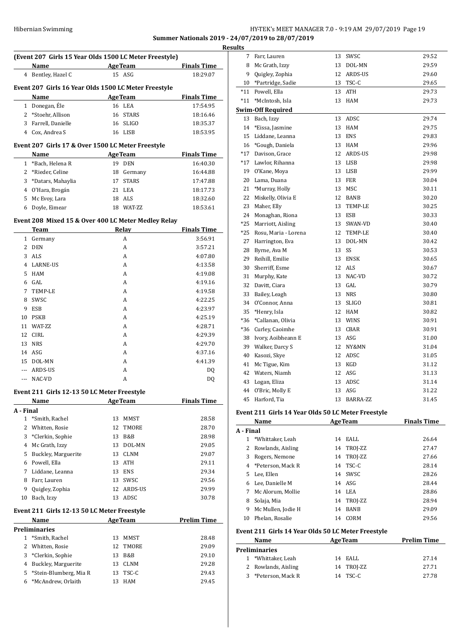## HY-TEK's MEET MANAGER 7.0 - 9:19 AM 29/07/2019 Page 19 **Summer Nationals 2019 - 24/07/2019 to 28/07/2019 Resu**

|                | (Event 207 Girls 15 Year Olds 1500 LC Meter Freestyle)     |    |                |                    |
|----------------|------------------------------------------------------------|----|----------------|--------------------|
|                | Name                                                       |    | <b>AgeTeam</b> | <b>Finals Time</b> |
|                | 4 Bentley, Hazel C                                         |    | $15$ ASG       | 18:29.07           |
|                | Event 207 Girls 16 Year Olds 1500 LC Meter Freestyle       |    |                |                    |
|                | Name                                                       |    | <b>AgeTeam</b> | <b>Finals Time</b> |
| $\mathbf{1}$   | Donegan, Éle                                               |    | 16 LEA         | 17:54.95           |
|                | 2 *Stoehr, Allison                                         |    | 16 STARS       | 18:16.46           |
|                | 3 Farrell, Danielle                                        |    | 16 SLIGO       | 18:35.37           |
|                | 4 Cox, Andrea S                                            |    | 16 LISB        | 18:53.95           |
|                | Event 207 Girls 17 & Over 1500 LC Meter Freestyle          |    |                |                    |
|                | Name                                                       |    | <b>AgeTeam</b> | <b>Finals Time</b> |
|                | 1 *Bach, Helena R                                          |    | 19 DEN         | 16:40.30           |
|                | 2 *Rieder, Celine                                          |    | 18 Germany     | 16:44.88           |
| 3              | *Datars, Mahaylia                                          |    | 17 STARS       | 17:47.88           |
|                | 4 O'Hara, Brogán                                           |    | 21 LEA         | 18:17.73           |
|                | 5 Mc Evoy, Lara                                            |    | 18 ALS         | 18:32.60           |
| 6              | Doyle, Eimear                                              |    | 18 WAT-ZZ      | 18:53.61           |
|                | Event 208 Mixed 15 & Over 400 LC Meter Medley Relay        |    |                |                    |
|                | Team                                                       |    | Relay          | <b>Finals Time</b> |
|                | 1 Germany                                                  |    | A              | 3:56.91            |
| $\overline{2}$ | <b>DEN</b>                                                 |    | A              | 3:57.21            |
| 3              | ALS                                                        |    | A              | 4:07.80            |
|                | 4 LARNE-US                                                 |    | A              | 4:13.58            |
| 5              | HAM                                                        |    | A              | 4:19.08            |
|                | 6 GAL                                                      |    | A              | 4:19.16            |
| 7              | TEMP-LE                                                    |    | A              | 4:19.58            |
| 8              | SWSC                                                       |    | A              | 4:22.25            |
| 9              | ESB                                                        |    | A              | 4:23.97            |
| 10             | PSKB                                                       |    | A              | 4:25.19            |
|                | 11 WAT-ZZ                                                  |    | A              | 4:28.71            |
| 12             | CIRL                                                       |    | A              | 4:29.39            |
| 13             | <b>NRS</b>                                                 |    | А              | 4:29.70            |
|                | 14 ASG                                                     |    | A              | 4:37.16            |
|                | 15 DOL-MN<br>ARDS-US                                       |    | A              | 4:41.39            |
| $---$          | NAC-VD                                                     |    | A<br>A         | DQ                 |
|                |                                                            |    |                | DQ                 |
|                | Event 211 Girls 12-13 50 LC Meter Freestyle                |    | <b>AgeTeam</b> |                    |
| A - Final      | Name                                                       |    |                | <b>Finals Time</b> |
| $\mathbf{1}$   | *Smith, Rachel                                             | 13 | MMST           | 28.58              |
| $\overline{2}$ | Whitten, Rosie                                             | 12 | TMORE          | 28.70              |
| 3              | *Clerkin, Sophie                                           |    | 13 B&B         | 28.98              |
|                | 4 Mc Grath, Izzy                                           | 13 | DOL-MN         | 29.05              |
|                | 5 Buckley, Marguerite                                      |    | 13 CLNM        | 29.07              |
|                | 6 Powell, Ella                                             |    | 13 ATH         | 29.11              |
| 7              | Liddane, Leanna                                            |    | 13 ENS         | 29.34              |
| 8              | Farr, Lauren                                               |    | 13 SWSC        | 29.56              |
| 9              | Quigley, Zophia                                            |    | 12 ARDS-US     | 29.99              |
| 10             | Bach, Izzy                                                 |    | 13 ADSC        | 30.78              |
|                |                                                            |    |                |                    |
|                | Event 211 Girls 12-13 50 LC Meter Freestyle<br><b>Name</b> |    | <b>AgeTeam</b> | <b>Prelim Time</b> |
|                | <b>Preliminaries</b>                                       |    |                |                    |
| $\mathbf{1}$   | *Smith, Rachel                                             | 13 | MMST           | 28.48              |
| $\mathbf{2}$   | Whitten, Rosie                                             | 12 | TMORE          | 29.09              |
|                | 3 *Clerkin, Sophie                                         | 13 | B&B            | 29.10              |
|                | 4 Buckley, Marguerite                                      |    | 13 CLNM        | 29.28              |

 \*Stein-Blumberg, Mia R 13 TSC-C 29.43 \*McAndrew, Orlaith 13 HAM 29.45

| ılts      |                                                    |          |                 |                    |
|-----------|----------------------------------------------------|----------|-----------------|--------------------|
| 7         | Farr, Lauren                                       | 13       | SWSC            | 29.52              |
| 8         | Mc Grath, Izzy                                     | 13       | DOL-MN          | 29.59              |
| 9         | Quigley, Zophia                                    | 12       | ARDS-US         | 29.60              |
| 10        | *Partridge, Sadie                                  | 13       | TSC-C           | 29.65              |
| $*11$     | Powell, Ella                                       | 13       | ATH             | 29.73              |
| *11       | *McIntosh, Isla                                    | 13       | HAM             | 29.73              |
|           | <b>Swim-Off Required</b>                           |          |                 |                    |
| 13        | Bach, Izzy                                         | 13       | ADSC            | 29.74              |
| 14        | *Eissa, Jasmine                                    | 13       | HAM             | 29.75              |
| 15        | Liddane, Leanna                                    | 13       | <b>ENS</b>      | 29.83              |
| 16        | *Gough, Daniela                                    | 13       | HAM             | 29.96              |
| $*17$     | Davison, Grace                                     | 12       | ARDS-US         | 29.98              |
| *17       | Lawlor, Rihanna                                    | 13       | LISB            | 29.98              |
| 19        | O'Kane, Moya                                       | 13       | LISB            | 29.99              |
| 20        | Lama, Duana                                        | 13       | FER             | 30.04              |
| 21        | *Murray, Holly                                     | 13       | MSC             | 30.11              |
| 22        | Miskelly, Olivia E                                 | 12       | BANB            | 30.20              |
| 23        | Maher, Elly                                        | 13       | TEMP-LE         | 30.25              |
| 24        | Monaghan, Riona                                    | 13       | ESB             | 30.33              |
| $*25$     | Marriott, Aisling                                  | 13       | SWAN-VD         | 30.40              |
| $*25$     | Rosu, Maria - Lorena                               | 12       | TEMP-LE         | 30.40              |
| 27        | Harrington, Eva                                    | 13       | DOL-MN          | 30.42              |
| 28        | Byrne, Ava M                                       | 13       | SS              | 30.53              |
| 29        | Reihill, Emilie                                    | 13       | <b>ENSK</b>     | 30.65              |
| 30        | Sherriff, Esme                                     | 12       | ALS             | 30.67              |
| 31        | Murphy, Kate                                       | 13       | NAC-VD          | 30.72              |
| 32        | Davitt, Ciara                                      | 13       | GAL             | 30.79              |
| 33        | Bailey, Leagh                                      | 13       | <b>NRS</b>      | 30.80              |
| 34        | O'Connor, Anna                                     | 13       | <b>SLIGO</b>    | 30.81              |
| 35        | *Henry, Isla                                       | 12       | HAM             | 30.82              |
| *36       | *Callanan, Olivia                                  | 13       | WINS            | 30.91              |
| *36       | Curley, Caoimhe                                    | 13       | CBAR            | 30.91              |
| 38        | Ivory, Aoibheann E                                 | 13       | ASG             | 31.00              |
| 39        | Walker, Darcy S                                    | 12       | NY&MN           | 31.04              |
| 40        | Kasozi, Skye                                       | 12       | ADSC            | 31.05              |
| 41<br>42  | Mc Tigue, Kim<br>Waters, Niamh                     | 13<br>12 | KGD<br>ASG      | 31.12              |
| 43        | Logan, Eliza                                       | 13       | ADSC            | 31.13              |
|           |                                                    |          |                 | 31.14              |
| 44<br>45  | O'Bric, Molly E<br>Harford, Tia                    | 13<br>13 | ASG<br>BARRA-ZZ | 31.22<br>31.45     |
|           |                                                    |          |                 |                    |
|           | Event 211 Girls 14 Year Olds 50 LC Meter Freestyle |          |                 |                    |
|           | <u>Name</u>                                        |          | <b>AgeTeam</b>  | <b>Finals Time</b> |
| A - Final |                                                    |          |                 |                    |
| 1         | *Whittaker, Leah                                   | 14       | EALL            | 26.64              |
| 2         | Rowlands, Aisling                                  | 14       | TROJ-ZZ         | 27.47              |
| 3         | Rogers, Nemone                                     | 14       | TROJ-ZZ         | 27.66              |
|           | 4 *Peterson, Mack R                                | 14       | TSC-C           | 28.14              |
| 5         | Lee, Ellen                                         | 14       | SWSC            | 28.26              |
| 6         | Lee, Danielle M                                    | 14       | ASG             | 28.44              |
|           | 7 Mc Alorum, Mollie                                |          | 14 LEA          | 28.86              |
| 8         | Solaja, Mia                                        |          | 14 TROJ-ZZ      | 28.94              |
| 9         | Mc Mullen, Jodie H                                 | 14       | BANB            | 29.09              |
| 10        | Phelan, Rosalie                                    | 14       | CORM            | 29.56              |
|           | Event 211 Girls 14 Year Olds 50 LC Meter Freestyle |          |                 |                    |
|           | Name                                               |          | <b>AgeTeam</b>  | <b>Prelim Time</b> |
|           | Preliminaries                                      |          |                 |                    |
| 1         | *Whittaker, Leah                                   | 14       | EALL            | 27.14              |
| 2         | Rowlands, Aisling                                  | 14       | TROJ-ZZ         | 27.71              |
| 3         | *Peterson, Mack R                                  | 14       | TSC-C           | 27.78              |
|           |                                                    |          |                 |                    |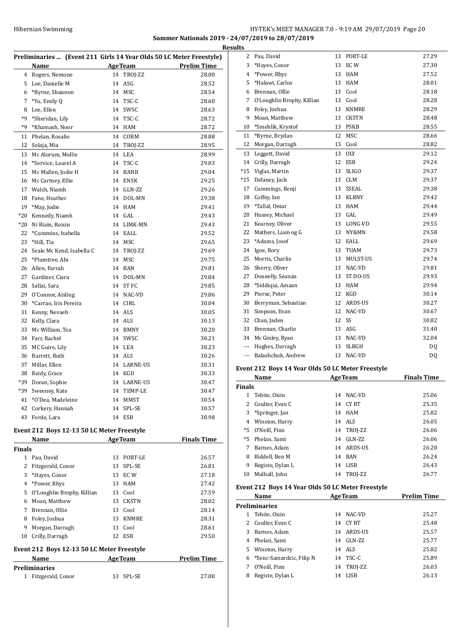$\overline{a}$ 

## HY-TEK's MEET MANAGER 7.0 - 9:19 AM 29/07/2019 Page 20 **Summer Nationals 2019 - 24/07/2019 to 28/07/2019**

|                | Preliminaries  (Event 211 Girls 14 Year Olds 50 LC Meter Freestyle) |    |                  |                    |
|----------------|---------------------------------------------------------------------|----|------------------|--------------------|
|                | Name                                                                |    | <b>AgeTeam</b>   | <b>Prelim Time</b> |
| $\overline{4}$ | Rogers, Nemone                                                      | 14 | TROJ-ZZ          | 28.00              |
| 5              | Lee, Danielle M                                                     | 14 | ASG              | 28.52              |
| 6              | *Byrne, Shannon                                                     |    | 14 MSC           | 28.54              |
| 7              | *Yu, Emily Q                                                        | 14 | TSC-C            | 28.60              |
| 8              | Lee, Ellen                                                          |    | 14 SWSC          | 28.63              |
| *9             | *Sheridan, Lily                                                     | 14 | TSC-C            | 28.72              |
| $*q$           | *Khamash, Noor                                                      |    | 14 HAM           | 28.72              |
| 11             | Phelan, Rosalie                                                     | 14 | CORM             | 28.88              |
| 12             | Solaja, Mia                                                         | 14 | TROJ-ZZ          | 28.95              |
| 13             | Mc Alorum, Mollie                                                   |    | 14 LEA           | 28.99              |
| 14             | *Service, Laurel A                                                  | 14 | TSC-C            | 29.03              |
| 15             | Mc Mullen, Jodie H                                                  | 14 | <b>BANB</b>      | 29.04              |
| 16             | Mc Cartney, Ellie                                                   |    | 14 ENSK          | 29.25              |
| 17             | Walsh, Niamh                                                        |    | 14 GLN-ZZ        | 29.26              |
| 18             | Fane, Heather                                                       |    | 14 DOL-MN        | 29.38              |
| 19             | *May, Jodie                                                         | 14 | <b>HAM</b>       | 29.41              |
| $*20$          | Kennedy, Niamh                                                      |    | 14 GAL           | 29.43              |
| $*20$          | Ni Riain, Roisin                                                    |    | 14 LIMK-MN       | 29.43              |
| 22             | *Cummins, Isabella                                                  |    | 14 EALL          | 29.52              |
| 23             | *Hill, Tia                                                          |    | 14 MSC           | 29.65              |
| 24             | Seale Mc Kend, Isabella C                                           |    | 14 TROJ-ZZ       | 29.69              |
| 25             | *Plumtree, Abi                                                      | 14 | MSC              | 29.75              |
| 26             | Allen, Farrah                                                       |    | 14 BAN           | 29.81              |
| 27             | Gardiner, Ciara                                                     |    | 14 DOL-MN        | 29.84              |
| 28             | Sallai, Sara                                                        | 14 | ST <sub>FC</sub> | 29.85              |
| 29             | O'Connor, Aisling                                                   |    | 14 NAC-VD        | 29.86              |
| 30             | *Carrao, Iris Pereira                                               |    | 14 CIRL          | 30.04              |
| 31             | Kenny, Nevaeh                                                       |    | 14 ALS           | 30.05              |
| 32             | Kelly, Clara                                                        |    | 14 ALS           | 30.13              |
| 33             | Mc William, Tea                                                     |    | 14 BMNY          | 30.20              |
| 34             | Farr, Rachel                                                        |    | 14 SWSC          | 30.21              |
| 35             | MC Guire, Lily                                                      |    | 14 LEA           | 30.23              |
| 36             | Barrett, Ruth                                                       |    | 14 ALS           | 30.26              |
| 37             | Millar, Ellen                                                       |    | 14 LARNE-US      | 30.31              |
| 38             | Reidy, Grace                                                        |    | 14 KGD           | 30.33              |
| *39            | Doran, Sophie                                                       |    | 14 LARNE-US      | 30.47              |
| *39            | Sweeney, Kate                                                       |    | 14 TEMP-LE       | 30.47              |
| 41             | *O'Dea, Madeleine                                                   | 14 | MMST             | 30.54              |
| 42             | Corkery, Hannah                                                     | 14 | SPL-SE           | 30.57              |
| 43             | Forde, Lara                                                         | 14 | <b>ESB</b>       | 30.98              |

## **Event 212 Boys 12-13 50 LC Meter Freestyle**

|                                            | Name                       |    | <b>AgeTeam</b> | <b>Finals Time</b> |  |  |  |  |
|--------------------------------------------|----------------------------|----|----------------|--------------------|--|--|--|--|
|                                            | Finals                     |    |                |                    |  |  |  |  |
| 1                                          | Pau, David                 | 13 | PORT-LE        | 26.57              |  |  |  |  |
| 2                                          | Fitzgerald, Conor          | 13 | SPL-SE         | 26.81              |  |  |  |  |
| 3                                          | *Hayes, Conor              | 13 | EC W           | 27.18              |  |  |  |  |
| 4                                          | *Power, Rhys               | 13 | HAM            | 27.42              |  |  |  |  |
| 5                                          | O'Loughlin Brophy, Killian | 13 | Cool           | 27.59              |  |  |  |  |
| 6                                          | Moan, Matthew              | 13 | <b>CKSTN</b>   | 28.02              |  |  |  |  |
| 7                                          | Brennan, Ollie             | 13 | Cool           | 28.14              |  |  |  |  |
| 8                                          | Foley, Joshua              | 13 | <b>KNMRE</b>   | 28.31              |  |  |  |  |
| 9                                          | Morgan, Darragh            | 13 | Cool           | 28.61              |  |  |  |  |
| 10                                         | Crilly, Darragh            | 12 | ESB            | 29.50              |  |  |  |  |
| Event 212 Boys 12-13 50 LC Meter Freestyle |                            |    |                |                    |  |  |  |  |
|                                            | Name                       |    | <b>AgeTeam</b> | <b>Prelim Time</b> |  |  |  |  |
|                                            | Preliminaries              |    |                |                    |  |  |  |  |
| 1                                          | Fitzgerald, Conor          | 13 | SPL-SE         | 27.08              |  |  |  |  |

| <b>Results</b> |                            |    |              |       |  |  |
|----------------|----------------------------|----|--------------|-------|--|--|
| 2              | Pau, David                 |    | 13 PORT-LE   | 27.29 |  |  |
| 3              | *Haves, Conor              | 13 | EC W         | 27.30 |  |  |
| 4              | *Power, Rhys               | 13 | <b>HAM</b>   | 27.52 |  |  |
| 5              | *Halawi, Carlos            | 13 | <b>HAM</b>   | 28.01 |  |  |
| 6              | Brennan, Ollie             | 13 | Cool         | 28.18 |  |  |
| 7              | O'Loughlin Brophy, Killian | 13 | Cool         | 28.28 |  |  |
| 8              | Foley, Joshua              | 13 | <b>KNMRE</b> | 28.29 |  |  |
| 9              | Moan, Matthew              | 13 | <b>CKSTN</b> | 28.48 |  |  |
| 10             | *Smehlik, Krystof          | 13 | <b>PSKB</b>  | 28.55 |  |  |
| 11             | *Byrne, Brydan             | 12 | <b>MSC</b>   | 28.66 |  |  |
| 12             | Morgan, Darragh            | 13 | Cool         | 28.82 |  |  |
| 13             | Leggett, David             | 13 | <b>OLY</b>   | 29.12 |  |  |
| 14             | Crilly, Darragh            | 12 | ESB          | 29.24 |  |  |
| $^{\ast}15$    | Viglas, Martin             | 13 | <b>SLIGO</b> | 29.37 |  |  |
| $*15$          | Delaney, Jack              | 13 | <b>CLM</b>   | 29.37 |  |  |
| 17             | Cummings, Benji            | 13 | SSEAL        | 29.38 |  |  |
| 18             | Coffey, Ian                | 13 | <b>KLRNY</b> | 29.42 |  |  |
| 19             | *Tallal, Omar              | 13 | <b>HAM</b>   | 29.44 |  |  |
| 20             | Hussey, Michael            | 13 | GAL          | 29.49 |  |  |
| 21             | Kearney, Oliver            |    | 13 LONG-VD   | 29.55 |  |  |
| 22             | Mathers, Liam og G         | 13 | NY&MN        | 29.58 |  |  |
| 23             | *Adams, Josef              | 12 | EALL         | 29.69 |  |  |
| 24             | Igoe, Rory                 | 13 | <b>TUAM</b>  | 29.73 |  |  |
| 25             | Morris, Charlie            | 13 | MULST-US     | 29.74 |  |  |
| 26             | Sherry, Oliver             | 13 | NAC-VD       | 29.81 |  |  |
| 27             | Donnelly, Seanan           | 13 | ST DO-US     | 29.93 |  |  |
| 28             | *Siddiqui, Amaan           | 13 | <b>HAM</b>   | 29.94 |  |  |
| 29             | Pierse, Peter              | 12 | KGD          | 30.14 |  |  |
| 30             | Berryman, Sebastian        | 12 | ARDS-US      | 30.27 |  |  |
| 31             | Simpson, Evan              | 12 | NAC-VD       | 30.67 |  |  |
| 32             | Chan, Jaden                | 12 | SS           | 30.82 |  |  |
| 33             | Brennan, Charlie           |    | 13 ASG       | 31.40 |  |  |
| 34             | Mc Ginley, Ryan            |    | 13 NAC-VD    | 32.04 |  |  |
| ---            | Hughes, Darragh            | 13 | <b>SLBGH</b> | DQ    |  |  |
| $- - -$        | Balashchuk, Andrew         | 13 | NAC-VD       | DQ    |  |  |
|                |                            |    |              |       |  |  |

## **Event 212 Boys 14 Year Olds 50 LC Meter Freestyle**

|               | Name             |    | <b>AgeTeam</b> | <b>Finals Time</b> |
|---------------|------------------|----|----------------|--------------------|
| <b>Finals</b> |                  |    |                |                    |
|               | Tebite, Oisin    | 14 | NAC-VD         | 25.06              |
| 2             | Coulter, Evan C  | 14 | CY BT          | 25.35              |
| 3             | *Springer, Jan   |    | 14 HAM         | 25.82              |
| 4             | Winston, Harry   |    | 14 ALS         | 26.05              |
| $*5$          | O'Neill. Finn    |    | 14 TROJ-ZZ     | 26.06              |
|               | *5 Phelan, Sami  | 14 | GLN-ZZ         | 26.06              |
| 7             | Barnes, Adam     | 14 | ARDS-US        | 26.20              |
| 8             | Riddell. Ben M   |    | 14 BAN         | 26.24              |
| 9             | Registe, Dylan L | 14 | LISB           | 26.43              |
| 10            | Mulhall, John    | 14 | TROI-ZZ        | 26.77              |

## **Event 212 Boys 14 Year Olds 50 LC Meter Freestyle**

|    | Name                       |    | <b>AgeTeam</b> | <b>Prelim Time</b> |  |
|----|----------------------------|----|----------------|--------------------|--|
|    | <b>Preliminaries</b>       |    |                |                    |  |
|    | Tebite, Oisin              | 14 | NAC-VD         | 25.27              |  |
|    | 2 Coulter, Evan C          | 14 | CY BT          | 25.48              |  |
| 3  | Barnes, Adam               | 14 | ARDS-US        | 25.57              |  |
| 4  | Phelan, Sami               | 14 | GLN-ZZ         | 25.77              |  |
| 5. | Winston, Harry             |    | 14 ALS         | 25.82              |  |
|    | 6 *Senc-Samardzic, Filip N | 14 | TSC-C          | 25.89              |  |
|    | O'Neill, Finn              |    | 14 TROJ-ZZ     | 26.03              |  |
| 8  | Registe, Dylan L           | 14 | LISB           | 26.13              |  |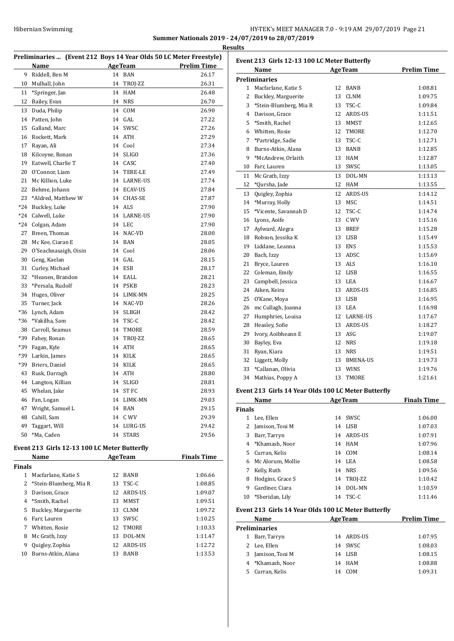## Hibernian Swimming HY-TEK's MEET MANAGER 7.0 - 9:19 AM 29/07/2019 Page 21 **Summer Nationals 2019 - 24/07/2019 to 28/07/2019**

**Results Preliminaries ... (Event 212 Boys 14 Year Olds 50 LC Meter Freestyle) Name Age Team Prelim Time**  Riddell, Ben M 14 BAN 26.17 Mulhall, John 14 TROJ-ZZ 26.31 \*Springer, Jan 14 HAM 26.48 Bailey, Evan 14 NRS 26.70 Duda, Philip 14 COM 26.90 Patten, John 14 GAL 27.22 Galland, Marc 14 SWSC 27.26 Rockett, Mark 14 ATH 27.29 Rayan, Ali 14 Cool 27.34 Kilcoyne, Ronan 14 SLIGO 27.36 19 Eatwell, Charlie T 14 CASC 27.40 O'Connor, Liam 14 TERE-LE 27.49 21 Mc Killion, Luke 14 LARNE-US 27.74 Behme, Johann 14 ECAV-US 27.84 23 \*Aldred, Matthew W 14 CHAS-SE 27.87 \*24 Buckley, Luke 14 ALS 27.90 \*24 Calwell, Luke 14 LARNE-US 27.90 \*24 Colgan, Adam 14 LEC 27.90 27 Breen, Thomas 28.00 28 Mc Kee, Ciaran E 14 BAN 28.05 O'Seachnasaigh, Oisin 14 Cool 28.06 Geng, Kaelan 14 GAL 28.15 Curley, Michael 14 ESB 28.17 \*Heanen, Brandon 14 EALL 28.21 \*Persala, Rudolf 14 PSKB 28.23 34 Huges, Oliver 14 LIMK-MN 28.25 Turner, Jack 14 NAC-VD 28.26 \*36 Lynch, Adam 14 SLBGH 28.42 \*36 \*Vakilha, Sam 14 TSC-C 28.42 38 Carroll, Seamus 14 TMORE 28.59 \*39 Fahey, Ronan 14 TROJ-ZZ 28.65 \*39 Fagan, Kyle 14 ATH 28.65 \*39 Larkin, James 14 KILK 28.65 \*39 Briers, Daniel 14 KILK 28.65 Rusk, Darragh 14 ATH 28.80

## Langton, Killian 14 SLIGO 28.81 Whelan, Jake 14 ST FC 28.93 Fan, Logan 14 LIMK-MN 29.03 47 Wright, Samuel L 14 BAN 29.15 Cahill, Sam 14 C WV 29.39 Taggart, Will 14 LURG-US 29.42 \*Ma, Caden 14 STARS 29.56

## **Event 213 Girls 12-13 100 LC Meter Butterfly**

|    | Name                     | <b>AgeTeam</b> |              | <b>Finals Time</b> |  |  |  |  |
|----|--------------------------|----------------|--------------|--------------------|--|--|--|--|
|    | <b>Finals</b>            |                |              |                    |  |  |  |  |
| 1  | Macfarlane. Katie S      | 12             | <b>BANB</b>  | 1:06.66            |  |  |  |  |
|    | 2 *Stein-Blumberg, Mia R | 13             | TSC-C        | 1:08.85            |  |  |  |  |
| 3  | Davison, Grace           | 12.            | ARDS-US      | 1:09.07            |  |  |  |  |
| 4  | *Smith, Rachel           | 13             | MMST         | 1:09.51            |  |  |  |  |
| 5  | Buckley, Marguerite      | 13             | <b>CLNM</b>  | 1:09.72            |  |  |  |  |
| 6  | Farr, Lauren             | 13             | SWSC         | 1:10.25            |  |  |  |  |
| 7  | Whitten, Rosie           | 12             | <b>TMORE</b> | 1:10.33            |  |  |  |  |
| 8  | Mc Grath, Izzy           | 13             | DOL-MN       | 1:11.47            |  |  |  |  |
| 9  | Quigley, Zophia          | 12.            | ARDS-US      | 1:12.72            |  |  |  |  |
| 10 | Burns-Atkin, Alana       | 13             | <b>BANB</b>  | 1:13.53            |  |  |  |  |

| Event 213 Girls 12-13 100 LC Meter Butterfly |                        |    |                 |                    |
|----------------------------------------------|------------------------|----|-----------------|--------------------|
|                                              | Name                   |    | <b>AgeTeam</b>  | <b>Prelim Time</b> |
|                                              | <b>Preliminaries</b>   |    |                 |                    |
| $\mathbf{1}$                                 | Macfarlane, Katie S    | 12 | <b>BANB</b>     | 1:08.81            |
| 2                                            | Buckley, Marguerite    | 13 | <b>CLNM</b>     | 1:09.75            |
| 3                                            | *Stein-Blumberg, Mia R | 13 | TSC-C           | 1:09.84            |
| $\overline{4}$                               | Davison, Grace         |    | 12 ARDS-US      | 1:11.51            |
| 5                                            | *Smith, Rachel         |    | 13 MMST         | 1:12.65            |
| 6                                            | Whitten, Rosie         | 12 | <b>TMORE</b>    | 1:12.70            |
| 7                                            | *Partridge, Sadie      | 13 | TSC-C           | 1:12.71            |
| 8                                            | Burns-Atkin, Alana     | 13 | <b>BANB</b>     | 1:12.85            |
| 9                                            | *McAndrew, Orlaith     | 13 | HAM             | 1:12.87            |
| 10                                           | Farr, Lauren           | 13 | SWSC            | 1:13.05            |
| 11                                           | Mc Grath, Izzy         | 13 | DOL-MN          | 1:13.13            |
| 12                                           | *Qursha, Jade          | 12 | HAM             | 1:13.55            |
| 13                                           | Quigley, Zophia        | 12 | ARDS-US         | 1:14.12            |
| 14                                           | *Murray, Holly         | 13 | <b>MSC</b>      | 1:14.51            |
| 15                                           | *Vicente, Savannah D   | 12 | TSC-C           | 1:14.74            |
| 16                                           | Lyons, Aoife           |    | 13 C WV         | 1:15.16            |
| 17                                           | Aylward, Alegra        | 13 | BREF            | 1:15.28            |
| 18                                           | Robson, Jessika K      | 13 | LISB            | 1:15.49            |
| 19                                           | Liddane, Leanna        | 13 | ENS             | 1:15.53            |
| 20                                           | Bach, Izzy             |    | 13 ADSC         | 1:15.69            |
| 21                                           | Bryce, Lauren          |    | 13 ALS          | 1:16.10            |
| 22                                           | Coleman, Emily         |    | 12 LISB         | 1:16.55            |
| 23                                           | Campbell, Jessica      | 13 | LEA             | 1:16.67            |
| 24                                           | Aiken, Keira           | 13 | ARDS-US         | 1:16.85            |
| 25                                           | O'Kane, Moya           | 13 | LISB            | 1:16.95            |
| 26                                           | mc Cullagh, Joanna     |    | 13 LEA          | 1:16.98            |
| 27                                           | Humphries, Louisa      |    | 12 LARNE-US     | 1:17.67            |
| 28                                           | Heasley, Sofie         |    | 13 ARDS-US      | 1:18.27            |
| 29                                           | Ivory, Aoibheann E     |    | 13 ASG          | 1:19.07            |
| 30                                           | Bayley, Eva            | 12 | NRS             | 1:19.18            |
| 31                                           | Ryan, Kiara            | 13 | NRS             | 1:19.51            |
| 32                                           | Liggett, Molly         | 13 | <b>BMENA-US</b> | 1:19.73            |
| 33                                           | *Callanan, Olivia      | 13 | WINS            | 1:19.76            |
| 34                                           | Mathias, Poppy A       | 13 | <b>TMORE</b>    | 1:21.61            |
|                                              |                        |    |                 |                    |

#### **Event 213 Girls 14 Year Olds 100 LC Meter Butterfly**

|               | Name              | <b>AgeTeam</b> |         | <b>Finals Time</b> |
|---------------|-------------------|----------------|---------|--------------------|
| <b>Finals</b> |                   |                |         |                    |
| 1             | Lee, Ellen        | 14             | SWSC.   | 1:06.00            |
|               | Jamison, Toni M   | 14             | LISB    | 1:07.03            |
| 3             | Barr, Tarryn      | 14             | ARDS-US | 1:07.91            |
| 4             | *Khamash. Noor    |                | 14 HAM  | 1:07.96            |
| 5.            | Curran, Kelis     |                | 14 COM  | 1:08.14            |
| 6             | Mc Alorum, Mollie |                | 14 LEA  | 1:08.58            |
| 7             | Kelly, Ruth       |                | 14 NRS  | 1:09.56            |
| 8             | Hodgins, Grace S  | 14             | TROI-ZZ | 1:10.42            |
| 9             | Gardiner. Ciara   | 14             | DOL-MN  | 1:10.59            |
| 10            | *Sheridan, Lily   | 14             | TSC-C   | 1:11.46            |

#### **Event 213 Girls 14 Year Olds 100 LC Meter Butterfly**

|    | <b>Name</b>      |    | <b>AgeTeam</b> | <b>Prelim Time</b> |
|----|------------------|----|----------------|--------------------|
|    | Preliminaries    |    |                |                    |
|    | Barr, Tarryn     |    | 14 ARDS-US     | 1:07.95            |
|    | 2 Lee, Ellen     |    | 14 SWSC        | 1:08.03            |
| 3  | Jamison, Toni M  |    | 14 LISB        | 1:08.15            |
|    | 4 *Khamash, Noor |    | 14 HAM         | 1:08.88            |
| 5. | Curran, Kelis    | 14 | COM            | 1:09.31            |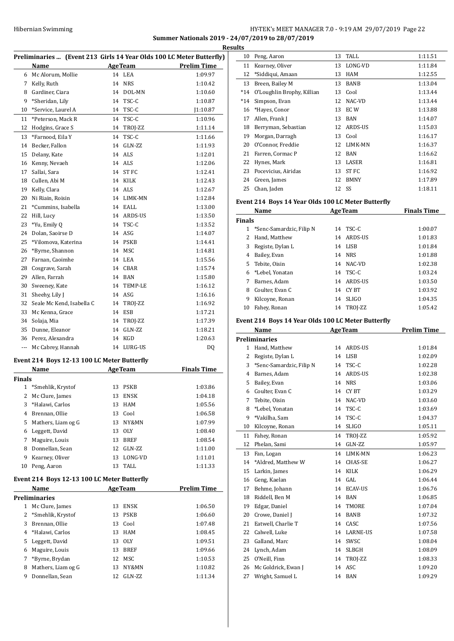## HY-TEK's MEET MANAGER 7.0 - 9:19 AM 29/07/2019 Page 22 **Summer Nationals 2019 - 24/07/2019 to 28/07/2019**

|               |                                             |    |                | Preliminaries  (Event 213 Girls 14 Year Olds 100 LC Meter Butterfly) |
|---------------|---------------------------------------------|----|----------------|----------------------------------------------------------------------|
|               | Name                                        |    | <b>AgeTeam</b> | Prelim Time                                                          |
|               | 6 Mc Alorum, Mollie                         |    | 14 LEA         | 1:09.97                                                              |
| 7             | Kelly, Ruth                                 | 14 | <b>NRS</b>     | 1:10.42                                                              |
| 8             | Gardiner, Ciara                             | 14 | DOL-MN         | 1:10.60                                                              |
| 9             | *Sheridan, Lily                             | 14 | TSC-C          | 1:10.87                                                              |
| 10            | *Service, Laurel A                          |    | 14 TSC-C       | 1:10.87                                                              |
| 11            | *Peterson, Mack R                           | 14 | TSC-C          | 1:10.96                                                              |
| 12            | Hodgins, Grace S                            |    | 14 TROJ-ZZ     | 1:11.14                                                              |
| 13            | *Farnood. Eila Y                            | 14 | TSC-C          | 1:11.66                                                              |
| 14            | Becker, Fallon                              | 14 | GLN-ZZ         | 1:11.93                                                              |
| 15            | Delany, Kate                                | 14 | ALS            | 1:12.01                                                              |
| 16            | Kenny, Nevaeh                               |    | 14 ALS         | 1:12.06                                                              |
| 17            | Sallai, Sara                                |    | 14 ST FC       | 1:12.41                                                              |
| 18            | Cullen, Abi M                               |    | 14 KILK        | 1:12.43                                                              |
| 19            | Kelly, Clara                                |    | 14 ALS         | 1:12.67                                                              |
| 20            | Ni Riain, Roisin                            |    | 14 LIMK-MN     | 1:12.84                                                              |
| 21            | *Cummins, Isabella                          |    | 14 EALL        | 1:13.00                                                              |
| 22            | Hill, Lucy                                  |    | 14 ARDS-US     | 1:13.50                                                              |
|               |                                             |    |                |                                                                      |
| 23            | *Yu, Emily Q                                |    | 14 TSC-C       | 1:13.52                                                              |
| 24            | Dolan, Saoirse D                            |    | 14 ASG         | 1:14.07                                                              |
| 25            | *Vilomova, Katerina                         |    | 14 PSKB        | 1:14.41                                                              |
| 26            | *Byrne, Shannon                             | 14 | MSC            | 1:14.81                                                              |
| 27            | Farnan, Caoimhe                             |    | 14 LEA         | 1:15.56                                                              |
| 28            | Cosgrave, Sarah                             |    | 14 CBAR        | 1:15.74                                                              |
| 29            | Allen, Farrah                               |    | 14 BAN         | 1:15.80                                                              |
| 30            | Sweeney, Kate                               |    | 14 TEMP-LE     | 1:16.12                                                              |
| 31            | Sheehy, Lily J                              |    | 14 ASG         | 1:16.16                                                              |
| 32            | Seale Mc Kend, Isabella C                   |    | 14 TROJ-ZZ     | 1:16.92                                                              |
| 33            | Mc Kenna, Grace                             | 14 | ESB            | 1:17.21                                                              |
| 34            | Solaja, Mia                                 | 14 | TROJ-ZZ        | 1:17.39                                                              |
| 35            | Dunne, Eleanor                              | 14 | GLN-ZZ         | 1:18.21                                                              |
|               | 36 Perez, Alexandra                         | 14 | KGD            | 1:20.63                                                              |
| $\cdots$      | Mc Cabrey, Hannah                           |    | 14 LURG-US     | DQ                                                                   |
|               | Event 214 Boys 12-13 100 LC Meter Butterfly |    |                |                                                                      |
|               | Name                                        |    | <b>AgeTeam</b> | <b>Finals Time</b>                                                   |
| <b>Finals</b> |                                             |    |                |                                                                      |
| 1             | *Smehlik, Krystof                           | 13 | <b>PSKB</b>    | 1:03.86                                                              |
| 2             | Mc Clure, James                             |    | 13 ENSK        | 1:04.18                                                              |
| 3             | *Halawi, Carlos                             | 13 | HAM            | 1:05.56                                                              |
|               | 4 Brennan, Ollie                            |    | 13 Cool        | 1:06.58                                                              |
| 5             | Mathers, Liam og G                          |    | 13 NY&MN       | 1:07.99                                                              |
| 6             | Leggett, David                              |    | 13 OLY         | 1:08.40                                                              |
| 7             | Maguire, Louis                              | 13 | <b>BREF</b>    | 1:08.54                                                              |
| 8             | Donnellan, Sean                             | 12 | GLN-ZZ         | 1:11.00                                                              |
| 9             | Kearney, Oliver                             | 13 | LONG-VD        | 1:11.01                                                              |
| 10            | Peng, Aaron                                 | 13 | TALL           | 1:11.33                                                              |
|               | Event 214 Boys 12-13 100 LC Meter Butterfly |    |                |                                                                      |
|               | Name                                        |    |                |                                                                      |
|               | <b>Preliminaries</b>                        |    | <b>AgeTeam</b> | <b>Prelim Time</b>                                                   |
| 1             | Mc Clure, James                             | 13 | ENSK           | 1:06.50                                                              |
| 2             | *Smehlik, Krystof                           | 13 | PSKB           | 1:06.60                                                              |
| 3             | Brennan, Ollie                              |    | 13 Cool        | 1:07.48                                                              |
|               | 4 *Halawi, Carlos                           |    | 13 HAM         | 1:08.45                                                              |
| 5             | Leggett, David                              |    | 13 OLY         | 1:09.51                                                              |
| 6             | Maguire, Louis                              | 13 | <b>BREF</b>    | 1:09.66                                                              |
| 7             | *Byrne, Brydan                              | 12 | MSC            | 1:10.53                                                              |
| 8             | Mathers, Liam og G                          | 13 | NY&MN          | 1:10.82                                                              |

Donnellan, Sean 12 GLN-ZZ 1:11.34

|                          | <b>Results</b>                                     |                            |       |             |         |  |
|--------------------------|----------------------------------------------------|----------------------------|-------|-------------|---------|--|
| 7)                       | 10                                                 | Peng, Aaron                | 13    | TALL        | 1:11.51 |  |
| $\overline{\phantom{0}}$ | 11                                                 | Kearney, Oliver            | 13    | LONG-VD     | 1:11.84 |  |
|                          | 12                                                 | *Siddiqui, Amaan           | 13    | <b>HAM</b>  | 1:12.55 |  |
|                          | 13                                                 | Breen, Bailey M            | 13    | <b>BANB</b> | 1:13.04 |  |
|                          | $*14$                                              | O'Loughlin Brophy, Killian | 13    | Cool        | 1:13.44 |  |
|                          | $*14$                                              | Simpson, Evan              | 12    | NAC-VD      | 1:13.44 |  |
|                          | 16                                                 | *Hayes, Conor              | 13    | EC W        | 1:13.88 |  |
|                          | 17                                                 | Allen, Frank J             | 13    | <b>BAN</b>  | 1:14.07 |  |
|                          | 18                                                 | Berryman, Sebastian        | 12    | ARDS-US     | 1:15.03 |  |
|                          | 19                                                 | Morgan, Darragh            | 13    | Cool        | 1:16.17 |  |
|                          | 20                                                 | O'Connor, Freddie          | 12    | LIMK-MN     | 1:16.37 |  |
|                          | 21                                                 | Farren, Cormac P           | 12    | BAN         | 1:16.62 |  |
|                          | 22                                                 | Hynes, Mark                | 13    | LASER       | 1:16.81 |  |
|                          | 23                                                 | Pocevicius, Airidas        | 13    | ST FC       | 1:16.92 |  |
|                          | 24                                                 | Green, James               | 12    | <b>BMNY</b> | 1:17.89 |  |
|                          | 25                                                 | Chan, Jaden                | 12 SS |             | 1:18.11 |  |
|                          | Event 214 Boys 14 Year Olds 100 LC Meter Butterfly |                            |       |             |         |  |

#### **Event 214 Boys 14 Year Olds 100 LC Meter Butterfly**

| Name          |                            |    | <b>AgeTeam</b> | <b>Finals Time</b> |  |
|---------------|----------------------------|----|----------------|--------------------|--|
| <b>Finals</b> |                            |    |                |                    |  |
|               | 1 *Senc-Samardzic, Filip N | 14 | TSC-C          | 1:00.07            |  |
| 2             | Hand, Matthew              | 14 | ARDS-US        | 1:01.83            |  |
| 3             | Registe, Dylan L           | 14 | LISB           | 1:01.84            |  |
| 4             | Bailey, Evan               | 14 | <b>NRS</b>     | 1:01.88            |  |
| 5.            | Tebite, Oisin              | 14 | NAC-VD         | 1:02.38            |  |
|               | 6 *Lebel, Yonatan          | 14 | TSC-C          | 1:03.24            |  |
|               | Barnes, Adam               | 14 | ARDS-US        | 1:03.50            |  |
| 8             | Coulter, Evan C            | 14 | CY BT          | 1:03.92            |  |
| 9             | Kilcoyne, Ronan            | 14 | <b>SLIGO</b>   | 1:04.35            |  |
| 10            | Fahey, Ronan               |    | 14 TROJ-ZZ     | 1:05.42            |  |

## **Event 214 Boys 14 Year Olds 100 LC Meter Butterfly**

|    | Name                     | <b>AgeTeam</b> |                 | <b>Prelim Time</b> |
|----|--------------------------|----------------|-----------------|--------------------|
|    | <b>Preliminaries</b>     |                |                 |                    |
| 1  | Hand, Matthew            | 14             | <b>ARDS-US</b>  | 1:01.84            |
| 2  | Registe, Dylan L         | 14             | <b>LISB</b>     | 1:02.09            |
| 3  | *Senc-Samardzic, Filip N | 14             | TSC-C           | 1:02.28            |
| 4  | Barnes, Adam             | 14             | <b>ARDS-US</b>  | 1:02.38            |
| 5  | Bailey, Evan             | 14             | <b>NRS</b>      | 1:03.06            |
| 6  | Coulter, Evan C          | 14             | CY BT           | 1:03.29            |
| 7  | Tebite, Oisin            | 14             | NAC-VD          | 1:03.60            |
| 8  | *Lebel, Yonatan          | 14             | TSC-C           | 1:03.69            |
| 9  | *Vakilha, Sam            | 14             | TSC-C           | 1:04.37            |
| 10 | Kilcoyne, Ronan          | 14             | <b>SLIGO</b>    | 1:05.11            |
| 11 | Fahey, Ronan             | 14             | TROJ-ZZ         | 1:05.92            |
| 12 | Phelan, Sami             | 14             | GLN-ZZ          | 1:05.97            |
| 13 | Fan, Logan               | 14             | LIMK-MN         | 1:06.23            |
| 14 | *Aldred, Matthew W       | 14             | CHAS-SE         | 1:06.27            |
| 15 | Larkin, James            | 14             | <b>KILK</b>     | 1:06.29            |
| 16 | Geng, Kaelan             | 14             | GAL             | 1:06.44            |
| 17 | Behme, Johann            | 14             | <b>ECAV-US</b>  | 1:06.76            |
| 18 | Riddell, Ben M           | 14             | <b>BAN</b>      | 1:06.85            |
| 19 | Edgar, Daniel            | 14             | <b>TMORE</b>    | 1:07.04            |
| 20 | Crowe, Daniel J          | 14             | <b>BANB</b>     | 1:07.32            |
| 21 | Eatwell, Charlie T       | 14             | CASC            | 1:07.56            |
| 22 | Calwell, Luke            | 14             | <b>LARNE-US</b> | 1:07.58            |
| 23 | Galland, Marc            | 14             | SWSC            | 1:08.04            |
| 24 | Lynch, Adam              | 14             | <b>SLBGH</b>    | 1:08.09            |
| 25 | O'Neill, Finn            | 14             | TROJ-ZZ         | 1:08.33            |
| 26 | Mc Goldrick, Ewan J      | 14             | ASC             | 1:09.20            |
| 27 | Wright, Samuel L         | 14             | <b>BAN</b>      | 1:09.29            |
|    |                          |                |                 |                    |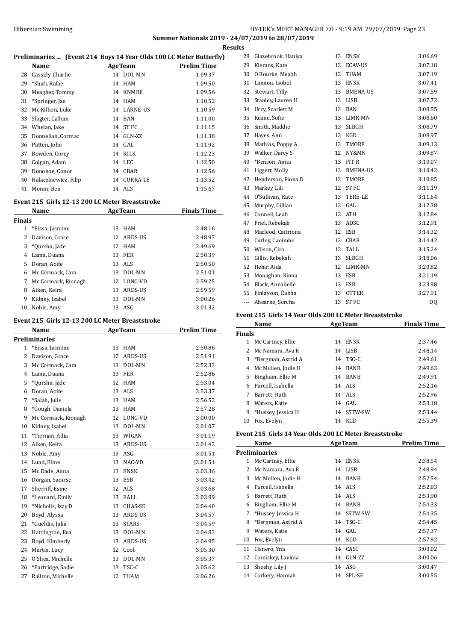## HY-TEK's MEET MANAGER 7.0 - 9:19 AM 29/07/2019 Page 23 **Summer Nationals 2019 - 24/07/2019 to 28/07/2019**

**Results**

| Preliminaries  (Event 214 Boys 14 Year Olds 100 LC Meter Butterfly) |                      |    |                 |                    |  |
|---------------------------------------------------------------------|----------------------|----|-----------------|--------------------|--|
|                                                                     | Name                 |    | <b>AgeTeam</b>  | <b>Prelim Time</b> |  |
| 28                                                                  | Cassidy, Charlie     |    | 14 DOL-MN       | 1:09.37            |  |
| 29                                                                  | *Shafi, Rafae        |    | 14 HAM          | 1:09.50            |  |
| 30                                                                  | Meagher, Tommy       | 14 | KNMRE           | 1:09.56            |  |
| 31                                                                  | *Springer, Jan       |    | 14 HAM          | 1:10.52            |  |
| 32                                                                  | Mc Killion, Luke     |    | 14 LARNE-US     | 1:10.59            |  |
| 33                                                                  | Slagter, Callum      |    | 14 BAN          | 1:11.00            |  |
| 34                                                                  | Whelan, Jake         |    | 14 ST FC        | 1:11.15            |  |
| 35                                                                  | Donnellan, Cormac    |    | 14 GLN-ZZ       | 1:11.38            |  |
| 36                                                                  | Patten, John         |    | $14$ GAL        | 1:11.92            |  |
| 37                                                                  | Bowden, Corey        |    | 14 KILK         | 1:12.23            |  |
| 38                                                                  | Colgan, Adam         |    | 14 LEC          | 1:12.50            |  |
| 39                                                                  | Donohoe, Conor       |    | 14 CBAR         | 1:12.56            |  |
| 40                                                                  | Halaczkiewicz, Filip | 14 | <b>CURRA-LE</b> | 1:13.52            |  |
| 41                                                                  | Moran, Ben           |    | 14 ALS          | 1:15.67            |  |
|                                                                     |                      |    |                 |                    |  |

## **Event 215 Girls 12-13 200 LC Meter Breaststroke**

| Name          |                     |    | AgeTeam    | <b>Finals Time</b> |  |
|---------------|---------------------|----|------------|--------------------|--|
| <b>Finals</b> |                     |    |            |                    |  |
| 1             | *Eissa, Jasmine     | 13 | HAM        | 2:48.16            |  |
| 2             | Davison, Grace      |    | 12 ARDS-US | 2:48.97            |  |
| 3             | *Oursha, Jade       | 12 | HAM        | 2:49.69            |  |
| 4             | Lama, Duana         | 13 | FER        | 2:50.39            |  |
| 5             | Doran, Aoife        |    | 13 ALS     | 2:50.50            |  |
| 6             | Mc Cormack, Cara    | 13 | DOL-MN     | 2:51.01            |  |
| 7             | Mc Cormack, Rionagh | 12 | LONG-VD    | 2:59.25            |  |
| 8             | Aiken, Keira        | 13 | ARDS-US    | 2:59.59            |  |
| 9             | Kidney, Isabel      | 13 | DOL-MN     | 3:00.26            |  |
| 10            | Noble, Amy          | 13 | ASG        | 3:01.32            |  |

## **Event 215 Girls 12-13 200 LC Meter Breaststroke**

|                | Name                 | <b>AgeTeam</b> |                | <b>Prelim Time</b> |
|----------------|----------------------|----------------|----------------|--------------------|
|                | <b>Preliminaries</b> |                |                |                    |
| $\mathbf{1}$   | *Eissa, Jasmine      | 13             | <b>HAM</b>     | 2:50.86            |
| $\overline{c}$ | Davison, Grace       | 12             | ARDS-US        | 2:51.91            |
| 3              | Mc Cormack, Cara     | 13             | DOL-MN         | 2:52.33            |
| 4              | Lama, Duana          | 13             | <b>FER</b>     | 2:52.86            |
| 5              | *Qursha, Jade        | 12             | <b>HAM</b>     | 2:53.04            |
| 6              | Doran, Aoife         | 13             | ALS            | 2:53.37            |
| 7              | *Salah, Julie        | 13             | <b>HAM</b>     | 2:56.52            |
| 8              | *Gough, Daniela      | 13             | <b>HAM</b>     | 2:57.28            |
| 9              | Mc Cormack, Rionagh  | 12             | LONG-VD        | 3:00.00            |
| 10             | Kidney, Isabel       | 13             | DOL-MN         | 3:01.07            |
| 11             | *Tiernan, Adia       | 13             | WIGAN          | 3:01.19            |
| 12             | Aiken, Keira         | 13             | ARDS-US        | 3:01.42            |
| 13             | Noble, Amy           | 13             | ASG            | 3:01.51            |
| 14             | Lund, Eline          | 13             | NAC-VD         | J3:01.51           |
| 15             | Mc Dade, Anna        | 13             | <b>ENSK</b>    | 3:03.36            |
| 16             | Dorgan, Saoirse      | 13             | ESB            | 3:03.42            |
| 17             | Sherriff, Esme       | 12             | <b>ALS</b>     | 3:03.68            |
| 18             | *Leonard, Emily      | 13             | EALL           | 3:03.99            |
| 19             | *Nicholls, Izzy D    | 13             | <b>CHAS-SE</b> | 3:04.40            |
| 20             | Boyd, Alyssa         | 13             | ARDS-US        | 3:04.57            |
| 21             | *Gueldis, Julia      | 13             | <b>STARS</b>   | 3:04.59            |
| 22             | Harrington, Eva      | 13             | DOL-MN         | 3:04.83            |
| 23             | Boyd, Kimberly       | 13             | ARDS-US        | 3:04.95            |
| 24             | Martin, Lucy         | 12             | Cool           | 3:05.30            |
| 25             | O'Shea, Michelle     | 13             | DOL-MN         | 3:05.37            |
| 26             | *Partridge, Sadie    | 13             | TSC-C          | 3:05.62            |
| 27             | Railton, Michelle    | 12             | TUAM           | 3:06.26            |

| 28  | Glazebrook, Haniya | 13 | <b>ENSK</b>      | 3:06.69 |
|-----|--------------------|----|------------------|---------|
| 29  | Kierans, Kate      | 12 | <b>ECAV-US</b>   | 3:07.18 |
| 30  | O Rourke, Meabh    | 12 | <b>TUAM</b>      | 3:07.19 |
| 31  | Lannon, Isobel     | 13 | <b>ENSK</b>      | 3:07.41 |
| 32  | Stewart, Tilly     | 13 | <b>BMENA-US</b>  | 3:07.59 |
| 33  | Stanley, Lauren H  | 13 | <b>LISB</b>      | 3:07.72 |
| 34  | Urry, Scarlett M   | 13 | <b>BAN</b>       | 3:08.55 |
| 35  | Keane, Sofie       | 13 | LIMK-MN          | 3:08.60 |
| 36  | Smith, Maddie      | 13 | <b>SLBGH</b>     | 3:08.79 |
| 37  | Hayes, Anú         | 13 | KGD              | 3:08.97 |
| 38  | Mathias, Poppy A   | 13 | TMORE            | 3:09.13 |
| 39  | Walker, Darcy S    | 12 | NY&MN            | 3:09.87 |
| 40  | *Benson, Anna      | 13 | FIT R            | 3:10.07 |
| 41  | Liggett, Molly     | 13 | <b>BMENA-US</b>  | 3:10.42 |
| 42  | Henderson, Fiona D | 13 | TMORE            | 3:10.85 |
| 43  | Markey, Lili       | 12 | <b>STFC</b>      | 3:11.19 |
| 44  | O'Sullivan, Kate   | 13 | TERE-LE          | 3:11.64 |
| 45  | Murphy, Gillian    | 13 | GAL              | 3:12.38 |
| 46  | Connell, Leah      | 12 | <b>ATH</b>       | 3:12.84 |
| 47  | Friel, Rebekah     | 13 | ADSC             | 3:12.91 |
| 48  | Macleod, Caitriona | 12 | <b>ESB</b>       | 3:14.32 |
| 49  | Curley, Caoimhe    | 13 | CBAR             | 3:14.42 |
| 50  | Wilson, Cira       | 12 | <b>TALL</b>      | 3:15.24 |
| 51  | Gillis, Rebekah    | 13 | <b>SLBGH</b>     | 3:18.06 |
| 52  | Hehir, Aida        | 12 | LIMK-MN          | 3:20.82 |
| 53  | Monaghan, Riona    | 13 | <b>ESB</b>       | 3:21.19 |
| 54  | Black, Annabelle   | 13 | <b>ESB</b>       | 3:23.98 |
| 55  | Finlayson, Éabha   | 13 | <b>OTTER</b>     | 3:27.91 |
| --- | Ahearne, Sorcha    | 13 | ST <sub>FC</sub> | DQ      |

### **Event 215 Girls 14 Year Olds 200 LC Meter Breaststroke**

|               | Name               | <b>AgeTeam</b> |             | <b>Finals Time</b> |
|---------------|--------------------|----------------|-------------|--------------------|
| <b>Finals</b> |                    |                |             |                    |
| 1             | Mc Cartney, Ellie  | 14             | <b>ENSK</b> | 2:37.46            |
|               | Mc Namara, Ava R   | 14             | LISB        | 2:48.14            |
| 3             | *Bergman, Astrid A | 14             | TSC-C       | 2:49.61            |
| 4             | Mc Mullen, Jodie H | 14             | <b>BANB</b> | 2:49.63            |
| 5.            | Bingham, Ellie M   | 14             | <b>BANB</b> | 2:49.91            |
| 6             | Purcell, Isabella  |                | 14 ALS      | 2:52.16            |
| 7             | Barrett. Ruth      |                | 14 ALS      | 2:52.96            |
| 8             | Waters, Katie      |                | $14$ GAL    | 2:53.18            |
| 9             | *Hussey, Jessica H | 14             | SSTW-SW     | 2:53.44            |
| 10            | Fox, Evelyn        | 14             | KGD         | 2:55.39            |

## **Event 215 Girls 14 Year Olds 200 LC Meter Breaststroke**

|    | Name                 |    | <b>AgeTeam</b> | <b>Prelim Time</b> |
|----|----------------------|----|----------------|--------------------|
|    | <b>Preliminaries</b> |    |                |                    |
| 1  | Mc Cartney, Ellie    | 14 | <b>ENSK</b>    | 2:38.54            |
| 2  | Mc Namara, Ava R     | 14 | LISB           | 2:48.94            |
| 3  | Mc Mullen, Jodie H   | 14 | <b>BANB</b>    | 2:52.54            |
| 4  | Purcell, Isabella    |    | 14 ALS         | 2:52.83            |
| 5  | Barrett, Ruth        | 14 | ALS            | 2:53.90            |
| 6  | Bingham, Ellie M     | 14 | <b>BANB</b>    | 2:54.33            |
| 7  | *Hussey, Jessica H   | 14 | SSTW-SW        | 2:54.35            |
| 8  | *Bergman, Astrid A   | 14 | TSC-C          | 2:54.45            |
| 9  | Waters, Katie        |    | 14 GAL         | 2:57.37            |
| 10 | Fox, Evelyn          | 14 | KGD            | 2:57.92            |
| 11 | Cisnero, Yna         | 14 | CASC           | 3:00.02            |
| 12 | Comiskey, Lavinia    | 14 | GLN-ZZ         | 3:00.06            |
| 13 | Sheehy, Lily J       |    | 14 ASG         | 3:00.47            |
| 14 | Corkery, Hannah      | 14 | SPL-SE         | 3:00.55            |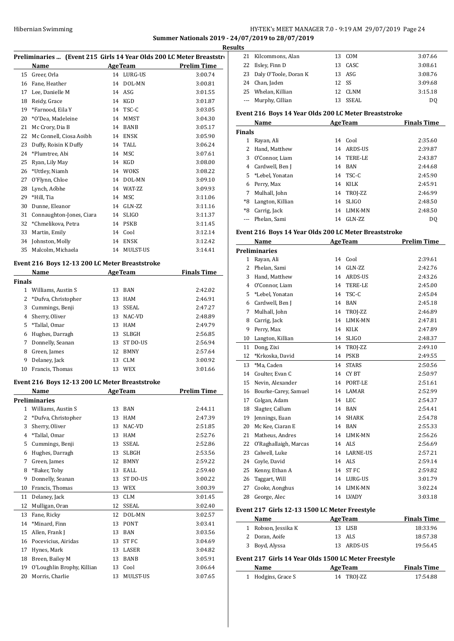## HY-TEK's MEET MANAGER 7.0 - 9:19 AM 29/07/2019 Page 24 **Summer Nationals 2019 - 24/07/2019 to 28/07/2019**

|               |                                                                       |    |                |                    | Results      |
|---------------|-----------------------------------------------------------------------|----|----------------|--------------------|--------------|
|               | Preliminaries  (Event 215 Girls 14 Year Olds 200 LC Meter Breaststron |    |                |                    | 21           |
|               | Name<br><b>Example 2</b> Age Team                                     |    |                | <b>Prelim Time</b> | 22           |
|               | 15 Greer, Orla                                                        |    | 14 LURG-US     | 3:00.74            | 23           |
|               | 16 Fane, Heather                                                      |    | 14 DOL-MN      | 3:00.81            | 24           |
|               | 17 Lee, Danielle M                                                    |    | 14 ASG         | 3:01.55            | 25           |
|               | 18 Reidy, Grace                                                       |    | 14 KGD         | 3:01.87            | ---          |
|               | 19 *Farnood, Eila Y                                                   |    | 14 TSC-C       | 3:03.05            | Event        |
| 20            | *O'Dea, Madeleine                                                     |    | 14 MMST        | 3:04.30            |              |
| 21            | Mc Crory, Dia B                                                       |    | 14 BANB        | 3:05.17            | Final        |
|               | 22 Mc Connell, Ciosa Aoibh                                            |    | 14 ENSK        | 3:05.90            | 1            |
|               | 23 Duffy, Roisin K Duffy                                              |    | 14 TALL        | 3:06.24            | 2            |
|               | 24 *Plumtree, Abi                                                     |    | 14 MSC         | 3:07.61            | 3            |
| 25            | Ryan, Lily May                                                        |    | 14 KGD         | 3:08.00            | 4            |
| 26            | *Uttley, Niamh                                                        |    | 14 WOKS        | 3:08.22            | 5            |
| 27            | O'Flynn, Chloe                                                        |    | 14 DOL-MN      | 3:09.10            | 6            |
| 28            | Lynch, Aóbhe                                                          |    | 14 WAT-ZZ      | 3:09.93            | 7            |
|               | 29 *Hill, Tia                                                         |    | 14 MSC         | 3:11.06            | *8           |
|               | 30 Dunne, Eleanor                                                     |    | 14 GLN-ZZ      | 3:11.16            | *8           |
|               | 31 Connaughton-Jones, Ciara                                           |    | 14 SLIGO       | 3:11.37            | ---          |
| 32            | *Chmelikova, Petra                                                    |    | 14 PSKB        | 3:11.45            |              |
| 33            | Martin, Emily                                                         |    | 14 Cool        | 3:12.14            | Event        |
|               | 34 Johnston, Molly                                                    |    | 14 ENSK        | 3:12.42            |              |
| 35            | Malcolm, Michaela                                                     |    | 14 MULST-US    | 3:14.41            | Preli<br>1   |
|               | Event 216 Boys 12-13 200 LC Meter Breaststroke                        |    |                |                    | 2            |
| <b>Finals</b> | Name AgeTeam                                                          |    |                | <b>Finals Time</b> | 3            |
|               | 1 Williams, Austin S                                                  |    | 13 BAN         | 2:42.02            | 4            |
|               | 2 *Dufva, Christopher                                                 |    | 13 HAM         | 2:46.91            | 5            |
| 3             | Cummings, Benji                                                       |    | 13 SSEAL       | 2:47.27            | 6            |
|               | 4 Sherry, Oliver                                                      |    | 13 NAC-VD      | 2:48.89            | 7            |
|               | 5 *Tallal, Omar                                                       |    | 13 HAM         | 2:49.79            | 8            |
| 6             | Hughes, Darragh                                                       |    | 13 SLBGH       | 2:56.85            | 9            |
| 7             | Donnelly, Seanan                                                      |    | 13 ST DO-US    | 2:56.94            | 10           |
| 8             | Green, James                                                          |    | 12 BMNY        | 2:57.64            | 11           |
| 9             | Delaney, Jack                                                         |    | 13 CLM         | 3:00.92            | 12           |
|               | 10 Francis, Thomas                                                    |    | 13 WEX         | 3:01.66            | 13           |
|               | Event 216 Boys 12-13 200 LC Meter Breaststroke                        |    |                |                    | 14<br>15     |
|               | Name                                                                  |    | <b>AgeTeam</b> | <b>Prelim Time</b> | 16           |
|               | <b>Preliminaries</b>                                                  |    |                |                    | 17           |
|               | 1 Williams, Austin S                                                  |    | 13 BAN         | 2:44.11            | 18           |
| 2             | *Dufva, Christopher                                                   |    | 13 HAM         | 2:47.39            | 19           |
| 3             | Sherry, Oliver                                                        |    | 13 NAC-VD      | 2:51.85            | 20           |
| 4             | *Tallal, Omar                                                         |    | 13 HAM         | 2:52.76            | 21           |
| 5             | Cummings, Benji                                                       |    | 13 SSEAL       | 2:52.86            | 22           |
| 6             | Hughes, Darragh                                                       |    | 13 SLBGH       | 2:53.56            | 23           |
| 7             | Green, James                                                          |    | 12 BMNY        | 2:59.22            | 24           |
| 8             | *Baker, Toby                                                          |    | 13 EALL        | 2:59.40            | 25           |
| 9             | Donnelly, Seanan                                                      |    | 13 ST DO-US    | 3:00.22            | 26           |
| 10            | Francis, Thomas                                                       |    | 13 WEX         | 3:00.39            | 27           |
| 11            | Delaney, Jack                                                         |    | 13 CLM         | 3:01.45            | 28           |
| 12            | Mulligan, Oran                                                        |    | 12 SSEAL       | 3:02.40            |              |
| 13            | Fane, Ricky                                                           |    | 12 DOL-MN      | 3:02.57            | Event        |
| 14            | *Minard, Finn                                                         |    | 13 PONT        | 3:03.41            |              |
| 15            | Allen, Frank J                                                        |    | 13 BAN         | 3:03.56            | $\mathbf{1}$ |
| 16            | Pocevicius, Airidas                                                   |    | 13 ST FC       | 3:04.69            | 2            |
| 17            | Hynes, Mark                                                           |    | 13 LASER       | 3:04.82            | 3            |
| 18            | Breen, Bailey M                                                       |    | 13 BANB        | 3:05.91            | Event        |
| 19            | O'Loughlin Brophy, Killian                                            | 13 | Cool           | 3:06.64            |              |
| 20            | Morris, Charlie                                                       | 13 | MULST-US       | 3:07.65            | $\mathbf{1}$ |
|               |                                                                       |    |                |                    |              |

| ιs |                          |       |         |         |
|----|--------------------------|-------|---------|---------|
|    | 21 Kilcommons, Alan      |       | 13 COM  | 3:07.66 |
|    | 22 Ilsley, Finn D        |       | 13 CASC | 3:08.61 |
|    | 23 Daly O'Toole, Doran K |       | 13 ASG  | 3:08.76 |
|    | 24 Chan, Jaden           | 12 SS |         | 3:09.68 |
|    | 25 Whelan, Killian       |       | 12 CLNM | 3:15.18 |
|    | --- Murphy, Cillian      |       | SSEAL   | DO      |

### **Event 216 Boys 14 Year Olds 200 LC Meter Breaststroke**

|        | Name             |    | <b>AgeTeam</b> | <b>Finals Time</b> |
|--------|------------------|----|----------------|--------------------|
| Finals |                  |    |                |                    |
| 1      | Rayan, Ali       | 14 | Cool           | 2:35.60            |
| 2      | Hand, Matthew    |    | 14 ARDS-US     | 2:39.87            |
| 3      | O'Connor, Liam   |    | 14 TERE-LE     | 2:43.87            |
| 4      | Cardwell, Ben J  | 14 | BAN            | 2:44.68            |
| 5.     | *Lebel, Yonatan  |    | 14 TSC-C       | 2:45.90            |
| 6      | Perry, Max       | 14 | KILK           | 2:45.91            |
| 7      | Mulhall, John    |    | 14 TROJ-ZZ     | 2:46.99            |
| *8     | Langton, Killian | 14 | <b>SLIGO</b>   | 2:48.50            |
| $*8$   | Carrig, Jack     | 14 | LIMK-MN        | 2:48.50            |
|        | Phelan, Sami     | 14 | GLN-ZZ         | D <sub>0</sub>     |

#### **Event 216 Boys 14 Year Olds 200 LC Meter Breaststroke**

|                | <b>Name</b>                                   |    | <b>AgeTeam</b>  | <b>Prelim Time</b> |
|----------------|-----------------------------------------------|----|-----------------|--------------------|
|                | <b>Preliminaries</b>                          |    |                 |                    |
| 1              | Rayan, Ali                                    |    | 14 Cool         | 2:39.61            |
| $\overline{2}$ | Phelan, Sami                                  | 14 | GLN-ZZ          | 2:42.76            |
| 3              | Hand, Matthew                                 | 14 | ARDS-US         | 2:43.26            |
| 4              | O'Connor, Liam                                | 14 | <b>TERE-LE</b>  | 2:45.00            |
| 5              | *Lebel, Yonatan                               | 14 | TSC-C           | 2:45.04            |
| 6              | Cardwell, Ben J                               | 14 | <b>BAN</b>      | 2:45.18            |
| 7              | Mulhall, John                                 | 14 | TROJ-ZZ         | 2:46.89            |
| 8              | Carrig, Jack                                  | 14 | LIMK-MN         | 2:47.81            |
| 9              | Perry, Max                                    | 14 | KILK            | 2:47.89            |
| 10             | Langton, Killian                              | 14 | <b>SLIGO</b>    | 2:48.37            |
| 11             | Dong, Zixi                                    | 14 | TROJ-ZZ         | 2:49.10            |
| 12             | *Krkoska, David                               | 14 | <b>PSKB</b>     | 2:49.55            |
| 13             | *Ma, Caden                                    | 14 | <b>STARS</b>    | 2:50.56            |
| 14             | Coulter, Evan C                               | 14 | CY BT           | 2:50.97            |
| 15             | Nevin, Alexander                              | 14 | PORT-LE         | 2:51.61            |
| 16             | Bourke-Carey, Samuel                          | 14 | LAMAR           | 2:52.99            |
| 17             | Colgan, Adam                                  | 14 | LEC             | 2:54.37            |
| 18             | Slagter, Callum                               | 14 | <b>BAN</b>      | 2:54.41            |
| 19             | Jennings, Euan                                | 14 | <b>SHARK</b>    | 2:54.78            |
| 20             | Mc Kee, Ciaran E                              | 14 | BAN             | 2:55.33            |
| 21             | Matheus, Andres                               | 14 | LIMK-MN         | 2:56.26            |
| 22             | O'Raghallaigh, Marcas                         |    | 14 ALS          | 2:56.69            |
| 23             | Calwell, Luke                                 | 14 | <b>LARNE-US</b> | 2:57.21            |
| 24             | Coyle, David                                  | 14 | ALS             | 2:59.14            |
| 25             | Kenny, Ethan A                                | 14 | <b>STFC</b>     | 2:59.82            |
| 26             | Taggart, Will                                 | 14 | LURG-US         | 3:01.79            |
| 27             | Cooke, Aonghus                                | 14 | LIMK-MN         | 3:02.24            |
| 28             | George, Alec                                  | 14 | <b>LVADY</b>    | 3:03.18            |
|                | Event 217 Girls 12-13 1500 LC Meter Freestyle |    |                 |                    |
|                | Name                                          |    | <b>AgeTeam</b>  | <b>Finals Time</b> |
| $\mathbf{1}$   | Robson, Jessika K                             | 13 | <b>LISB</b>     | 18:33.96           |
| $\overline{c}$ | Doran, Aoife                                  | 13 | ALS             | 18:57.38           |
| 3              | Boyd, Alyssa                                  | 13 | <b>ARDS-US</b>  | 19:56.45           |

## **Event 217 Girls 14 Year Olds 1500 LC Meter Freestyle**

| Name                          | <b>AgeTeam</b> | <b>Finals Time</b> |
|-------------------------------|----------------|--------------------|
| <sup>1</sup> Hodgins, Grace S | 14 TROJ-ZZ     | 17:54.88           |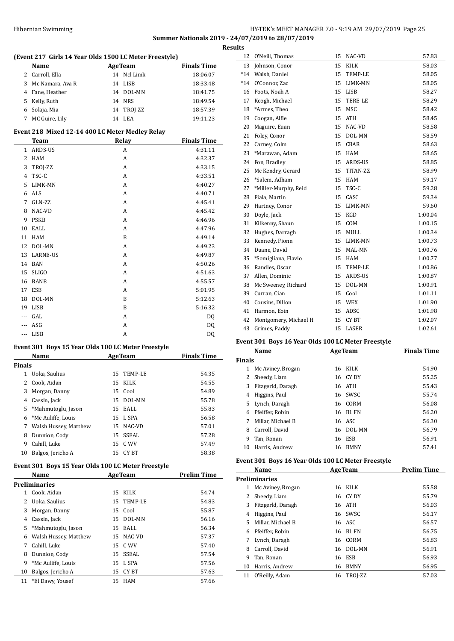## Hibernian Swimming **HY-TEK's MEET MANAGER 7.0 - 9:19 AM 29/07/2019** Page 25 **Summer Nationals 2019 - 24/07/2019 to 28/07/2019 Results**

|                |                                                        |                   | R)                 |
|----------------|--------------------------------------------------------|-------------------|--------------------|
|                | (Event 217 Girls 14 Year Olds 1500 LC Meter Freestyle) |                   |                    |
|                | Name                                                   | AgeTeam           | <b>Finals Time</b> |
| 2              | Carroll, Ella                                          | 14 Ncl Limk       | 18:06.07           |
| 3              | Mc Namara, Ava R                                       | 14<br>LISB        | 18:33.48           |
|                | 4 Fane, Heather                                        | 14 DOL-MN         | 18:41.75           |
| 5              | Kelly, Ruth                                            | 14 NRS            | 18:49.54           |
|                | 6 Solaja, Mia                                          | 14 TROJ-ZZ        | 18:57.39           |
| 7              | MC Guire, Lily                                         | 14 LEA            | 19:11.23           |
|                | Event 218 Mixed 12-14 400 LC Meter Medley Relay        |                   |                    |
|                | Team                                                   | Relay             | <b>Finals Time</b> |
| 1              | ARDS-US                                                | А                 | 4:31.11            |
| 2              | HAM                                                    | A                 | 4:32.37            |
| 3              | TROJ-ZZ                                                | A                 | 4:33.15            |
| 4              | TSC-C                                                  | A                 | 4:33.51            |
| 5              | LIMK-MN                                                | A                 | 4:40.27            |
| 6              | ALS                                                    | A                 | 4:40.71            |
| 7              | GLN-ZZ                                                 | A                 | 4:45.41            |
| 8              | NAC-VD                                                 | A                 | 4:45.42            |
| 9              | <b>PSKB</b>                                            | A                 | 4:46.96            |
| 10             | EALL                                                   | A                 | 4:47.96            |
|                |                                                        |                   |                    |
| 11             | HAM                                                    | B                 | 4:49.14            |
| 12             | DOL-MN                                                 | A                 | 4:49.23            |
| 13             | <b>LARNE-US</b>                                        | А                 | 4:49.87            |
| 14             | BAN                                                    | A                 | 4:50.26            |
| 15             | <b>SLIGO</b>                                           | A                 | 4:51.63            |
| 16             | BANB                                                   | A                 | 4:55.57            |
| 17             | ESB                                                    | A                 | 5:01.95            |
| 18             | DOL-MN                                                 | B                 | 5:12.63            |
| 19             | LISB                                                   | B                 | 5:16.32            |
|                | --- GAL                                                | A                 | DQ                 |
|                | --- ASG                                                | A                 | DQ                 |
|                | --- LISB                                               | A                 | DQ                 |
|                | Event 301 Boys 15 Year Olds 100 LC Meter Freestyle     |                   |                    |
|                | Name                                                   | <b>AgeTeam</b>    | <b>Finals Time</b> |
| Finals         |                                                        |                   |                    |
| 1              | Uoka, Saulius                                          | 15<br>TEMP-LE     | 54.35              |
| $\overline{c}$ | Cook, Aidan                                            | 15<br><b>KILK</b> | 54.55              |
| 3              | Morgan, Danny                                          | Cool<br>15        | 54.89              |
| 4              | Cassin, Jack                                           | 15<br>DOL-MN      | 55.78              |
| 5              | *Mahmutoglu, Jason                                     | 15<br>EALL        | 55.83              |
| 6              | *Mc Auliffe, Louis                                     | 15<br>L SPA       | 56.58              |
| 7              | Walsh Hussey, Matthew                                  | 15<br>NAC-VD      | 57.01              |
| 8              | Dunnion, Cody                                          | 15<br>SSEAL       | 57.28              |
| 9              | Cahill, Luke                                           | 15<br>C WV        | 57.49              |
| 10             | Balgos, Jericho A                                      | CY BT<br>15       | 58.38              |
|                | Event 301 Boys 15 Year Olds 100 LC Meter Freestyle     |                   |                    |
|                | Name                                                   | <b>AgeTeam</b>    | <b>Prelim Time</b> |
|                | Preliminaries                                          |                   |                    |
| 1              | Cook, Aidan                                            | 15<br>KILK        | 54.74              |
| 2              | Uoka, Saulius                                          | 15<br>TEMP-LE     | 54.83              |
| 3              | Morgan, Danny                                          | 15<br>Cool        | 55.87              |
| 4              | Cassin, Jack                                           | 15<br>DOL-MN      | 56.16              |
| 5              | *Mahmutoglu, Jason                                     | 15<br>EALL        | 56.34              |
| 6              | Walsh Hussey, Matthew                                  | 15<br>NAC-VD      | 57.37              |
| 7              | Cahill, Luke                                           | 15<br>C WV        | 57.40              |
| 8              | Dunnion, Cody                                          | 15                | 57.54              |
|                |                                                        | SSEAL             |                    |
| 9              | *Mc Auliffe, Louis                                     | L SPA<br>15       | 57.56              |
| 10             | Balgos, Jericho A                                      | 15<br>CY BT       | 57.63              |
| 11             | *El Dawy, Yousef                                       | 15<br>HAM         | 57.66              |

| ults  |                       |    |                |         |
|-------|-----------------------|----|----------------|---------|
| 12    | O'Neill, Thomas       | 15 | NAC-VD         | 57.83   |
| 13    | Johnson, Conor        | 15 | <b>KILK</b>    | 58.03   |
| $*14$ | Walsh, Daniel         | 15 | <b>TEMP-LE</b> | 58.05   |
| $*14$ | O'Connor, Zac         | 15 | LIMK-MN        | 58.05   |
| 16    | Poots, Noah A         | 15 | <b>LISB</b>    | 58.27   |
| 17    | Keogh, Michael        | 15 | TERE-LE        | 58.29   |
| 18    | *Armes, Theo          | 15 | <b>MSC</b>     | 58.42   |
| 19    | Coogan, Alfie         | 15 | <b>ATH</b>     | 58.45   |
| 20    | Maguire, Euan         | 15 | NAC-VD         | 58.58   |
| 21    | Foley, Conor          | 15 | DOL-MN         | 58.59   |
| 22    | Carney, Colm          | 15 | CBAR           | 58.63   |
| 23    | *Marawan. Adam        | 15 | <b>HAM</b>     | 58.65   |
| 24    | Fon, Bradley          | 15 | ARDS-US        | 58.85   |
| 25    | Mc Kendry, Gerard     | 15 | TITAN-ZZ       | 58.99   |
| 26    | *Salem, Adham         | 15 | HAM            | 59.17   |
| 27    | *Miller-Murphy, Reid  | 15 | TSC-C          | 59.28   |
| 28    | Fiala, Martin         | 15 | CASC           | 59.34   |
| 29    | Hartney, Conor        | 15 | LIMK-MN        | 59.60   |
| 30    | Doyle, Jack           | 15 | <b>KGD</b>     | 1:00.04 |
| 31    | Kilkenny, Shaun       | 15 | COM            | 1:00.15 |
| 32    | Hughes, Darragh       | 15 | MULL           | 1:00.34 |
| 33    | Kennedy, Fionn        | 15 | LIMK-MN        | 1:00.73 |
| 34    | Duane, David          | 15 | MAL-MN         | 1:00.76 |
| 35    | *Somigliana, Flavio   | 15 | <b>HAM</b>     | 1:00.77 |
| 36    | Randles, Oscar        | 15 | <b>TEMP-LE</b> | 1:00.86 |
| 37    | Allen, Dominic        | 15 | ARDS-US        | 1:00.87 |
| 38    | Mc Sweeney, Richard   | 15 | DOL-MN         | 1:00.91 |
| 39    | Curran, Cian          | 15 | Cool           | 1:01.11 |
| 40    | Cousins, Dillon       | 15 | WEX            | 1:01.90 |
| 41    | Harmon, Eoin          | 15 | ADSC           | 1:01.98 |
| 42    | Montgomery, Michael H | 15 | CY BT          | 1:02.07 |
| 43    | Grimes, Paddy         | 15 | LASER          | 1:02.61 |
|       |                       |    |                |         |

## **Event 301 Boys 16 Year Olds 100 LC Meter Freestyle**

|               | Name              |    | <b>AgeTeam</b> | <b>Finals Time</b> |
|---------------|-------------------|----|----------------|--------------------|
| <b>Finals</b> |                   |    |                |                    |
|               | Mc Aviney, Brogan | 16 | KILK           | 54.90              |
| 2             | Sheedy, Liam      |    | 16 CY DY       | 55.25              |
| 3             | Fitzgerld, Daragh |    | 16 ATH         | 55.43              |
| 4             | Higgins, Paul     |    | 16 SWSC        | 55.74              |
|               | 5 Lynch, Daragh   |    | 16 CORM        | 56.08              |
| 6.            | Pfeiffer, Robin   | 16 | BL FN          | 56.20              |
|               | Millar. Michael B |    | 16 ASC         | 56.30              |
| 8             | Carroll, David    |    | 16 DOL-MN      | 56.79              |
| 9             | Tan, Ronan        | 16 | ESB            | 56.91              |
| 10            | Harris, Andrew    | 16 | <b>BMNY</b>    | 57.41              |

## **Event 301 Boys 16 Year Olds 100 LC Meter Freestyle**

|    | Name                 |    | <b>AgeTeam</b> | <b>Prelim Time</b> |  |  |
|----|----------------------|----|----------------|--------------------|--|--|
|    | <b>Preliminaries</b> |    |                |                    |  |  |
| 1  | Mc Aviney, Brogan    |    | 16 KILK        | 55.58              |  |  |
| 2  | Sheedy, Liam         |    | 16 CYDY        | 55.79              |  |  |
| 3  | Fitzgerld, Daragh    |    | 16 ATH         | 56.03              |  |  |
| 4  | Higgins, Paul        |    | 16 SWSC        | 56.17              |  |  |
| 5  | Millar, Michael B    |    | 16 ASC         | 56.57              |  |  |
| 6  | Pfeiffer, Robin      |    | 16 BLFN        | 56.75              |  |  |
| 7  | Lynch, Daragh        | 16 | CORM           | 56.83              |  |  |
| 8  | Carroll, David       |    | 16 DOL-MN      | 56.91              |  |  |
| 9  | Tan, Ronan           | 16 | ESB            | 56.93              |  |  |
| 10 | Harris, Andrew       | 16 | <b>BMNY</b>    | 56.95              |  |  |
| 11 | O'Reilly, Adam       | 16 | TROI-ZZ        | 57.03              |  |  |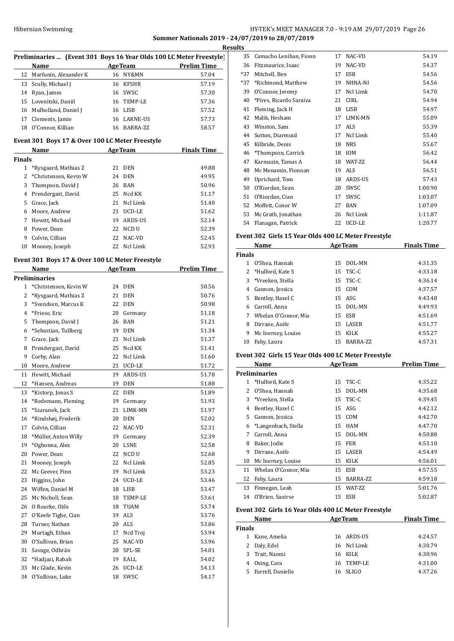## HY-TEK's MEET MANAGER 7.0 - 9:19 AM 29/07/2019 Page 26 **Summer Nationals 2019 - 24/07/2019 to 28/07/2019**

|                | Preliminaries  (Event 301 Boys 16 Year Olds 100 LC Meter Freestyle)                                                                                                                                                            |                                                            |                    |
|----------------|--------------------------------------------------------------------------------------------------------------------------------------------------------------------------------------------------------------------------------|------------------------------------------------------------|--------------------|
|                | Name<br>12 Marfunin, Alexander K                                                                                                                                                                                               | <b>Example 2018</b> AgeTeam <b>Prelim Time</b><br>16 NY&MN | 57.04              |
|                | 13 Scully, Michael J                                                                                                                                                                                                           | 16 KFSHR                                                   | 57.19              |
|                | 14 Ryan, James                                                                                                                                                                                                                 | 16 SWSC                                                    | 57.30              |
|                | 15 Lovenitski, Daniil                                                                                                                                                                                                          | 16 TEMP-LE                                                 | 57.36              |
|                | 16 Mulholland, Daniel J                                                                                                                                                                                                        | 16 LISB                                                    | 57.52              |
|                | 17 Clements, Jamie                                                                                                                                                                                                             | 16 LARNE-US                                                | 57.73              |
|                | 18 O'Connor, Killian                                                                                                                                                                                                           | 16 BARRA-ZZ                                                | 58.57              |
|                | Event 301 Boys 17 & Over 100 LC Meter Freestyle                                                                                                                                                                                |                                                            |                    |
|                | Name and the second second second second second second second second second second second second second second second second second second second second second second second second second second second second second second | <b>AgeTeam</b>                                             | <b>Finals Time</b> |
| <b>Finals</b>  |                                                                                                                                                                                                                                |                                                            |                    |
| $\mathbf{1}$   | *Rysgaard, Mathias Z                                                                                                                                                                                                           | 21 DEN                                                     | 49.88              |
| $\overline{2}$ | *Christensen, Kevin W                                                                                                                                                                                                          | 24 DEN                                                     | 49.95              |
| 3              | Thompson, David J                                                                                                                                                                                                              | 26 BAN                                                     | 50.96              |
|                | 4 Prendergast, David                                                                                                                                                                                                           | 25 Ncd KK                                                  | 51.17              |
|                | 5 Grace, Jack                                                                                                                                                                                                                  | 21 Ncl Limk                                                | 51.40              |
|                | 6 Moore, Andrew                                                                                                                                                                                                                | 21 UCD-LE                                                  | 51.62              |
|                | 7 Hewitt, Michael                                                                                                                                                                                                              | 19 ARDS-US                                                 | 52.14              |
|                | 8 Power, Dean                                                                                                                                                                                                                  | 22 NCD U                                                   | 52.39              |
|                | 9 Colvin, Cillian                                                                                                                                                                                                              | 22 NAC-VD                                                  | 52.45              |
|                | 10 Mooney, Joseph                                                                                                                                                                                                              | 22 Ncl Limk                                                | 52.93              |
|                | Event 301 Boys 17 & Over 100 LC Meter Freestyle                                                                                                                                                                                |                                                            |                    |
|                | Name                                                                                                                                                                                                                           | <b>AgeTeam</b>                                             | <b>Prelim Time</b> |
|                | Preliminaries                                                                                                                                                                                                                  |                                                            |                    |
| $\mathbf 1$    | *Christensen, Kevin W                                                                                                                                                                                                          | 24 DEN                                                     | 50.56              |
| 2              | *Rysgaard, Mathias Z                                                                                                                                                                                                           | 21 DEN                                                     | 50.76              |
|                | 3 *Svendsen, Marcus K                                                                                                                                                                                                          | 22 DEN                                                     | 50.98              |
|                | 4 *Friese, Eric                                                                                                                                                                                                                | 20 Germany                                                 | 51.18              |
| 5              | Thompson, David J                                                                                                                                                                                                              | 26 BAN                                                     | 51.21              |
| 6              | *Sebastian, Tullberg                                                                                                                                                                                                           | 19 DEN                                                     | 51.34              |
| 7              | Grace, Jack                                                                                                                                                                                                                    | 21 Ncl Limk                                                | 51.37              |
| 8              | Prendergast, David                                                                                                                                                                                                             | 25 Ncd KK                                                  | 51.41              |
| 9              | Corby, Alan                                                                                                                                                                                                                    | 22 Ncl Limk                                                | 51.60              |
|                | 10 Moore, Andrew                                                                                                                                                                                                               | 21 UCD-LE                                                  | 51.72              |
|                | 11 Hewitt, Michael                                                                                                                                                                                                             | 19 ARDS-US                                                 | 51.78              |
|                | 12 *Hansen, Andreas                                                                                                                                                                                                            | 19 DEN                                                     | 51.88              |
| 13             | *Kistorp, Jonas S                                                                                                                                                                                                              | 22<br>DEN                                                  | 51.89              |
| 14             | *Redemann, Fleming                                                                                                                                                                                                             | 19<br>Germany                                              | 51.93              |
| 15             | *Szaranek, Jack                                                                                                                                                                                                                | LIMK-MN<br>21                                              | 51.97              |
| 16             | *Rindshøj, Frederik                                                                                                                                                                                                            | 20<br><b>DEN</b>                                           | 52.02              |
| 17             | Colvin, Cillian                                                                                                                                                                                                                | 22<br>NAC-VD                                               | 52.31              |
| 18             | *Müller, Anton Willy                                                                                                                                                                                                           | Germany<br>19                                              | 52.39              |
| 19             | *Ogbonna, Alex                                                                                                                                                                                                                 | 20<br>LSNE                                                 | 52.58              |
| 20             | Power. Dean                                                                                                                                                                                                                    | 22 NCD U                                                   | 52.68              |
| 21             | Mooney, Joseph                                                                                                                                                                                                                 | 22<br>Ncl Limk                                             | 52.85              |
|                |                                                                                                                                                                                                                                | Ncl Limk<br>19                                             |                    |
| 22             | Mc Geever, Finn                                                                                                                                                                                                                |                                                            | 53.23              |
| 23             | Higgins, John                                                                                                                                                                                                                  | UCD-LE<br>24                                               | 53.46              |
| 24             | Wiffen, Daniel M                                                                                                                                                                                                               | 18 LISB                                                    | 53.47              |
| 25             | Mc Nicholl, Sean                                                                                                                                                                                                               | TEMP-LE<br>18                                              | 53.61              |
| 26             | O Rourke, Oiśn                                                                                                                                                                                                                 | TUAM<br>18                                                 | 53.74              |
| 27             | O'Keefe Tighe, Cian                                                                                                                                                                                                            | ALS<br>19                                                  | 53.76              |
| 28             | Turner, Nathan                                                                                                                                                                                                                 | ALS<br>20                                                  | 53.86              |
| 29             | Murtagh, Ethan                                                                                                                                                                                                                 | 17<br>Ncd Troj                                             | 53.94              |
| 30             | O'Sullivan, Brian                                                                                                                                                                                                              | NAC-VD<br>25                                               | 53.96              |
| 31             | Savage, Odhrán                                                                                                                                                                                                                 | 20<br>SPL-SE                                               | 54.01              |
| 32             | *Hadjazi, Rabah                                                                                                                                                                                                                | EALL<br>19                                                 | 54.02              |
| 33             | Mc Glade, Kevin                                                                                                                                                                                                                | 26 UCD-LE                                                  | 54.13              |
| 34             | O'Sullivan, Luke                                                                                                                                                                                                               | 18 SWSC                                                    | 54.17              |

| 35    | Camacho Lenihan, Fionn  | 17 | NAC-VD      | 54.19   |
|-------|-------------------------|----|-------------|---------|
| 36    | Fitzmaurice, Isaac      | 19 | NAC-VD      | 54.37   |
| $*37$ | Mitchell, Ben           | 17 | ESB         | 54.56   |
| $*37$ | *Richmond, Matthew      | 19 | NHNA-NI     | 54.56   |
| 39    | O'Connor, Jeremy        | 17 | Ncl Limk    | 54.70   |
| 40    | *Pires, Ricardo Saraiva | 21 | CIRL        | 54.94   |
| 41    | Fleming, Jack H         | 18 | <b>LISB</b> | 54.97   |
| 42    | Malik, Hesham           | 17 | LIMK-MN     | 55.09   |
| 43    | Winston, Sam            | 17 | ALS         | 55.39   |
| 44    | Sutton, Diarmuid        | 17 | Ncl Limk    | 55.40   |
| 45    | Kilbride, Denis         | 18 | <b>NRS</b>  | 55.67   |
| 46    | *Thompson, Carrick      | 18 | <b>IOM</b>  | 56.42   |
| 47    | Karmazin, Tamas A       | 18 | WAT-ZZ      | 56.44   |
| 48    | Mc Menamin, Fionnan     | 19 | ALS         | 56.51   |
| 49    | Uprichard, Tom          | 18 | ARDS-US     | 57.43   |
| 50    | O'Riordan, Sean         | 20 | SWSC        | 1:00.90 |
| 51    | O'Riordan, Cian         | 17 | SWSC        | 1:03.07 |
| 52    | Moffett, Conor W        | 27 | <b>BAN</b>  | 1:07.09 |
| 53    | Mc Grath, Jonathan      | 26 | Ncl Limk    | 1:11.87 |
| 54    | Flanagan, Patrick       | 22 | UCD-LE      | 1:20.77 |
|       |                         |    |             |         |

## **Event 302 Girls 15 Year Olds 400 LC Meter Freestyle**

|               | Name<br><b>AgeTeam</b> |    |              | <b>Finals Time</b> |
|---------------|------------------------|----|--------------|--------------------|
| <b>Finals</b> |                        |    |              |                    |
|               | O'Shea. Hannah         | 15 | DOL-MN       | 4:31.35            |
|               | 2 *Hulford, Kate S     |    | $15$ TSC-C   | 4:33.18            |
| 3             | *Vreeken, Stella       |    | 15 TSC-C     | 4:36.14            |
| 4             | Gannon, Jessica        |    | 15 COM       | 4:37.57            |
| 5.            | Bentley, Hazel C       |    | $15$ ASG     | 4:43.48            |
| 6             | Carroll, Anna          | 15 | DOL-MN       | 4:49.93            |
| 7             | Whelan O'Connor. Mia   |    | 15 ESB       | 4:51.69            |
| 8             | Dirrane, Aoife         | 15 | <b>LASER</b> | 4:51.77            |
| 9             | Mc Inerney, Louise     | 15 | <b>KILK</b>  | 4:55.27            |
| 10            | Fahy, Laura            | 15 | BARRA-ZZ     | 4:57.31            |

## **Event 302 Girls 15 Year Olds 400 LC Meter Freestyle**

|    | Name                 | <b>AgeTeam</b> |                 | <b>Prelim Time</b> |
|----|----------------------|----------------|-----------------|--------------------|
|    | <b>Preliminaries</b> |                |                 |                    |
| 1  | *Hulford, Kate S     | 15             | TSC-C           | 4:35.22            |
| 2  | O'Shea, Hannah       | 15             | DOL-MN          | 4:35.68            |
| 3  | *Vreeken, Stella     | 15             | TSC-C           | 4:39.45            |
| 4  | Bentley, Hazel C     | 15             | ASG             | 4:42.12            |
| 5. | Gannon, Jessica      | 15             | COM             | 4:42.70            |
| 6  | *Langenbach, Stella  | 15             | HAM             | 4:47.70            |
| 7  | Carroll, Anna        | 15             | DOL-MN          | 4:50.88            |
| 8  | Baker, Jodie         | 15             | <b>FER</b>      | 4:53.10            |
| 9  | Dirrane, Aoife       | 15             | LASER           | 4:54.49            |
| 10 | Mc Inerney, Louise   | 15             | KILK            | 4:56.01            |
| 11 | Whelan O'Connor, Mia | 15             | ESB             | 4:57.55            |
| 12 | Fahy, Laura          | 15             | BARRA-ZZ        | 4:59.18            |
| 13 | Finnegan, Leah       | 15             | <b>WAT-7.7.</b> | 5:01.76            |
| 14 | O'Brien, Saoirse     | 15             | <b>ESB</b>      | 5:02.87            |

## **Event 302 Girls 16 Year Olds 400 LC Meter Freestyle**

|               | Name              | <b>AgeTeam</b> | <b>Finals Time</b> |  |
|---------------|-------------------|----------------|--------------------|--|
| <b>Finals</b> |                   |                |                    |  |
|               | Kane, Amelia      | 16 ARDS-US     | 4:24.57            |  |
| 2             | Daly, Edel        | 16 Ncl Limk    | 4:30.79            |  |
|               | 3 Trait, Naomi    | 16 KILK        | 4:30.96            |  |
| 4             | Osing, Cara       | 16 TEMP-LE     | 4:31.00            |  |
| 5.            | Farrell, Danielle | 16 SLIGO       | 4:37.26            |  |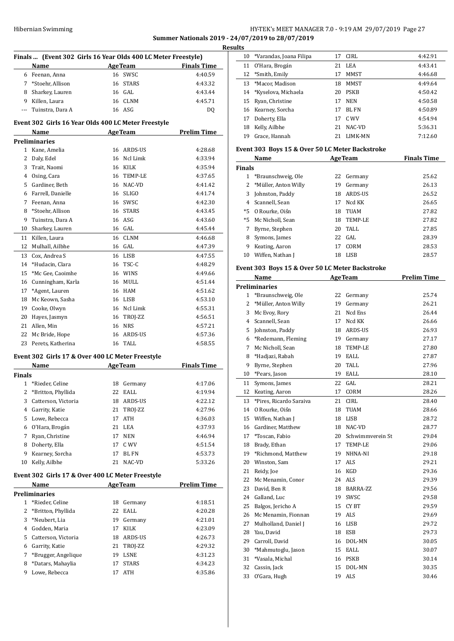## HY-TEK's MEET MANAGER 7.0 - 9:19 AM 29/07/2019 Page 27 **Summer Nationals 2019 - 24/07/2019 to 28/07/2019**

|              | Finals  (Event 302 Girls 16 Year Olds 400 LC Meter Freestyle) |         |                |                    |
|--------------|---------------------------------------------------------------|---------|----------------|--------------------|
|              | Name                                                          | AgeTeam |                | <b>Finals Time</b> |
|              | 6 Feenan, Anna                                                |         | 16 SWSC        | 4:40.59            |
|              | 7 *Stoehr, Allison                                            |         | 16 STARS       | 4:43.32            |
|              | 8 Sharkey, Lauren                                             |         | 16 GAL         | 4:43.44            |
|              | 9 Killen, Laura                                               |         | 16 CLNM        | 4:45.71            |
| $---$        | Tuinstra, Dara A                                              |         | 16 ASG         | DQ                 |
|              | Event 302 Girls 16 Year Olds 400 LC Meter Freestyle           |         |                |                    |
|              | Name                                                          |         | <b>AgeTeam</b> | <b>Prelim Time</b> |
|              | Preliminaries                                                 |         |                |                    |
|              | 1 Kane, Amelia                                                |         | 16 ARDS-US     | 4:28.68            |
|              | 2 Daly, Edel                                                  |         | 16 Ncl Limk    | 4:33.94            |
| 3            | Trait, Naomi                                                  |         | 16 KILK        | 4:35.94            |
|              | 4 Osing, Cara                                                 |         | 16 TEMP-LE     | 4:37.65            |
| 5            | Gardiner, Beth                                                |         | 16 NAC-VD      | 4:41.42            |
| 6            | Farrell. Danielle                                             |         | 16 SLIGO       | 4:41.74            |
| 7            | Feenan, Anna                                                  |         | 16 SWSC        | 4:42.30            |
| 8            | *Stoehr, Allison                                              |         | 16 STARS       | 4:43.45            |
| 9            | Tuinstra, Dara A                                              |         | 16 ASG         | 4:43.60            |
| 10           | Sharkey, Lauren                                               |         | 16 GAL         | 4:45.44            |
| 11           | Killen, Laura                                                 |         | 16 CLNM        | 4:46.68            |
| 12           | Mulhall, Ailbhe                                               |         | 16 GAL         | 4:47.39            |
| 13           | Cox, Andrea S                                                 |         | 16 LISB        | 4:47.55            |
| 14           | *Hudacin, Clara                                               |         | 16 TSC-C       | 4:48.29            |
| 15           | *Mc Gee, Caoimhe                                              |         | 16 WINS        | 4:49.66            |
|              |                                                               |         |                |                    |
| 16           | Cunningham, Karla                                             |         | 16 MULL        | 4:51.44            |
| 17           | *Agent, Lauren                                                |         | 16 HAM         | 4:51.62            |
| 18           | Mc Keown, Sasha                                               |         | 16 LISB        | 4:53.10            |
| 19           | Cooke, Olwyn                                                  |         | 16 Ncl Limk    | 4:55.31            |
| 20           | Hayes, Jasmyn                                                 |         | 16 TROJ-ZZ     | 4:56.51            |
|              | 21 Allen, Min                                                 |         | 16 NRS         | 4:57.21            |
| 22           | Mc Bride, Hope                                                |         | 16 ARDS-US     | 4:57.36            |
| 23           | Perets, Katherina                                             |         | 16 TALL        | 4:58.55            |
|              | Event 302 Girls 17 & Over 400 LC Meter Freestyle              |         |                |                    |
|              | Name                                                          |         | <b>AgeTeam</b> | <b>Finals Time</b> |
| Finals       |                                                               |         |                |                    |
|              | 1 *Rieder, Celine                                             |         | 18 Germany     | 4:17.06            |
| 2            | *Britton, Phyllida                                            | 22      | EALL           | 4:19.94            |
| 3            | Catterson, Victoria                                           | 18      | ARDS-US        | 4:22.12            |
| 4            | Garrity, Katie                                                |         | 21 TROJ-ZZ     | 4:27.96            |
| 5            | Lowe, Rebecca                                                 | 17      | ATH            | 4:36.03            |
| 6            | O'Hara, Brogán                                                | 21      | LEA            | 4:37.93            |
| 7            | Ryan, Christine                                               | 17      | <b>NEN</b>     | 4:46.94            |
| 8            | Doherty, Ella                                                 | 17      | C WV           | 4:51.54            |
| 9            | Kearney, Sorcha                                               | 17      | <b>BL FN</b>   | 4:53.73            |
| 10           | Kelly, Ailbhe                                                 | 21      | NAC-VD         | 5:33.26            |
|              | Event 302 Girls 17 & Over 400 LC Meter Freestyle              |         |                |                    |
|              | <b>Name</b>                                                   |         | <b>AgeTeam</b> | <b>Prelim Time</b> |
|              | <b>Preliminaries</b>                                          |         |                |                    |
| $\mathbf{1}$ | *Rieder, Celine                                               | 18      | Germany        | 4:18.51            |
| 2            | *Britton, Phyllida                                            | 22      | EALL           | 4:20.28            |
| 3            | *Neubert, Lia                                                 | 19      | Germany        | 4:21.01            |
| 4            | Godden, Maria                                                 | 17      | KILK           | 4:23.09            |
| 5            | Catterson, Victoria                                           |         | 18 ARDS-US     | 4:26.73            |
| 6            | Garrity, Katie                                                |         | 21 TROJ-ZZ     | 4:29.32            |
|              | *Brugger, Angelique                                           | 19      | <b>LSNE</b>    | 4:31.23            |
| 7            |                                                               |         |                |                    |
| 8            | *Datars, Mahaylia                                             | 17      | STARS          | 4:34.23            |

| <b>lesults</b> |    |                            |    |                |         |
|----------------|----|----------------------------|----|----------------|---------|
|                |    | 10 *Varandas, Joana Filipa | 17 | CIRL           | 4:42.91 |
|                |    | 11 O'Hara, Brogán          | 21 | LEA            | 4:43.41 |
|                | 12 | *Smith, Emily              | 17 | <b>MMST</b>    | 4:46.68 |
|                | 13 | *Macor. Madison            | 18 | <b>MMST</b>    | 4:49.64 |
|                |    | 14 *Kyselova, Michaela     | 20 | PSKB           | 4:50.42 |
|                | 15 | Ryan, Christine            | 17 | <b>NEN</b>     | 4:50.58 |
|                |    | 16 Kearney, Sorcha         | 17 | <b>BL FN</b>   | 4:50.89 |
|                | 17 | Doherty, Ella              | 17 | C. WV          | 4:54.94 |
|                | 18 | Kelly, Ailbhe              | 21 | NAC-VD         | 5:36.31 |
|                | 19 | Grace. Hannah              | 21 | <b>LIMK-MN</b> | 7:12.60 |
|                |    |                            |    |                |         |

## **Event 303 Boys 15 & Over 50 LC Meter Backstroke**

| Name          |                      |    | <b>AgeTeam</b> | <b>Finals Time</b> |
|---------------|----------------------|----|----------------|--------------------|
| <b>Finals</b> |                      |    |                |                    |
|               | *Braunschweig, Ole   | 22 | Germany        | 25.62              |
|               | *Müller, Anton Willy | 19 | Germany        | 26.13              |
| 3             | Johnston, Paddy      | 18 | ARDS-US        | 26.52              |
| 4             | Scannell, Sean       | 17 | Ncd KK         | 26.65              |
| $*5$          | O Rourke, Oiśn       | 18 | <b>TUAM</b>    | 27.82              |
|               | *5 Mc Nicholl, Sean  | 18 | TEMP-LE        | 27.82              |
|               | Byrne, Stephen       | 20 | TALL.          | 27.85              |
| 8             | Symons, James        |    | 22 GAL         | 28.39              |
| 9             | Keating, Aaron       | 17 | CORM           | 28.53              |
| 10            | Wiffen, Nathan J     | 18 | LISB           | 28.57              |

## **Event 303 Boys 15 & Over 50 LC Meter Backstroke**

|                | Name                    |    | <b>AgeTeam</b>   | <b>Prelim Time</b> |
|----------------|-------------------------|----|------------------|--------------------|
|                | <b>Preliminaries</b>    |    |                  |                    |
| 1              | *Braunschweig, Ole      | 22 | Germany          | 25.74              |
| 2              | *Müller, Anton Willy    | 19 | Germany          | 26.21              |
| 3              | Mc Evoy, Rory           | 21 | Ncd Ens          | 26.44              |
| $\overline{4}$ | Scannell, Sean          | 17 | Ncd KK           | 26.66              |
| 5              | Johnston, Paddy         | 18 | ARDS-US          | 26.93              |
| 6              | *Redemann, Fleming      |    | 19 Germany       | 27.17              |
| 7              | Mc Nicholl, Sean        | 18 | TEMP-LE          | 27.80              |
| 8              | *Hadjazi, Rabah         | 19 | EALL             | 27.87              |
| 9              | Byrne, Stephen          | 20 | TALL             | 27.96              |
| 10             | *Pears, Jason           | 19 | <b>EALL</b>      | 28.10              |
| 11             | Symons, James           | 22 | GAL              | 28.21              |
| 12             | Keating, Aaron          | 17 | CORM             | 28.26              |
| 13             | *Pires, Ricardo Saraiva | 21 | <b>CIRL</b>      | 28.40              |
| 14             | O Rourke, Oiśn          | 18 | <b>TUAM</b>      | 28.66              |
| 15             | Wiffen, Nathan J        | 18 | <b>LISB</b>      | 28.72              |
| 16             | Gardiner, Matthew       | 18 | NAC-VD           | 28.77              |
| 17             | *Toscan, Fabio          | 20 | Schwimmverein St | 29.04              |
| 18             | Brady, Ethan            | 17 | TEMP-LE          | 29.06              |
|                | 19 *Richmond, Matthew   | 19 | NHNA-NI          | 29.18              |
| 20             | Winston, Sam            | 17 | ALS              | 29.21              |
| 21             | Reidy, Joe              | 16 | KGD              | 29.36              |
| 22             | Mc Menamin, Conor       | 24 | <b>ALS</b>       | 29.39              |
| 23             | David, Ben R            | 18 | BARRA-ZZ         | 29.56              |
| 24             | Galland, Luc            | 19 | SWSC             | 29.58              |
| 25             | Balgos, Jericho A       | 15 | CY BT            | 29.59              |
| 26             | Mc Menamin, Fionnan     | 19 | ALS              | 29.69              |
| 27             | Mulholland, Daniel J    |    | 16 LISB          | 29.72              |
| 28             | Yau, David              | 18 | ESB              | 29.73              |
| 29             | Carroll, David          | 16 | DOL-MN           | 30.05              |
| 30             | *Mahmutoglu, Jason      | 15 | <b>EALL</b>      | 30.07              |
| 31             | *Vasala, Michal         | 16 | <b>PSKB</b>      | 30.14              |
| 32             | Cassin, Jack            | 15 | DOL-MN           | 30.35              |
| 33             | O'Gara, Hugh            | 19 | <b>ALS</b>       | 30.46              |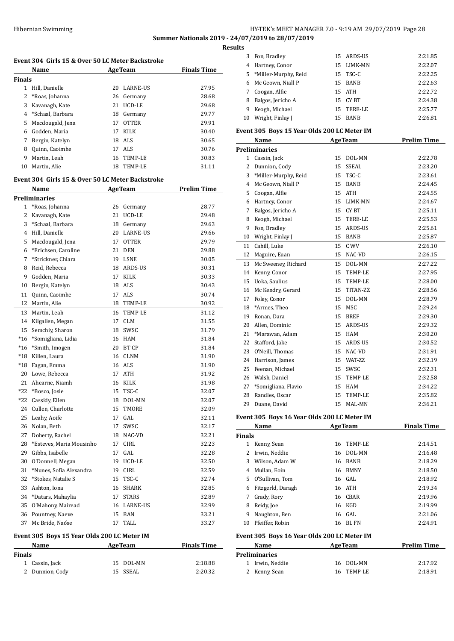## HY-TEK's MEET MANAGER 7.0 - 9:19 AM 29/07/2019 Page 28 **Summer Nationals 2019 - 24/07/2019 to 28/07/2019**

**Results**

|               | Name                                             |    | <b>AgeTeam</b> | <b>Finals Time</b> |
|---------------|--------------------------------------------------|----|----------------|--------------------|
| Finals        |                                                  |    |                |                    |
|               | 1 Hill, Danielle                                 |    | 20 LARNE-US    | 27.95              |
|               | 2 *Roas, Johanna                                 |    | 26 Germany     | 28.68              |
|               | 3 Kavanagh, Kate                                 |    | 21 UCD-LE      | 29.68              |
|               | 4 *Schaal, Barbara                               |    | 18 Germany     | 29.77              |
|               | 5 Macdougald, Jena                               |    | 17 OTTER       | 29.91              |
|               | 6 Godden, Maria                                  |    | 17 KILK        | 30.40              |
|               | 7 Bergin, Katelyn                                |    | 18 ALS         | 30.65              |
|               | 8 Quinn, Caoimhe                                 |    | 17 ALS         | 30.76              |
|               | 9 Martin, Leah                                   |    | 16 TEMP-LE     | 30.83              |
|               | 10 Martin, Alie                                  |    | 18 TEMP-LE     | 31.11              |
|               | Event 304 Girls 15 & Over 50 LC Meter Backstroke |    |                |                    |
|               | Name                                             |    | AgeTeam        | <b>Prelim Time</b> |
|               | Preliminaries                                    |    |                |                    |
|               | 1 *Roas, Johanna                                 |    | 26 Germany     | 28.77              |
|               | 2 Kavanagh, Kate                                 |    | 21 UCD-LE      | 29.48              |
|               | 3 *Schaal, Barbara                               |    | 18 Germany     | 29.63              |
|               | 4 Hill. Danielle                                 |    | 20 LARNE-US    | 29.66              |
|               | 5 Macdougald, Jena                               |    | 17 OTTER       | 29.79              |
|               | 6 *Erichsen, Caroline                            |    | 21 DEN         | 29.88              |
| $7^{\circ}$   | *Strickner, Chiara                               |    | 19 LSNE        | 30.05              |
|               | 8 Reid, Rebecca                                  |    | 18 ARDS-US     | 30.31              |
| 9             | Godden, Maria                                    |    | 17 KILK        | 30.33              |
|               | 10 Bergin, Katelyn                               |    | 18 ALS         | 30.43              |
|               | 11 Quinn, Caoimhe                                |    | 17 ALS         | 30.74              |
|               | 12 Martin, Alie                                  |    | 18 TEMP-LE     | 30.92              |
|               | 13 Martin, Leah                                  |    | 16 TEMP-LE     | 31.12              |
|               | 14 Kilgallen, Megan                              |    | 17 CLM         | 31.55              |
| 15            | Semchiy, Sharon                                  |    | 18 SWSC        | 31.79              |
| $*16$         | *Somigliana, Lidia                               |    | 16 HAM         | 31.84              |
| $*16$         | *Smith, Imogen                                   |    | 20 BT CP       | 31.84              |
|               | *18 Killen, Laura                                |    | 16 CLNM        | 31.90              |
|               | *18 Fagan, Emma                                  |    | 16 ALS         | 31.90              |
|               | 20 Lowe, Rebecca                                 |    | 17 ATH         | 31.92              |
|               | 21 Ahearne, Niamh                                |    | 16 KILK        | 31.98              |
|               | *22 *Bosco, Josie                                |    | 15 TSC-C       | 32.07              |
|               | *22 Cassidy, Ellen                               |    | 18 DOL-MN      | 32.07              |
|               | 24 Cullen, Charlotte                             | 15 | TMORE          | 32.09              |
|               | 25 Leahy, Aoife                                  | 17 | GAL            | 32.11              |
|               | 26 Nolan, Beth                                   | 17 | SWSC           | 32.17              |
| 27            | Doherty, Rachel                                  |    | 18 NAC-VD      | 32.21              |
| 28            | *Esteves, Maria Mousinho                         | 17 | CIRL           | 32.23              |
| 29            | Gibbs, Isabelle                                  |    | 17 GAL         | 32.28              |
| 30            | O'Donnell, Megan                                 |    | 19 UCD-LE      | 32.50              |
| 31            | *Nunes, Sofia Alexandra                          |    | 19 CIRL        | 32.59              |
| 32            | *Stokes, Natalie S                               |    | 15 TSC-C       | 32.74              |
| 33            | Ashton, Iona                                     |    | 16 SHARK       | 32.85              |
| 34            | *Datars, Mahaylia                                | 17 | STARS          | 32.89              |
| 35            | O'Mahony, Mairead                                |    | 16 LARNE-US    | 32.99              |
|               | 36 Pountney, Naeve                               |    | 15 BAN         | 33.21              |
| 37            | Mc Bride, Naóse                                  |    | 17 TALL        | 33.27              |
|               | Event 305 Boys 15 Year Olds 200 LC Meter IM      |    |                |                    |
|               | Name                                             |    | <b>AgeTeam</b> | <b>Finals Time</b> |
| <b>Finals</b> |                                                  |    |                |                    |
| 1             | Cassin, Jack                                     | 15 | DOL-MN         | 2:18.88            |

Dunnion, Cody 15 SSEAL 2:20.32

| 3             | Fon, Bradley                                | 15 | ARDS-US               | 2:21.85            |
|---------------|---------------------------------------------|----|-----------------------|--------------------|
|               | 4 Hartney, Conor                            |    | 15 LIMK-MN            | 2:22.07            |
| 5             | *Miller-Murphy, Reid                        |    | 15 TSC-C              | 2:22.25            |
| 6             | Mc Geown, Niall P                           |    | 15 BANB               | 2:22.63            |
| 7             | Coogan, Alfie                               |    | 15 ATH                | 2:22.72            |
| 8             | Balgos, Jericho A                           |    | 15 CYBT               | 2:24.38            |
| 9             | Keogh, Michael                              |    | 15 TERE-LE            | 2:25.77            |
| 10            | Wright, Finlay J                            |    | 15 BANB               | 2:26.81            |
|               | Event 305 Boys 15 Year Olds 200 LC Meter IM |    |                       |                    |
|               |                                             |    |                       |                    |
|               | Name                                        |    | <b>AgeTeam</b>        | <b>Prelim Time</b> |
|               | <b>Preliminaries</b>                        |    |                       |                    |
| 2             | 1 Cassin, Jack                              |    | 15 DOL-MN<br>15 SSEAL | 2:22.78            |
|               | Dunnion, Cody                               |    |                       | 2:23.20            |
|               | 3 *Miller-Murphy, Reid                      |    | 15 TSC-C              | 2:23.61            |
|               | 4 Mc Geown, Niall P                         |    | 15 BANB               | 2:24.45            |
| 5             | Coogan, Alfie                               |    | 15 ATH                | 2:24.55            |
|               | 6 Hartney, Conor                            |    | 15 LIMK-MN            | 2:24.67            |
| 7             | Balgos, Jericho A                           |    | 15 CYBT<br>15 TERE-LE | 2:25.11            |
| 8             | Keogh, Michael                              |    |                       | 2:25.53            |
| 9             | Fon, Bradley                                |    | 15 ARDS-US            | 2:25.61            |
|               | 10 Wright, Finlay J                         | 15 | <b>BANB</b>           | 2:25.87            |
| 11            | Cahill, Luke                                | 15 | C WV                  | 2:26.10            |
|               | 12 Maguire, Euan                            |    | 15 NAC-VD             | 2:26.15            |
|               | 13 Mc Sweeney, Richard                      |    | 15 DOL-MN             | 2:27.22            |
|               | 14 Kenny, Conor                             |    | 15 TEMP-LE            | 2:27.95            |
|               | 15 Uoka, Saulius                            |    | 15 TEMP-LE            | 2:28.00            |
|               | 16 Mc Kendry, Gerard                        |    | 15 TITAN-ZZ           | 2:28.56            |
|               | 17 Foley, Conor                             | 15 | DOL-MN                | 2:28.79            |
|               | 18 *Armes, Theo                             | 15 | MSC                   | 2:29.24            |
|               | 19 Ronan, Dara                              | 15 | BREF                  | 2:29.30            |
| 20            | Allen, Dominic                              |    | 15 ARDS-US            | 2:29.32            |
| 21            | *Marawan, Adam                              | 15 | HAM                   | 2:30.20            |
| 22            | Stafford, Jake                              |    | 15 ARDS-US            | 2:30.52            |
| 23            | O'Neill, Thomas                             |    | 15 NAC-VD             | 2:31.91            |
|               | 24 Harrison, James                          |    | 15 WAT-ZZ             | 2:32.19            |
|               | 25 Feenan, Michael                          |    | 15 SWSC               | 2:32.31            |
|               | 26 Walsh, Daniel                            |    | 15 TEMP-LE            | 2:32.58            |
|               | 27 *Somigliana, Flavio                      |    | 15 HAM                | 2:34.22            |
|               | 28 Randles, Oscar                           |    | 15 TEMP-LE            | 2:35.82            |
|               | 29 Duane, David                             | 15 | MAL-MN                | 2:36.21            |
|               | Event 305 Boys 16 Year Olds 200 LC Meter IM |    |                       |                    |
|               | Name                                        |    | <b>AgeTeam</b>        | <b>Finals Time</b> |
| <b>Finals</b> |                                             |    |                       |                    |
|               | 1 Kenny, Sean                               | 16 | TEMP-LE               | 2:14.51            |
|               | 2 Irwin, Neddie                             | 16 | DOL-MN                | 2:16.48            |
|               | 3 Wilson, Adam W                            |    | 16 BANB               | 2:18.29            |
|               | 4 Mullan, Eoin                              |    | 16 BMNY               | 2:18.50            |
| 5             | O'Sullivan, Tom                             |    | 16 GAL                | 2:18.92            |
|               | 6 Fitzgerld, Daragh                         |    | 16 ATH                | 2:19.34            |
| 7             | Grady, Rory                                 |    | 16 CBAR               | 2:19.96            |
| 8             | Reidy, Joe                                  |    | 16 KGD                | 2:19.99            |
| 9             | Naughton, Ben                               |    | 16 GAL                | 2:21.06            |
| 10            | Pfeiffer, Robin                             | 16 | <b>BL FN</b>          | 2:24.91            |
|               |                                             |    |                       |                    |

## **Event 305 Boys 16 Year Olds 200 LC Meter IM**

| Name                 | <b>AgeTeam</b> | <b>Prelim Time</b> |
|----------------------|----------------|--------------------|
| <b>Preliminaries</b> |                |                    |
| 1 Irwin. Neddie      | 16 DOL-MN      | 2:17.92            |
| 2 Kenny, Sean        | 16 TEMP-LE     | 2:18.91            |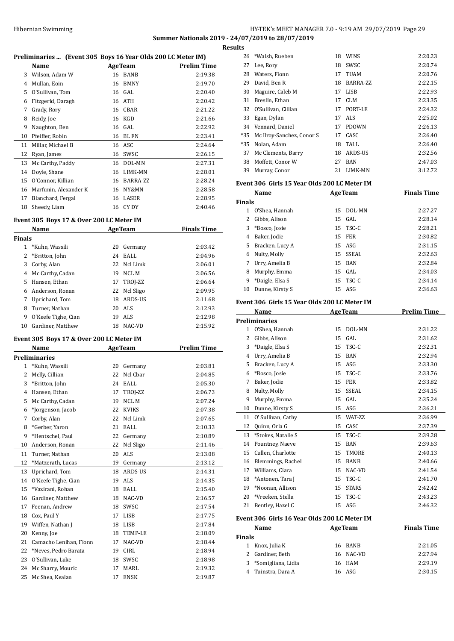## HY-TEK's MEET MANAGER 7.0 - 9:19 AM 29/07/2019 Page 29 **Summer Nationals 2019 - 24/07/2019 to 28/07/2019**

**Results**

|    | Preliminaries  (Event 305 Boys 16 Year Olds 200 LC Meter IM) |    |                |             |  |  |
|----|--------------------------------------------------------------|----|----------------|-------------|--|--|
|    | Name                                                         |    | <b>AgeTeam</b> | Prelim Time |  |  |
| 3  | Wilson, Adam W                                               | 16 | <b>BANB</b>    | 2:19.38     |  |  |
| 4  | Mullan, Eoin                                                 | 16 | <b>BMNY</b>    | 2:19.70     |  |  |
| 5  | O'Sullivan, Tom                                              | 16 | GAL            | 2:20.40     |  |  |
| 6  | Fitzgerld, Daragh                                            | 16 | ATH            | 2:20.42     |  |  |
| 7  | Grady, Rory                                                  | 16 | <b>CBAR</b>    | 2:21.22     |  |  |
| 8  | Reidy, Joe                                                   | 16 | KGD            | 2:21.66     |  |  |
| 9  | Naughton, Ben                                                | 16 | GAL            | 2:22.92     |  |  |
| 10 | Pfeiffer, Robin                                              | 16 | <b>BL FN</b>   | 2:23.41     |  |  |
| 11 | Millar, Michael B                                            | 16 | ASC            | 2:24.64     |  |  |
| 12 | Ryan, James                                                  | 16 | SWSC           | 2:26.15     |  |  |
| 13 | Mc Carthy, Paddy                                             | 16 | DOL-MN         | 2:27.31     |  |  |
| 14 | Doyle, Shane                                                 | 16 | LIMK-MN        | 2:28.01     |  |  |
| 15 | O'Connor, Killian                                            | 16 | BARRA-ZZ       | 2:28.24     |  |  |
| 16 | Marfunin, Alexander K                                        | 16 | NY&MN          | 2:28.58     |  |  |
| 17 | Blanchard, Fergal                                            | 16 | LASER          | 2:28.95     |  |  |
| 18 | Sheedy, Liam                                                 | 16 | CY DY          | 2:40.46     |  |  |

### **Event 305 Boys 17 & Over 200 LC Meter IM**

| Name          |                     |    | <b>AgeTeam</b> | <b>Finals Time</b> |  |
|---------------|---------------------|----|----------------|--------------------|--|
| <b>Finals</b> |                     |    |                |                    |  |
|               | *Kuhn, Wassili      | 20 | Germany        | 2:03.42            |  |
| 2             | *Britton, John      | 24 | EALL           | 2:04.96            |  |
| 3             | Corby, Alan         |    | 22 Ncl Limk    | 2:06.01            |  |
| 4             | Mc Carthy, Cadan    | 19 | NCL M          | 2:06.56            |  |
| 5             | Hansen, Ethan       |    | 17 TROJ-ZZ     | 2:06.64            |  |
| 6             | Anderson, Ronan     |    | 22 Nel Sligo   | 2:09.95            |  |
| 7             | Uprichard, Tom      | 18 | ARDS-US        | 2:11.68            |  |
| 8             | Turner, Nathan      | 20 | ALS            | 2:12.93            |  |
| 9             | O'Keefe Tighe, Cian | 19 | <b>ALS</b>     | 2:12.98            |  |
| 10            | Gardiner, Matthew   | 18 | NAC-VD         | 2:15.92            |  |

## **Event 305 Boys 17 & Over 200 LC Meter IM**

|              | Name                   | <b>AgeTeam</b> |              | <b>Prelim Time</b> |  |
|--------------|------------------------|----------------|--------------|--------------------|--|
|              | Preliminaries          |                |              |                    |  |
| $\mathbf{1}$ | *Kuhn, Wassili         | 20             | Germany      | 2:03.81            |  |
| 2            | Melly, Cillian         | 22             | Ncl Char     | 2:04.85            |  |
| 3            | *Britton, John         | 24             | EALL         | 2:05.30            |  |
| 4            | Hansen. Ethan          | 17             | TROJ-ZZ      | 2:06.73            |  |
| 5            | Mc Carthy, Cadan       | 19             | NCL M        | 2:07.24            |  |
| 6            | *Jorgenson, Jacob      | 22             | <b>KVIKS</b> | 2:07.38            |  |
| 7            | Corby, Alan            | 22             | Ncl Limk     | 2:07.65            |  |
| 8            | *Gerber, Yaron         | 21             | EALL         | 2:10.33            |  |
| 9            | *Hentschel, Paul       | 22             | Germany      | 2:10.89            |  |
| 10           | Anderson, Ronan        | 22             | Ncl Sligo    | 2:11.46            |  |
| 11           | Turner, Nathan         | 20             | <b>ALS</b>   | 2:13.08            |  |
| 12           | *Matzerath, Lucas      | 19             | Germany      | 2:13.12            |  |
| 13           | Uprichard, Tom         | 18             | ARDS-US      | 2:14.31            |  |
| 14           | O'Keefe Tighe, Cian    | 19             | <b>ALS</b>   | 2:14.35            |  |
| 15           | *Vazirani, Rohan       | 18             | EALL         | 2:15.40            |  |
| 16           | Gardiner, Matthew      | 18             | NAC-VD       | 2:16.57            |  |
| 17           | Feenan, Andrew         | 18             | SWSC         | 2:17.54            |  |
| 18           | Cox, Paul Y            | 17             | <b>LISB</b>  | 2:17.75            |  |
| 19           | Wiffen, Nathan J       | 18             | <b>LISB</b>  | 2:17.84            |  |
| 20           | Kenny, Joe             | 18             | TEMP-LE      | 2:18.09            |  |
| 21           | Camacho Lenihan, Fionn | 17             | NAC-VD       | 2:18.44            |  |
| 22           | *Neves, Pedro Barata   | 19             | <b>CIRL</b>  | 2:18.94            |  |
| 23           | O'Sullivan, Luke       | 18             | SWSC         | 2:18.98            |  |
| 24           | Mc Sharry, Mouric      | 17             | MARL         | 2:19.32            |  |
| 25           | Mc Shea, Kealan        | 17             | <b>ENSK</b>  | 2:19.87            |  |

|       | 26 *Walsh, Rueben             | 18 | <b>WINS</b>  | 2:20.23 |
|-------|-------------------------------|----|--------------|---------|
| 27    | Lee, Rory                     | 18 | SWSC         | 2:20.74 |
| 28    | Waters, Fionn                 | 17 | <b>TUAM</b>  | 2:20.76 |
| 29    | David, Ben R                  | 18 | BARRA-ZZ     | 2:22.15 |
| 30    | Maguire, Caleb M              | 17 | LISB         | 2:22.93 |
| 31    | Breslin, Ethan                | 17 | CLM          | 2:23.35 |
|       | 32 O'Sullivan, Cillian        | 17 | PORT-LE      | 2:24.32 |
| 33    | Egan, Dylan                   | 17 | ALS.         | 2:25.02 |
| 34    | Vennard, Daniel               | 17 | <b>PDOWN</b> | 2:26.13 |
|       | *35 Mc Ilroy-Sanchez, Conor S | 17 | CASC         | 2:26.40 |
| $*35$ | Nolan, Adam                   | 18 | TALL.        | 2:26.40 |
| 37    | Mc Clements, Barry            | 18 | ARDS-US      | 2:32.56 |
| 38    | Moffett, Conor W              | 27 | <b>BAN</b>   | 2:47.03 |
| 39    | Murray, Conor                 | 21 | LIMK-MN      | 3:12.72 |

## **Event 306 Girls 15 Year Olds 200 LC Meter IM**

|               | Name            | <b>AgeTeam</b> |            | <b>Finals Time</b> |
|---------------|-----------------|----------------|------------|--------------------|
| <b>Finals</b> |                 |                |            |                    |
|               | O'Shea, Hannah  | 15             | DOL-MN     | 2:27.27            |
| 2             | Gibbs, Alison   |                | $15$ GAL   | 2:28.14            |
| 3             | *Bosco, Josie   |                | 15 TSC-C   | 2:28.21            |
| 4             | Baker, Jodie    | 15             | FER        | 2:30.82            |
| 5.            | Bracken, Lucy A |                | $15$ ASG   | 2:31.15            |
| 6             | Nulty, Molly    |                | 15 SSEAL   | 2:32.63            |
| 7             | Urry, Amelia B  |                | 15 BAN     | 2:32.84            |
| 8             | Murphy, Emma    |                | $15$ GAL   | 2:34.03            |
| 9             | *Daigle, Elsa S |                | $15$ TSC-C | 2:34.14            |
| 10            | Dunne, Kirsty S |                | 15 ASG     | 2:36.63            |

## **Event 306 Girls 15 Year Olds 200 LC Meter IM**

|    | Name                 |    | <b>AgeTeam</b> | Prelim Time |
|----|----------------------|----|----------------|-------------|
|    | <b>Preliminaries</b> |    |                |             |
| 1  | O'Shea, Hannah       | 15 | DOL-MN         | 2:31.22     |
| 2  | Gibbs, Alison        | 15 | GAL            | 2:31.62     |
| 3  | *Daigle, Elsa S      | 15 | TSC-C          | 2:32.31     |
| 4  | Urry, Amelia B       | 15 | <b>BAN</b>     | 2:32.94     |
| 5  | Bracken, Lucy A      | 15 | ASG            | 2:33.30     |
| 6  | *Bosco, Josie        | 15 | TSC-C          | 2:33.76     |
| 7  | Baker, Jodie         | 15 | <b>FER</b>     | 2:33.82     |
| 8  | Nulty, Molly         | 15 | <b>SSEAL</b>   | 2:34.15     |
| 9  | Murphy, Emma         | 15 | GAL            | 2:35.24     |
| 10 | Dunne, Kirsty S      | 15 | ASG            | 2:36.21     |
| 11 | O' Sullivan, Cathy   | 15 | WAT-ZZ         | 2:36.99     |
| 12 | Quinn, Orla G        | 15 | CASC           | 2:37.39     |
| 13 | *Stokes, Natalie S   | 15 | TSC-C          | 2:39.28     |
| 14 | Pountney, Naeve      | 15 | <b>BAN</b>     | 2:39.63     |
| 15 | Cullen, Charlotte    | 15 | <b>TMORE</b>   | 2:40.13     |
| 16 | Blemmings, Rachel    | 15 | <b>BANB</b>    | 2:40.66     |
| 17 | Williams, Ciara      | 15 | NAC-VD         | 2:41.54     |
| 18 | *Antonen, Tara J     | 15 | TSC-C          | 2:41.70     |
| 19 | *Noonan, Allison     | 15 | <b>STARS</b>   | 2:42.42     |
| 20 | *Vreeken, Stella     | 15 | TSC-C          | 2:43.23     |
| 21 | Bentley, Hazel C     | 15 | ASG            | 2:46.32     |

## **Event 306 Girls 16 Year Olds 200 LC Meter IM**

| Name<br>Finals |                      | <b>AgeTeam</b> |           | <b>Finals Time</b> |  |
|----------------|----------------------|----------------|-----------|--------------------|--|
|                |                      |                |           |                    |  |
|                | 1 Knox, Julia K      |                | 16 BANB   | 2:21.05            |  |
|                | 2 Gardiner, Beth     |                | 16 NAC-VD | 2:27.94            |  |
|                | 3 *Somigliana, Lidia |                | 16 HAM    | 2:29.19            |  |
|                | 4 Tuinstra, Dara A   |                | 16 ASG    | 2:30.15            |  |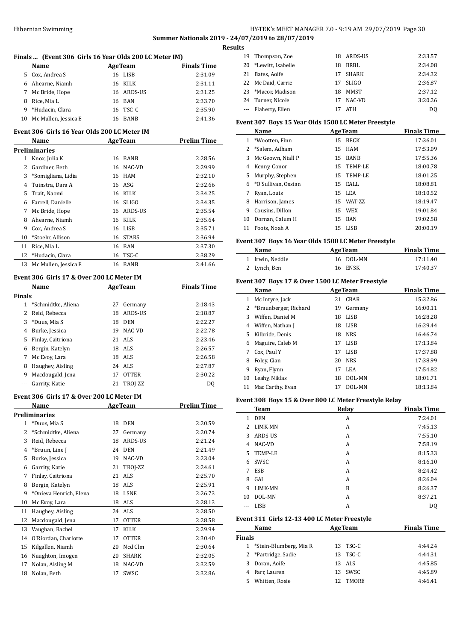## HY-TEK's MEET MANAGER 7.0 - 9:19 AM 29/07/2019 Page 30 **Summer Nationals 2019 - 24/07/2019 to 28/07/2019**

**Results**

| Finals  (Event 306 Girls 16 Year Olds 200 LC Meter IM)<br>Name<br>5 Cox. Andrea S<br>6 Ahearne, Niamh<br>7 Mc Bride, Hope<br>8 Rice, Mia L<br>9 *Hudacin, Clara<br>10 Mc Mullen, Jessica E<br>Event 306 Girls 16 Year Olds 200 LC Meter IM<br>Name<br><b>Preliminaries</b><br>1 Knox, Julia K |                                                                                                                                                                                                                                                                                                                                                                               | <b>AgeTeam</b><br>16 LISB<br>16 KILK<br>16 ARDS-US<br>16 BAN<br>16 TSC-C<br>16 BANB | <b>Finals Time</b><br>2:31.09<br>2:31.11<br>2:31.25<br>2:33.70<br>2:35.90                                                                                                                                                                                                                                                                                                                                                                          |
|-----------------------------------------------------------------------------------------------------------------------------------------------------------------------------------------------------------------------------------------------------------------------------------------------|-------------------------------------------------------------------------------------------------------------------------------------------------------------------------------------------------------------------------------------------------------------------------------------------------------------------------------------------------------------------------------|-------------------------------------------------------------------------------------|----------------------------------------------------------------------------------------------------------------------------------------------------------------------------------------------------------------------------------------------------------------------------------------------------------------------------------------------------------------------------------------------------------------------------------------------------|
|                                                                                                                                                                                                                                                                                               |                                                                                                                                                                                                                                                                                                                                                                               |                                                                                     |                                                                                                                                                                                                                                                                                                                                                                                                                                                    |
|                                                                                                                                                                                                                                                                                               |                                                                                                                                                                                                                                                                                                                                                                               |                                                                                     |                                                                                                                                                                                                                                                                                                                                                                                                                                                    |
|                                                                                                                                                                                                                                                                                               |                                                                                                                                                                                                                                                                                                                                                                               |                                                                                     |                                                                                                                                                                                                                                                                                                                                                                                                                                                    |
|                                                                                                                                                                                                                                                                                               |                                                                                                                                                                                                                                                                                                                                                                               |                                                                                     |                                                                                                                                                                                                                                                                                                                                                                                                                                                    |
|                                                                                                                                                                                                                                                                                               |                                                                                                                                                                                                                                                                                                                                                                               |                                                                                     |                                                                                                                                                                                                                                                                                                                                                                                                                                                    |
|                                                                                                                                                                                                                                                                                               |                                                                                                                                                                                                                                                                                                                                                                               |                                                                                     |                                                                                                                                                                                                                                                                                                                                                                                                                                                    |
|                                                                                                                                                                                                                                                                                               |                                                                                                                                                                                                                                                                                                                                                                               |                                                                                     |                                                                                                                                                                                                                                                                                                                                                                                                                                                    |
|                                                                                                                                                                                                                                                                                               |                                                                                                                                                                                                                                                                                                                                                                               |                                                                                     | 2:41.36                                                                                                                                                                                                                                                                                                                                                                                                                                            |
|                                                                                                                                                                                                                                                                                               |                                                                                                                                                                                                                                                                                                                                                                               |                                                                                     |                                                                                                                                                                                                                                                                                                                                                                                                                                                    |
|                                                                                                                                                                                                                                                                                               |                                                                                                                                                                                                                                                                                                                                                                               | <b>AgeTeam</b>                                                                      | <b>Prelim Time</b>                                                                                                                                                                                                                                                                                                                                                                                                                                 |
|                                                                                                                                                                                                                                                                                               |                                                                                                                                                                                                                                                                                                                                                                               |                                                                                     |                                                                                                                                                                                                                                                                                                                                                                                                                                                    |
|                                                                                                                                                                                                                                                                                               |                                                                                                                                                                                                                                                                                                                                                                               | 16 BANB                                                                             | 2:28.56                                                                                                                                                                                                                                                                                                                                                                                                                                            |
| 2 Gardiner, Beth                                                                                                                                                                                                                                                                              | 16                                                                                                                                                                                                                                                                                                                                                                            | NAC-VD                                                                              | 2:29.99                                                                                                                                                                                                                                                                                                                                                                                                                                            |
| 3 *Somigliana, Lidia                                                                                                                                                                                                                                                                          |                                                                                                                                                                                                                                                                                                                                                                               | 16 HAM                                                                              | 2:32.10                                                                                                                                                                                                                                                                                                                                                                                                                                            |
| 4 Tuinstra, Dara A                                                                                                                                                                                                                                                                            |                                                                                                                                                                                                                                                                                                                                                                               | 16 ASG                                                                              | 2:32.66                                                                                                                                                                                                                                                                                                                                                                                                                                            |
|                                                                                                                                                                                                                                                                                               |                                                                                                                                                                                                                                                                                                                                                                               | 16 KILK                                                                             | 2:34.25                                                                                                                                                                                                                                                                                                                                                                                                                                            |
| Trait, Naomi                                                                                                                                                                                                                                                                                  |                                                                                                                                                                                                                                                                                                                                                                               |                                                                                     |                                                                                                                                                                                                                                                                                                                                                                                                                                                    |
|                                                                                                                                                                                                                                                                                               |                                                                                                                                                                                                                                                                                                                                                                               |                                                                                     | 2:34.35                                                                                                                                                                                                                                                                                                                                                                                                                                            |
|                                                                                                                                                                                                                                                                                               |                                                                                                                                                                                                                                                                                                                                                                               |                                                                                     | 2:35.54                                                                                                                                                                                                                                                                                                                                                                                                                                            |
|                                                                                                                                                                                                                                                                                               |                                                                                                                                                                                                                                                                                                                                                                               |                                                                                     | 2:35.64                                                                                                                                                                                                                                                                                                                                                                                                                                            |
|                                                                                                                                                                                                                                                                                               |                                                                                                                                                                                                                                                                                                                                                                               |                                                                                     | 2:35.71                                                                                                                                                                                                                                                                                                                                                                                                                                            |
|                                                                                                                                                                                                                                                                                               |                                                                                                                                                                                                                                                                                                                                                                               |                                                                                     | 2:36.94                                                                                                                                                                                                                                                                                                                                                                                                                                            |
|                                                                                                                                                                                                                                                                                               |                                                                                                                                                                                                                                                                                                                                                                               |                                                                                     | 2:37.30                                                                                                                                                                                                                                                                                                                                                                                                                                            |
|                                                                                                                                                                                                                                                                                               |                                                                                                                                                                                                                                                                                                                                                                               |                                                                                     | 2:38.29                                                                                                                                                                                                                                                                                                                                                                                                                                            |
|                                                                                                                                                                                                                                                                                               |                                                                                                                                                                                                                                                                                                                                                                               |                                                                                     | 2:41.66                                                                                                                                                                                                                                                                                                                                                                                                                                            |
|                                                                                                                                                                                                                                                                                               |                                                                                                                                                                                                                                                                                                                                                                               |                                                                                     |                                                                                                                                                                                                                                                                                                                                                                                                                                                    |
|                                                                                                                                                                                                                                                                                               |                                                                                                                                                                                                                                                                                                                                                                               |                                                                                     | <b>Finals Time</b>                                                                                                                                                                                                                                                                                                                                                                                                                                 |
|                                                                                                                                                                                                                                                                                               |                                                                                                                                                                                                                                                                                                                                                                               |                                                                                     |                                                                                                                                                                                                                                                                                                                                                                                                                                                    |
|                                                                                                                                                                                                                                                                                               |                                                                                                                                                                                                                                                                                                                                                                               |                                                                                     | 2:18.43                                                                                                                                                                                                                                                                                                                                                                                                                                            |
|                                                                                                                                                                                                                                                                                               |                                                                                                                                                                                                                                                                                                                                                                               |                                                                                     | 2:18.87                                                                                                                                                                                                                                                                                                                                                                                                                                            |
|                                                                                                                                                                                                                                                                                               |                                                                                                                                                                                                                                                                                                                                                                               |                                                                                     | 2:22.27                                                                                                                                                                                                                                                                                                                                                                                                                                            |
|                                                                                                                                                                                                                                                                                               |                                                                                                                                                                                                                                                                                                                                                                               |                                                                                     | 2:22.78                                                                                                                                                                                                                                                                                                                                                                                                                                            |
|                                                                                                                                                                                                                                                                                               |                                                                                                                                                                                                                                                                                                                                                                               |                                                                                     | 2:23.46                                                                                                                                                                                                                                                                                                                                                                                                                                            |
|                                                                                                                                                                                                                                                                                               |                                                                                                                                                                                                                                                                                                                                                                               |                                                                                     | 2:26.57                                                                                                                                                                                                                                                                                                                                                                                                                                            |
|                                                                                                                                                                                                                                                                                               |                                                                                                                                                                                                                                                                                                                                                                               |                                                                                     | 2:26.58                                                                                                                                                                                                                                                                                                                                                                                                                                            |
|                                                                                                                                                                                                                                                                                               |                                                                                                                                                                                                                                                                                                                                                                               |                                                                                     | 2:27.87                                                                                                                                                                                                                                                                                                                                                                                                                                            |
|                                                                                                                                                                                                                                                                                               |                                                                                                                                                                                                                                                                                                                                                                               |                                                                                     | 2:30.22                                                                                                                                                                                                                                                                                                                                                                                                                                            |
|                                                                                                                                                                                                                                                                                               |                                                                                                                                                                                                                                                                                                                                                                               |                                                                                     | DQ                                                                                                                                                                                                                                                                                                                                                                                                                                                 |
|                                                                                                                                                                                                                                                                                               |                                                                                                                                                                                                                                                                                                                                                                               |                                                                                     |                                                                                                                                                                                                                                                                                                                                                                                                                                                    |
|                                                                                                                                                                                                                                                                                               |                                                                                                                                                                                                                                                                                                                                                                               |                                                                                     |                                                                                                                                                                                                                                                                                                                                                                                                                                                    |
| <b>Name</b>                                                                                                                                                                                                                                                                                   |                                                                                                                                                                                                                                                                                                                                                                               |                                                                                     | <b>Prelim Time</b>                                                                                                                                                                                                                                                                                                                                                                                                                                 |
| Preliminaries                                                                                                                                                                                                                                                                                 |                                                                                                                                                                                                                                                                                                                                                                               |                                                                                     |                                                                                                                                                                                                                                                                                                                                                                                                                                                    |
| *Duus, Mia S                                                                                                                                                                                                                                                                                  |                                                                                                                                                                                                                                                                                                                                                                               |                                                                                     | 2:20.59                                                                                                                                                                                                                                                                                                                                                                                                                                            |
| *Schmidtke, Aliena                                                                                                                                                                                                                                                                            |                                                                                                                                                                                                                                                                                                                                                                               | Germany                                                                             | 2:20.74                                                                                                                                                                                                                                                                                                                                                                                                                                            |
| Reid, Rebecca                                                                                                                                                                                                                                                                                 |                                                                                                                                                                                                                                                                                                                                                                               | ARDS-US                                                                             | 2:21.24                                                                                                                                                                                                                                                                                                                                                                                                                                            |
| 4 *Bruun, Line J                                                                                                                                                                                                                                                                              |                                                                                                                                                                                                                                                                                                                                                                               | DEN                                                                                 | 2:21.49                                                                                                                                                                                                                                                                                                                                                                                                                                            |
| 5 Burke, Jessica                                                                                                                                                                                                                                                                              |                                                                                                                                                                                                                                                                                                                                                                               | NAC-VD                                                                              | 2:23.04                                                                                                                                                                                                                                                                                                                                                                                                                                            |
| 6 Garrity, Katie                                                                                                                                                                                                                                                                              |                                                                                                                                                                                                                                                                                                                                                                               | TROJ-ZZ                                                                             | 2:24.61                                                                                                                                                                                                                                                                                                                                                                                                                                            |
| Finlay, Caitriona                                                                                                                                                                                                                                                                             |                                                                                                                                                                                                                                                                                                                                                                               | ALS                                                                                 | 2:25.70                                                                                                                                                                                                                                                                                                                                                                                                                                            |
| Bergin, Katelyn                                                                                                                                                                                                                                                                               |                                                                                                                                                                                                                                                                                                                                                                               |                                                                                     | 2:25.91                                                                                                                                                                                                                                                                                                                                                                                                                                            |
| *Onieva Henrich, Elena                                                                                                                                                                                                                                                                        |                                                                                                                                                                                                                                                                                                                                                                               |                                                                                     | 2:26.73                                                                                                                                                                                                                                                                                                                                                                                                                                            |
| Mc Evoy, Lara                                                                                                                                                                                                                                                                                 |                                                                                                                                                                                                                                                                                                                                                                               |                                                                                     | 2:28.13                                                                                                                                                                                                                                                                                                                                                                                                                                            |
| Haughey, Aisling                                                                                                                                                                                                                                                                              |                                                                                                                                                                                                                                                                                                                                                                               | ALS                                                                                 | 2:28.50                                                                                                                                                                                                                                                                                                                                                                                                                                            |
| Macdougald, Jena                                                                                                                                                                                                                                                                              |                                                                                                                                                                                                                                                                                                                                                                               | <b>OTTER</b>                                                                        | 2:28.58                                                                                                                                                                                                                                                                                                                                                                                                                                            |
| Vaughan, Rachel                                                                                                                                                                                                                                                                               | 17                                                                                                                                                                                                                                                                                                                                                                            | KILK                                                                                | 2:29.94                                                                                                                                                                                                                                                                                                                                                                                                                                            |
| O'Riordan, Charlotte                                                                                                                                                                                                                                                                          | 17                                                                                                                                                                                                                                                                                                                                                                            | <b>OTTER</b>                                                                        | 2:30.40                                                                                                                                                                                                                                                                                                                                                                                                                                            |
| Kilgallen, Niamh                                                                                                                                                                                                                                                                              | 20                                                                                                                                                                                                                                                                                                                                                                            | Ncd Clm                                                                             | 2:30.64                                                                                                                                                                                                                                                                                                                                                                                                                                            |
| 16 Naughton, Imogen                                                                                                                                                                                                                                                                           | 20                                                                                                                                                                                                                                                                                                                                                                            | SHARK                                                                               | 2:32.05                                                                                                                                                                                                                                                                                                                                                                                                                                            |
|                                                                                                                                                                                                                                                                                               |                                                                                                                                                                                                                                                                                                                                                                               |                                                                                     |                                                                                                                                                                                                                                                                                                                                                                                                                                                    |
|                                                                                                                                                                                                                                                                                               |                                                                                                                                                                                                                                                                                                                                                                               |                                                                                     |                                                                                                                                                                                                                                                                                                                                                                                                                                                    |
| Nolan, Aisling M<br>Nolan, Beth                                                                                                                                                                                                                                                               | 18<br>17                                                                                                                                                                                                                                                                                                                                                                      | NAC-VD<br>SWSC                                                                      | 2:32.59<br>2:32.86                                                                                                                                                                                                                                                                                                                                                                                                                                 |
| <b>Finals</b>                                                                                                                                                                                                                                                                                 | 6 Farrell, Danielle<br>7 Mc Bride, Hope<br>8 Ahearne, Niamh<br>9 Cox, Andrea S<br>*Stoehr, Allison<br>Rice, Mia L<br>12 *Hudacin, Clara<br>Mc Mullen, Jessica E<br>Name<br>1 *Schmidtke, Aliena<br>2 Reid, Rebecca<br>*Duus, Mia S<br>4 Burke, Jessica<br>Finlay, Caitriona<br>6 Bergin, Katelyn<br>Mc Evoy, Lara<br>Haughey, Aisling<br>9 Macdougald, Jena<br>Garrity, Katie | 17                                                                                  | 16 SLIGO<br>16 ARDS-US<br>16 KILK<br>16 LISB<br>16 STARS<br>16 BAN<br>16 TSC-C<br>16 BANB<br>Event 306 Girls 17 & Over 200 LC Meter IM<br><b>AgeTeam</b><br>27<br>Germany<br>18 ARDS-US<br>18 DEN<br>19<br>NAC-VD<br>21 ALS<br>18 ALS<br>18 ALS<br>24 ALS<br><b>OTTER</b><br>21<br>TROJ-ZZ<br>Event 306 Girls 17 & Over 200 LC Meter IM<br><b>AgeTeam</b><br>18 DEN<br>27<br>18<br>24<br>19<br>21<br>21<br>18 ALS<br>18 LSNE<br>18 ALS<br>24<br>17 |

| เร |                      |    |            |         |
|----|----------------------|----|------------|---------|
|    | 19 Thompson, Zoe     |    | 18 ARDS-US | 2:33.57 |
|    | 20 *Lewitt, Isabelle | 18 | BRBL       | 2:34.08 |
| 21 | Bates, Aoife         | 17 | SHARK      | 2:34.32 |
|    | 22 Mc Daid, Carrie   | 17 | SLIGO      | 2:36.87 |
|    | 23 *Macor, Madison   | 18 | MMST       | 2:37.12 |
|    | 24 Turner, Nicole    | 17 | NAC-VD     | 3:20.26 |
|    | --- Flaherty, Ellen  |    | <b>ATH</b> | DO.     |
|    |                      |    |            |         |

## **Event 307 Boys 15 Year Olds 1500 LC Meter Freestyle**

|    | Name                  |    | <b>AgeTeam</b> | <b>Finals Time</b> |
|----|-----------------------|----|----------------|--------------------|
|    | 1 *Wootten, Finn      | 15 | <b>BECK</b>    | 17:36.01           |
|    | 2 *Salem, Adham       | 15 | HAM            | 17:53.09           |
| 3  | Mc Geown, Niall P     | 15 | <b>BANB</b>    | 17:55.36           |
| 4  | Kenny, Conor          |    | 15 TEMP-LE     | 18:00.78           |
|    | 5 Murphy, Stephen     |    | 15 TEMP-LE     | 18:01.25           |
|    | 6 *O'Sullivan, Ossian |    | 15 EALL        | 18:08.81           |
| 7  | Ryan, Louis           |    | 15 LEA         | 18:10.52           |
| 8  | Harrison, James       |    | 15 WAT-7.7     | 18:19.47           |
| 9  | Cousins. Dillon       |    | 15 WEX         | 19:01.84           |
| 10 | Dornan, Calum H       | 15 | BAN            | 19:02.58           |
| 11 | Poots. Noah A         |    | 15 LISB        | 20:00.19           |

## **Event 307 Boys 16 Year Olds 1500 LC Meter Freestyle**

| Name            | <b>AgeTeam</b> | <b>Finals Time</b> |
|-----------------|----------------|--------------------|
| 1 Irwin. Neddie | 16 DOL-MN      | 17:11.40           |
| 2 Lynch, Ben    | 16 ENSK        | 17:40.37           |

## **Event 307 Boys 17 & Over 1500 LC Meter Freestyle**

|    | <b>Name</b>             |    | <b>AgeTeam</b> | <b>Finals Time</b> |
|----|-------------------------|----|----------------|--------------------|
| 1  | Mc Intyre, Jack         | 21 | CBAR           | 15:32.86           |
|    | 2 *Braunberger, Richard | 19 | Germany        | 16:00.11           |
| 3  | Wiffen, Daniel M        | 18 | LISB           | 16:28.28           |
| 4  | Wiffen, Nathan J        | 18 | LISB           | 16:29.44           |
| 5. | Kilbride, Denis         | 18 | <b>NRS</b>     | 16:46.74           |
| 6  | Maguire, Caleb M        | 17 | LISB           | 17:13.84           |
| 7  | Cox, Paul Y             | 17 | <b>LISB</b>    | 17:37.88           |
| 8  | Foley, Cian             | 20 | <b>NRS</b>     | 17:38.99           |
| 9  | Ryan, Flynn             | 17 | LEA            | 17:54.82           |
| 10 | Leahy, Niklas           | 18 | DOL-MN         | 18:01.71           |
| 11 | Mac Carthy, Evan        | 17 | DOL-MN         | 18:13.84           |

## **Event 308 Boys 15 & Over 800 LC Meter Freestyle Relay**

|              | <b>Team</b> | Relay | <b>Finals Time</b> |
|--------------|-------------|-------|--------------------|
| $\mathbf{1}$ | <b>DEN</b>  | A     | 7:24.01            |
|              | 2 LIMK-MN   | A     | 7:45.13            |
|              | 3 ARDS-US   | A     | 7:55.10            |
| 4            | NAC-VD      | А     | 7:58.19            |
| 5.           | TEMP-LE     | А     | 8:15.33            |
| 6            | SWSC        | А     | 8:16.10            |
| 7            | ESB         | А     | 8:24.42            |
| 8            | GAL         | А     | 8:26.04            |
| 9            | LIMK-MN     | B     | 8:26.37            |
| 10           | DOL-MN      | A     | 8:37.21            |
|              | <b>LISB</b> | А     | D <sub>0</sub>     |

### **Event 311 Girls 12-13 400 LC Meter Freestyle**

| Name          |                          |    | <b>AgeTeam</b> | <b>Finals Time</b> |  |
|---------------|--------------------------|----|----------------|--------------------|--|
| <b>Finals</b> |                          |    |                |                    |  |
|               | 1 *Stein-Blumberg, Mia R |    | 13 TSC-C       | 4:44.24            |  |
|               | 2 *Partridge, Sadie      |    | 13 TSC-C       | 4:44.31            |  |
|               | 3 Doran, Aoife           |    | 13 ALS         | 4:45.85            |  |
|               | 4 Farr, Lauren           |    | 13 SWSC        | 4:45.89            |  |
| 5.            | Whitten, Rosie           | 12 | TMORE          | 4:46.41            |  |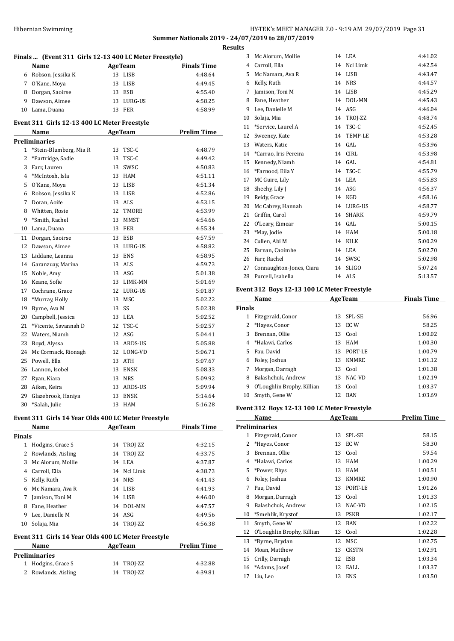## HY-TEK's MEET MANAGER 7.0 - 9:19 AM 29/07/2019 Page 31 **Summer Nationals 2019 - 24/07/2019 to 28/07/2019**

|                | Finals  (Event 311 Girls 12-13 400 LC Meter Freestyle)<br>Name |                             | <b>AgeTeam</b> | <b>Finals Time</b> |  |  |  |
|----------------|----------------------------------------------------------------|-----------------------------|----------------|--------------------|--|--|--|
|                | 6 Robson, Jessika K                                            |                             | 13 LISB        | 4:48.64            |  |  |  |
| $7^{\circ}$    | O'Kane, Moya                                                   |                             | 13 LISB        | 4:49.45            |  |  |  |
| 8              | Dorgan, Saoirse                                                |                             | 13 ESB         | 4:55.40            |  |  |  |
| 9              | Dawson, Aimee                                                  |                             | 13 LURG-US     | 4:58.25            |  |  |  |
| 10             | Lama, Duana                                                    | 13                          | FER            | 4:58.99            |  |  |  |
|                |                                                                |                             |                |                    |  |  |  |
|                | Event 311 Girls 12-13 400 LC Meter Freestyle                   |                             |                |                    |  |  |  |
|                | Name                                                           |                             | <b>AgeTeam</b> | <b>Prelim Time</b> |  |  |  |
|                | Preliminaries                                                  |                             |                |                    |  |  |  |
| 1              | *Stein-Blumberg, Mia R                                         |                             | 13 TSC-C       | 4:48.79            |  |  |  |
| 2              | *Partridge, Sadie                                              | 13                          | TSC-C          | 4:49.42            |  |  |  |
| 3              | Farr, Lauren                                                   |                             | 13 SWSC        | 4:50.83            |  |  |  |
| $\overline{4}$ | *McIntosh, Isla                                                |                             | 13 HAM         | 4:51.11            |  |  |  |
| 5              | O'Kane, Moya                                                   |                             | 13 LISB        | 4:51.34            |  |  |  |
| 6              | Robson, Jessika K                                              |                             | 13 LISB        | 4:52.86            |  |  |  |
| 7              | Doran, Aoife                                                   |                             | 13 ALS         | 4:53.15            |  |  |  |
| 8              | Whitten, Rosie                                                 |                             | 12 TMORE       | 4:53.99            |  |  |  |
| 9              | *Smith, Rachel                                                 | 13                          | MMST           | 4:54.66            |  |  |  |
| 10             | Lama, Duana                                                    |                             | 13 FER         | 4:55.34            |  |  |  |
| 11             | Dorgan, Saoirse                                                | 13                          | ESB            | 4:57.59            |  |  |  |
| 12             | Dawson, Aimee                                                  |                             | 13 LURG-US     | 4:58.82            |  |  |  |
| 13             | Liddane, Leanna                                                |                             | 13 ENS         | 4:58.95            |  |  |  |
| 14             | Garanzuay, Marina                                              | 13                          | ALS            | 4:59.73            |  |  |  |
| 15             | Noble, Amy                                                     |                             | 13 ASG         | 5:01.38            |  |  |  |
| 16             | Keane, Sofie                                                   |                             | 13 LIMK-MN     | 5:01.69            |  |  |  |
| 17             | Cochrane, Grace                                                |                             | 12 LURG-US     | 5:01.87            |  |  |  |
| 18             | *Murray, Holly                                                 |                             | 13 MSC         | 5:02.22            |  |  |  |
| 19             | Byrne, Ava M                                                   | 13 SS                       |                | 5:02.38            |  |  |  |
| 20             | Campbell, Jessica                                              |                             | 13 LEA         | 5:02.52            |  |  |  |
| 21             | *Vicente, Savannah D                                           |                             | 12 TSC-C       | 5:02.57            |  |  |  |
| 22             | Waters, Niamh                                                  |                             | 12 ASG         | 5:04.41            |  |  |  |
| 23             | Boyd, Alyssa                                                   |                             | 13 ARDS-US     | 5:05.88            |  |  |  |
| 24             | Mc Cormack, Rionagh                                            |                             | 12 LONG-VD     | 5:06.71            |  |  |  |
| 25             | Powell, Ella                                                   |                             | 13 ATH         | 5:07.67            |  |  |  |
| 26             | Lannon, Isobel                                                 |                             | 13 ENSK        | 5:08.33            |  |  |  |
| 27             | Ryan, Kiara                                                    |                             | 13 NRS         | 5:09.92            |  |  |  |
| 28             | Aiken, Keira                                                   |                             | 13 ARDS-US     | 5:09.94            |  |  |  |
| 29             | Glazebrook, Haniya                                             |                             | 13 ENSK        | 5:14.64            |  |  |  |
| 30             | *Salah, Julie                                                  |                             | 13 HAM         | 5:16.28            |  |  |  |
|                | $-1.244 \tC^{-1} - 4.4 M^{-1}$                                 | $0.014 \times 100$ I C Mata | a Dania        |                    |  |  |  |

## **Event 311 Girls 14 Year Olds 400 LC Meter Freestyle**

|        | Name              |    | <b>AgeTeam</b> | <b>Finals Time</b> |
|--------|-------------------|----|----------------|--------------------|
| Finals |                   |    |                |                    |
| 1      | Hodgins, Grace S  |    | 14 TROJ-ZZ     | 4:32.15            |
|        | Rowlands, Aisling |    | 14 TROJ-ZZ     | 4:33.75            |
| 3      | Mc Alorum, Mollie |    | 14 LEA         | 4:37.87            |
| 4      | Carroll, Ella     |    | 14 Ncl Limk    | 4:38.73            |
| 5      | Kelly, Ruth       | 14 | NRS.           | 4:41.43            |
| 6      | Mc Namara, Ava R  | 14 | LISB           | 4:41.93            |
| 7      | Jamison, Toni M   | 14 | LISB           | 4:46.00            |
| 8      | Fane, Heather     | 14 | DOL-MN         | 4:47.57            |
| 9      | Lee. Danielle M   |    | $14$ ASG       | 4:49.56            |
| 10     | Solaja, Mia       | 14 | TROI-ZZ        | 4:56.38            |
|        |                   |    |                |                    |

## **Event 311 Girls 14 Year Olds 400 LC Meter Freestyle**

| <b>Name</b>         |  | <b>Prelim Time</b>                         |
|---------------------|--|--------------------------------------------|
| Preliminaries       |  |                                            |
| 1 Hodgins, Grace S  |  | 4:32.88                                    |
| 2 Rowlands, Aisling |  | 4:39.81                                    |
|                     |  | <b>AgeTeam</b><br>14 TROJ-ZZ<br>14 TROJ-ZZ |

| <b>Results</b> |                          |    |                |         |  |  |
|----------------|--------------------------|----|----------------|---------|--|--|
| 3              | Mc Alorum, Mollie        |    | 14 LEA         | 4:41.02 |  |  |
| 4              | Carroll, Ella            |    | 14 Ncl Limk    | 4:42.54 |  |  |
| 5              | Mc Namara, Ava R         | 14 | LISB           | 4:43.47 |  |  |
| 6              | Kelly, Ruth              | 14 | <b>NRS</b>     | 4:44.57 |  |  |
| 7              | Jamison, Toni M          | 14 | LISB           | 4:45.29 |  |  |
| 8              | Fane, Heather            | 14 | DOL-MN         | 4:45.43 |  |  |
| 9              | Lee, Danielle M          | 14 | ASG            | 4:46.04 |  |  |
| 10             | Solaja, Mia              | 14 | TROJ-ZZ        | 4:48.74 |  |  |
| 11             | *Service, Laurel A       | 14 | TSC-C          | 4:52.45 |  |  |
| 12             | Sweeney, Kate            | 14 | <b>TEMP-LE</b> | 4:53.28 |  |  |
| 13             | Waters, Katie            | 14 | GAL            | 4:53.96 |  |  |
| 14             | *Carrao, Iris Pereira    | 14 | <b>CIRL</b>    | 4:53.98 |  |  |
| 15             | Kennedy, Niamh           |    | 14 GAL         | 4:54.81 |  |  |
| 16             | *Farnood, Eila Y         | 14 | TSC-C          | 4:55.79 |  |  |
| 17             | MC Guire, Lily           | 14 | LEA            | 4:55.83 |  |  |
| 18             | Sheehy, Lily J           |    | 14 ASG         | 4:56.37 |  |  |
| 19             | Reidy, Grace             | 14 | KGD            | 4:58.16 |  |  |
| 20             | Mc Cabrey, Hannah        | 14 | LURG-US        | 4:58.77 |  |  |
| 21             | Griffin, Carol           | 14 | <b>SHARK</b>   | 4:59.79 |  |  |
| 22             | O'Leary, Eimear          | 14 | GAL            | 5:00.15 |  |  |
| 23             | *May, Jodie              |    | 14 HAM         | 5:00.18 |  |  |
| 24             | Cullen, Abi M            | 14 | KILK           | 5:00.29 |  |  |
| 25             | Farnan, Caoimhe          | 14 | LEA            | 5:02.70 |  |  |
| 26             | Farr, Rachel             |    | 14 SWSC        | 5:02.98 |  |  |
| 27             | Connaughton-Jones, Ciara | 14 | <b>SLIGO</b>   | 5:07.24 |  |  |
| 28             | Purcell, Isabella        |    | 14 ALS         | 5:13.57 |  |  |

## **Event 312 Boys 12-13 100 LC Meter Freestyle**

|               | Name                       | <b>AgeTeam</b> |              | <b>Finals Time</b> |
|---------------|----------------------------|----------------|--------------|--------------------|
| <b>Finals</b> |                            |                |              |                    |
|               | Fitzgerald, Conor          | 13             | SPL-SE       | 56.96              |
|               | *Haves, Conor              | 13             | EC W         | 58.25              |
| 3             | Brennan, Ollie             |                | 13 Cool      | 1:00.02            |
|               | 4 *Halawi, Carlos          | 13             | <b>HAM</b>   | 1:00.30            |
| 5.            | Pau, David                 | 13             | PORT-LE      | 1:00.79            |
| 6             | Foley, Joshua              | 13             | <b>KNMRE</b> | 1:01.12            |
|               | Morgan, Darragh            |                | 13 Cool      | 1:01.38            |
| 8             | Balashchuk, Andrew         | 13             | NAC-VD       | 1:02.19            |
| 9             | O'Loughlin Brophy, Killian |                | 13 Cool      | 1:03.37            |
| 10            | Smyth, Gene W              | 12             | <b>BAN</b>   | 1:03.69            |

## **Event 312 Boys 12-13 100 LC Meter Freestyle**

|    | Name                       |    | <b>AgeTeam</b> | <b>Prelim Time</b> |
|----|----------------------------|----|----------------|--------------------|
|    | <b>Preliminaries</b>       |    |                |                    |
| 1  | Fitzgerald, Conor          | 13 | SPL-SE         | 58.15              |
| 2  | *Hayes, Conor              | 13 | EC W           | 58.30              |
| 3  | Brennan, Ollie             | 13 | Cool           | 59.54              |
| 4  | *Halawi, Carlos            | 13 | <b>HAM</b>     | 1:00.29            |
| 5  | *Power, Rhys               | 13 | <b>HAM</b>     | 1:00.51            |
| 6  | Foley, Joshua              | 13 | <b>KNMRE</b>   | 1:00.90            |
| 7  | Pau, David                 | 13 | PORT-LE        | 1:01.26            |
| 8  | Morgan, Darragh            | 13 | Cool           | 1:01.33            |
| 9  | Balashchuk, Andrew         | 13 | NAC-VD         | 1:02.15            |
| 10 | *Smehlik, Krystof          | 13 | <b>PSKB</b>    | 1:02.17            |
| 11 | Smyth, Gene W              | 12 | <b>BAN</b>     | 1:02.22            |
| 12 | O'Loughlin Brophy, Killian | 13 | Cool           | 1:02.28            |
| 13 | *Byrne, Brydan             | 12 | MSC            | 1:02.75            |
| 14 | Moan, Matthew              | 13 | <b>CKSTN</b>   | 1:02.91            |
| 15 | Crilly, Darragh            | 12 | <b>ESB</b>     | 1:03.34            |
| 16 | *Adams, Josef              | 12 | EALL           | 1:03.37            |
| 17 | Liu, Leo                   | 13 | <b>ENS</b>     | 1:03.50            |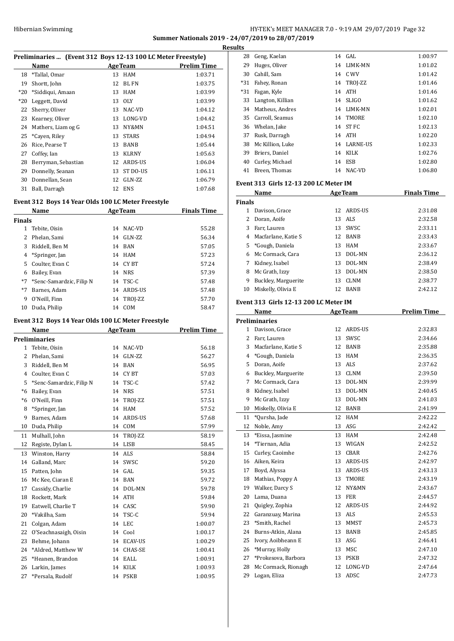## HY-TEK's MEET MANAGER 7.0 - 9:19 AM 29/07/2019 Page 32 **Summer Nationals 2019 - 24/07/2019 to 28/07/2019 Results**

| Preliminaries  (Event 312 Boys 12-13 100 LC Meter Freestyle) |                     |    |                                                                            |                    |  |
|--------------------------------------------------------------|---------------------|----|----------------------------------------------------------------------------|--------------------|--|
|                                                              | Name                |    | <b>AgeTeam</b>                                                             | <b>Prelim Time</b> |  |
| 18                                                           | *Tallal, Omar       | 13 | <b>HAM</b>                                                                 | 1:03.71            |  |
| 19                                                           | Shortt, John        | 12 | <b>BL FN</b>                                                               | 1:03.75            |  |
| $*20$                                                        | *Siddiqui, Amaan    | 13 | <b>HAM</b>                                                                 | 1:03.99            |  |
| $*20$                                                        | Leggett, David      | 13 | <b>OLY</b>                                                                 | 1:03.99            |  |
| 22                                                           | Sherry, Oliver      | 13 | NAC-VD                                                                     | 1:04.12            |  |
| 23                                                           | Kearney, Oliver     | 13 | LONG-VD                                                                    | 1:04.42            |  |
| 24                                                           | Mathers, Liam og G  | 13 | NY&MN                                                                      | 1:04.51            |  |
| 25                                                           | *Cayen, Riley       | 13 | <b>STARS</b>                                                               | 1:04.94            |  |
| 26                                                           | Rice, Pearse T      | 13 | <b>BANB</b>                                                                | 1:05.44            |  |
| 27                                                           | Coffey, Ian         | 13 | <b>KLRNY</b>                                                               | 1:05.63            |  |
| 28                                                           | Berryman, Sebastian | 12 | ARDS-US                                                                    | 1:06.04            |  |
| 29                                                           | Donnelly, Seanan    | 13 | ST DO-US                                                                   | 1:06.11            |  |
| 30                                                           | Donnellan, Sean     | 12 | GLN-ZZ                                                                     | 1:06.79            |  |
| 31                                                           | Ball, Darragh       | 12 | <b>ENS</b>                                                                 | 1:07.68            |  |
| Event 312 Boys 14 Year Olds 100 LC Meter Freestyle           |                     |    |                                                                            |                    |  |
|                                                              | Name                |    | <b>AgeTeam</b>                                                             | <b>Finals Time</b> |  |
| Finals                                                       |                     |    |                                                                            |                    |  |
| 1                                                            | Tebite, Oisin       | 14 | NAC-VD                                                                     | 55.28              |  |
| $\overline{\mathcal{L}}$                                     | Phelan, Sami        | 14 | GLN-ZZ                                                                     | 56.34              |  |
|                                                              | $0.011100 \mu$      |    | $\overline{A}$ $\overline{B}$ $\overline{B}$ $\overline{A}$ $\overline{B}$ | $- - - -$          |  |

|      | 1.11                        |    |            | ----  |
|------|-----------------------------|----|------------|-------|
|      | 3 Riddell, Ben M            | 14 | BAN        | 57.05 |
|      | 4 *Springer, Jan            |    | 14 HAM     | 57.23 |
|      | 5 Coulter, Evan C           |    | 14 CYBT    | 57.24 |
|      | 6 Bailey, Evan              |    | 14 NRS     | 57.39 |
|      | *7 *Senc-Samardzic, Filip N |    | 14 TSC-C   | 57.48 |
| $*7$ | Barnes, Adam                |    | 14 ARDS-US | 57.48 |
| 9    | O'Neill, Finn               |    | 14 TROJ-ZZ | 57.70 |
| 10   | Duda, Philip                | 14 | <b>COM</b> | 58.47 |
|      |                             |    |            |       |

## **Event 312 Boys 14 Year Olds 100 LC Meter Freestyle**

|                | <b>Name</b>              | <b>AgeTeam</b> |                | <b>Prelim Time</b> |
|----------------|--------------------------|----------------|----------------|--------------------|
|                | Preliminaries            |                |                |                    |
| 1              | Tebite, Oisin            | 14             | NAC-VD         | 56.18              |
| $\overline{c}$ | Phelan, Sami             | 14             | GLN-ZZ         | 56.27              |
| 3              | Riddell, Ben M           | 14             | <b>BAN</b>     | 56.95              |
| $\overline{4}$ | Coulter, Evan C          | 14             | CY BT          | 57.03              |
| 5              | *Senc-Samardzic, Filip N | 14             | TSC-C          | 57.42              |
| $*6$           | Bailey, Evan             | 14             | <b>NRS</b>     | 57.51              |
| $*6$           | O'Neill, Finn            | 14             | TROJ-ZZ        | 57.51              |
| 8              | *Springer, Jan           | 14             | <b>HAM</b>     | 57.52              |
| 9              | Barnes, Adam             | 14             | ARDS-US        | 57.68              |
| 10             | Duda, Philip             | 14             | COM            | 57.99              |
| 11             | Mulhall, John            | 14             | TROJ-ZZ        | 58.19              |
| 12             | Registe, Dylan L         | 14             | <b>LISB</b>    | 58.45              |
| 13             | Winston, Harry           | 14             | <b>ALS</b>     | 58.84              |
| 14             | Galland, Marc            | 14             | SWSC           | 59.20              |
| 15             | Patten, John             | 14             | GAL.           | 59.35              |
| 16             | Mc Kee, Ciaran E         | 14             | <b>BAN</b>     | 59.72              |
| 17             | Cassidy, Charlie         | 14             | DOL-MN         | 59.78              |
| 18             | Rockett, Mark            | 14             | <b>ATH</b>     | 59.84              |
| 19             | Eatwell, Charlie T       | 14             | CASC           | 59.90              |
| 20             | *Vakilha, Sam            | 14             | TSC-C          | 59.94              |
| 21             | Colgan, Adam             | 14             | <b>LEC</b>     | 1:00.07            |
| 22             | O'Seachnasaigh, Oisin    | 14             | Cool           | 1:00.17            |
| 23             | Behme, Johann            | 14             | <b>ECAV-US</b> | 1:00.29            |
| 24             | *Aldred, Matthew W       | 14             | CHAS-SE        | 1:00.41            |
| 25             | *Heanen, Brandon         | 14             | EALL           | 1:00.91            |
| 26             | Larkin, James            | 14             | <b>KILK</b>    | 1:00.93            |
| 27             | *Persala, Rudolf         | 14             | <b>PSKB</b>    | 1:00.95            |

| ILS   |                  |    |                 |         |
|-------|------------------|----|-----------------|---------|
| 28    | Geng, Kaelan     |    | 14 GAL          | 1:00.97 |
| 29    | Huges, Oliver    | 14 | LIMK-MN         | 1:01.02 |
| 30    | Cahill, Sam      |    | 14 C.WV         | 1:01.42 |
| *31   | Fahey, Ronan     |    | 14 TROJ-ZZ      | 1:01.46 |
| $*31$ | Fagan, Kyle      | 14 | ATH             | 1:01.46 |
| 33    | Langton, Killian | 14 | SLIGO           | 1:01.62 |
| 34    | Matheus, Andres  | 14 | <b>LIMK-MN</b>  | 1:02.01 |
| 35    | Carroll, Seamus  | 14 | TMORE           | 1:02.10 |
| 36    | Whelan, Jake     | 14 | ST FC           | 1:02.13 |
| 37    | Rusk, Darragh    |    | 14 ATH          | 1:02.20 |
| 38    | Mc Killion, Luke | 14 | <b>LARNE-US</b> | 1:02.33 |
| 39    | Briers, Daniel   | 14 | KILK            | 1:02.76 |
| 40    | Curley, Michael  | 14 | <b>ESB</b>      | 1:02.80 |
| 41    | Breen, Thomas    | 14 | NAC-VD          | 1:06.80 |
|       |                  |    |                 |         |

## **Event 313 Girls 12-13 200 LC Meter IM**

|               | Name                |    | <b>AgeTeam</b> | <b>Finals Time</b> |
|---------------|---------------------|----|----------------|--------------------|
| <b>Finals</b> |                     |    |                |                    |
|               | Davison, Grace      | 12 | ARDS-US        | 2:31.08            |
| 2.            | Doran, Aoife        | 13 | ALS            | 2:32.58            |
| 3             | Farr. Lauren        | 13 | <b>SWSC</b>    | 2:33.11            |
| 4             | Macfarlane, Katie S | 12 | <b>BANB</b>    | 2:33.43            |
|               | 5 *Gough, Daniela   | 13 | <b>HAM</b>     | 2:33.67            |
| 6             | Mc Cormack. Cara    | 13 | DOL-MN         | 2:36.12            |
|               | Kidney, Isabel      | 13 | DOL-MN         | 2:38.49            |
| 8             | Mc Grath, Izzy      | 13 | DOL-MN         | 2:38.50            |
| 9             | Buckley, Marguerite | 13 | <b>CLNM</b>    | 2:38.77            |
| 10            | Miskelly, Olivia E  | 12 | <b>BANB</b>    | 2:42.12            |

## **Event 313 Girls 12-13 200 LC Meter IM**

|    | Name                 |    | AgeTeam        | <b>Prelim Time</b> |
|----|----------------------|----|----------------|--------------------|
|    | <b>Preliminaries</b> |    |                |                    |
|    | 1 Davison, Grace     | 12 | ARDS-US        | 2:32.83            |
| 2  | Farr, Lauren         | 13 | SWSC           | 2:34.66            |
| 3  | Macfarlane, Katie S  | 12 | <b>BANB</b>    | 2:35.88            |
| 4  | *Gough, Daniela      | 13 | <b>HAM</b>     | 2:36.35            |
| 5  | Doran, Aoife         | 13 | <b>ALS</b>     | 2:37.62            |
| 6  | Buckley, Marguerite  | 13 | <b>CLNM</b>    | 2:39.50            |
| 7  | Mc Cormack, Cara     | 13 | DOL-MN         | 2:39.99            |
| 8  | Kidney, Isabel       | 13 | DOL-MN         | 2:40.45            |
| 9  | Mc Grath, Izzy       | 13 | DOL-MN         | 2:41.03            |
| 10 | Miskelly, Olivia E   | 12 | <b>BANB</b>    | 2:41.99            |
| 11 | *Oursha, Jade        | 12 | <b>HAM</b>     | 2:42.22            |
| 12 | Noble, Amy           | 13 | ASG            | 2:42.42            |
| 13 | *Eissa, Jasmine      | 13 | <b>HAM</b>     | 2:42.48            |
| 14 | *Tiernan. Adia       | 13 | WIGAN          | 2:42.52            |
| 15 | Curley, Caoimhe      | 13 | CBAR           | 2:42.76            |
| 16 | Aiken, Keira         | 13 | ARDS-US        | 2:42.97            |
| 17 | Boyd, Alyssa         | 13 | <b>ARDS-US</b> | 2:43.13            |
| 18 | Mathias, Poppy A     | 13 | <b>TMORE</b>   | 2:43.19            |
| 19 | Walker, Darcy S      | 12 | NY&MN          | 2:43.67            |
| 20 | Lama, Duana          | 13 | <b>FER</b>     | 2:44.57            |
| 21 | Quigley, Zophia      | 12 | ARDS-US        | 2:44.92            |
| 22 | Garanzuay, Marina    | 13 | <b>ALS</b>     | 2:45.53            |
| 23 | *Smith, Rachel       | 13 | <b>MMST</b>    | 2:45.73            |
| 24 | Burns-Atkin, Alana   | 13 | <b>BANB</b>    | 2:45.85            |
| 25 | Ivory, Aoibheann E   | 13 | ASG            | 2:46.41            |
| 26 | *Murray, Holly       | 13 | <b>MSC</b>     | 2:47.10            |
| 27 | *Prokesova, Barbora  | 13 | <b>PSKB</b>    | 2:47.32            |
| 28 | Mc Cormack, Rionagh  | 12 | LONG-VD        | 2:47.64            |
| 29 | Logan, Eliza         | 13 | ADSC           | 2:47.73            |
|    |                      |    |                |                    |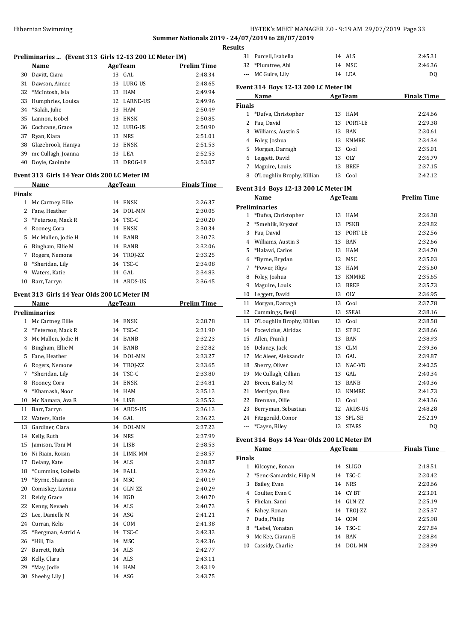## Hibernian Swimming HY-TEK's MEET MANAGER 7.0 - 9:19 AM 29/07/2019 Page 33 **Summer Nationals 2019 - 24/07/2019 to 28/07/2019**

**Results**

|               | Preliminaries  (Event 313 Girls 12-13 200 LC Meter IM) |    |             |                    |  |
|---------------|--------------------------------------------------------|----|-------------|--------------------|--|
|               | Name                                                   |    | AgeTeam     | <b>Prelim Time</b> |  |
|               | 30 Davitt, Ciara                                       |    | 13 GAL      | 2:48.34            |  |
|               | 31 Dawson, Aimee                                       |    | 13 LURG-US  | 2:48.65            |  |
|               |                                                        |    |             |                    |  |
|               | 32 *McIntosh, Isla                                     |    | 13 HAM      | 2:49.94            |  |
| 33            | Humphries, Louisa                                      |    | 12 LARNE-US | 2:49.96            |  |
| 34            | *Salah, Julie                                          |    | 13 HAM      | 2:50.49            |  |
| 35            | Lannon, Isobel                                         |    | 13 ENSK     | 2:50.85            |  |
|               | 36 Cochrane, Grace                                     |    | 12 LURG-US  | 2:50.90            |  |
|               | 37 Ryan, Kiara                                         |    | 13 NRS      | 2:51.01            |  |
|               | 38 Glazebrook, Haniya                                  |    | 13 ENSK     | 2:51.53            |  |
|               | 39 mc Cullagh, Joanna                                  | 13 | LEA         | 2:52.53            |  |
| 40            | Doyle, Caoimhe                                         | 13 | DROG-LE     | 2:53.07            |  |
|               |                                                        |    |             |                    |  |
|               | Event 313 Girls 14 Year Olds 200 LC Meter IM           |    |             |                    |  |
|               | Name                                                   |    | AgeTeam     | <b>Finals Time</b> |  |
| <b>Finals</b> |                                                        |    |             |                    |  |
|               | 1 Mc Cartney, Ellie                                    |    | 14 ENSK     | 2:26.37            |  |
|               | 2 Fane, Heather                                        |    | 14 DOL-MN   | 2:30.05            |  |
| 3             | *Peterson, Mack R                                      |    | 14 TSC-C    | 2:30.20            |  |
|               | 4 Rooney, Cora                                         |    | 14 ENSK     | 2:30.34            |  |
| 5             | Mc Mullen, Jodie H                                     |    | 14 BANB     | 2:30.73            |  |
|               |                                                        |    |             |                    |  |
|               | 6 Bingham, Ellie M                                     |    | 14 BANB     | 2:32.06            |  |
|               | 7 Rogers, Nemone                                       |    | 14 TROJ-ZZ  | 2:33.25            |  |
|               | 8 *Sheridan, Lily                                      | 14 | TSC-C       | 2:34.08            |  |
| 9             | Waters, Katie                                          | 14 | GAL         | 2:34.83            |  |
| 10            | Barr, Tarryn                                           |    | 14 ARDS-US  | 2:36.45            |  |
|               | Event 313 Girls 14 Year Olds 200 LC Meter IM           |    |             |                    |  |
|               |                                                        |    |             |                    |  |
|               | Name                                                   |    | AgeTeam     | <b>Prelim Time</b> |  |
|               | <b>Preliminaries</b>                                   |    |             |                    |  |
|               | 1 Mc Cartney, Ellie                                    |    | 14 ENSK     | 2:28.78            |  |
|               | 2 *Peterson, Mack R                                    |    | 14 TSC-C    | 2:31.90            |  |
|               | 3 Mc Mullen, Jodie H                                   |    | 14 BANB     | 2:32.23            |  |
|               | 4 Bingham, Ellie M                                     |    | 14 BANB     | 2:32.82            |  |
| 5             | Fane, Heather                                          |    | 14 DOL-MN   | 2:33.27            |  |
|               | 6 Rogers, Nemone                                       |    | 14 TROJ-ZZ  | 2:33.65            |  |
| 7             | *Sheridan, Lily                                        | 14 | TSC-C       | 2:33.80            |  |
| 8             | Rooney, Cora                                           |    | 14 ENSK     | 2:34.81            |  |
| 9             | *Khamash, Noor                                         | 14 | HAM         | 2:35.13            |  |
| 10            | Mc Namara, Ava R                                       | 14 | LISB        | 2:35.52            |  |
| 11            | Barr, Tarryn                                           | 14 | ARDS-US     | 2:36.13            |  |
|               |                                                        |    | GAL         |                    |  |
| 12            | Waters, Katie                                          | 14 |             | 2:36.22            |  |
| 13            | Gardiner, Ciara                                        | 14 | DOL-MN      | 2:37.23            |  |
| 14            | Kelly, Ruth                                            | 14 | <b>NRS</b>  | 2:37.99            |  |
| 15            | Jamison, Toni M                                        | 14 | LISB        | 2:38.53            |  |
| 16            | Ni Riain, Roisin                                       |    | 14 LIMK-MN  | 2:38.57            |  |
| 17            | Delany, Kate                                           |    | 14 ALS      | 2:38.87            |  |
| 18            | *Cummins, Isabella                                     | 14 | EALL        | 2:39.26            |  |
| 19            | *Byrne, Shannon                                        | 14 | MSC         | 2:40.19            |  |
| 20            | Comiskey, Lavinia                                      | 14 | GLN-ZZ      | 2:40.29            |  |
| 21            | Reidy, Grace                                           | 14 | KGD         | 2:40.70            |  |
| 22            | Kenny, Nevaeh                                          | 14 | ALS         | 2:40.73            |  |
| 23            | Lee, Danielle M                                        | 14 | ASG         | 2:41.21            |  |
| 24            | Curran, Kelis                                          | 14 | COM         | 2:41.38            |  |
|               |                                                        |    |             |                    |  |
| 25            | *Bergman, Astrid A                                     | 14 | TSC-C       | 2:42.33            |  |
| 26            | *Hill, Tia                                             | 14 | MSC         | 2:42.36            |  |
| 27            | Barrett, Ruth                                          | 14 | ALS         | 2:42.77            |  |
| 28            | Kelly, Clara                                           |    | 14 ALS      | 2:43.11            |  |
| 29            | *May, Jodie                                            | 14 | HAM         | 2:43.19            |  |
| 30            | Sheehy, Lily J                                         | 14 | ASG         | 2:43.75            |  |

| ults           |                                             |    |                |                    |
|----------------|---------------------------------------------|----|----------------|--------------------|
| 31             | Purcell, Isabella                           |    | 14 ALS         | 2:45.31            |
|                | 32 *Plumtree, Abi                           |    | 14 MSC         | 2:46.36            |
| $---$          | MC Guire, Lily                              |    | 14 LEA         | DQ                 |
|                | Event 314 Boys 12-13 200 LC Meter IM        |    |                |                    |
|                | Name                                        |    | <b>AgeTeam</b> | <b>Finals Time</b> |
| <b>Finals</b>  |                                             |    |                |                    |
| $\mathbf{1}$   | *Dufva, Christopher                         | 13 | HAM            | 2:24.66            |
| 2              | Pau, David                                  | 13 | PORT-LE        | 2:29.38            |
| 3              | Williams, Austin S                          |    | 13 BAN         | 2:30.61            |
| 4              | Foley, Joshua                               |    | 13 KNMRE       | 2:34.34            |
| 5              | Morgan, Darragh                             |    | 13 Cool        | 2:35.01            |
| 6              | Leggett, David                              |    | 13 OLY         | 2:36.79            |
| 7              | Maguire, Louis                              | 13 | BREF           | 2:37.15            |
| 8              | O'Loughlin Brophy, Killian                  |    | 13 Cool        | 2:42.12            |
|                | Event 314 Boys 12-13 200 LC Meter IM        |    |                |                    |
|                | Name                                        |    | <b>AgeTeam</b> | <b>Prelim Time</b> |
|                | <b>Preliminaries</b>                        |    |                |                    |
| 1              | *Dufva, Christopher                         | 13 | HAM            | 2:26.38            |
| 2              | *Smehlik, Krystof                           |    | 13 PSKB        | 2:29.82            |
| 3              | Pau, David                                  | 13 | PORT-LE        | 2:32.56            |
| 4              | Williams, Austin S                          |    | 13 BAN         | 2:32.66            |
| 5              | *Halawi, Carlos                             |    | 13 HAM         | 2:34.70            |
| 6              | *Byrne, Brydan                              |    | 12 MSC         | 2:35.03            |
| 7              | *Power, Rhys                                |    | 13 HAM         | 2:35.60            |
| 8              | Foley, Joshua                               |    | 13 KNMRE       | 2:35.65            |
| 9              | Maguire, Louis                              |    | 13 BREF        | 2:35.73            |
| 10             | Leggett, David                              |    | 13 OLY         | 2:36.95            |
| 11             | Morgan, Darragh                             | 13 | Cool           | 2:37.78            |
| 12             | Cummings, Benji                             |    | 13 SSEAL       | 2:38.16            |
| 13             | O'Loughlin Brophy, Killian                  |    | 13 Cool        | 2:38.58            |
| 14             | Pocevicius, Airidas                         | 13 | ST FC          | 2:38.66            |
| 15             | Allen, Frank J                              |    | 13 BAN         | 2:38.93            |
| 16             | Delaney, Jack                               |    | 13 CLM         | 2:39.36            |
|                | 17 Mc Aleer, Aleksandr                      |    | 13 GAL         | 2:39.87            |
| 18             | Sherry, Oliver                              |    | 13 NAC-VD      | 2:40.25            |
| 19             | Mc Cullagh, Cillian                         | 13 | GAL            | 2:40.34            |
| 20             | Breen, Bailey M                             | 13 | <b>BANB</b>    | 2:40.36            |
| 21             | Merrigan, Ben                               | 13 | <b>KNMRE</b>   | 2:41.73            |
| 22             | Brennan, Ollie                              | 13 | Cool           | 2:43.36            |
| 23             | Berryman, Sebastian                         | 12 | ARDS-US        | 2:48.28            |
|                | 24 Fitzgerald, Conor                        | 13 | SPL-SE         | 2:52.19            |
| $\overline{a}$ | *Cayen, Riley                               | 13 | <b>STARS</b>   | DQ                 |
|                | Event 314 Boys 14 Year Olds 200 LC Meter IM |    |                |                    |
|                | Name                                        |    | <b>AgeTeam</b> | <b>Finals Time</b> |
| <b>Finals</b>  |                                             |    |                |                    |
|                | 1 Kilcoyne, Ronan                           | 14 | <b>SLIGO</b>   | 2:18.51            |
| 2              | *Senc-Samardzic, Filip N                    | 14 | TSC-C          | 2:20.42            |
| 3              | Bailey, Evan                                | 14 | <b>NRS</b>     | 2:20.66            |

 Coulter, Evan C 14 CY BT 2:23.01 5 Phelan, Sami 14 GLN-ZZ 2:25.19 Fahey, Ronan 14 TROJ-ZZ 2:25.37 Duda, Philip 14 COM 2:25.98 \*Lebel, Yonatan 14 TSC-C 2:27.84 Mc Kee, Ciaran E 14 BAN 2:28.84 Cassidy, Charlie 14 DOL-MN 2:28.99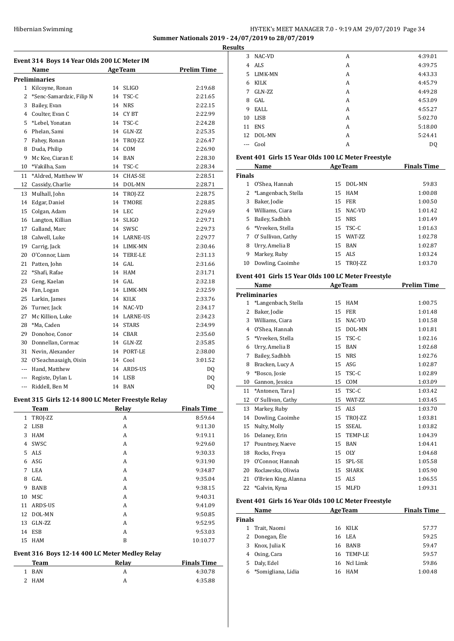## Hibernian Swimming HY-TEK's MEET MANAGER 7.0 - 9:19 AM 29/07/2019 Page 34 **Summer Nationals 2019 - 24/07/2019 to 28/07/2019 Results**

**Event 314 Boys 14 Year Olds 200 LC Meter IM Name Age Team Prelim Time Preliminaries** Kilcoyne, Ronan 14 SLIGO 2:19.68 2 \*Senc-Samardzic, Filip N 14 TSC-C 2:21.65 Bailey, Evan 14 NRS 2:22.15 Coulter, Evan C 14 CY BT 2:22.99 \*Lebel, Yonatan 14 TSC-C 2:24.28 Phelan, Sami 14 GLN-ZZ 2:25.35 7 Fahey, Ronan 14 TROJ-ZZ 2:26.47 Duda, Philip 14 COM 2:26.90 Mc Kee, Ciaran E 14 BAN 2:28.30 \*Vakilha, Sam 14 TSC-C 2:28.34 11 \*Aldred, Matthew W 14 CHAS-SE 2:28.51 Cassidy, Charlie 14 DOL-MN 2:28.71 13 Mulhall, John 14 TROJ-ZZ 2:28.75 Edgar, Daniel 14 TMORE 2:28.85 Colgan, Adam 14 LEC 2:29.69 Langton, Killian 14 SLIGO 2:29.71 Galland, Marc 14 SWSC 2:29.73 Calwell, Luke 14 LARNE-US 2:29.77 Carrig, Jack 14 LIMK-MN 2:30.46 O'Connor, Liam 14 TERE-LE 2:31.13 Patten, John 14 GAL 2:31.66 \*Shafi, Rafae 14 HAM 2:31.71 Geng, Kaelan 14 GAL 2:32.18 Fan, Logan 14 LIMK-MN 2:32.59 Larkin, James 14 KILK 2:33.76 Turner, Jack 14 NAC-VD 2:34.17 Mc Killion, Luke 14 LARNE-US 2:34.23 \*Ma, Caden 14 STARS 2:34.99 Donohoe, Conor 14 CBAR 2:35.60 30 Donnellan, Cormac 14 GLN-ZZ 2:35.85 Nevin, Alexander 14 PORT-LE 2:38.00 O'Seachnasaigh, Oisin 14 Cool 3:01.52 --- Hand, Matthew 14 ARDS-US DQ -- Registe, Dylan L 14 LISB DQ -- Riddell, Ben M 14 BAN DQ

## **Event 315 Girls 12-14 800 LC Meter Freestyle Relay**

 $\overline{a}$ 

|              | <b>Team</b> | Relay | <b>Finals Time</b> |
|--------------|-------------|-------|--------------------|
| $\mathbf{1}$ | TROJ-ZZ     | A     | 8:59.64            |
| 2            | LISB        | A     | 9:11.30            |
| 3            | <b>HAM</b>  | A     | 9:19.11            |
| 4            | <b>SWSC</b> | A     | 9:29.60            |
| 5.           | ALS         | A     | 9:30.33            |
| 6            | ASG         | A     | 9:31.90            |
| 7            | LEA         | A     | 9:34.87            |
| 8            | GAL         | A     | 9:35.04            |
| 9            | BANB        | A     | 9:38.15            |
| 10           | MSC         | A     | 9:40.31            |
| 11           | ARDS-US     | A     | 9:41.09            |
| 12           | DOL-MN      | A     | 9:50.85            |
| 13           | GLN-ZZ      | A     | 9:52.95            |
| 14           | <b>ESB</b>  | A     | 9:53.03            |
| 15           | <b>HAM</b>  | B     | 10:10.77           |

#### **Event 316 Boys 12-14 400 LC Meter Medley Relay**

| Team       | Relav | <b>Finals Time</b> |
|------------|-------|--------------------|
| <b>BAN</b> |       | 4:30.78            |
| 2 HAM      |       | 4:35.88            |

| ື     |             |   |         |
|-------|-------------|---|---------|
| 3     | NAC-VD      | А | 4:39.01 |
| 4     | ALS         | A | 4:39.75 |
| 5.    | LIMK-MN     | A | 4:43.33 |
| 6     | KILK        | А | 4:45.79 |
| 7     | GLN-ZZ      | A | 4:49.28 |
| 8     | GAL         | А | 4:53.09 |
| 9     | EALL        | A | 4:55.27 |
| 10    | <b>LISB</b> | А | 5:02.70 |
| 11    | <b>ENS</b>  | А | 5:18.00 |
| 12    | DOL-MN      | A | 5:24.41 |
| $---$ | Cool        | A | DO.     |

#### **Event 401 Girls 15 Year Olds 100 LC Meter Freestyle**

|               | Name                 | <b>AgeTeam</b> |                 | <b>Finals Time</b> |
|---------------|----------------------|----------------|-----------------|--------------------|
| <b>Finals</b> |                      |                |                 |                    |
| 1             | O'Shea, Hannah       | 15             | DOL-MN          | 59.83              |
|               | *Langenbach, Stella  |                | 15 HAM          | 1:00.08            |
| 3             | Baker, Jodie         | 15             | FER             | 1:00.50            |
| 4             | Williams, Ciara      | 15             | NAC-VD          | 1:01.42            |
| 5.            | Bailey, Sadhbh       | 15             | <b>NRS</b>      | 1:01.49            |
| 6             | *Vreeken. Stella     |                | 15 TSC-C        | 1:01.63            |
|               | 7 O' Sullivan, Cathy | 15             | <b>WAT-7.7.</b> | 1:02.78            |
| 8             | Urry, Amelia B       |                | 15 BAN          | 1:02.87            |
| 9             | Markey, Ruby         |                | 15 ALS          | 1:03.24            |
| 10            | Dowling, Caoimhe     | 15             | TROJ-ZZ         | 1:03.70            |

## **Event 401 Girls 15 Year Olds 100 LC Meter Freestyle**

|              | Name                 |    | <b>AgeTeam</b> | <b>Prelim Time</b> |
|--------------|----------------------|----|----------------|--------------------|
|              | Preliminaries        |    |                |                    |
| $\mathbf{1}$ | *Langenbach, Stella  | 15 | <b>HAM</b>     | 1:00.75            |
| 2            | Baker, Jodie         | 15 | <b>FER</b>     | 1:01.48            |
| 3            | Williams, Ciara      | 15 | NAC-VD         | 1:01.58            |
| 4            | O'Shea, Hannah       | 15 | DOL-MN         | 1:01.81            |
| 5            | *Vreeken, Stella     | 15 | TSC-C          | 1:02.16            |
| 6            | Urry, Amelia B       | 15 | <b>BAN</b>     | 1:02.68            |
| 7            | Bailey, Sadhbh       | 15 | <b>NRS</b>     | 1:02.76            |
| 8            | Bracken, Lucy A      | 15 | ASG            | 1:02.87            |
| 9            | *Bosco, Josie        | 15 | TSC-C          | 1:02.89            |
| 10           | Gannon, Jessica      | 15 | COM            | 1:03.09            |
| 11           | *Antonen, Tara J     | 15 | TSC-C          | 1:03.42            |
| 12           | O' Sullivan, Cathy   | 15 | WAT-ZZ         | 1:03.45            |
| 13           | Markey, Ruby         | 15 | ALS            | 1:03.70            |
| 14           | Dowling, Caoimhe     | 15 | TROI-ZZ        | 1:03.81            |
| 15           | Nulty, Molly         | 15 | SSEAL.         | 1:03.82            |
| 16           | Delaney, Erin        | 15 | TEMP-LE        | 1:04.39            |
| 17           | Pountney, Naeve      | 15 | <b>BAN</b>     | 1:04.41            |
| 18           | Rocks, Freya         | 15 | <b>OLY</b>     | 1:04.68            |
| 19           | O'Connor, Hannah     | 15 | SPL-SE         | 1:05.58            |
| 20           | Roclawska, Oliwia    | 15 | <b>SHARK</b>   | 1:05.90            |
| 21           | O'Brien King, Alanna | 15 | ALS            | 1:06.55            |
| 22           | *Galvin. Kvna        | 15 | <b>MLFD</b>    | 1:09.31            |

#### **Event 401 Girls 16 Year Olds 100 LC Meter Freestyle**

|        | Name               | <b>AgeTeam</b> |             | <b>Finals Time</b> |
|--------|--------------------|----------------|-------------|--------------------|
| Finals |                    |                |             |                    |
|        | Trait, Naomi       |                | 16 KILK     | 57.77              |
|        | 2 Donegan, Éle     |                | 16 LEA      | 59.25              |
| 3.     | Knox, Julia K      |                | 16 BANB     | 59.47              |
| 4      | Osing, Cara        |                | 16 TEMP-LE  | 59.57              |
| 5.     | Daly, Edel         |                | 16 Ncl Limk | 59.86              |
|        | *Somigliana, Lidia | 16             | HAM         | 1:00.48            |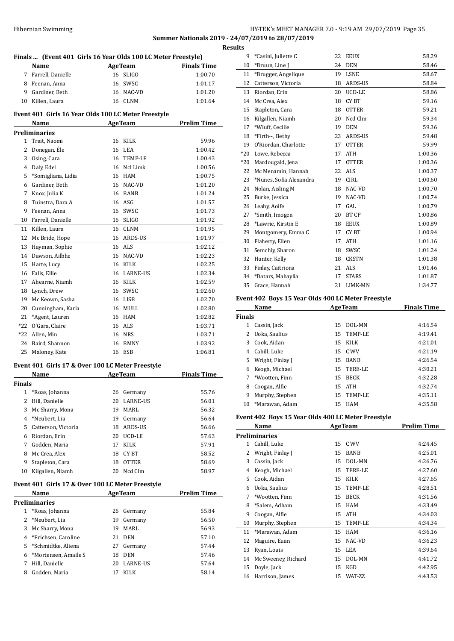## HY-TEK's MEET MANAGER 7.0 - 9:19 AM 29/07/2019 Page 35 **Summer Nationals 2019 - 24/07/2019 to 28/07/2019 Results**

|               | Finals  (Event 401 Girls 16 Year Olds 100 LC Meter Freestyle) |                |                |                    |  |  |
|---------------|---------------------------------------------------------------|----------------|----------------|--------------------|--|--|
|               | Name                                                          | <b>AgeTeam</b> |                | <b>Finals Time</b> |  |  |
|               | 7 Farrell, Danielle                                           |                | 16 SLIGO       | 1:00.70            |  |  |
|               | 8 Feenan, Anna                                                |                | 16 SWSC        | 1:01.17            |  |  |
|               | 9 Gardiner, Beth                                              |                | 16 NAC-VD      | 1:01.20            |  |  |
|               | 10 Killen, Laura                                              |                | 16 CLNM        | 1:01.64            |  |  |
|               |                                                               |                |                |                    |  |  |
|               | Event 401 Girls 16 Year Olds 100 LC Meter Freestyle           |                |                |                    |  |  |
|               | Name                                                          |                | AgeTeam        | <b>Prelim Time</b> |  |  |
|               | <b>Preliminaries</b>                                          |                |                |                    |  |  |
| 1             | Trait, Naomi                                                  |                | 16 KILK        | 59.96              |  |  |
| 2             | Donegan, Ele                                                  |                | 16 LEA         | 1:00.42            |  |  |
| 3             | Osing, Cara                                                   |                | 16 TEMP-LE     | 1:00.43            |  |  |
|               | 4 Daly, Edel                                                  |                | 16 Ncl Limk    | 1:00.56            |  |  |
| 5             | *Somigliana, Lidia                                            |                | 16 HAM         | 1:00.75            |  |  |
| 6             | Gardiner, Beth                                                |                | 16 NAC-VD      | 1:01.20            |  |  |
|               | 7 Knox, Julia K                                               |                | 16 BANB        | 1:01.24            |  |  |
| 8             | Tuinstra, Dara A                                              |                | 16 ASG         | 1:01.57            |  |  |
| 9             | Feenan, Anna                                                  |                | 16 SWSC        | 1:01.73            |  |  |
| 10            | Farrell, Danielle                                             |                | 16 SLIGO       | 1:01.92            |  |  |
| 11            | Killen, Laura                                                 |                | 16 CLNM        | 1:01.95            |  |  |
| 12            | Mc Bride, Hope                                                |                | 16 ARDS-US     | 1:01.97            |  |  |
| 13            | Hayman, Sophie                                                |                | 16 ALS         | 1:02.12            |  |  |
| 14            | Dawson, Ailbhe                                                |                | 16 NAC-VD      | 1:02.23            |  |  |
| 15            | Harte, Lucy                                                   |                | 16 KILK        | 1:02.25            |  |  |
| 16            | Falls, Ellie                                                  |                | 16 LARNE-US    | 1:02.34            |  |  |
| 17            | Ahearne, Niamh                                                |                | 16 KILK        | 1:02.59            |  |  |
|               | 18 Lynch, Drew                                                |                | 16 SWSC        | 1:02.60            |  |  |
|               | 19 Mc Keown, Sasha                                            |                | 16 LISB        | 1:02.70            |  |  |
|               | 20 Cunningham, Karla                                          |                | 16 MULL        | 1:02.80            |  |  |
| 21            | *Agent, Lauren                                                |                | 16 HAM         | 1:02.82            |  |  |
| $*22$         | O'Gara, Claire                                                |                | 16 ALS         | 1:03.71            |  |  |
| $*22$         | Allen, Min                                                    |                | 16 NRS         | 1:03.71            |  |  |
|               | 24 Baird, Shannon                                             |                | 16 BMNY        | 1:03.92            |  |  |
| 25            | Maloney, Kate                                                 |                | 16 ESB         | 1:06.81            |  |  |
|               | Event 401 Girls 17 & Over 100 LC Meter Freestyle              |                |                |                    |  |  |
|               | Name                                                          |                | <b>AgeTeam</b> | <b>Finals Time</b> |  |  |
| <b>Finals</b> |                                                               |                |                |                    |  |  |
| $\mathbf{1}$  | *Roas, Johanna                                                |                | 26 Germany     | 55.76              |  |  |
| 2             | Hill, Danielle                                                |                | 20 LARNE-US    | 56.01              |  |  |
| 3             | Mc Sharry, Mona                                               | 19             | MARI.          | 56.32              |  |  |
|               |                                                               |                |                |                    |  |  |

| 3 | Mc Sharry, Mona                                              |    | 19 MARL      | 56.32 |
|---|--------------------------------------------------------------|----|--------------|-------|
| 4 | *Neubert. Lia                                                | 19 | Germany      | 56.64 |
|   | 5 Catterson, Victoria                                        |    | 18 ARDS-US   | 56.66 |
|   | 6 Riordan, Erin                                              | 20 | UCD-LE       | 57.63 |
| 7 | Godden, Maria                                                | 17 | KILK         | 57.91 |
| 8 | Mc Crea, Alex                                                | 18 | CY BT        | 58.52 |
| 9 | Stapleton, Cara                                              | 18 | <b>OTTER</b> | 58.69 |
|   | 10 Kilgallen, Niamh                                          |    | 20 Ncd Clm   | 58.97 |
|   | $\sim$ 104 $C_{\rm obs}$ 17.0 $\sim$ 100 IC Meter Executed a |    |              |       |

## **Event 401 Girls 17 & Over 100 LC Meter Freestyle**

|   | Name                   |    | <b>AgeTeam</b>  | Prelim Time |
|---|------------------------|----|-----------------|-------------|
|   | <b>Preliminaries</b>   |    |                 |             |
|   | 1 *Roas, Johanna       | 26 | Germany         | 55.84       |
|   | 2 *Neubert, Lia        | 19 | Germany         | 56.50       |
| 3 | Mc Sharry, Mona        | 19 | MARI.           | 56.93       |
|   | 4 *Erichsen, Caroline  | 21 | <b>DEN</b>      | 57.10       |
|   | 5 *Schmidtke, Aliena   | 27 | Germany         | 57.44       |
|   | 6 *Mortensen, Amaile S | 18 | <b>DEN</b>      | 57.46       |
|   | Hill, Danielle         | 20 | <b>LARNE-US</b> | 57.64       |
| 8 | Godden, Maria          |    | KILK            | 58.14       |
|   |                        |    |                 |             |

| ults  |                         |    |                |         |
|-------|-------------------------|----|----------------|---------|
| 9     | *Casini, Juliette C     | 22 | <b>EEUX</b>    | 58.29   |
| 10    | *Bruun, Line J          | 24 | <b>DEN</b>     | 58.46   |
| 11    | *Brugger, Angelique     | 19 | <b>LSNE</b>    | 58.67   |
| 12    | Catterson, Victoria     | 18 | ARDS-US        | 58.84   |
| 13    | Riordan, Erin           | 20 | UCD-LE         | 58.86   |
| 14    | Mc Crea, Alex           | 18 | <b>CYBT</b>    | 59.16   |
| 15    | Stapleton, Cara         | 18 | <b>OTTER</b>   | 59.21   |
| 16    | Kilgallen, Niamh        | 20 | Ncd Clm        | 59.34   |
| 17    | *Wiuff, Cecilie         | 19 | <b>DEN</b>     | 59.36   |
| 18    | *Firth~, Bethy          | 23 | <b>ARDS-US</b> | 59.48   |
| 19    | O'Riordan, Charlotte    | 17 | <b>OTTER</b>   | 59.99   |
| $*20$ | Lowe, Rebecca           | 17 | <b>ATH</b>     | 1:00.36 |
| $*20$ | Macdougald, Jena        | 17 | <b>OTTER</b>   | 1:00.36 |
| 22    | Mc Menamin, Hannah      | 22 | <b>ALS</b>     | 1:00.37 |
| 23    | *Nunes, Sofia Alexandra | 19 | <b>CIRL</b>    | 1:00.60 |
| 24    | Nolan, Aisling M        | 18 | NAC-VD         | 1:00.70 |
| 25    | Burke, Jessica          | 19 | NAC-VD         | 1:00.74 |
| 26    | Leahy, Aoife            | 17 | GAL            | 1:00.79 |
| 27    | *Smith, Imogen          | 20 | BT CP          | 1:00.86 |
| 28    | *Lawrie, Kirstin E      | 18 | <b>EEUX</b>    | 1:00.89 |
| 29    | Montgomery, Emma C      | 17 | CY BT          | 1:00.94 |
| 30    | Flaherty, Ellen         | 17 | <b>ATH</b>     | 1:01.16 |
| 31    | Semchiy, Sharon         | 18 | SWSC           | 1:01.24 |
| 32    | Hunter, Kelly           | 18 | <b>CKSTN</b>   | 1:01.38 |
| 33    | Finlay, Caitriona       | 21 | <b>ALS</b>     | 1:01.46 |
| 34    | *Datars, Mahaylia       | 17 | <b>STARS</b>   | 1:01.87 |
| 35    | Grace, Hannah           | 21 | LIMK-MN        | 1:34.77 |

## **Event 402 Boys 15 Year Olds 400 LC Meter Freestyle**

|               | Name             |    | <b>AgeTeam</b> | <b>Finals Time</b> |
|---------------|------------------|----|----------------|--------------------|
| <b>Finals</b> |                  |    |                |                    |
| 1             | Cassin, Jack     | 15 | DOL-MN         | 4:16.54            |
| 2             | Uoka, Saulius    | 15 | TEMP-LE        | 4:19.41            |
| 3             | Cook, Aidan      |    | 15 KILK        | 4:21.01            |
| 4             | Cahill, Luke     |    | 15 C WV        | 4:21.19            |
| 5.            | Wright, Finlay J | 15 | <b>BANB</b>    | 4:26.54            |
| 6             | Keogh, Michael   | 15 | TERE-LE        | 4:30.21            |
| 7             | *Wootten, Finn   | 15 | <b>BECK</b>    | 4:32.28            |
| 8             | Coogan, Alfie    | 15 | ATH            | 4:32.74            |
| 9             | Murphy, Stephen  | 15 | TEMP-LE        | 4:35.11            |
| 10            | *Marawan, Adam   | 15 | HAM            | 4:35.58            |

## **Event 402 Boys 15 Year Olds 400 LC Meter Freestyle**

|    | Name                 | <b>AgeTeam</b> |                | <b>Prelim Time</b> |
|----|----------------------|----------------|----------------|--------------------|
|    | <b>Preliminaries</b> |                |                |                    |
| 1  | Cahill, Luke         | 15             | C WV           | 4:24.45            |
| 2  | Wright, Finlay J     | 15             | BANB           | 4:25.01            |
| 3  | Cassin, Jack         | 15             | DOL-MN         | 4:26.76            |
| 4  | Keogh, Michael       | 15             | <b>TERE-LE</b> | 4:27.60            |
| 5  | Cook, Aidan          | 15             | KILK           | 4:27.65            |
| 6  | Uoka, Saulius        | 15             | TEMP-LE        | 4:28.51            |
| 7  | *Wootten, Finn       | 15             | <b>BECK</b>    | 4:31.56            |
| 8  | *Salem, Adham        | 15             | <b>HAM</b>     | 4:33.49            |
| 9  | Coogan, Alfie        | 15             | ATH            | 4:34.03            |
| 10 | Murphy, Stephen      | 15             | TEMP-LE        | 4:34.34            |
| 11 | *Marawan, Adam       | 15             | <b>HAM</b>     | 4:36.16            |
| 12 | Maguire, Euan        | 15             | NAC-VD         | 4:36.23            |
| 13 | Ryan, Louis          | 15             | LEA            | 4:39.64            |
| 14 | Mc Sweeney, Richard  | 15             | DOL-MN         | 4:41.72            |
| 15 | Doyle, Jack          | 15             | KGD            | 4:42.95            |
| 16 | Harrison, James      | 15             | WAT-ZZ         | 4:43.53            |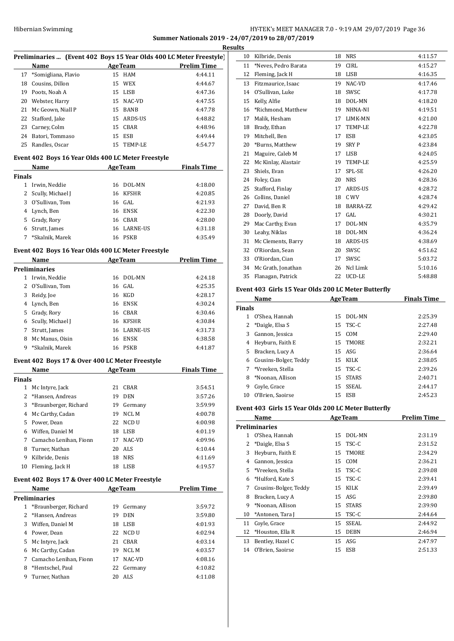## HY-TEK's MEET MANAGER 7.0 - 9:19 AM 29/07/2019 Page 36 **Summer Nationals 2019 - 24/07/2019 to 28/07/2019**

|              |                                                    |    |                | Ķ                                                                   |
|--------------|----------------------------------------------------|----|----------------|---------------------------------------------------------------------|
|              |                                                    |    |                | Preliminaries  (Event 402 Boys 15 Year Olds 400 LC Meter Freestyle) |
|              | <b>Name</b>                                        |    | <b>AgeTeam</b> | <b>Prelim Time</b>                                                  |
| 17           | *Somigliana, Flavio                                |    | 15 HAM         | 4:44.11                                                             |
| 18           | Cousins, Dillon                                    | 15 | WEX            | 4:44.67                                                             |
| 19           | Poots, Noah A                                      | 15 | LISB           | 4:47.36                                                             |
| 20           | Webster, Harry                                     |    | 15 NAC-VD      | 4:47.55                                                             |
| 21           | Mc Geown, Niall P                                  |    | 15 BANB        | 4:47.78                                                             |
| 22           | Stafford, Jake                                     |    | 15 ARDS-US     | 4:48.82                                                             |
| 23           | Carney, Colm                                       |    | 15 CBAR        | 4:48.96                                                             |
| 24           | Batori, Tommaso                                    |    | 15 ESB         | 4:49.44                                                             |
| 25           | Randles, Oscar                                     |    | 15 TEMP-LE     | 4:54.77                                                             |
|              | Event 402 Boys 16 Year Olds 400 LC Meter Freestyle |    |                |                                                                     |
|              | Name                                               |    | <b>AgeTeam</b> | <b>Finals Time</b>                                                  |
| Finals       |                                                    |    |                |                                                                     |
| $\mathbf{1}$ | Irwin, Neddie                                      | 16 | DOL-MN         | 4:18.00                                                             |
| 2            | Scully, Michael J                                  |    | 16 KFSHR       | 4:20.85                                                             |
| 3            | O'Sullivan, Tom                                    |    | 16 GAL         | 4:21.93                                                             |
| 4            | Lynch, Ben                                         |    | 16 ENSK        | 4:22.30                                                             |
| 5            | Grady, Rory                                        |    | 16 CBAR        | 4:28.00                                                             |
|              | 6 Strutt, James                                    |    | 16 LARNE-US    | 4:31.18                                                             |
| 7            | *Skalnik, Marek                                    |    | 16 PSKB        | 4:35.49                                                             |
|              | Event 402 Boys 16 Year Olds 400 LC Meter Freestyle |    |                |                                                                     |
|              | <b>Example 21 Age Team</b><br>Name                 |    |                | <b>Prelim Time</b>                                                  |
|              | Preliminaries                                      |    |                |                                                                     |
|              | 1 Irwin, Neddie                                    | 16 | DOL-MN         | 4:24.18                                                             |
|              | 2 O'Sullivan, Tom                                  |    | 16 GAL         | 4:25.35                                                             |
| 3            | Reidy, Joe                                         |    | 16 KGD         | 4:28.17                                                             |
| 4            | Lynch, Ben                                         | 16 | ENSK           | 4:30.24                                                             |
| 5            | Grady, Rory                                        |    | 16 CBAR        | 4:30.46                                                             |
| 6            | Scully, Michael J                                  |    | 16 KFSHR       | 4:30.84                                                             |
| 7            | Strutt, James                                      |    | 16 LARNE-US    | 4:31.73                                                             |
| 8            | Mc Manus, Oisin                                    |    | 16 ENSK        | 4:38.58                                                             |
| 9            | *Skalnik, Marek                                    |    | 16 PSKB        | 4:41.87                                                             |
|              | Event 402 Boys 17 & Over 400 LC Meter Freestyle    |    |                |                                                                     |
|              | Name                                               |    | AgeTeam        | <b>Finals Time</b>                                                  |
| Finals       |                                                    |    |                |                                                                     |
|              | 1 Mc Intyre, Jack                                  |    | 21 CBAR        | 3:54.51                                                             |
| 2            | *Hansen, Andreas                                   | 19 | DEN            | 3:57.26                                                             |
| 3            | *Braunberger, Richard                              | 19 | Germany        | 3:59.99                                                             |
| 4            | Mc Carthy, Cadan                                   | 19 | NCL M          | 4:00.78                                                             |
| 5.           | Power, Dean                                        | 22 | $\rm NCD$ U    | 4:00.98                                                             |
| 6            | Wiffen, Daniel M                                   | 18 | LISB           | 4:01.19                                                             |
| 7            | Camacho Lenihan, Fionn                             | 17 | NAC-VD         | 4:09.96                                                             |
| 8            | Turner, Nathan                                     | 20 | ALS            | 4:10.44                                                             |
| 9            | Kilbride, Denis                                    | 18 | <b>NRS</b>     | 4:11.69                                                             |
| 10           | Fleming, Jack H                                    | 18 | LISB           | 4:19.57                                                             |
|              |                                                    |    |                |                                                                     |
|              | Event 402 Boys 17 & Over 400 LC Meter Freestyle    |    |                |                                                                     |
|              | Name<br><b>Preliminaries</b>                       |    | <b>AgeTeam</b> | <b>Prelim Time</b>                                                  |
| 1            | *Braunberger, Richard                              | 19 | Germany        | 3:59.72                                                             |
| 2            | *Hansen, Andreas                                   | 19 | DEN            | 3:59.80                                                             |
| 3            | Wiffen, Daniel M                                   | 18 | LISB           | 4:01.93                                                             |
| 4            | Power, Dean                                        | 22 | NCD U          | 4:02.94                                                             |
| 5            | Mc Intyre, Jack                                    | 21 | CBAR           | 4:03.14                                                             |
| 6            | Mc Carthy, Cadan                                   | 19 | NCL M          | 4:03.57                                                             |
| 7            | Camacho Lenihan, Fionn                             | 17 | NAC-VD         | 4:08.16                                                             |
| 8            | *Hentschel, Paul                                   | 22 | Germany        | 4:10.82                                                             |
| 9            | Turner, Nathan                                     | 20 | ALS            | 4:11.08                                                             |
|              |                                                    |    |                |                                                                     |

|    | <b>Results</b> |                      |    |                |         |  |
|----|----------------|----------------------|----|----------------|---------|--|
| e) | 10             | Kilbride, Denis      | 18 | <b>NRS</b>     | 4:11.57 |  |
|    | 11             | *Neves, Pedro Barata | 19 | <b>CIRL</b>    | 4:15.27 |  |
|    | 12             | Fleming, Jack H      | 18 | <b>LISB</b>    | 4:16.35 |  |
|    | 13             | Fitzmaurice, Isaac   | 19 | NAC-VD         | 4:17.46 |  |
|    | 14             | O'Sullivan, Luke     | 18 | SWSC           | 4:17.78 |  |
|    | 15             | Kelly, Alfie         | 18 | DOL-MN         | 4:18.20 |  |
|    | 16             | *Richmond, Matthew   | 19 | NHNA-NI        | 4:19.51 |  |
|    | 17             | Malik, Hesham        | 17 | <b>LIMK-MN</b> | 4:21.00 |  |
|    | 18             | Brady, Ethan         | 17 | <b>TEMP-LE</b> | 4:22.78 |  |
|    | 19             | Mitchell. Ben        | 17 | <b>ESB</b>     | 4:23.05 |  |
|    | 20             | *Burns, Matthew      | 19 | <b>SRYP</b>    | 4:23.84 |  |
|    | 21             | Maguire, Caleb M     | 17 | <b>LISB</b>    | 4:24.05 |  |
|    | 22             | Mc Kinlay, Alastair  | 19 | TEMP-LE        | 4:25.59 |  |
|    | 23             | Shiels, Evan         | 17 | SPL-SE         | 4:26.20 |  |
|    | 24             | Foley, Cian          | 20 | <b>NRS</b>     | 4:28.36 |  |
|    | 25             | Stafford, Finlay     | 17 | <b>ARDS-US</b> | 4:28.72 |  |
|    | 26             | Collins, Daniel      | 18 | C WV           | 4:28.74 |  |
|    | 27             | David, Ben R         | 18 | BARRA-ZZ       | 4:29.42 |  |
|    | 28             | Doorly, David        | 17 | GAL            | 4:30.21 |  |
|    | 29             | Mac Carthy, Evan     | 17 | DOL-MN         | 4:35.79 |  |
|    | 30             | Leahy, Niklas        | 18 | DOL-MN         | 4:36.24 |  |
|    | 31             | Mc Clements, Barry   | 18 | ARDS-US        | 4:38.69 |  |
|    | 32             | O'Riordan, Sean      | 20 | SWSC           | 4:51.62 |  |
|    | 33             | O'Riordan, Cian      | 17 | SWSC           | 5:03.72 |  |
|    | 34             | Mc Grath, Jonathan   | 26 | Ncl Limk       | 5:10.16 |  |
|    | 35             | Flanagan, Patrick    | 22 | UCD-LE         | 5:48.88 |  |
|    |                |                      |    |                |         |  |

## **Event 403 Girls 15 Year Olds 200 LC Meter Butterfly**

| Name          |                       |    | <b>AgeTeam</b> | <b>Finals Time</b> |
|---------------|-----------------------|----|----------------|--------------------|
| <b>Finals</b> |                       |    |                |                    |
|               | O'Shea, Hannah        | 15 | DOL-MN         | 2:25.39            |
| 2             | *Daigle, Elsa S       |    | $15$ TSC-C     | 2:27.48            |
| 3             | Gannon, Jessica       | 15 | COM            | 2:29.40            |
| 4             | Heyburn, Faith E      |    | 15 TMORE       | 2:32.21            |
| 5.            | Bracken, Lucy A       |    | $15$ ASG       | 2:36.64            |
| 6             | Cousins-Bolger, Teddy | 15 | KILK           | 2:38.05            |
|               | *Vreeken, Stella      |    | 15 TSC-C       | 2:39.26            |
| 8             | *Noonan, Allison      | 15 | <b>STARS</b>   | 2:40.71            |
| 9             | Coyle, Grace          | 15 | SSEAL          | 2:44.17            |
| 10            | O'Brien, Saoirse      | 15 | ESB            | 2:45.23            |

## **Event 403 Girls 15 Year Olds 200 LC Meter Butterfly**

| Name |                       |    | <b>AgeTeam</b> | <b>Prelim Time</b> |
|------|-----------------------|----|----------------|--------------------|
|      | <b>Preliminaries</b>  |    |                |                    |
| 1    | O'Shea, Hannah        | 15 | DOL-MN         | 2:31.19            |
| 2    | *Daigle, Elsa S       | 15 | TSC-C          | 2:31.52            |
| 3    | Heyburn, Faith E      | 15 | TMORE          | 2:34.29            |
| 4    | Gannon, Jessica       | 15 | <b>COM</b>     | 2:36.21            |
| 5.   | *Vreeken, Stella      | 15 | TSC-C          | 2:39.08            |
| 6    | *Hulford, Kate S      | 15 | TSC-C          | 2:39.41            |
| 7    | Cousins-Bolger, Teddy | 15 | <b>KILK</b>    | 2:39.49            |
| 8    | Bracken, Lucy A       | 15 | ASG            | 2:39.80            |
| 9    | *Noonan, Allison      | 15 | <b>STARS</b>   | 2:39.90            |
| 10   | *Antonen, Tara J      | 15 | TSC-C          | 2:44.64            |
| 11   | Coyle, Grace          | 15 | <b>SSEAL</b>   | 2:44.92            |
| 12   | *Houston, Ella R      | 15 | <b>DEBN</b>    | 2:46.94            |
| 13   | Bentley, Hazel C      | 15 | ASG            | 2:47.97            |
| 14   | O'Brien, Saoirse      | 15 | ESB            | 2:51.33            |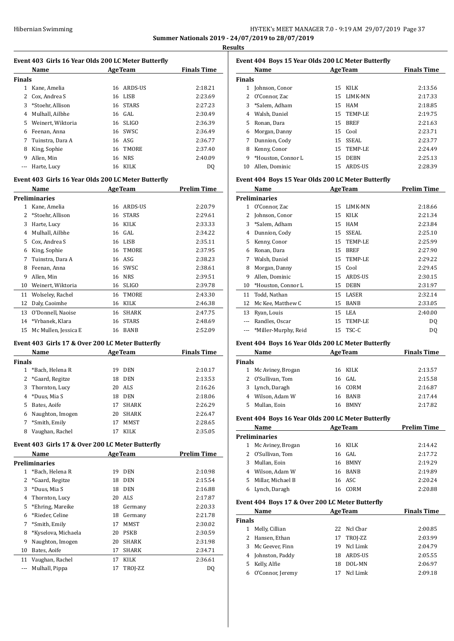## HY-TEK's MEET MANAGER 7.0 - 9:19 AM 29/07/2019 Page 37 **Summer Nationals 2019 - 24/07/2019 to 28/07/2019**

**Results**

## **Event 403 Girls 16 Year Olds 200 LC Meter Butterfly**

|               | Name              | <b>AgeTeam</b> |              | <b>Finals Time</b> |
|---------------|-------------------|----------------|--------------|--------------------|
| <b>Finals</b> |                   |                |              |                    |
| 1             | Kane, Amelia      | 16             | ARDS-US      | 2:18.21            |
|               | Cox, Andrea S     | 16             | LISB         | 2:23.69            |
| 3             | *Stoehr, Allison  | 16             | <b>STARS</b> | 2:27.23            |
| 4             | Mulhall, Ailbhe   |                | 16 GAL       | 2:30.49            |
| 5.            | Weinert, Wiktoria |                | $16$ SLIGO   | 2:36.39            |
| 6             | Feenan, Anna      |                | 16 SWSC      | 2:36.49            |
| 7             | Tuinstra, Dara A  |                | 16 ASG       | 2:36.77            |
| 8             | King, Sophie      | 16             | TMORE        | 2:37.40            |
| 9             | Allen. Min        | 16             | <b>NRS</b>   | 2:40.09            |
|               | Harte, Lucy       | 16             | KILK         | DO                 |
|               |                   |                |              |                    |

## **Event 403 Girls 16 Year Olds 200 LC Meter Butterfly**

|    | Name                 | <b>AgeTeam</b> |              | Prelim Time |  |
|----|----------------------|----------------|--------------|-------------|--|
|    | <b>Preliminaries</b> |                |              |             |  |
| 1  | Kane, Amelia         | 16             | ARDS-US      | 2:20.79     |  |
| 2  | *Stoehr, Allison     | 16             | <b>STARS</b> | 2:29.61     |  |
| 3  | Harte, Lucy          | 16             | <b>KILK</b>  | 2:33.33     |  |
| 4  | Mulhall, Ailbhe      | 16             | GAL          | 2:34.22     |  |
| 5  | Cox, Andrea S        | 16             | <b>LISB</b>  | 2:35.11     |  |
| 6  | King, Sophie         | 16             | <b>TMORE</b> | 2:37.95     |  |
| 7  | Tuinstra, Dara A     | 16             | ASG          | 2:38.23     |  |
| 8  | Feenan, Anna         | 16             | SWSC         | 2:38.61     |  |
| 9  | Allen, Min           | 16             | <b>NRS</b>   | 2:39.51     |  |
| 10 | Weinert, Wiktoria    | 16             | <b>SLIGO</b> | 2:39.78     |  |
| 11 | Wolseley, Rachel     | 16             | <b>TMORE</b> | 2:43.30     |  |
| 12 | Daly, Caoimhe        | 16             | <b>KILK</b>  | 2:46.38     |  |
| 13 | O'Donnell, Naoise    | 16             | <b>SHARK</b> | 2:47.75     |  |
| 14 | *Vrbanek, Klara      | 16             | <b>STARS</b> | 2:48.69     |  |
| 15 | Mc Mullen, Jessica E | 16             | <b>BANB</b>  | 2:52.09     |  |

### **Event 403 Girls 17 & Over 200 LC Meter Butterfly**

|               | Name              | <b>AgeTeam</b> |              | <b>Finals Time</b> |
|---------------|-------------------|----------------|--------------|--------------------|
| <b>Finals</b> |                   |                |              |                    |
|               | *Bach, Helena R   | 19             | <b>DEN</b>   | 2:10.17            |
|               | 2 *Gaard, Regitze | 18             | <b>DEN</b>   | 2:13.53            |
| 3.            | Thornton, Lucy    | 20             | ALS.         | 2:16.26            |
| 4             | *Duus, Mia S      | 18             | <b>DEN</b>   | 2:18.06            |
| 5.            | Bates, Aoife      | 17             | <b>SHARK</b> | 2:26.29            |
| 6             | Naughton, Imogen  | 20             | <b>SHARK</b> | 2:26.47            |
| 7             | *Smith, Emily     | 17             | <b>MMST</b>  | 2:28.65            |
| 8             | Vaughan, Rachel   | 17             | KILK         | 2:35.05            |

## **Event 403 Girls 17 & Over 200 LC Meter Butterfly**

|    | Name                | <b>AgeTeam</b> |              | <b>Prelim Time</b> |
|----|---------------------|----------------|--------------|--------------------|
|    | Preliminaries       |                |              |                    |
|    | *Bach, Helena R     | 19             | <b>DEN</b>   | 2:10.98            |
| 2  | *Gaard, Regitze     | 18             | <b>DEN</b>   | 2:15.54            |
| 3  | *Duus, Mia S        | 18             | <b>DEN</b>   | 2:16.88            |
| 4  | Thornton, Lucy      | 20             | ALS          | 2:17.87            |
| 5  | *Ehring, Mareike    | 18             | Germany      | 2:20.33            |
| 6  | *Rieder, Celine     | 18             | Germany      | 2:21.78            |
| 7  | *Smith, Emily       | 17             | MMST         | 2:30.02            |
| 8  | *Kyselova, Michaela | 20             | <b>PSKB</b>  | 2:30.59            |
| 9  | Naughton, Imogen    | 20             | <b>SHARK</b> | 2:31.98            |
| 10 | Bates, Aoife        | 17             | <b>SHARK</b> | 2:34.71            |
| 11 | Vaughan, Rachel     | 17             | KILK         | 2:36.61            |
|    | Mulhall, Pippa      | 17             | TROJ-ZZ      | DQ                 |
|    |                     |                |              |                    |

| Event 404 Boys 15 Year Olds 200 LC Meter Butterfly |                    |    |             |                    |  |  |
|----------------------------------------------------|--------------------|----|-------------|--------------------|--|--|
| Name<br><b>AgeTeam</b>                             |                    |    |             | <b>Finals Time</b> |  |  |
| <b>Finals</b>                                      |                    |    |             |                    |  |  |
| 1                                                  | Johnson, Conor     |    | 15 KILK     | 2:13.56            |  |  |
|                                                    | 2 O'Connor, Zac    |    | 15 LIMK-MN  | 2:17.33            |  |  |
| 3                                                  | *Salem. Adham      | 15 | HAM         | 2:18.85            |  |  |
| 4                                                  | Walsh, Daniel      |    | 15 TEMP-LE  | 2:19.75            |  |  |
| 5                                                  | Ronan, Dara        | 15 | <b>BREF</b> | 2:21.63            |  |  |
| 6                                                  | Morgan, Danny      |    | 15 Cool     | 2:23.71            |  |  |
| 7                                                  | Dunnion, Cody      |    | 15 SSEAL    | 2:23.77            |  |  |
| 8                                                  | Kenny, Conor       |    | 15 TEMP-LE  | 2:24.49            |  |  |
| 9                                                  | *Houston, Connor L | 15 | <b>DEBN</b> | 2:25.13            |  |  |
| 10                                                 | Allen. Dominic     | 15 | ARDS-US     | 2:28.39            |  |  |

#### **Event 404 Boys 15 Year Olds 200 LC Meter Butterfly**

|    | Name                 | <b>AgeTeam</b> |             | <b>Prelim Time</b> |
|----|----------------------|----------------|-------------|--------------------|
|    | <b>Preliminaries</b> |                |             |                    |
| 1  | O'Connor, Zac        | 15             | LIMK-MN     | 2:18.66            |
| 2  | Johnson, Conor       | 15             | KILK        | 2:21.34            |
| 3  | *Salem, Adham        | 15             | <b>HAM</b>  | 2:23.84            |
| 4  | Dunnion, Cody        | 15             | SSEAL       | 2:25.10            |
| 5  | Kenny, Conor         | 15             | TEMP-LE     | 2:25.99            |
| 6  | Ronan, Dara          | 15             | <b>BREF</b> | 2:27.90            |
| 7  | Walsh, Daniel        | 15             | TEMP-LE     | 2:29.22            |
| 8  | Morgan, Danny        | 15             | Cool        | 2:29.45            |
| 9  | Allen, Dominic       | 15             | ARDS-US     | 2:30.15            |
| 10 | *Houston, Connor L   | 15             | <b>DEBN</b> | 2:31.97            |
| 11 | Todd, Nathan         | 15             | LASER       | 2:32.14            |
| 12 | Mc Kee, Matthew C    | 15             | <b>BANB</b> | 2:33.05            |
| 13 | Ryan, Louis          | 15             | LEA         | 2:40.00            |
|    | Randles, Oscar       | 15             | TEMP-LE     | DQ                 |
|    | *Miller-Murphy, Reid |                | 15 TSC-C    | DQ                 |

## **Event 404 Boys 16 Year Olds 200 LC Meter Butterfly**

| Name          |                     | <b>AgeTeam</b> |             | <b>Finals Time</b> |
|---------------|---------------------|----------------|-------------|--------------------|
| <b>Finals</b> |                     |                |             |                    |
|               | 1 Mc Aviney, Brogan |                | 16 KILK     | 2:13.57            |
|               | 2 O'Sullivan, Tom   |                | 16 GAL      | 2:15.58            |
|               | 3 Lynch, Daragh     |                | 16 CORM     | 2:16.87            |
|               | 4 Wilson, Adam W    | 16.            | BANB        | 2:17.44            |
|               | Mullan, Eoin        |                | <b>BMNY</b> | 2:17.82            |

### **Event 404 Boys 16 Year Olds 200 LC Meter Butterfly**

| Name |                     | <b>AgeTeam</b> |             | <b>Prelim Time</b> |  |  |  |
|------|---------------------|----------------|-------------|--------------------|--|--|--|
|      | Preliminaries       |                |             |                    |  |  |  |
|      | 1 Mc Aviney, Brogan |                | 16 KILK     | 2:14.42            |  |  |  |
|      | 2 O'Sullivan, Tom   |                | 16 GAL      | 2:17.72            |  |  |  |
| 3    | Mullan, Eoin        | 16.            | <b>BMNY</b> | 2:19.29            |  |  |  |
| 4    | Wilson, Adam W      |                | 16 BANB     | 2:19.89            |  |  |  |
| 5.   | Millar. Michael B   |                | 16 ASC      | 2:20.24            |  |  |  |
| 6    | Lynch, Daragh       | 16.            | CORM        | 2:20.88            |  |  |  |

#### **Event 404 Boys 17 & Over 200 LC Meter Butterfly**

|        | Name<br><b>AgeTeam</b> |    | <b>Finals Time</b> |         |
|--------|------------------------|----|--------------------|---------|
| Finals |                        |    |                    |         |
|        | Melly, Cillian         |    | 22 Nel Char        | 2:00.85 |
|        | 2 Hansen, Ethan        |    | 17 TROJ-ZZ         | 2:03.99 |
| 3      | Mc Geever, Finn        | 19 | Ncl Limk           | 2:04.79 |
| 4      | Johnston, Paddy        | 18 | ARDS-US            | 2:05.55 |
| 5.     | Kelly, Alfie           | 18 | DOL-MN             | 2:06.97 |
| 6      | O'Connor, Jeremy       |    | Ncl Limk           | 2:09.18 |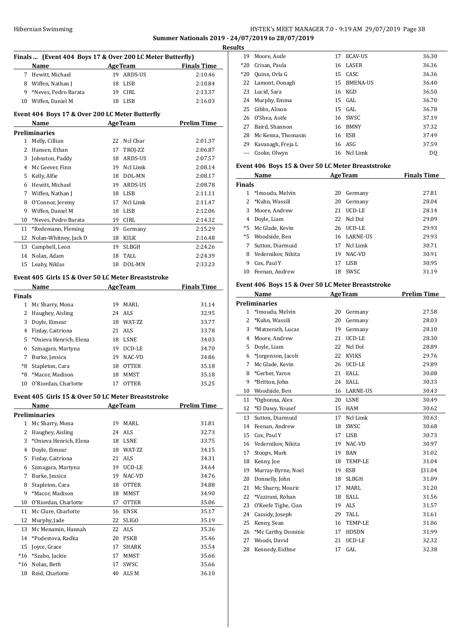## HY-TEK's MEET MANAGER 7.0 - 9:19 AM 29/07/2019 Page 38 **Summer Nationals 2019 - 24/07/2019 to 28/07/2019 Results**

|              | Finals  (Event 404 Boys 17 & Over 200 LC Meter Butterfly) |          |                |                    |
|--------------|-----------------------------------------------------------|----------|----------------|--------------------|
|              | Name                                                      |          | <b>AgeTeam</b> | <b>Finals Time</b> |
|              | 7 Hewitt, Michael                                         |          | 19 ARDS-US     | 2:10.46            |
|              | 8 Wiffen, Nathan J                                        |          | 18 LISB        | 2:10.84            |
|              | 9 *Neves, Pedro Barata                                    |          | 19 CIRL        | 2:13.37            |
|              | 10 Wiffen, Daniel M                                       |          | 18 LISB        | 2:16.03            |
|              | Event 404 Boys 17 & Over 200 LC Meter Butterfly           |          |                |                    |
|              | Name                                                      |          | <b>AgeTeam</b> | <b>Prelim Time</b> |
|              | Preliminaries                                             |          |                |                    |
| 1            | Melly, Cillian                                            | 22       | Ncl Cbar       | 2:01.37            |
|              | 2 Hansen, Ethan                                           | 17       | TROJ-ZZ        | 2:06.87            |
| 3            | Johnston, Paddy                                           |          | 18 ARDS-US     | 2:07.57            |
|              | 4 Mc Geever, Finn                                         |          | 19 Ncl Limk    | 2:08.14            |
|              | 5 Kelly, Alfie                                            |          | 18 DOL-MN      | 2:08.17            |
|              | 6 Hewitt, Michael                                         |          | 19 ARDS-US     | 2:08.78            |
|              | 7 Wiffen, Nathan J                                        |          | 18 LISB        | 2:11.11            |
| 8            | O'Connor, Jeremy                                          | 17       | Ncl Limk       | 2:11.47            |
| 9            | Wiffen, Daniel M                                          |          | 18 LISB        | 2:12.06            |
| 10           | *Neves, Pedro Barata                                      |          | 19 CIRL        | 2:14.32            |
| 11           | *Redemann, Fleming                                        |          | 19 Germany     | 2:15.29            |
| 12           | Nolan-Whitney, Jack D                                     |          | 18 KILK        | 2:16.48            |
| 13           | Campbell, Leon                                            | 19       | <b>SLBGH</b>   | 2:24.26            |
| 14           | Nolan. Adam                                               | 18       | TALL           | 2:24.39            |
| 15           | Leahy, Niklas                                             | 18       | DOL-MN         | 2:33.23            |
|              | Event 405 Girls 15 & Over 50 LC Meter Breaststroke        |          |                |                    |
|              | Name                                                      |          | <b>AgeTeam</b> | <b>Finals Time</b> |
| Finals       |                                                           |          |                |                    |
|              | 1 Mc Sharry, Mona                                         |          | 19 MARL        | 31.14              |
|              | 2 Haughey, Aisling                                        |          | 24 ALS         | 32.95              |
| 3            | Doyle, Eimear                                             |          | 18 WAT-ZZ      | 33.77              |
| 4            | Finlay, Caitriona                                         |          | 21 ALS         | 33.78              |
| 5            | *Onieva Henrich, Elena                                    |          | 18 LSNE        | 34.03              |
| 6            | Szmagara, Martyna                                         |          | 19 UCD-LE      | 34.70              |
| 7            | Burke, Jessica                                            |          | 19 NAC-VD      | 34.86              |
| *8           | Stapleton, Cara                                           | 18       | <b>OTTER</b>   | 35.18              |
| *8           | *Macor, Madison                                           | 18       | <b>MMST</b>    | 35.18              |
| 10           | O'Riordan, Charlotte                                      | 17       | <b>OTTER</b>   | 35.25              |
|              | Event 405 Girls 15 & Over 50 LC Meter Breaststroke        |          |                |                    |
|              | Name                                                      |          | <b>AgeTeam</b> | <b>Prelim Time</b> |
|              | <b>Preliminaries</b>                                      |          |                |                    |
| $\mathbf{1}$ | Mc Sharry, Mona                                           | 19       | MARL           | 31.81              |
| 2            | Haughey, Aisling                                          | 24       | ALS            | 32.73              |
| 3            | *Onieva Henrich, Elena                                    |          | 18 LSNE        | 33.75              |
| 4            | Doyle, Eimear                                             | 18       | WAT-ZZ         | 34.15              |
| 5            | Finlay, Caitriona                                         | 21       | ALS            | 34.31              |
| 6            | Szmagara, Martyna                                         | 19       | UCD-LE         | 34.64              |
| 7            | Burke, Jessica                                            | 19       | NAC-VD         | 34.76              |
| 8            | Stapleton, Cara                                           | 18       | <b>OTTER</b>   | 34.88              |
| 9            | *Macor, Madison                                           | 18       | MMST           | 34.90              |
| 10           | O'Riordan, Charlotte                                      | 17       | OTTER          | 35.06              |
| 11           | Mc Clure, Charlotte                                       | 16       | ENSK           | 35.17              |
| 12           | Murphy, Jade                                              | 22       | <b>SLIGO</b>   | 35.19              |
| 13           | Mc Menamin, Hannah                                        | 22       | ALS            | 35.36              |
| 14           | *Podestova, Radka                                         | 20       | PSKB           | 35.46              |
| 15           | Joyce, Grace                                              | 17       | SHARK          | 35.54              |
| $*16$        | *Szabo, Jackie                                            | 17       | MMST           | 35.66              |
| $*16$        | Nolan, Beth                                               | 17<br>40 | SWSC           | 35.66              |
| 18           | Reid, Charlotte                                           |          | ALS M          | 36.10              |

| .s    |                    |    |                 |                |
|-------|--------------------|----|-----------------|----------------|
| 19    | Moore, Aoife       | 17 | ECAV-US         | 36.30          |
| *20   | Crisan, Paula      | 16 | <b>LASER</b>    | 36.36          |
| $*20$ | Quinn, Orla G      |    | 15 CASC         | 36.36          |
|       | 22 Lamont, Oonagh  | 15 | <b>BMENA-US</b> | 36.40          |
|       | 23 Lucid, Sara     | 16 | KGD             | 36.50          |
|       | 24 Murphy, Emma    |    | 15 GAL          | 36.70          |
| 25    | Gibbs, Alison      |    | 15 GAL          | 36.78          |
|       | 26 O'Shea, Aoife   |    | 16 SWSC         | 37.19          |
| 27    | Baird, Shannon     | 16 | <b>BMNY</b>     | 37.32          |
| 28    | Mc Kenna, Thomasin | 16 | ESB             | 37.49          |
| 29    | Kavanagh, Freja L  | 16 | ASG             | 37.59          |
|       | Cooke, Olwyn       |    | 16 Ncl Limk     | D <sub>0</sub> |

## **Event 406 Boys 15 & Over 50 LC Meter Breaststroke**

| Name          |                    |    | <b>AgeTeam</b>  | <b>Finals Time</b> |  |
|---------------|--------------------|----|-----------------|--------------------|--|
| <b>Finals</b> |                    |    |                 |                    |  |
|               | *Imoudu, Melvin    | 20 | Germany         | 27.81              |  |
|               | *Kuhn, Wassili     | 20 | Germany         | 28.04              |  |
| 3             | Moore, Andrew      | 21 | UCD-LE          | 28.14              |  |
| 4             | Doyle, Liam        | 22 | Ncl Dol         | 29.09              |  |
| $*5$          | Mc Glade. Kevin    | 26 | UCD-LE          | 29.93              |  |
| $*5$          | Woodside, Ben      | 16 | <b>LARNE-US</b> | 29.93              |  |
|               | Sutton, Diarmuid   | 17 | Ncl Limk        | 30.71              |  |
| 8             | Vedernikov. Nikita | 19 | NAC-VD          | 30.91              |  |
| 9             | Cox, Paul Y        | 17 | <b>LISB</b>     | 30.95              |  |
| 10            | Feenan, Andrew     | 18 | SWSC            | 31.19              |  |

## **Event 406 Boys 15 & Over 50 LC Meter Breaststroke**

|                | Name                 |    | <b>AgeTeam</b>  | <b>Prelim Time</b> |
|----------------|----------------------|----|-----------------|--------------------|
|                | <b>Preliminaries</b> |    |                 |                    |
| 1              | *Imoudu, Melvin      | 20 | Germany         | 27.58              |
| $\overline{2}$ | *Kuhn, Wassili       | 20 | Germany         | 28.03              |
| 3              | *Matzerath, Lucas    | 19 | Germany         | 28.10              |
| 4              | Moore, Andrew        | 21 | UCD-LE          | 28.30              |
| 5              | Doyle, Liam          | 22 | Ncl Dol         | 28.89              |
| 6              | *Jorgenson, Jacob    | 22 | <b>KVIKS</b>    | 29.76              |
| 7              | Mc Glade, Kevin      | 26 | UCD-LE          | 29.89              |
| 8              | *Gerber, Yaron       | 21 | <b>EALL</b>     | 30.08              |
| 9              | *Britton, John       | 24 | EALL            | 30.33              |
| 10             | Woodside, Ben        | 16 | <b>LARNE-US</b> | 30.43              |
| 11             | *Ogbonna, Alex       | 20 | <b>LSNE</b>     | 30.49              |
| 12             | *El Dawy, Yousef     | 15 | <b>HAM</b>      | 30.62              |
| 13             | Sutton, Diarmuid     | 17 | Ncl Limk        | 30.63              |
| 14             | Feenan. Andrew       | 18 | SWSC            | 30.68              |
| 15             | Cox, Paul Y          | 17 | <b>LISB</b>     | 30.73              |
| 16             | Vedernikov, Nikita   | 19 | NAC-VD          | 30.97              |
| 17             | Stoops, Mark         | 19 | <b>BAN</b>      | 31.02              |
| 18             | Kenny, Joe           | 18 | TEMP-LE         | 31.04              |
| 19             | Murray-Byrne, Noel   | 19 | <b>ESB</b>      | <b>J31.04</b>      |
| 20             | Donnelly, John       | 18 | <b>SLBGH</b>    | 31.09              |
| 21             | Mc Sharry, Mouric    | 17 | <b>MARL</b>     | 31.20              |
| 22             | *Vazirani, Rohan     | 18 | EALL            | 31.56              |
| 23             | O'Keefe Tighe, Cian  | 19 | ALS <sub></sub> | 31.57              |
| 24             | Cassidy, Joseph      | 29 | <b>TALL</b>     | 31.61              |
| 25             | Kenny, Sean          | 16 | <b>TEMP-LE</b>  | 31.86              |
| 26             | *Mc Carthy, Dominic  | 17 | <b>HDSDN</b>    | 31.99              |
| 27             | Woods, David         | 21 | UCD-LE          | 32.32              |
| 28             | Kennedy, Eidhne      | 17 | GAL             | 32.38              |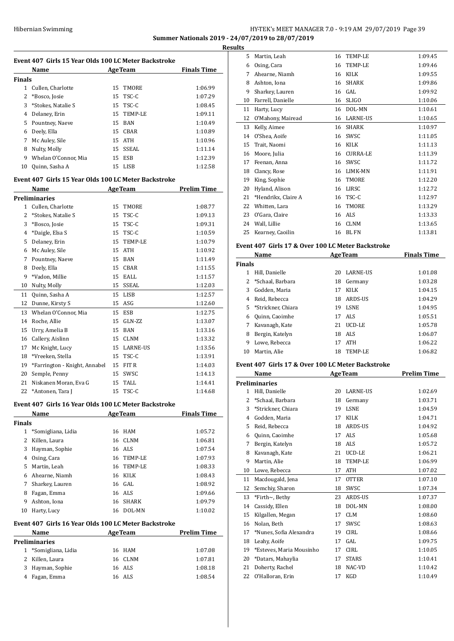## Hibernian Swimming HY-TEK's MEET MANAGER 7.0 - 9:19 AM 29/07/2019 Page 39 **Summer Nationals 2019 - 24/07/2019 to 28/07/2019**

**Results**

| Event 407 Girls 15 Year Olds 100 LC Meter Backstroke |                      |    |                |                    |  |
|------------------------------------------------------|----------------------|----|----------------|--------------------|--|
|                                                      | Name                 |    | <b>AgeTeam</b> | <b>Finals Time</b> |  |
| <b>Finals</b>                                        |                      |    |                |                    |  |
| 1.                                                   | Cullen, Charlotte    |    | 15 TMORE       | 1:06.99            |  |
|                                                      | 2 *Bosco, Josie      |    | 15 TSC-C       | 1:07.29            |  |
|                                                      | 3 *Stokes, Natalie S |    | $15$ TSC-C     | 1:08.45            |  |
| 4                                                    | Delaney, Erin        |    | 15 TEMP-LE     | 1:09.11            |  |
|                                                      | 5 Pountney, Naeve    |    | 15 BAN         | 1:10.49            |  |
| 6                                                    | Deely, Ella          | 15 | CBAR           | 1:10.89            |  |
| 7                                                    | Mc Auley, Sile       |    | 15 ATH         | 1:10.96            |  |
| 8                                                    | Nulty, Molly         | 15 | SSEAL          | 1:11.14            |  |
| 9                                                    | Whelan O'Connor, Mia | 15 | ESB            | 1:12.39            |  |
| 10                                                   | Quinn, Sasha A       | 15 | LISB           | 1:12.58            |  |

## **Event 407 Girls 15 Year Olds 100 LC Meter Backstroke**

|              | <b>Name</b>                   |    | <b>AgeTeam</b>  | <b>Prelim Time</b> |
|--------------|-------------------------------|----|-----------------|--------------------|
|              | <b>Preliminaries</b>          |    |                 |                    |
| $\mathbf{1}$ | Cullen, Charlotte             | 15 | <b>TMORE</b>    | 1:08.77            |
| 2            | *Stokes, Natalie S            | 15 | TSC-C           | 1:09.13            |
| 3            | *Bosco, Josie                 | 15 | TSC-C           | 1:09.31            |
| 4            | *Daigle, Elsa S               | 15 | TSC-C           | 1:10.59            |
| 5            | Delaney, Erin                 | 15 | TEMP-LE         | 1:10.79            |
| 6            | Mc Auley, Sile                | 15 | <b>ATH</b>      | 1:10.92            |
| 7            | Pountney, Naeve               | 15 | <b>BAN</b>      | 1:11.49            |
| 8            | Deely, Ella                   | 15 | <b>CBAR</b>     | 1:11.55            |
| 9            | *Vadon, Millie                | 15 | <b>EALL</b>     | 1:11.57            |
| 10           | Nulty, Molly                  | 15 | <b>SSEAL</b>    | 1:12.03            |
| 11           | Quinn, Sasha A                | 15 | <b>LISB</b>     | 1:12.57            |
| 12           | Dunne, Kirsty S               | 15 | ASG             | 1:12.60            |
| 13           | Whelan O'Connor, Mia          | 15 | ESB             | 1:12.75            |
| 14           | Roche, Allie                  | 15 | GLN-ZZ          | 1:13.07            |
| 15           | Urry, Amelia B                | 15 | <b>BAN</b>      | 1:13.16            |
| 16           | Callery, Aislinn              | 15 | <b>CLNM</b>     | 1:13.32            |
| 17           | Mc Knight, Lucy               | 15 | <b>LARNE-US</b> | 1:13.56            |
| 18           | *Vreeken, Stella              | 15 | TSC-C           | 1:13.91            |
| 19           | *Farrington - Knight, Annabel | 15 | FIT R           | 1:14.03            |
| 20           | Semple, Penny                 | 15 | SWSC            | 1:14.13            |
| 21           | Niskanen Moran, Eva G         | 15 | TALL            | 1:14.41            |
| 22           | *Antonen, Tara J              | 15 | TSC-C           | 1:14.68            |

## **Event 407 Girls 16 Year Olds 100 LC Meter Backstroke**

|    | Name               |    | <b>AgeTeam</b> | <b>Finals Time</b> |  |  |  |
|----|--------------------|----|----------------|--------------------|--|--|--|
|    | Finals             |    |                |                    |  |  |  |
|    | *Somigliana, Lidia | 16 | HAM            | 1:05.72            |  |  |  |
| 2  | Killen, Laura      | 16 | CLNM           | 1:06.81            |  |  |  |
| 3  | Hayman, Sophie     |    | 16 ALS         | 1:07.54            |  |  |  |
| 4  | Osing, Cara        | 16 | TEMP-LE        | 1:07.93            |  |  |  |
| 5  | Martin, Leah       | 16 | TEMP-LE        | 1:08.33            |  |  |  |
| 6  | Ahearne, Niamh     | 16 | KILK           | 1:08.43            |  |  |  |
| 7  | Sharkey, Lauren    |    | 16 GAL         | 1:08.92            |  |  |  |
| 8  | Fagan, Emma        |    | 16 ALS         | 1:09.66            |  |  |  |
| 9  | Ashton, Iona       | 16 | <b>SHARK</b>   | 1:09.79            |  |  |  |
| 10 | Harty, Lucy        | 16 | DOL-MN         | 1:10.02            |  |  |  |

## **Event 407 Girls 16 Year Olds 100 LC Meter Backstroke**

|               | <b>Name</b>          |  | <b>AgeTeam</b> | <b>Prelim Time</b> |  |  |  |
|---------------|----------------------|--|----------------|--------------------|--|--|--|
| Preliminaries |                      |  |                |                    |  |  |  |
|               | 1 *Somigliana, Lidia |  | 16 HAM         | 1:07.08            |  |  |  |
|               | 2 Killen, Laura      |  | 16 CLNM        | 1:07.81            |  |  |  |
|               | 3 Hayman, Sophie     |  | 16 ALS         | 1:08.18            |  |  |  |
|               | Fagan, Emma          |  | 16 ALS         | 1:08.54            |  |  |  |

| uits |                     |    |                 |         |
|------|---------------------|----|-----------------|---------|
| 5.   | Martin, Leah        | 16 | <b>TEMP-LE</b>  | 1:09.45 |
| 6    | Osing, Cara         | 16 | TEMP-LE         | 1:09.46 |
| 7    | Ahearne, Niamh      | 16 | <b>KILK</b>     | 1:09.55 |
| 8    | Ashton, Iona        | 16 | <b>SHARK</b>    | 1:09.86 |
| 9    | Sharkey, Lauren     | 16 | GAL             | 1:09.92 |
| 10   | Farrell, Danielle   | 16 | <b>SLIGO</b>    | 1:10.06 |
| 11   | Harty, Lucy         | 16 | DOL-MN          | 1:10.61 |
| 12   | O'Mahony, Mairead   | 16 | LARNE-US        | 1:10.65 |
| 13   | Kelly, Aimee        | 16 | <b>SHARK</b>    | 1:10.97 |
| 14   | O'Shea, Aoife       | 16 | SWSC            | 1:11.05 |
| 15   | Trait, Naomi        | 16 | <b>KILK</b>     | 1:11.13 |
| 16   | Moore, Julia        | 16 | <b>CURRA-LE</b> | 1:11.39 |
| 17   | Feenan, Anna        | 16 | SWSC            | 1:11.72 |
| 18   | Clancy, Rose        | 16 | LIMK-MN         | 1:11.91 |
| 19   | King, Sophie        | 16 | TMORE           | 1:12.20 |
| 20   | Hyland, Alison      | 16 | LIRSC           | 1:12.72 |
| 21   | *Hendrikx, Claire A | 16 | TSC-C           | 1:12.97 |
| 22   | Whitten, Lara       | 16 | TMORE           | 1:13.29 |
| 23   | O'Gara, Claire      | 16 | <b>ALS</b>      | 1:13.33 |
| 24   | Wall, Lillie        | 16 | <b>CLNM</b>     | 1:13.65 |
| 25   | Kearney, Caoilin    | 16 | <b>BLFN</b>     | 1:13.81 |
|      |                     |    |                 |         |

## **Event 407 Girls 17 & Over 100 LC Meter Backstroke**

|               | Name                 |    | <b>AgeTeam</b>  | <b>Finals Time</b> |
|---------------|----------------------|----|-----------------|--------------------|
| <b>Finals</b> |                      |    |                 |                    |
|               | Hill, Danielle       | 20 | <b>LARNE-US</b> | 1:01.08            |
|               | *Schaal, Barbara     | 18 | Germany         | 1:03.28            |
| 3             | Godden, Maria        | 17 | <b>KILK</b>     | 1:04.15            |
| 4             | Reid, Rebecca        | 18 | ARDS-US         | 1:04.29            |
|               | 5 *Strickner, Chiara | 19 | <b>LSNE</b>     | 1:04.95            |
| 6             | Quinn, Caoimhe       | 17 | ALS             | 1:05.51            |
| 7             | Kavanagh, Kate       | 21 | UCD-LE          | 1:05.78            |
| 8             | Bergin, Katelyn      | 18 | ALS             | 1:06.07            |
| 9             | Lowe, Rebecca        | 17 | <b>ATH</b>      | 1:06.22            |
| 10            | Martin, Alie         | 18 | TEMP-LE         | 1:06.82            |

#### **Event 407 Girls 17 & Over 100 LC Meter Backstroke**

|               | Name                     |    | <b>AgeTeam</b>  | <b>Prelim Time</b> |
|---------------|--------------------------|----|-----------------|--------------------|
|               | <b>Preliminaries</b>     |    |                 |                    |
| 1             | Hill, Danielle           | 20 | <b>LARNE-US</b> | 1:02.69            |
| $\mathcal{L}$ | *Schaal, Barbara         | 18 | Germany         | 1:03.71            |
| 3             | *Strickner, Chiara       | 19 | <b>LSNE</b>     | 1:04.59            |
| 4             | Godden, Maria            | 17 | <b>KILK</b>     | 1:04.71            |
| 5             | Reid, Rebecca            | 18 | ARDS-US         | 1:04.92            |
| 6             | Quinn, Caoimhe           | 17 | ALS <sub></sub> | 1:05.68            |
| 7             | Bergin, Katelyn          | 18 | ALS             | 1:05.72            |
| 8             | Kavanagh, Kate           | 21 | UCD-LE          | 1:06.21            |
| 9             | Martin, Alie             | 18 | <b>TEMP-LE</b>  | 1:06.99            |
| 10            | Lowe, Rebecca            | 17 | <b>ATH</b>      | 1:07.02            |
| 11            | Macdougald, Jena         | 17 | <b>OTTER</b>    | 1:07.10            |
| 12            | Semchiy, Sharon          | 18 | SWSC            | 1:07.34            |
| 13            | *Firth $\sim$ , Bethy    | 23 | <b>ARDS-US</b>  | 1:07.37            |
| 14            | Cassidy, Ellen           | 18 | DOL-MN          | 1:08.00            |
| 15            | Kilgallen, Megan         | 17 | <b>CLM</b>      | 1:08.60            |
| 16            | Nolan, Beth              | 17 | SWSC            | 1:08.63            |
| 17            | *Nunes, Sofia Alexandra  | 19 | <b>CIRL</b>     | 1:08.66            |
| 18            | Leahy, Aoife             | 17 | GAL             | 1:09.75            |
| 19            | *Esteves, Maria Mousinho | 17 | <b>CIRL</b>     | 1:10.05            |
| 20            | *Datars, Mahaylia        | 17 | <b>STARS</b>    | 1:10.41            |
| 21            | Doherty, Rachel          | 18 | NAC-VD          | 1:10.42            |
| 22            | O'Halloran, Erin         | 17 | <b>KGD</b>      | 1:10.49            |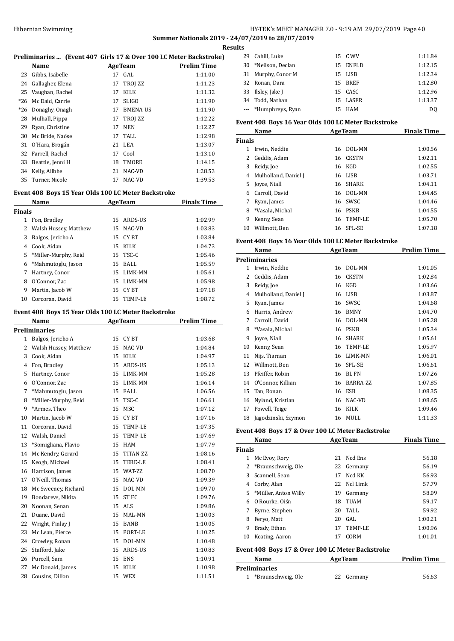## Hibernian Swimming **HY-TEK's MEET MANAGER 7.0 - 9:19 AM 29/07/2019** Page 40 **Summer Nationals 2019 - 24/07/2019 to 28/07/2019**

**Results**

| Preliminaries  (Event 407 Girls 17 & Over 100 LC Meter Backstroke) |  |  |  |
|--------------------------------------------------------------------|--|--|--|
|                                                                    |  |  |  |

|       | Name             |    | <b>AgeTeam</b>  | <b>Prelim Time</b> |
|-------|------------------|----|-----------------|--------------------|
| 23    | Gibbs, Isabelle  |    | 17 GAL          | 1:11.00            |
| 24    | Gallagher, Elena | 17 | TROJ-ZZ         | 1:11.23            |
| 25    | Vaughan, Rachel  | 17 | KILK            | 1:11.32            |
| $*26$ | Mc Daid, Carrie  | 17 | <b>SLIGO</b>    | 1:11.90            |
| $*26$ | Donaghy, Onagh   | 17 | <b>BMENA-US</b> | 1:11.90            |
| 28    | Mulhall, Pippa   | 17 | TROJ-ZZ         | 1:12.22            |
| 29    | Ryan, Christine  | 17 | <b>NEN</b>      | 1:12.27            |
| 30    | Mc Bride, Naóse  |    | 17 TALL         | 1:12.98            |
| 31    | O'Hara, Brogán   |    | 21 LEA          | 1:13.07            |
| 32    | Farrell, Rachel  | 17 | Cool            | 1:13.10            |
| 33    | Beattie, Jenni H | 18 | TMORE           | 1:14.15            |
| 34    | Kelly, Ailbhe    | 21 | NAC-VD          | 1:28.53            |
| 35    | Turner, Nicole   | 17 | NAC-VD          | 1:39.53            |
|       |                  |    |                 |                    |

## **Event 408 Boys 15 Year Olds 100 LC Meter Backstroke**

|        | Name                  |    | <b>AgeTeam</b> | <b>Finals Time</b> |
|--------|-----------------------|----|----------------|--------------------|
| Finals |                       |    |                |                    |
| 1      | Fon, Bradley          | 15 | ARDS-US        | 1:02.99            |
| 2      | Walsh Hussey, Matthew |    | 15 NAC-VD      | 1:03.83            |
| 3      | Balgos, Jericho A     |    | 15 CYBT        | 1:03.84            |
| 4      | Cook, Aidan           | 15 | KILK           | 1:04.73            |
| 5      | *Miller-Murphy, Reid  |    | $15$ TSC-C     | 1:05.46            |
| 6      | *Mahmutoglu, Jason    |    | 15 EALL        | 1:05.59            |
| 7      | Hartney, Conor        | 15 | LIMK-MN        | 1:05.61            |
| 8      | O'Connor, Zac         | 15 | LIMK-MN        | 1:05.98            |
| 9      | Martin, Jacob W       | 15 | CY BT          | 1:07.18            |
| 10     | Corcoran, David       | 15 | TEMP-LE        | 1:08.72            |
|        |                       |    |                |                    |

## **Event 408 Boys 15 Year Olds 100 LC Meter Backstroke**

|              | Name                  |    | <b>AgeTeam</b>   | <b>Prelim Time</b> |
|--------------|-----------------------|----|------------------|--------------------|
|              | <b>Preliminaries</b>  |    |                  |                    |
| $\mathbf{1}$ | Balgos, Jericho A     | 15 | CY BT            | 1:03.68            |
| 2            | Walsh Hussey, Matthew | 15 | NAC-VD           | 1:04.84            |
| 3            | Cook, Aidan           | 15 | <b>KILK</b>      | 1:04.97            |
| 4            | Fon, Bradley          | 15 | ARDS-US          | 1:05.13            |
| 5            | Hartney, Conor        | 15 | LIMK-MN          | 1:05.28            |
| 6            | O'Connor, Zac         | 15 | LIMK-MN          | 1:06.14            |
| 7            | *Mahmutoglu, Jason    | 15 | EALL             | 1:06.56            |
| 8            | *Miller-Murphy, Reid  | 15 | TSC-C            | 1:06.61            |
| 9            | *Armes, Theo          | 15 | <b>MSC</b>       | 1:07.12            |
| 10           | Martin, Jacob W       | 15 | CY BT            | 1:07.16            |
| 11           | Corcoran, David       | 15 | TEMP-LE          | 1:07.35            |
| 12           | Walsh, Daniel         | 15 | TEMP-LE          | 1:07.69            |
| 13           | *Somigliana, Flavio   | 15 | <b>HAM</b>       | 1:07.79            |
| 14           | Mc Kendry, Gerard     | 15 | TITAN-ZZ         | 1:08.16            |
| 15           | Keogh, Michael        | 15 | <b>TERE-LE</b>   | 1:08.41            |
| 16           | Harrison, James       | 15 | WAT-ZZ           | 1:08.70            |
| 17           | O'Neill, Thomas       | 15 | NAC-VD           | 1:09.39            |
| 18           | Mc Sweeney, Richard   | 15 | DOL-MN           | 1:09.70            |
| 19           | Bondarevs, Nikita     | 15 | ST <sub>FC</sub> | 1:09.76            |
| 20           | Noonan, Senan         | 15 | <b>ALS</b>       | 1:09.86            |
| 21           | Duane, David          | 15 | MAL-MN           | 1:10.03            |
| 22           | Wright, Finlay J      | 15 | <b>BANB</b>      | 1:10.05            |
| 23           | Mc Lean, Pierce       | 15 | PORT-LE          | 1:10.25            |
| 24           | Crowley, Ronan        | 15 | DOL-MN           | 1:10.48            |
| 25           | Stafford, Jake        | 15 | ARDS-US          | 1:10.83            |
| 26           | Purcell, Sam          | 15 | <b>ENS</b>       | 1:10.91            |
| 27           | Mc Donald, James      | 15 | <b>KILK</b>      | 1:10.98            |
| 28           | Cousins, Dillon       | 15 | <b>WEX</b>       | 1:11.51            |

| เ๖ |                      |          |         |
|----|----------------------|----------|---------|
| 29 | Cahill, Luke         | 15 C WV  | 1:11.84 |
| 30 | *Neilson, Declan     | 15 ENFLD | 1:12.15 |
|    | 31 Murphy, Conor M   | 15 LISB  | 1:12.34 |
|    | 32 Ronan, Dara       | 15 BREF  | 1:12.80 |
|    | 33 Ilslev, Jake J    | 15 CASC  | 1:12.96 |
|    | 34 Todd, Nathan      | 15 LASER | 1:13.37 |
|    | --- *Humphreys, Ryan | 15 HAM   | DO      |

## **Event 408 Boys 16 Year Olds 100 LC Meter Backstroke**

|               | Name                 |    | <b>AgeTeam</b> | <b>Finals Time</b> |
|---------------|----------------------|----|----------------|--------------------|
| <b>Finals</b> |                      |    |                |                    |
|               | Irwin, Neddie        | 16 | DOL-MN         | 1:00.56            |
|               | Geddis, Adam         | 16 | CKSTN          | 1:02.11            |
| 3             | Reidy, Joe           | 16 | KGD            | 1:02.55            |
| 4             | Mulholland, Daniel J | 16 | LISB           | 1:03.71            |
| 5.            | Joyce, Niall         | 16 | SHARK          | 1:04.11            |
| 6             | Carroll, David       | 16 | DOL-MN         | 1:04.45            |
|               | Ryan, James          |    | 16 SWSC        | 1:04.46            |
| 8             | *Vasala, Michal      | 16 | <b>PSKB</b>    | 1:04.55            |
| 9             | Kenny, Sean          | 16 | TEMP-LE        | 1:05.70            |
| 10            | Willmott, Ben        |    | 16 SPL-SE      | 1:07.18            |

## **Event 408 Boys 16 Year Olds 100 LC Meter Backstroke**

|    | Name                 |    | <b>AgeTeam</b> | <b>Prelim Time</b> |
|----|----------------------|----|----------------|--------------------|
|    | <b>Preliminaries</b> |    |                |                    |
| 1  | Irwin, Neddie        | 16 | DOL-MN         | 1:01.05            |
| 2  | Geddis, Adam         | 16 | <b>CKSTN</b>   | 1:02.84            |
| 3  | Reidy, Joe           | 16 | KGD            | 1:03.66            |
| 4  | Mulholland, Daniel J | 16 | <b>LISB</b>    | 1:03.87            |
| 5  | Ryan, James          | 16 | SWSC           | 1:04.68            |
| 6  | Harris, Andrew       | 16 | <b>BMNY</b>    | 1:04.70            |
| 7  | Carroll, David       | 16 | DOL-MN         | 1:05.28            |
| 8  | *Vasala, Michal      | 16 | <b>PSKB</b>    | 1:05.34            |
| 9  | Joyce, Niall         | 16 | <b>SHARK</b>   | 1:05.61            |
| 10 | Kenny, Sean          | 16 | TEMP-LE        | 1:05.97            |
| 11 | Nijs, Tiarnan        | 16 | LIMK-MN        | 1:06.01            |
| 12 | Willmott, Ben        | 16 | SPL-SE         | 1:06.61            |
| 13 | Pfeiffer, Robin      | 16 | BL FN          | 1:07.26            |
| 14 | O'Connor, Killian    | 16 | BARRA-ZZ       | 1:07.85            |
| 15 | Tan, Ronan           | 16 | <b>ESB</b>     | 1:08.35            |
| 16 | Nyland, Kristian     | 16 | NAC-VD         | 1:08.65            |
| 17 | Powell, Teige        | 16 | <b>KILK</b>    | 1:09.46            |
| 18 | Jagodzinski, Szymon  | 16 | MULL           | 1:11.33            |

## **Event 408 Boys 17 & Over 100 LC Meter Backstroke**

|               | Name                   |    | <b>AgeTeam</b> | <b>Finals Time</b> |
|---------------|------------------------|----|----------------|--------------------|
| <b>Finals</b> |                        |    |                |                    |
| 1             | Mc Evoy, Rory          | 21 | Ned Ens        | 56.18              |
|               | 2 *Braunschweig, Ole   |    | 22 Germany     | 56.19              |
|               | 3 Scannell, Sean       | 17 | Ncd KK         | 56.93              |
| 4             | Corby, Alan            |    | 22 Ncl Limk    | 57.79              |
|               | 5 *Müller, Anton Willy | 19 | Germany        | 58.09              |
| 6             | 0 Rourke, Oiśn         | 18 | TUAM           | 59.17              |
|               | Byrne, Stephen         | 20 | TALL           | 59.92              |
| 8             | Fervo, Matt            | 20 | GAL.           | 1:00.21            |
| 9             | Brady, Ethan           | 17 | TEMP-LE        | 1:00.96            |
| 10            | Keating, Aaron         | 17 | CORM           | 1:01.01            |

## **Event 408 Boys 17 & Over 100 LC Meter Backstroke**

| Name                 | <b>AgeTeam</b> | <b>Prelim Time</b> |  |
|----------------------|----------------|--------------------|--|
| <b>Preliminaries</b> |                |                    |  |
| *Braunschweig, Ole   | 22 Germany     | 56.63              |  |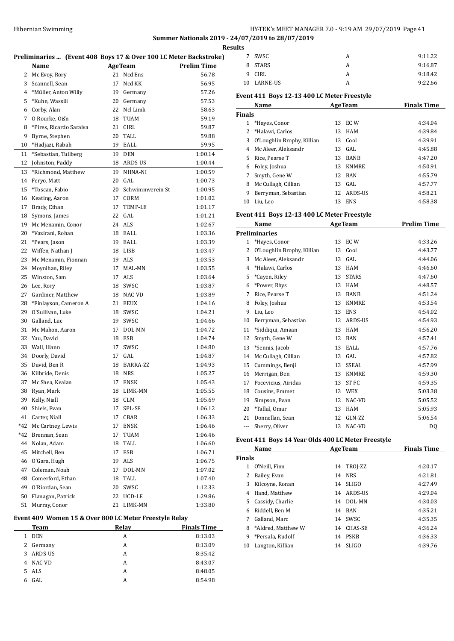## Hibernian Swimming **HY-TEK's MEET MANAGER 7.0 - 9:19 AM 29/07/2019** Page 41 **Summer Nationals 2019 - 24/07/2019 to 28/07/2019**

**Results**

|                |                                           |    | Preliminaries  (Event 408 Boys 17 & Over 100 LC Meter Backstroke)<br><b>AgeTeam</b> | <b>Prelim Time</b> |
|----------------|-------------------------------------------|----|-------------------------------------------------------------------------------------|--------------------|
| 2              | Name<br>Mc Evoy, Rory                     |    | 21 Ncd Ens                                                                          | 56.78              |
| 3              | Scannell, Sean                            | 17 | Ncd KK                                                                              | 56.95              |
| $\overline{4}$ | *Müller, Anton Willy                      |    | 19 Germany                                                                          | 57.26              |
| 5              | *Kuhn. Wassili                            |    | 20 Germany                                                                          | 57.53              |
| 6              | Corby, Alan                               | 22 | Ncl Limk                                                                            | 58.63              |
| 7              |                                           | 18 | TUAM                                                                                | 59.19              |
|                | O Rourke, Oiśn<br>*Pires. Ricardo Saraiva |    | <b>CIRL</b>                                                                         |                    |
| 8              |                                           | 21 |                                                                                     | 59.87              |
| 9              | Byrne, Stephen                            | 20 | TALL                                                                                | 59.88              |
| 10             | *Hadjazi, Rabah                           |    | 19 EALL                                                                             | 59.95              |
| 11             | *Sebastian, Tullberg                      |    | 19 DEN                                                                              | 1:00.14            |
| 12             | Johnston, Paddy                           |    | 18 ARDS-US                                                                          | 1:00.44            |
| 13             | *Richmond, Matthew                        | 19 | NHNA-NI                                                                             | 1:00.59            |
| 14             | Feryo, Matt                               |    | 20 GAL                                                                              | 1:00.73            |
| 15             | *Toscan, Fabio                            | 20 | Schwimmverein St                                                                    | 1:00.95            |
| 16             | Keating, Aaron                            |    | 17 CORM                                                                             | 1:01.02            |
| 17             | Brady, Ethan                              | 17 | TEMP-LE                                                                             | 1:01.17            |
| 18             | Symons, James                             |    | $22$ GAL                                                                            | 1:01.21            |
| 19             | Mc Menamin, Conor                         |    | 24 ALS                                                                              | 1:02.67            |
| 20             | *Vazirani, Rohan                          |    | 18 EALL                                                                             | 1:03.36            |
| 21             | *Pears, Jason                             |    | 19 EALL                                                                             | 1:03.39            |
| 22             | Wiffen, Nathan J                          |    | 18 LISB                                                                             | 1:03.47            |
| 23             | Mc Menamin, Fionnan                       |    | 19 ALS                                                                              | 1:03.53            |
| 24             | Moynihan, Riley                           | 17 | MAL-MN                                                                              | 1:03.55            |
| 25             | Winston, Sam                              | 17 | ALS                                                                                 | 1:03.64            |
| 26             | Lee, Rory                                 |    | 18 SWSC                                                                             | 1:03.87            |
| 27             | Gardiner, Matthew                         |    | 18 NAC-VD                                                                           | 1:03.89            |
| 28             | *Finlayson, Cameron A                     |    | 21 EEUX                                                                             | 1:04.16            |
| 29             | O'Sullivan, Luke                          |    | 18 SWSC                                                                             | 1:04.21            |
| 30             | Galland, Luc                              |    | 19 SWSC                                                                             | 1:04.66            |
| 31             | Mc Mahon, Aaron                           | 17 | DOL-MN                                                                              | 1:04.72            |
| 32             | Yau, David                                | 18 | ESB                                                                                 | 1:04.74            |
| 33             | Wall, Illann                              | 17 | SWSC                                                                                | 1:04.80            |
| 34             | Doorly, David                             | 17 | GAL                                                                                 | 1:04.87            |
| 35             | David, Ben R                              |    | 18 BARRA-ZZ                                                                         | 1:04.93            |
| 36             | Kilbride, Denis                           | 18 | <b>NRS</b>                                                                          | 1:05.27            |
| 37             | Mc Shea, Kealan                           | 17 | <b>ENSK</b>                                                                         | 1:05.43            |
| 38             | Ryan, Mark                                | 18 | LIMK-MN                                                                             | 1:05.55            |
| 39             | Kelly, Niall                              | 18 | CLM                                                                                 | 1:05.69            |
| 40             | Shiels, Evan                              | 17 | SPL-SE                                                                              | 1:06.12            |
| 41             | Carter, Niall                             | 17 | CBAR                                                                                | 1:06.33            |
| *42            | Mc Cartney, Lewis                         | 17 | <b>ENSK</b>                                                                         | 1:06.46            |
| *42            | Brennan, Sean                             | 17 | TUAM                                                                                | 1:06.46            |
| 44             | Nolan, Adam                               | 18 | TALL                                                                                | 1:06.60            |
| 45             | Mitchell, Ben                             | 17 | ESB                                                                                 | 1:06.71            |
| 46             | O'Gara, Hugh                              | 19 | ALS                                                                                 | 1:06.75            |
| 47             | Coleman, Noah                             | 17 | DOL-MN                                                                              | 1:07.02            |
| 48             | Comerford, Ethan                          | 18 | TALL                                                                                | 1:07.40            |
| 49             | O'Riordan, Sean                           | 20 | SWSC                                                                                | 1:12.33            |
| 50             | Flanagan, Patrick                         | 22 | UCD-LE                                                                              | 1:29.86            |
| 51             | Murray, Conor                             | 21 | LIMK-MN                                                                             | 1:33.80            |
|                |                                           |    |                                                                                     |                    |

| <b>Team</b>      | Relay | <b>Finals Time</b> |
|------------------|-------|--------------------|
| <b>DEN</b><br>1. | A     | 8:13.03            |
| 2 Germany        | A     | 8:13.09            |
| ARDS-US<br>3     | A     | 8:35.42            |
| NAC-VD<br>4      | A     | 8:43.07            |
| 5 ALS            | A     | 8:48.05            |
| GAL              | A     | 8:54.98            |
|                  |       |                    |

| ults          |                                             |    |                |                    |
|---------------|---------------------------------------------|----|----------------|--------------------|
| 7             | SWSC.                                       |    | A              | 9:11.22            |
| 8             | <b>STARS</b>                                |    | A              | 9:16.87            |
| 9             | CIRL                                        |    | A              | 9:18.42            |
| 10            | <b>LARNE-US</b>                             |    | A              | 9:22.66            |
|               | Event 411 Boys 12-13 400 LC Meter Freestyle |    |                |                    |
|               | Name                                        |    | <b>AgeTeam</b> | <b>Finals Time</b> |
| <b>Finals</b> |                                             |    |                |                    |
|               | *Haves, Conor                               | 13 | EC W           | 4:34.04            |
|               | 2 *Halawi, Carlos                           | 13 | HAM            | 4:39.84            |
| 3             | O'Loughlin Brophy, Killian                  | 13 | Cool           | 4:39.91            |
|               |                                             |    |                |                    |
| 4             | Mc Aleer, Aleksandr                         | 13 | GAL            | 4:45.88            |

| 6 Foley, Joshua       | 13 KNMRE   | 4:50.91 |
|-----------------------|------------|---------|
| 7 Smyth, Gene W       | 12 BAN     | 4:55.79 |
| 8 Mc Cullagh, Cillian | $13$ GAL   | 4:57.77 |
| 9 Berryman, Sebastian | 12 ARDS-US | 4:58.21 |
| 10 Liu, Leo           | 13 ENS     | 4:58.38 |

## **Event 411 Boys 12-13 400 LC Meter Freestyle**

|                | Name                       |    | <b>AgeTeam</b> | <b>Prelim Time</b> |
|----------------|----------------------------|----|----------------|--------------------|
|                | <b>Preliminaries</b>       |    |                |                    |
| $\mathbf{1}$   | *Hayes, Conor              | 13 | EC W           | 4:33.26            |
| 2              | O'Loughlin Brophy, Killian | 13 | Cool           | 4:43.77            |
| 3              | Mc Aleer, Aleksandr        | 13 | GAL            | 4:44.06            |
| $\overline{4}$ | *Halawi, Carlos            | 13 | <b>HAM</b>     | 4:46.60            |
| 5              | *Cayen, Riley              | 13 | <b>STARS</b>   | 4:47.60            |
| 6              | *Power, Rhys               | 13 | <b>HAM</b>     | 4:48.57            |
| 7              | Rice, Pearse T             | 13 | <b>BANB</b>    | 4:51.24            |
| 8              | Foley, Joshua              | 13 | <b>KNMRE</b>   | 4:53.54            |
| 9              | Liu, Leo                   | 13 | <b>ENS</b>     | 4:54.02            |
| 10             | Berryman, Sebastian        | 12 | <b>ARDS-US</b> | 4:54.93            |
| 11             | *Siddiqui, Amaan           | 13 | <b>HAM</b>     | 4:56.20            |
| 12             | Smyth, Gene W              | 12 | <b>BAN</b>     | 4:57.41            |
| 13             | *Sennis, Jacob             | 13 | EALL           | 4:57.76            |
| 14             | Mc Cullagh, Cillian        | 13 | GAL            | 4:57.82            |
| 15             | Cummings, Benji            | 13 | <b>SSEAL</b>   | 4:57.99            |
| 16             | Merrigan, Ben              | 13 | <b>KNMRE</b>   | 4:59.30            |
| 17             | Pocevicius, Airidas        | 13 | ST FC          | 4:59.35            |
| 18             | Cousins, Emmet             | 13 | <b>WEX</b>     | 5:03.38            |
| 19             | Simpson, Evan              | 12 | NAC-VD         | 5:05.52            |
| 20             | *Tallal, Omar              | 13 | <b>HAM</b>     | 5:05.93            |
| 21             | Donnellan, Sean            | 12 | GLN-ZZ         | 5:06.54            |
| ---            | Sherry, Oliver             | 13 | NAC-VD         | DO.                |

## **Event 411 Boys 14 Year Olds 400 LC Meter Freestyle**

|               | Name               |    | <b>AgeTeam</b> | <b>Finals Time</b> |
|---------------|--------------------|----|----------------|--------------------|
| <b>Finals</b> |                    |    |                |                    |
| 1.            | O'Neill, Finn      |    | 14 TROJ-ZZ     | 4:20.17            |
| 2             | Bailey, Evan       | 14 | <b>NRS</b>     | 4:21.81            |
| 3             | Kilcoyne, Ronan    | 14 | <b>SLIGO</b>   | 4:27.49            |
| 4             | Hand, Matthew      | 14 | ARDS-US        | 4:29.04            |
| 5.            | Cassidy, Charlie   | 14 | DOL-MN         | 4:30.03            |
| 6             | Riddell, Ben M     | 14 | BAN            | 4:35.21            |
| 7             | Galland, Marc      | 14 | <b>SWSC</b>    | 4:35.35            |
| 8             | *Aldred, Matthew W | 14 | CHAS-SE        | 4:36.24            |
| 9             | *Persala, Rudolf   | 14 | <b>PSKB</b>    | 4:36.33            |
| 10            | Langton, Killian   | 14 | SLIGO          | 4:39.76            |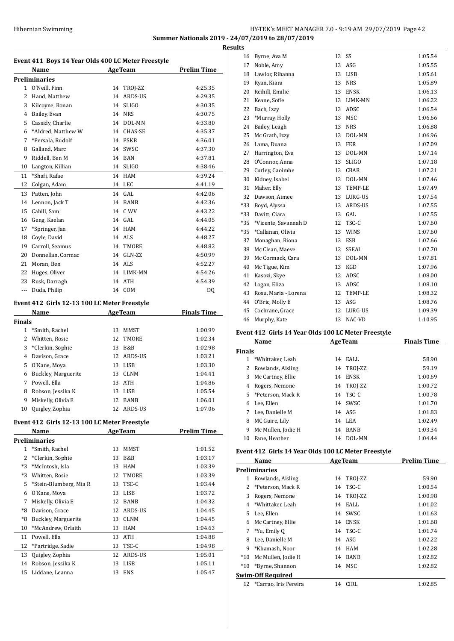## Hibernian Swimming HY-TEK's MEET MANAGER 7.0 - 9:19 AM 29/07/2019 Page 42 **Summer Nationals 2019 - 24/07/2019 to 28/07/2019 Results**

**Event 411 Boys 14 Year Olds 400 LC Meter Freestyle Name Age Team Prelim Time Preliminaries** O'Neill, Finn 14 TROJ-ZZ 4:25.35 Hand, Matthew 14 ARDS-US 4:29.35 Kilcoyne, Ronan 14 SLIGO 4:30.35 Bailey, Evan 14 NRS 4:30.75 Cassidy, Charlie 14 DOL-MN 4:33.80 \*Aldred, Matthew W 14 CHAS-SE 4:35.37 \*Persala, Rudolf 14 PSKB 4:36.01 Galland, Marc 14 SWSC 4:37.30 Riddell, Ben M 14 BAN 4:37.81 Langton, Killian 14 SLIGO 4:38.46 \*Shafi, Rafae 14 HAM 4:39.24 Colgan, Adam 14 LEC 4:41.19 Patten, John 14 GAL 4:42.06 Lennon, Jack T 14 BANB 4:42.36 Cahill, Sam 14 C WV 4:43.22 Geng, Kaelan 14 GAL 4:44.05 \*Springer, Jan 14 HAM 4:44.22 Coyle, David 14 ALS 4:48.27 Carroll, Seamus 14 TMORE 4:48.82 Donnellan, Cormac 14 GLN-ZZ 4:50.99 Moran, Ben 14 ALS 4:52.27 22 Huges, Oliver 14 LIMK-MN 4:54.26 Rusk, Darragh 14 ATH 4:54.39 -- Duda, Philip 14 COM DQ

## **Event 412 Girls 12-13 100 LC Meter Freestyle**

|               | Name                |    | <b>AgeTeam</b> | <b>Finals Time</b> |
|---------------|---------------------|----|----------------|--------------------|
| <b>Finals</b> |                     |    |                |                    |
|               | *Smith, Rachel      | 13 | MMST           | 1:00.99            |
| 2             | Whitten, Rosie      | 12 | <b>TMORE</b>   | 1:02.34            |
| 3             | *Clerkin, Sophie    | 13 | B&B            | 1:02.98            |
| 4             | Davison, Grace      | 12 | ARDS-US        | 1:03.21            |
| 5.            | O'Kane, Moya        | 13 | <b>LISB</b>    | 1:03.30            |
| 6             | Buckley, Marguerite | 13 | <b>CLNM</b>    | 1:04.41            |
| 7             | Powell, Ella        | 13 | <b>ATH</b>     | 1:04.86            |
| 8             | Robson, Jessika K   | 13 | <b>LISB</b>    | 1:05.54            |
| 9             | Miskelly, Olivia E  | 12 | <b>BANB</b>    | 1:06.01            |
| 10            | Quigley, Zophia     | 12 | ARDS-US        | 1:07.06            |

## **Event 412 Girls 12-13 100 LC Meter Freestyle**

|              | Name                   |    | <b>AgeTeam</b> | Prelim Time |
|--------------|------------------------|----|----------------|-------------|
|              | Preliminaries          |    |                |             |
| $\mathbf{1}$ | *Smith, Rachel         | 13 | <b>MMST</b>    | 1:01.52     |
| 2            | *Clerkin, Sophie       | 13 | B&B            | 1:03.17     |
| $*3$         | *McIntosh, Isla        | 13 | <b>HAM</b>     | 1:03.39     |
| $*3$         | Whitten, Rosie         | 12 | TMORE          | 1:03.39     |
| 5            | *Stein-Blumberg, Mia R | 13 | TSC-C          | 1:03.44     |
| 6            | O'Kane, Moya           | 13 | LISB           | 1:03.72     |
| 7            | Miskelly, Olivia E     | 12 | BANB           | 1:04.32     |
| *8           | Davison, Grace         | 12 | ARDS-US        | 1:04.45     |
| *8           | Buckley, Marguerite    | 13 | <b>CLNM</b>    | 1:04.45     |
| 10           | *McAndrew, Orlaith     | 13 | <b>HAM</b>     | 1:04.63     |
| 11           | Powell, Ella           | 13 | <b>ATH</b>     | 1:04.88     |
| 12           | *Partridge, Sadie      | 13 | TSC-C          | 1:04.98     |
| 13           | Quigley, Zophia        | 12 | ARDS-US        | 1:05.01     |
| 14           | Robson, Jessika K      | 13 | <b>LISB</b>    | 1:05.11     |
| 15           | Liddane, Leanna        | 13 | <b>ENS</b>     | 1:05.47     |
|              |                        |    |                |             |

| 16    | Byrne, Ava M         | 13 | SS           | 1:05.54 |
|-------|----------------------|----|--------------|---------|
| 17    | Noble, Amy           | 13 | ASG          | 1:05.55 |
| 18    | Lawlor, Rihanna      | 13 | <b>LISB</b>  | 1:05.61 |
| 19    | Ryan, Kiara          | 13 | <b>NRS</b>   | 1:05.89 |
| 20    | Reihill, Emilie      | 13 | <b>ENSK</b>  | 1:06.13 |
| 21    | Keane, Sofie         | 13 | LIMK-MN      | 1:06.22 |
| 22    | Bach, Izzy           | 13 | ADSC         | 1:06.54 |
| 23    | *Murray, Holly       | 13 | MSC          | 1:06.66 |
| 24    | Bailey, Leagh        | 13 | <b>NRS</b>   | 1:06.88 |
| 25    | Mc Grath, Izzy       | 13 | DOL-MN       | 1:06.96 |
| 26    | Lama, Duana          | 13 | <b>FER</b>   | 1:07.09 |
| 27    | Harrington, Eva      | 13 | DOL-MN       | 1:07.14 |
| 28    | O'Connor, Anna       | 13 | <b>SLIGO</b> | 1:07.18 |
| 29    | Curley, Caoimhe      | 13 | CBAR         | 1:07.21 |
| 30    | Kidney, Isabel       | 13 | DOL-MN       | 1:07.46 |
| 31    | Maher, Elly          | 13 | TEMP-LE      | 1:07.49 |
| 32    | Dawson, Aimee        | 13 | LURG-US      | 1:07.54 |
| $*33$ | Boyd, Alyssa         | 13 | ARDS-US      | 1:07.55 |
| $*33$ | Davitt, Ciara        | 13 | GAL          | 1:07.55 |
| $*35$ | *Vicente, Savannah D | 12 | TSC-C        | 1:07.60 |
| $*35$ | *Callanan, Olivia    | 13 | <b>WINS</b>  | 1:07.60 |
| 37    | Monaghan, Riona      | 13 | <b>ESB</b>   | 1:07.66 |
| 38    | Mc Clean, Maeve      | 12 | <b>SSEAL</b> | 1:07.70 |
| 39    | Mc Cormack, Cara     | 13 | DOL-MN       | 1:07.81 |
| 40    | Mc Tigue, Kim        | 13 | <b>KGD</b>   | 1:07.96 |
| 41    | Kasozi, Skye         | 12 | ADSC         | 1:08.00 |
| 42    | Logan, Eliza         | 13 | ADSC         | 1:08.10 |
| 43    | Rosu, Maria - Lorena | 12 | TEMP-LE      | 1:08.32 |
| 44    | O'Bric, Molly E      | 13 | ASG          | 1:08.76 |
| 45    | Cochrane, Grace      | 12 | LURG-US      | 1:09.39 |
| 46    | Murphy, Kate         | 13 | NAC-VD       | 1:10.95 |
|       |                      |    |              |         |

## **Event 412 Girls 14 Year Olds 100 LC Meter Freestyle**

|               | Name                |    | <b>AgeTeam</b> | <b>Finals Time</b> |
|---------------|---------------------|----|----------------|--------------------|
| <b>Finals</b> |                     |    |                |                    |
| 1             | *Whittaker, Leah    | 14 | EALL           | 58.90              |
|               | Rowlands, Aisling   |    | 14 TROJ-ZZ     | 59.19              |
| 3             | Mc Cartney, Ellie   | 14 | <b>ENSK</b>    | 1:00.69            |
| 4             | Rogers, Nemone      | 14 | TROJ-ZZ        | 1:00.72            |
|               | 5 *Peterson, Mack R | 14 | TSC-C          | 1:00.78            |
| 6             | Lee, Ellen          |    | 14 SWSC        | 1:01.70            |
|               | Lee, Danielle M     |    | 14 ASG         | 1:01.83            |
| 8             | MC Guire, Lily      |    | 14 LEA         | 1:02.49            |
| 9             | Mc Mullen, Jodie H  | 14 | <b>BANB</b>    | 1:03.34            |
| 10            | Fane, Heather       | 14 | DOL-MN         | 1:04.44            |

## **Event 412 Girls 14 Year Olds 100 LC Meter Freestyle**

|               | Name                  |    | <b>AgeTeam</b> | <b>Prelim Time</b> |
|---------------|-----------------------|----|----------------|--------------------|
|               | Preliminaries         |    |                |                    |
| 1             | Rowlands, Aisling     | 14 | TROJ-ZZ        | 59.90              |
| $\mathcal{L}$ | *Peterson, Mack R     | 14 | TSC-C          | 1:00.54            |
| 3             | Rogers, Nemone        | 14 | TROJ-ZZ        | 1:00.98            |
| 4             | *Whittaker, Leah      | 14 | EALL           | 1:01.02            |
| 5.            | Lee, Ellen            | 14 | SWSC           | 1:01.63            |
| 6             | Mc Cartney, Ellie     | 14 | ENSK           | 1:01.68            |
| 7             | *Yu, Emily Q          | 14 | TSC-C          | 1:01.74            |
| 8             | Lee, Danielle M       |    | 14 ASG         | 1:02.22            |
| 9             | *Khamash, Noor        |    | 14 HAM         | 1:02.28            |
| $*10$         | Mc Mullen, Jodie H    | 14 | BANB           | 1:02.82            |
| $*10$         | *Byrne, Shannon       |    | 14 MSC         | 1:02.82            |
|               | Swim-Off Required     |    |                |                    |
| 12            | *Carrao, Iris Pereira | 14 | CIRL           | 1:02.85            |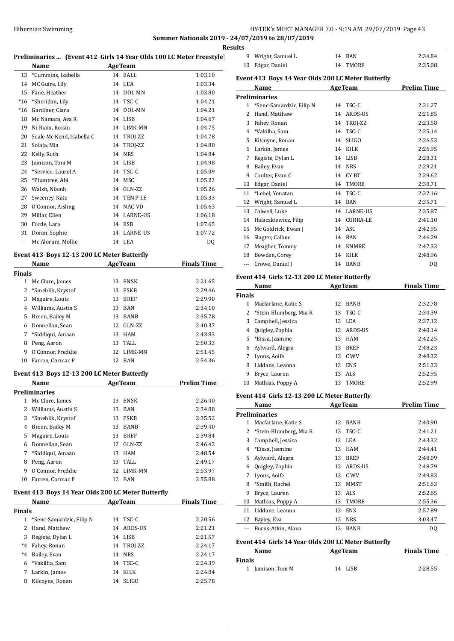## HY-TEK's MEET MANAGER 7.0 - 9:19 AM 29/07/2019 Page 43 **Summer Nationals 2019 - 24/07/2019 to 28/07/2019**

**Results**

|                      |                                                                              |    |                  | <b>Resu</b>        |
|----------------------|------------------------------------------------------------------------------|----|------------------|--------------------|
|                      | Preliminaries  (Event 412 Girls 14 Year Olds 100 LC Meter Freestyle)<br>Name |    | <b>AgeTeam</b>   |                    |
| 13                   | *Cummins, Isabella                                                           |    | 14 EALL          | 1:03.10            |
|                      | 14 MC Guire, Lily                                                            |    | 14 LEA           | 1:03.34            |
| 15                   | Fane, Heather                                                                |    | 14 DOL-MN        | 1:03.80            |
| $*16$                | *Sheridan, Lily                                                              |    | 14 TSC-C         | 1:04.21            |
| $*16$                | Gardiner, Ciara                                                              |    | 14 DOL-MN        | 1:04.21            |
| 18                   | Mc Namara, Ava R                                                             |    | 14 LISB          | 1:04.67            |
|                      | 19 Ni Riain, Roisin                                                          |    | 14 LIMK-MN       | 1:04.75            |
| 20                   | Seale Mc Kend, Isabella C                                                    |    | 14 TROJ-ZZ       | 1:04.78            |
| 21                   | Solaja, Mia                                                                  |    | 14 TROJ-ZZ       | 1:04.80            |
|                      | 22 Kelly, Ruth                                                               |    | 14 NRS           | 1:04.84            |
| 23                   | Jamison, Toni M                                                              |    | 14 LISB          | 1:04.98            |
|                      | 24 *Service, Laurel A                                                        |    | 14 TSC-C         | 1:05.09            |
| 25                   | *Plumtree, Abi                                                               |    | 14 MSC           | 1:05.23            |
|                      |                                                                              |    | 14 GLN-ZZ        | 1:05.26            |
| 27                   | 26 Walsh, Niamh                                                              |    |                  |                    |
|                      | Sweeney, Kate                                                                |    | 14 TEMP-LE       | 1:05.33            |
|                      | 28 O'Connor, Aisling                                                         |    | 14 NAC-VD        | 1:05.63            |
|                      | 29 Millar, Ellen                                                             |    | 14 LARNE-US      | 1:06.18            |
| 30                   | Forde, Lara                                                                  |    | 14 ESB           | 1:07.65            |
|                      | 31 Doran, Sophie                                                             |    | 14 LARNE-US      | 1:07.72            |
| $\sim$ $\sim$ $\sim$ | Mc Alorum, Mollie                                                            |    | 14 LEA           | DQ                 |
|                      | Event 413 Boys 12-13 200 LC Meter Butterfly                                  |    |                  |                    |
|                      | Name                                                                         |    | <b>AgeTeam</b>   | <b>Finals Time</b> |
| <b>Finals</b>        |                                                                              |    |                  |                    |
|                      | 1 Mc Clure, James                                                            |    | 13 ENSK          | 2:21.65            |
|                      | 2 *Smehlik, Krystof                                                          |    | 13 PSKB          | 2:29.46            |
|                      | 3 Maguire, Louis                                                             |    | 13 BREF          | 2:29.90            |
|                      | 4 Williams, Austin S                                                         |    | 13 BAN           | 2:34.10            |
| 5                    | Breen, Bailey M                                                              |    | 13 BANB          | 2:35.78            |
| 6                    | Donnellan, Sean                                                              |    | 12 GLN-ZZ        | 2:40.37            |
| 7                    |                                                                              |    |                  |                    |
|                      | *Siddiqui, Amaan                                                             |    | 13 HAM           | 2:43.83            |
| 8                    | Peng, Aaron                                                                  |    | 13 TALL          | 2:50.33            |
| 9                    | O'Connor, Freddie                                                            |    | 12 LIMK-MN       | 2:51.45            |
| 10                   | Farren, Cormac P                                                             |    | 12 BAN           | 2:54.36            |
|                      | Event 413 Boys 12-13 200 LC Meter Butterfly                                  |    |                  |                    |
|                      | Name                                                                         |    | <b>AgeTeam</b>   | <b>Prelim Time</b> |
|                      | <b>Preliminaries</b>                                                         |    |                  |                    |
|                      | 1 Mc Clure, James                                                            |    | 13 ENSK          | 2:26.40            |
|                      | 2 Williams, Austin S                                                         |    | 13 BAN           | 2:34.88            |
|                      | 3 *Smehlik, Krystof                                                          |    | 13 PSKB          | 2:35.52            |
|                      | 4 Breen, Bailey M                                                            |    | 13 BANB          | 2:39.40            |
|                      | 5 Maguire, Louis                                                             |    | 13 BREF          | 2:39.84            |
|                      | 6 Donnellan, Sean                                                            |    | 12 GLN-ZZ        | 2:46.42            |
| $7^{\circ}$          | *Siddiqui, Amaan                                                             |    | 13 HAM           | 2:48.54            |
| 8                    | Peng, Aaron                                                                  |    | 13 TALL          | 2:49.17            |
| 9                    | O'Connor, Freddie                                                            |    | 12 LIMK-MN       | 2:53.97            |
| 10                   | Farren, Cormac P                                                             |    | 12 BAN           | 2:55.88            |
|                      |                                                                              |    |                  |                    |
|                      | Event 413 Boys 14 Year Olds 200 LC Meter Butterfly<br>Name                   |    | <b>AgeTeam</b>   | <b>Finals Time</b> |
|                      |                                                                              |    |                  |                    |
|                      |                                                                              |    | 14 TSC-C         | 2:20.56            |
|                      |                                                                              |    |                  |                    |
| $\mathbf{1}$         | *Senc-Samardzic, Filip N                                                     |    |                  |                    |
|                      | 2 Hand, Matthew                                                              |    | 14 ARDS-US       | 2:21.21            |
|                      | 3 Registe, Dylan L                                                           |    | 14 LISB          | 2:21.57            |
|                      | *4 Fahey, Ronan                                                              |    | 14 TROJ-ZZ       | 2:24.17            |
|                      | *4 Bailey, Evan                                                              |    | 14 NRS           | 2:24.17            |
| <b>Finals</b>        | 6 *Vakilha, Sam                                                              |    | 14 TSC-C         | 2:24.39            |
| 7<br>8               | Larkin, James<br>Kilcoyne, Ronan                                             | 14 | 14 KILK<br>SLIGO | 2:24.84<br>2:25.78 |

| uits          |                                                    |    |                 |                    |
|---------------|----------------------------------------------------|----|-----------------|--------------------|
| 9             | Wright, Samuel L                                   | 14 | <b>BAN</b>      | 2:34.84            |
| 10            | Edgar, Daniel                                      | 14 | <b>TMORE</b>    | 2:35.08            |
|               | Event 413 Boys 14 Year Olds 200 LC Meter Butterfly |    |                 |                    |
|               | Name                                               |    | <b>AgeTeam</b>  | <b>Prelim Time</b> |
|               | <b>Preliminaries</b>                               |    |                 |                    |
| 1             | *Senc-Samardzic, Filip N                           | 14 | TSC-C           | 2:21.27            |
| 2             | Hand, Matthew                                      | 14 | <b>ARDS-US</b>  | 2:21.85            |
| 3             | Fahey, Ronan                                       | 14 | TROJ-ZZ         | 2:23.58            |
| 4             | *Vakilha, Sam                                      | 14 | TSC-C           | 2:25.14            |
| 5             | Kilcoyne, Ronan                                    | 14 | <b>SLIGO</b>    | 2:26.53            |
| 6             | Larkin, James                                      | 14 | <b>KILK</b>     | 2:26.95            |
| 7             | Registe, Dylan L                                   |    | 14 LISB         | 2:28.31            |
| 8             | Bailey, Evan                                       | 14 | <b>NRS</b>      | 2:29.21            |
| 9             | Coulter, Evan C                                    | 14 | <b>CYBT</b>     | 2:29.62            |
| 10            | Edgar, Daniel                                      | 14 | <b>TMORE</b>    | 2:30.71            |
| 11            | *Lebel, Yonatan                                    | 14 | TSC-C           | 2:32.16            |
| 12            | Wright, Samuel L                                   | 14 | <b>BAN</b>      | 2:35.71            |
| 13            | Calwell, Luke                                      |    | 14 LARNE-US     | 2:35.87            |
| 14            | Halaczkiewicz, Filip                               | 14 | <b>CURRA-LE</b> | 2:41.10            |
| 15            | Mc Goldrick, Ewan J                                | 14 | ASC.            | 2:42.95            |
| 16            | Slagter, Callum                                    | 14 | <b>BAN</b>      | 2:46.29            |
| 17            | Meagher, Tommy                                     | 14 | <b>KNMRE</b>    | 2:47.33            |
| 18            | Bowden, Corey                                      | 14 | <b>KILK</b>     | 2:48.96            |
| ---           | Crowe, Daniel J                                    | 14 | <b>BANB</b>     | DQ                 |
|               | Event 414 Girls 12-13 200 LC Meter Butterfly       |    |                 |                    |
|               | Name                                               |    | <b>AgeTeam</b>  | <b>Finals Time</b> |
| <b>Finals</b> |                                                    |    |                 |                    |
|               |                                                    |    |                 |                    |

|       | <b>Name</b>            |    | <b>AgeTeam</b> | <b>Finals Time</b> |
|-------|------------------------|----|----------------|--------------------|
| inals |                        |    |                |                    |
|       | Macfarlane, Katie S    |    | 12 BANB        | 2:32.78            |
|       | *Stein-Blumberg, Mia R |    | 13 TSC-C       | 2:34.39            |
| 3     | Campbell, Jessica      | 13 | LEA            | 2:37.12            |
| 4     | Quigley, Zophia        |    | 12 ARDS-US     | 2:40.14            |
| 5.    | *Eissa, Jasmine        | 13 | HAM            | 2:42.25            |
| 6     | Aylward, Alegra        | 13 | <b>BREF</b>    | 2:48.23            |
|       | Lyons, Aoife           | 13 | C. WV          | 2:48.32            |
| 8     | Liddane, Leanna        | 13 | <b>ENS</b>     | 2:51.33            |
| 9     | Bryce, Lauren          | 13 | ALS            | 2:52.95            |
| 10    | Mathias, Poppy A       | 13 | TMORE          | 2:52.99            |

## **Event 414 Girls 12-13 200 LC Meter Butterfly**

|    | Name                   |    | <b>AgeTeam</b> | <b>Prelim Time</b> |
|----|------------------------|----|----------------|--------------------|
|    | <b>Preliminaries</b>   |    |                |                    |
| 1  | Macfarlane, Katie S    | 12 | <b>BANB</b>    | 2:40.90            |
| 2  | *Stein-Blumberg, Mia R | 13 | TSC-C          | 2:41.21            |
| 3  | Campbell, Jessica      | 13 | LEA            | 2:43.32            |
| 4  | *Eissa, Jasmine        | 13 | HAM            | 2:44.41            |
| 5. | Aylward, Alegra        | 13 | <b>BREF</b>    | 2:48.09            |
| 6  | Quigley, Zophia        | 12 | <b>ARDS-US</b> | 2:48.79            |
| 7  | Lyons, Aoife           | 13 | C WV           | 2:49.83            |
| 8  | *Smith, Rachel         | 13 | <b>MMST</b>    | 2:51.63            |
| 9  | Bryce, Lauren          | 13 | <b>ALS</b>     | 2:52.65            |
| 10 | Mathias, Poppy A       | 13 | TMORE          | 2:55.36            |
| 11 | Liddane, Leanna        | 13 | <b>ENS</b>     | 2:57.89            |
| 12 | Bayley, Eva            | 12 | <b>NRS</b>     | 3:03.47            |
|    | Burns-Atkin, Alana     | 13 | <b>BANB</b>    | DQ                 |

## **Event 414 Girls 14 Year Olds 200 LC Meter Butterfly**

| Name              | <b>AgeTeam</b> | <b>Finals Time</b> |
|-------------------|----------------|--------------------|
| Finals            |                |                    |
| 1 Jamison, Toni M | 14 LISB        | 2:28.55            |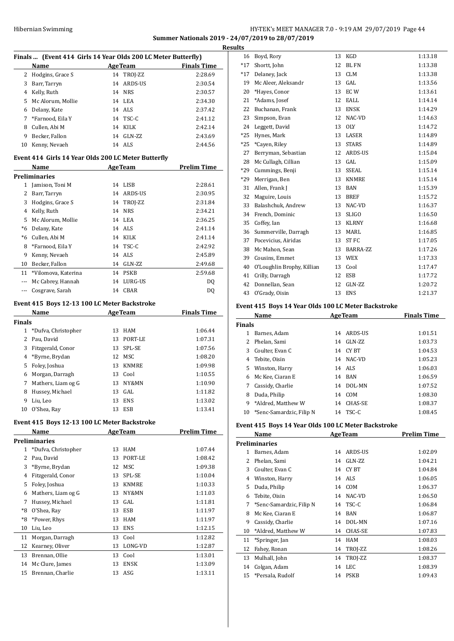## Hibernian Swimming **HY-TEK's MEET MANAGER 7.0 - 9:19 AM 29/07/2019** Page 44 **Summer Nationals 2019 - 24/07/2019 to 28/07/2019 Results**

|                | Finals  (Event 414 Girls 14 Year Olds 200 LC Meter Butterfly) |         |                |                    |
|----------------|---------------------------------------------------------------|---------|----------------|--------------------|
|                | Name                                                          |         | <b>AgeTeam</b> | <b>Finals Time</b> |
| $\overline{2}$ | Hodgins, Grace S                                              | 14      | TROJ-ZZ        | 2:28.69            |
| 3              | Barr, Tarryn                                                  |         | 14 ARDS-US     | 2:30.54            |
|                | 4 Kelly, Ruth                                                 |         | 14 NRS         | 2:30.57            |
|                | 5 Mc Alorum, Mollie                                           |         | 14 LEA         | 2:34.30            |
|                | 6 Delany, Kate                                                |         | 14 ALS         | 2:37.42            |
| 7              | *Farnood, Eila Y                                              |         | 14 TSC-C       | 2:41.12            |
|                | 8 Cullen, Abi M                                               |         | 14 KILK        | 2:42.14            |
| 9              | Becker, Fallon                                                |         | 14 GLN-ZZ      | 2:43.69            |
| 10             | Kenny, Nevaeh                                                 |         | 14 ALS         | 2:44.56            |
|                | Event 414 Girls 14 Year Olds 200 LC Meter Butterfly           |         |                |                    |
|                | Name                                                          | AgeTeam |                | <b>Prelim Time</b> |
|                | <b>Preliminaries</b>                                          |         |                |                    |
|                | 1 Jamison, Toni M                                             |         | 14 LISB        | 2:28.61            |
|                | 2 Barr, Tarryn                                                |         | 14 ARDS-US     | 2:30.95            |
| 3              | Hodgins, Grace S                                              |         | 14 TROJ-ZZ     | 2:31.84            |
|                | 4 Kelly, Ruth                                                 |         | 14 NRS         | 2:34.21            |
| 5              | Mc Alorum, Mollie                                             |         | 14 LEA         | 2:36.25            |
| $*6$           | Delany, Kate                                                  |         | 14 ALS         | 2:41.14            |
|                | *6 Cullen, Abi M                                              |         | 14 KILK        | 2:41.14            |
| 8              | *Farnood, Eila Y                                              |         | 14 TSC-C       | 2:42.92            |
| 9              | Kenny, Nevaeh                                                 |         | 14 ALS         | 2:45.89            |
| 10             | Becker, Fallon                                                |         | 14 GLN-ZZ      | 2:49.68            |
| 11             | *Vilomova, Katerina                                           |         | 14 PSKB        | 2:59.68            |
| $\overline{a}$ | Mc Cabrey, Hannah                                             |         | 14 LURG-US     | D <sub>0</sub>     |
| $\overline{a}$ | Cosgrave, Sarah                                               |         | 14 CBAR        | DQ                 |
|                | Event 415 Boys 12-13 100 LC Meter Backstroke                  |         |                |                    |
|                | Name AgeTeam                                                  |         |                | <b>Finals Time</b> |
| <b>Finals</b>  |                                                               |         |                |                    |
| $\mathbf{1}$   | *Dufva, Christopher                                           |         | 13 HAM         | 1:06.44            |
| $\overline{2}$ | Pau, David                                                    |         | 13 PORT-LE     | 1:07.31            |
| 3              | Fitzgerald, Conor                                             |         | 13 SPL-SE      | 1:07.56            |
|                | 4 *Byrne, Brydan                                              |         | 12 MSC         | 1:08.20            |
| 5              | Foley, Joshua                                                 |         | 13 KNMRE       | 1:09.98            |
| 6              | Morgan, Darragh                                               |         | 13 Cool        | 1:10.55            |
| 7              | Mathers, Liam og G                                            |         | 13 NY&MN       | 1:10.90            |
| 8              | Hussey, Michael                                               |         | 13 GAL         | 1:11.82            |
| 9              | Liu, Leo                                                      |         | 13 ENS         | 1:13.02            |
| 10             | O'Shea, Ray                                                   |         | 13 ESB         | 1:13.41            |
|                | Event 415 Boys 12-13 100 LC Meter Backstroke                  |         |                |                    |
|                | Name                                                          |         | <b>AgeTeam</b> | <b>Prelim Time</b> |

|    | маше                |    | нее геаш     | гтении типе |
|----|---------------------|----|--------------|-------------|
|    | Preliminaries       |    |              |             |
| 1  | *Dufva, Christopher | 13 | <b>HAM</b>   | 1:07.44     |
| 2  | Pau, David          | 13 | PORT-LE      | 1:08.42     |
| 3  | *Byrne, Brydan      | 12 | MSC          | 1:09.38     |
| 4  | Fitzgerald, Conor   | 13 | SPL-SE       | 1:10.04     |
| 5  | Foley, Joshua       | 13 | <b>KNMRE</b> | 1:10.33     |
| 6  | Mathers, Liam og G  | 13 | NY&MN        | 1:11.03     |
| 7  | Hussey, Michael     | 13 | GAL          | 1:11.81     |
| *8 | O'Shea, Ray         | 13 | ESB          | 1:11.97     |
| *8 | *Power, Rhys        | 13 | <b>HAM</b>   | 1:11.97     |
| 10 | Liu, Leo            | 13 | <b>ENS</b>   | 1:12.15     |
| 11 | Morgan, Darragh     | 13 | Cool         | 1:12.82     |
| 12 | Kearney, Oliver     | 13 | LONG-VD      | 1:12.87     |
| 13 | Brennan, Ollie      | 13 | Cool         | 1:13.01     |
| 14 | Mc Clure, James     | 13 | <b>ENSK</b>  | 1:13.09     |
| 15 | Brennan, Charlie    | 13 | ASG          | 1:13.11     |
|    |                     |    |              |             |

| เร    |                            |    |                  |         |
|-------|----------------------------|----|------------------|---------|
| 16    | Boyd, Rory                 | 13 | KGD              | 1:13.18 |
| $*17$ | Shortt, John               | 12 | <b>BL FN</b>     | 1:13.38 |
| $*17$ | Delaney, Jack              | 13 | <b>CLM</b>       | 1:13.38 |
| 19    | Mc Aleer, Aleksandr        | 13 | GAL              | 1:13.56 |
| 20    | *Hayes, Conor              | 13 | EC W             | 1:13.61 |
| 21    | *Adams, Josef              | 12 | EALL             | 1:14.14 |
| 22    | Buchanan, Frank            | 13 | <b>ENSK</b>      | 1:14.29 |
| 23    | Simpson, Evan              | 12 | NAC-VD           | 1:14.63 |
| 24    | Leggett, David             | 13 | <b>OLY</b>       | 1:14.72 |
| $*25$ | Hynes, Mark                | 13 | LASER            | 1:14.89 |
| $*25$ | *Cayen, Riley              | 13 | <b>STARS</b>     | 1:14.89 |
| 27    | Berryman, Sebastian        | 12 | ARDS-US          | 1:15.04 |
| 28    | Mc Cullagh, Cillian        | 13 | GAL              | 1:15.09 |
| *29   | Cummings, Benji            | 13 | <b>SSEAL</b>     | 1:15.14 |
| *29   | Merrigan, Ben              | 13 | <b>KNMRE</b>     | 1:15.14 |
| 31    | Allen, Frank J             | 13 | <b>BAN</b>       | 1:15.39 |
| 32    | Maguire, Louis             | 13 | <b>BREF</b>      | 1:15.72 |
| 33    | Balashchuk, Andrew         | 13 | NAC-VD           | 1:16.37 |
| 34    | French, Dominic            | 13 | <b>SLIGO</b>     | 1:16.50 |
| 35    | Coffey, Ian                | 13 | <b>KLRNY</b>     | 1:16.68 |
| 36    | Summerville, Darragh       | 13 | MARL             | 1:16.85 |
| 37    | Pocevicius, Airidas        | 13 | ST <sub>FC</sub> | 1:17.05 |
| 38    | Mc Mahon, Sean             | 13 | BARRA-ZZ         | 1:17.26 |
| 39    | Cousins, Emmet             | 13 | <b>WEX</b>       | 1:17.33 |
| 40    | O'Loughlin Brophy, Killian | 13 | Cool             | 1:17.47 |
| 41    | Crilly, Darragh            | 12 | <b>ESB</b>       | 1:17.72 |
| 42    | Donnellan, Sean            | 12 | GLN-ZZ           | 1:20.72 |
| 43    | O'Grady, Oisin             | 13 | <b>ENS</b>       | 1:21.37 |
|       |                            |    |                  |         |

## **Event 415 Boys 14 Year Olds 100 LC Meter Backstroke**

|               | Name                     |    | <b>AgeTeam</b> | <b>Finals Time</b> |
|---------------|--------------------------|----|----------------|--------------------|
| <b>Finals</b> |                          |    |                |                    |
|               | Barnes, Adam             | 14 | ARDS-US        | 1:01.51            |
| 2             | Phelan, Sami             | 14 | $GLN-ZZ$       | 1:03.73            |
| 3             | Coulter, Evan C          | 14 | CY BT          | 1:04.53            |
| 4             | Tebite, Oisin            |    | 14 NAC-VD      | 1:05.23            |
| 5.            | Winston, Harry           |    | 14 ALS         | 1:06.03            |
| 6.            | Mc Kee, Ciaran E         |    | 14 BAN         | 1:06.59            |
| 7             | Cassidy, Charlie         | 14 | DOL-MN         | 1:07.52            |
| 8             | Duda, Philip             | 14 | COM            | 1:08.30            |
| 9             | *Aldred. Matthew W       | 14 | CHAS-SE        | 1:08.37            |
| 10            | *Senc-Samardzic, Filip N |    | 14 TSC-C       | 1:08.45            |

## **Event 415 Boys 14 Year Olds 100 LC Meter Backstroke**

|    | Name                     |    | <b>AgeTeam</b> | <b>Prelim Time</b> |
|----|--------------------------|----|----------------|--------------------|
|    | <b>Preliminaries</b>     |    |                |                    |
| 1  | Barnes, Adam             | 14 | ARDS-US        | 1:02.09            |
| 2  | Phelan, Sami             | 14 | GLN-ZZ         | 1:04.21            |
| 3  | Coulter, Evan C          | 14 | CY BT          | 1:04.84            |
| 4  | Winston, Harry           | 14 | ALS            | 1:06.05            |
| 5. | Duda, Philip             | 14 | COM            | 1:06.37            |
| 6  | Tebite, Oisin            | 14 | NAC-VD         | 1:06.50            |
| 7  | *Senc-Samardzic, Filip N |    | 14 TSC-C       | 1:06.84            |
| 8  | Mc Kee, Ciaran E         | 14 | <b>BAN</b>     | 1:06.87            |
| 9  | Cassidy, Charlie         | 14 | DOL-MN         | 1:07.16            |
| 10 | *Aldred, Matthew W       | 14 | CHAS-SE        | 1:07.83            |
| 11 | *Springer, Jan           | 14 | <b>HAM</b>     | 1:08.03            |
| 12 | Fahey, Ronan             | 14 | TROI-ZZ        | 1:08.26            |
| 13 | Mulhall, John            | 14 | TROJ-ZZ        | 1:08.37            |
| 14 | Colgan, Adam             | 14 | <b>LEC</b>     | 1:08.39            |
| 15 | *Persala, Rudolf         | 14 | <b>PSKB</b>    | 1:09.43            |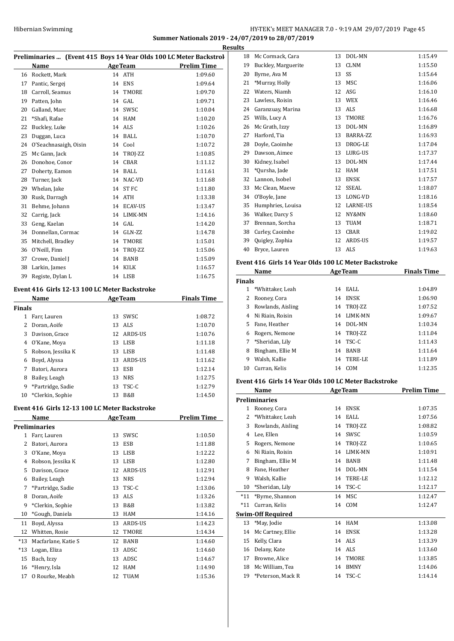## HY-TEK's MEET MANAGER 7.0 - 9:19 AM 29/07/2019 Page 45 **Summer Nationals 2019 - 24/07/2019 to 28/07/2019**

|    | Preliminaries  (Event 415 Boys 14 Year Olds 100 LC Meter Backstrol |    |                  |                    |  |  |
|----|--------------------------------------------------------------------|----|------------------|--------------------|--|--|
|    | Name                                                               |    | <b>AgeTeam</b>   | <b>Prelim Time</b> |  |  |
| 16 | Rockett, Mark                                                      |    | 14 ATH           | 1:09.60            |  |  |
| 17 | Pantic, Sergej                                                     | 14 | <b>ENS</b>       | 1:09.64            |  |  |
| 18 | Carroll, Seamus                                                    | 14 | TMORE            | 1:09.70            |  |  |
| 19 | Patten, John                                                       | 14 | GAL.             | 1:09.71            |  |  |
| 20 | Galland, Marc                                                      | 14 | SWSC             | 1:10.04            |  |  |
| 21 | *Shafi, Rafae                                                      | 14 | HAM              | 1:10.20            |  |  |
| 22 | Buckley, Luke                                                      | 14 | ALS              | 1:10.26            |  |  |
| 23 | Duggan, Luca                                                       | 14 | <b>BALL</b>      | 1:10.70            |  |  |
| 24 | O'Seachnasaigh, Oisin                                              |    | 14 Cool          | 1:10.72            |  |  |
| 25 | Mc Gann, Jack                                                      | 14 | TROJ-ZZ          | 1:10.85            |  |  |
| 26 | Donohoe, Conor                                                     | 14 | CBAR             | 1:11.12            |  |  |
| 27 | Doherty, Eamon                                                     | 14 | <b>BALL</b>      | 1:11.61            |  |  |
| 28 | Turner, Jack                                                       | 14 | NAC-VD           | 1:11.68            |  |  |
| 29 | Whelan, Jake                                                       | 14 | ST <sub>FC</sub> | 1:11.80            |  |  |
| 30 | Rusk, Darragh                                                      | 14 | <b>ATH</b>       | 1:13.38            |  |  |
| 31 | Behme, Johann                                                      | 14 | <b>ECAV-US</b>   | 1:13.47            |  |  |
| 32 | Carrig, Jack                                                       | 14 | LIMK-MN          | 1:14.16            |  |  |
| 33 | Geng, Kaelan                                                       | 14 | GAL              | 1:14.20            |  |  |
| 34 | Donnellan, Cormac                                                  | 14 | GLN-ZZ           | 1:14.78            |  |  |
| 35 | Mitchell, Bradley                                                  | 14 | TMORE            | 1:15.01            |  |  |
| 36 | O'Neill, Finn                                                      | 14 | TROJ-ZZ          | 1:15.06            |  |  |
| 37 | Crowe, Daniel J                                                    | 14 | <b>BANB</b>      | 1:15.09            |  |  |
| 38 | Larkin, James                                                      | 14 | <b>KILK</b>      | 1:16.57            |  |  |
| 39 | Registe, Dylan L                                                   |    | 14 LISB          | 1:16.75            |  |  |

## **Event 416 Girls 12-13 100 LC Meter Backstroke**

|        | Name              |    | <b>AgeTeam</b> | <b>Finals Time</b> |
|--------|-------------------|----|----------------|--------------------|
| Finals |                   |    |                |                    |
| 1      | Farr, Lauren      | 13 | SWSC           | 1:08.72            |
| 2      | Doran, Aoife      |    | 13 ALS         | 1:10.70            |
| 3      | Davison, Grace    |    | 12 ARDS-US     | 1:10.76            |
| 4      | O'Kane, Moya      | 13 | LISB           | 1:11.18            |
| 5      | Robson, Jessika K | 13 | LISB           | 1:11.48            |
| 6      | Boyd, Alyssa      | 13 | ARDS-US        | 1:11.62            |
| 7      | Batori, Aurora    | 13 | ESB            | 1:12.14            |
| 8      | Bailey, Leagh     | 13 | <b>NRS</b>     | 1:12.75            |
| 9      | *Partridge, Sadie | 13 | TSC-C          | 1:12.79            |
| 10     | *Clerkin, Sophie  | 13 | B&B            | 1:14.50            |

## **Event 416 Girls 12-13 100 LC Meter Backstroke**

|       | Name                |    | <b>AgeTeam</b> | Prelim Time |
|-------|---------------------|----|----------------|-------------|
|       | Preliminaries       |    |                |             |
| 1     | Farr, Lauren        | 13 | SWSC           | 1:10.50     |
| 2     | Batori, Aurora      | 13 | <b>ESB</b>     | 1:11.88     |
| 3     | O'Kane, Moya        | 13 | <b>LISB</b>    | 1:12.22     |
| 4     | Robson, Jessika K   | 13 | <b>LISB</b>    | 1:12.80     |
| 5     | Davison, Grace      | 12 | ARDS-US        | 1:12.91     |
| 6     | Bailey, Leagh       | 13 | <b>NRS</b>     | 1:12.94     |
| 7     | *Partridge, Sadie   | 13 | TSC-C          | 1:13.06     |
| 8     | Doran, Aoife        | 13 | ALS            | 1:13.26     |
| 9     | *Clerkin, Sophie    | 13 | B&B            | 1:13.82     |
| 10    | *Gough, Daniela     | 13 | <b>HAM</b>     | 1:14.16     |
| 11    | Boyd, Alyssa        | 13 | ARDS-US        | 1:14.23     |
| 12    | Whitten, Rosie      | 12 | <b>TMORE</b>   | 1:14.34     |
| $*13$ | Macfarlane, Katie S | 12 | <b>BANB</b>    | 1:14.60     |
| $*13$ | Logan, Eliza        | 13 | ADSC           | 1:14.60     |
| 15    | Bach, Izzy          | 13 | ADSC           | 1:14.67     |
| 16    | *Henry, Isla        | 12 | <b>HAM</b>     | 1:14.90     |
| 17    | O Rourke, Meabh     | 12 | TUAM           | 1:15.36     |

|    | <b>Results</b> |                     |    |                 |         |  |  |
|----|----------------|---------------------|----|-----------------|---------|--|--|
| J. | 18             | Mc Cormack, Cara    | 13 | DOL-MN          | 1:15.49 |  |  |
| -  | 19             | Buckley, Marguerite | 13 | <b>CLNM</b>     | 1:15.50 |  |  |
|    | 20             | Byrne, Ava M        | 13 | SS              | 1:15.64 |  |  |
|    | 21             | *Murray, Holly      | 13 | <b>MSC</b>      | 1:16.06 |  |  |
|    | 22             | Waters, Niamh       | 12 | ASG             | 1:16.10 |  |  |
|    | 23             | Lawless, Roisin     | 13 | <b>WEX</b>      | 1:16.46 |  |  |
|    | 24             | Garanzuay, Marina   | 13 | <b>ALS</b>      | 1:16.68 |  |  |
|    | 25             | Wills, Lucy A       | 13 | <b>TMORE</b>    | 1:16.76 |  |  |
|    | 26             | Mc Grath, Izzy      | 13 | DOL-MN          | 1:16.89 |  |  |
|    | 27             | Harford, Tia        | 13 | BARRA-ZZ        | 1:16.93 |  |  |
|    | 28             | Doyle, Caoimhe      | 13 | DROG-LE         | 1:17.04 |  |  |
|    | 29             | Dawson, Aimee       | 13 | LURG-US         | 1:17.37 |  |  |
|    | 30             | Kidney, Isabel      | 13 | DOL-MN          | 1:17.44 |  |  |
|    | 31             | *Oursha, Jade       | 12 | <b>HAM</b>      | 1:17.51 |  |  |
|    | 32             | Lannon, Isobel      | 13 | <b>ENSK</b>     | 1:17.57 |  |  |
|    | 33             | Mc Clean, Maeve     | 12 | <b>SSEAL</b>    | 1:18.07 |  |  |
|    | 34             | O'Boyle, Jane       | 13 | LONG-VD         | 1:18.16 |  |  |
|    | 35             | Humphries, Louisa   | 12 | <b>LARNE-US</b> | 1:18.54 |  |  |
|    | 36             | Walker, Darcy S     | 12 | NY&MN           | 1:18.60 |  |  |
|    | 37             | Brennan, Sorcha     | 13 | <b>TUAM</b>     | 1:18.71 |  |  |
|    | 38             | Curley, Caoimhe     | 13 | <b>CBAR</b>     | 1:19.02 |  |  |
|    | 39             | Quigley, Zophia     | 12 | <b>ARDS-US</b>  | 1:19.57 |  |  |
|    | 40             | Bryce, Lauren       | 13 | <b>ALS</b>      | 1:19.63 |  |  |

### **Event 416 Girls 14 Year Olds 100 LC Meter Backstroke**

|               | Name<br><b>AgeTeam</b> |    |                | <b>Finals Time</b> |
|---------------|------------------------|----|----------------|--------------------|
| <b>Finals</b> |                        |    |                |                    |
| 1             | *Whittaker, Leah       | 14 | EALL           | 1:04.89            |
|               | Rooney, Cora           | 14 | ENSK           | 1:06.90            |
| 3             | Rowlands, Aisling      | 14 | TROJ-ZZ        | 1:07.52            |
| 4             | Ni Riain, Roisin       | 14 | <b>LIMK-MN</b> | 1:09.67            |
| 5.            | Fane, Heather          | 14 | DOL-MN         | 1:10.34            |
| 6             | Rogers, Nemone         | 14 | TROI-ZZ        | 1:11.04            |
| 7             | *Sheridan, Lily        | 14 | TSC-C          | 1:11.43            |
| 8             | Bingham, Ellie M       | 14 | <b>BANB</b>    | 1:11.64            |
| 9             | Walsh, Kallie          | 14 | TERE-LE        | 1:11.89            |
| 10            | Curran. Kelis          | 14 | COM            | 1:12.35            |

## **Event 416 Girls 14 Year Olds 100 LC Meter Backstroke**

|                | Name                     |    | <b>AgeTeam</b> | <b>Prelim Time</b> |
|----------------|--------------------------|----|----------------|--------------------|
|                | <b>Preliminaries</b>     |    |                |                    |
| 1              | Rooney, Cora             | 14 | <b>ENSK</b>    | 1:07.35            |
| $\overline{c}$ | *Whittaker, Leah         | 14 | EALL           | 1:07.56            |
| 3              | Rowlands, Aisling        | 14 | TROJ-ZZ        | 1:08.82            |
| 4              | Lee, Ellen               | 14 | SWSC           | 1:10.59            |
| 5              | Rogers, Nemone           | 14 | TROJ-ZZ        | 1:10.65            |
| 6              | Ni Riain. Roisin         | 14 | <b>LIMK-MN</b> | 1:10.91            |
| 7              | Bingham, Ellie M         | 14 | <b>BANB</b>    | 1:11.48            |
| 8              | Fane, Heather            | 14 | DOL-MN         | 1:11.54            |
| 9              | Walsh, Kallie            | 14 | <b>TERE-LE</b> | 1:12.12            |
| 10             | *Sheridan, Lily          | 14 | TSC-C          | 1:12.17            |
| $*11$          | *Byrne, Shannon          | 14 | <b>MSC</b>     | 1:12.47            |
| $*11$          | Curran, Kelis            | 14 | COM            | 1:12.47            |
|                | <b>Swim-Off Required</b> |    |                |                    |
| 13             | *May, Jodie              | 14 | <b>HAM</b>     | 1:13.08            |
| 14             | Mc Cartney, Ellie        | 14 | <b>ENSK</b>    | 1:13.28            |
| 15             | Kelly, Clara             | 14 | ALS            | 1:13.39            |
| 16             | Delany, Kate             | 14 | ALS            | 1:13.60            |
| 17             | Browne, Alice            | 14 | <b>TMORE</b>   | 1:13.85            |
| 18             | Mc William, Tea          | 14 | <b>BMNY</b>    | 1:14.06            |
| 19             | *Peterson, Mack R        | 14 | TSC-C          | 1:14.14            |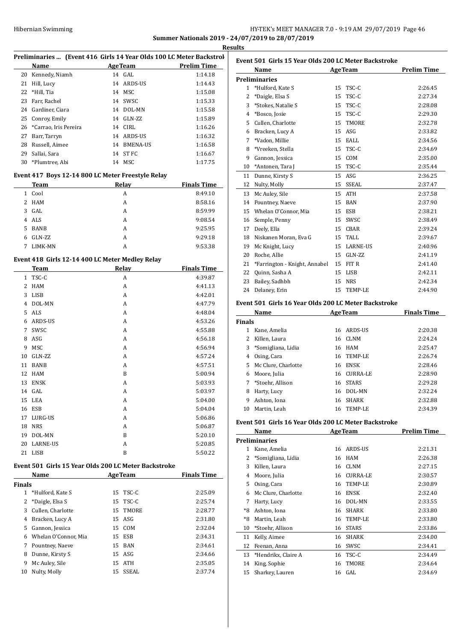## HY-TEK's MEET MANAGER 7.0 - 9:19 AM 29/07/2019 Page 46 **Summer Nationals 2019 - 24/07/2019 to 28/07/2019**

**Results**

|                |                                                                |                                                                     | <b>Res</b>                    |
|----------------|----------------------------------------------------------------|---------------------------------------------------------------------|-------------------------------|
|                |                                                                | Preliminaries  (Event 416 Girls 14 Year Olds 100 LC Meter Backstrol |                               |
|                | <b>Name</b>                                                    | AgeTeam Prelim Time                                                 |                               |
| 20             | Kennedy, Niamh                                                 | 14 GAL                                                              | 1:14.18                       |
| 21             | Hill, Lucy                                                     | 14 ARDS-US                                                          | 1:14.43                       |
| 22             | *Hill, Tia                                                     | 14 MSC                                                              | 1:15.08                       |
| 23             | Farr, Rachel                                                   | 14 SWSC                                                             | 1:15.33                       |
|                | 24 Gardiner, Ciara                                             | 14 DOL-MN                                                           | 1:15.58                       |
|                | 25 Conroy, Emily                                               | 14 GLN-ZZ                                                           | 1:15.89                       |
|                | 26 *Carrao, Iris Pereira                                       | 14 CIRL                                                             | 1:16.26                       |
|                | 27 Barr, Tarryn                                                | 14 ARDS-US                                                          | 1:16.32                       |
| 28             | Russell, Aimee                                                 | 14 BMENA-US                                                         | 1:16.58                       |
|                | 29 Sallai, Sara                                                | 14 ST FC                                                            | 1:16.67                       |
|                | 30 *Plumtree, Abi                                              | 14 MSC                                                              | 1:17.75                       |
|                |                                                                | Event 417 Boys 12-14 800 LC Meter Freestyle Relay                   |                               |
|                | Team                                                           | Relay                                                               | <b>Finals Time</b>            |
|                | 1 Cool                                                         | A                                                                   | 8:49.10                       |
| $\overline{2}$ | HAM                                                            | A                                                                   | 8:58.16                       |
|                | 3 GAL                                                          | A                                                                   | 8:59.99                       |
| $\overline{4}$ | ALS                                                            | A                                                                   | 9:08.54                       |
| 5.             | BANB                                                           | A                                                                   | 9:25.95                       |
| 6              | GLN-ZZ                                                         | A                                                                   | 9:29.18                       |
| 7              | LIMK-MN                                                        | A                                                                   | 9:53.38                       |
|                |                                                                |                                                                     |                               |
|                | Event 418 Girls 12-14 400 LC Meter Medley Relay<br><b>Team</b> | Relay                                                               |                               |
|                | 1 TSC-C                                                        | A                                                                   | <b>Finals Time</b><br>4:39.87 |
|                |                                                                |                                                                     |                               |
| 2              | HAM                                                            | A                                                                   | 4:41.13                       |
| 3              | LISB                                                           | A                                                                   | 4:42.01                       |
| 4              | DOL-MN                                                         | A                                                                   | 4:47.79                       |
| 5              | ALS                                                            | A                                                                   | 4:48.04                       |
| 6              | ARDS-US                                                        | A                                                                   | 4:53.26                       |
| 7              | SWSC                                                           | A                                                                   | 4:55.88                       |
| 8              | ASG                                                            | A                                                                   | 4:56.18                       |
| 9              | MSC                                                            | A                                                                   | 4:56.94                       |
| 10             | GLN-ZZ                                                         | A                                                                   | 4:57.24                       |
| 11             | BANB                                                           | A                                                                   | 4:57.51                       |
| 12             | <b>HAM</b>                                                     | B                                                                   | 5:00.94                       |
| 13             | ENSK                                                           | A                                                                   | 5:03.93                       |
|                | 14 GAL                                                         | A                                                                   | 5:03.97                       |
| 15             | LEA                                                            | А                                                                   | 5:04.00                       |
| 16             | ESB                                                            | А                                                                   | 5:04.04                       |
| 17             | LURG-US                                                        | А                                                                   | 5:06.86                       |
| 18             | <b>NRS</b>                                                     | A                                                                   | 5:06.87                       |
| 19             | DOL-MN                                                         | B                                                                   | 5:20.10                       |
| 20             | LARNE-US                                                       | А                                                                   | 5:20.85                       |
| 21             | LISB                                                           | B                                                                   | 5:50.22                       |
|                |                                                                | Event 501 Girls 15 Year Olds 200 LC Meter Backstroke                |                               |
|                | Name                                                           | <b>AgeTeam</b>                                                      | <b>Finals Time</b>            |
| Finals         |                                                                |                                                                     |                               |
| $\mathbf{1}$   | *Hulford, Kate S                                               | 15 TSC-C                                                            | 2:25.09                       |
| 2              | *Daigle, Elsa S                                                | TSC-C<br>15                                                         | 2:25.74                       |
| 3              | Cullen, Charlotte                                              | 15<br>TMORE                                                         | 2:28.77                       |
|                | 4 Bracken, Lucy A                                              | 15 ASG                                                              | 2:31.80                       |
|                | 5 Gannon, Jessica                                              | 15<br>COM                                                           | 2:32.04                       |
| 6              | Whelan O'Connor, Mia                                           | ESB<br>15                                                           | 2:34.31                       |
| 7              | Pountney, Naeve                                                | 15 BAN                                                              | 2:34.61                       |
| 8              | Dunne, Kirsty S                                                | 15 ASG                                                              | 2:34.66                       |
| 9              | Mc Auley, Sile                                                 | ATH<br>15                                                           | 2:35.05                       |
| 10             | Nulty, Molly                                                   | SSEAL<br>15                                                         | 2:37.74                       |
|                |                                                                |                                                                     |                               |
|                |                                                                |                                                                     |                               |

|                | Name                          |    | <b>AgeTeam</b>  | <b>Prelim Time</b> |
|----------------|-------------------------------|----|-----------------|--------------------|
|                | Preliminaries                 |    |                 |                    |
| $\mathbf{1}$   | *Hulford, Kate S              | 15 | TSC-C           | 2:26.45            |
| 2              | *Daigle, Elsa S               | 15 | TSC-C           | 2:27.34            |
| 3              | *Stokes, Natalie S            | 15 | TSC-C           | 2:28.08            |
| $\overline{4}$ | *Bosco, Josie                 | 15 | TSC-C           | 2:29.30            |
| 5              | Cullen, Charlotte             | 15 | <b>TMORE</b>    | 2:32.78            |
| 6              | Bracken, Lucy A               | 15 | ASG             | 2:33.82            |
| 7              | *Vadon, Millie                | 15 | EALL            | 2:34.56            |
| 8              | *Vreeken, Stella              | 15 | TSC-C           | 2:34.69            |
| 9              | Gannon, Jessica               | 15 | COM             | 2:35.00            |
| 10             | *Antonen, Tara J              | 15 | TSC-C           | 2:35.44            |
| 11             | Dunne, Kirsty S               | 15 | ASG             | 2:36.25            |
| 12             | Nulty, Molly                  | 15 | <b>SSEAL</b>    | 2:37.47            |
| 13             | Mc Auley, Sile                | 15 | <b>ATH</b>      | 2:37.58            |
| 14             | Pountney, Naeve               | 15 | <b>BAN</b>      | 2:37.90            |
| 15             | Whelan O'Connor, Mia          | 15 | <b>ESB</b>      | 2:38.21            |
| 16             | Semple, Penny                 | 15 | SWSC            | 2:38.49            |
| 17             | Deely, Ella                   | 15 | CBAR            | 2:39.24            |
| 18             | Niskanen Moran, Eva G         | 15 | TALL            | 2:39.67            |
| 19             | Mc Knight, Lucy               | 15 | <b>LARNE-US</b> | 2:40.96            |
| 20             | Roche, Allie                  | 15 | GLN-ZZ          | 2:41.19            |
| 21             | *Farrington - Knight, Annabel | 15 | FIT R           | 2:41.40            |
| 22             | Quinn, Sasha A                | 15 | <b>LISB</b>     | 2:42.11            |
| 23             | Bailey, Sadhbh                | 15 | <b>NRS</b>      | 2:42.34            |
| 24             | Delaney, Erin                 | 15 | TEMP-LE         | 2:44.90            |

### **Event 501 Girls 16 Year Olds 200 LC Meter Backstroke**

| Name          |                      |    | <b>AgeTeam</b> | <b>Finals Time</b> |
|---------------|----------------------|----|----------------|--------------------|
| <b>Finals</b> |                      |    |                |                    |
| 1             | Kane, Amelia         | 16 | ARDS-US        | 2:20.38            |
| 2             | Killen, Laura        | 16 | CLNM           | 2:24.24            |
|               | 3 *Somigliana, Lidia | 16 | HAM            | 2:25.47            |
| 4             | Osing, Cara          | 16 | TEMP-LE        | 2:26.74            |
| 5             | Mc Clure, Charlotte  | 16 | <b>ENSK</b>    | 2:28.46            |
| 6             | Moore, Julia         | 16 | CURRA-LE       | 2:28.90            |
|               | 7 *Stoehr, Allison   | 16 | <b>STARS</b>   | 2:29.28            |
| 8             | Harty, Lucy          | 16 | DOL-MN         | 2:32.24            |
| 9             | Ashton, Iona         | 16 | <b>SHARK</b>   | 2:32.88            |
| 10            | Martin, Leah         | 16 | TEMP-LE        | 2:34.39            |

## **Event 501 Girls 16 Year Olds 200 LC Meter Backstroke**

|      | Name                |    | <b>AgeTeam</b>  | <b>Prelim Time</b> |
|------|---------------------|----|-----------------|--------------------|
|      | Preliminaries       |    |                 |                    |
| 1    | Kane, Amelia        | 16 | ARDS-US         | 2:21.31            |
| 2    | *Somigliana, Lidia  | 16 | HAM             | 2:26.38            |
| 3    | Killen, Laura       | 16 | <b>CLNM</b>     | 2:27.15            |
| 4    | Moore, Julia        | 16 | <b>CURRA-LE</b> | 2:30.57            |
| 5    | Osing, Cara         | 16 | TEMP-LE         | 2:30.89            |
| 6    | Mc Clure, Charlotte | 16 | <b>ENSK</b>     | 2:32.40            |
| 7    | Harty, Lucy         | 16 | DOL-MN          | 2:33.55            |
| $*8$ | Ashton, Iona        | 16 | <b>SHARK</b>    | 2:33.80            |
| *8   | Martin, Leah        | 16 | <b>TEMP-LE</b>  | 2:33.80            |
| 10   | *Stoehr, Allison    | 16 | <b>STARS</b>    | 2:33.86            |
| 11   | Kelly, Aimee        | 16 | <b>SHARK</b>    | 2:34.00            |
| 12   | Feenan, Anna        | 16 | SWSC            | 2:34.41            |
| 13   | *Hendrikx, Claire A | 16 | TSC-C           | 2:34.49            |
| 14   | King, Sophie        | 16 | <b>TMORE</b>    | 2:34.64            |
| 15   | Sharkey, Lauren     | 16 | GAL             | 2:34.69            |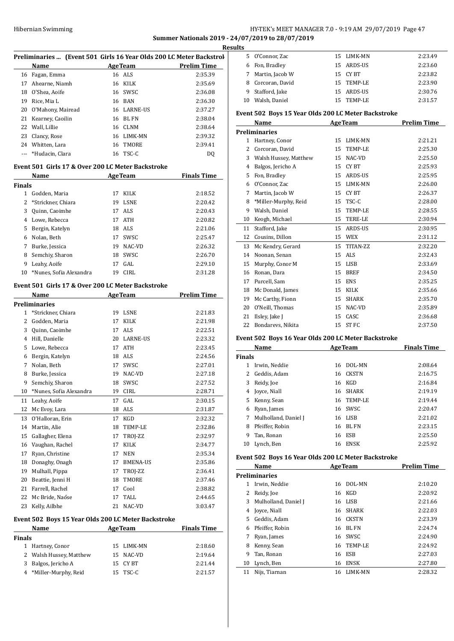## Hibernian Swimming HY-TEK's MEET MANAGER 7.0 - 9:19 AM 29/07/2019 Page 47 **Summer Nationals 2019 - 24/07/2019 to 28/07/2019**

**Results**

|    | Preliminaries  (Event 501 Girls 16 Year Olds 200 LC Meter Backstrol |    |                |                    |  |
|----|---------------------------------------------------------------------|----|----------------|--------------------|--|
|    | Name                                                                |    | <b>AgeTeam</b> | <b>Prelim Time</b> |  |
|    | 16 Fagan, Emma                                                      |    | 16 ALS         | 2:35.39            |  |
| 17 | Ahearne, Niamh                                                      |    | 16 KILK        | 2:35.69            |  |
| 18 | O'Shea. Aoife                                                       |    | 16 SWSC        | 2:36.08            |  |
| 19 | Rice, Mia L                                                         |    | 16 BAN         | 2:36.30            |  |
|    | 20 O'Mahony, Mairead                                                |    | 16 LARNE-US    | 2:37.27            |  |
|    | 21 Kearney, Caoilin                                                 |    | 16 BL FN       | 2:38.04            |  |
| 22 | Wall, Lillie                                                        |    | 16 CLNM        | 2:38.64            |  |
| 23 | Clancy, Rose                                                        |    | 16 LIMK-MN     | 2:39.32            |  |
|    | 24 Whitten, Lara                                                    | 16 | TMORE          | 2:39.41            |  |
|    | *Hudacin, Clara                                                     |    | 16 TSC-C       | DO                 |  |

## **Event 501 Girls 17 & Over 200 LC Meter Backstroke**

| Name          |                         |    | <b>AgeTeam</b> | <b>Finals Time</b> |
|---------------|-------------------------|----|----------------|--------------------|
| <b>Finals</b> |                         |    |                |                    |
| 1             | Godden, Maria           | 17 | KILK           | 2:18.52            |
|               | 2 *Strickner, Chiara    | 19 | <b>LSNE</b>    | 2:20.42            |
| 3             | Quinn, Caoimhe          |    | 17 ALS         | 2:20.43            |
| 4             | Lowe, Rebecca           | 17 | ATH            | 2:20.82            |
| 5.            | Bergin, Katelyn         | 18 | ALS            | 2:21.06            |
| 6             | Nolan, Beth             | 17 | SWSC           | 2:25.47            |
| 7             | Burke, Jessica          | 19 | NAC-VD         | 2:26.32            |
| 8             | Semchiy, Sharon         | 18 | SWSC           | 2:26.70            |
| 9             | Leahy, Aoife            | 17 | GAL            | 2:29.10            |
| 10            | *Nunes, Sofia Alexandra | 19 | <b>CIRL</b>    | 2:31.28            |

## **Event 501 Girls 17 & Over 200 LC Meter Backstroke**

|                                                     | Name                    |    | <b>AgeTeam</b>  | <b>Prelim Time</b> |  |
|-----------------------------------------------------|-------------------------|----|-----------------|--------------------|--|
|                                                     | <b>Preliminaries</b>    |    |                 |                    |  |
| $\mathbf{1}$                                        | *Strickner, Chiara      | 19 | <b>LSNE</b>     | 2:21.83            |  |
| 2                                                   | Godden, Maria           | 17 | <b>KILK</b>     | 2:21.98            |  |
| 3                                                   | Quinn, Caoimhe          | 17 | ALS <sub></sub> | 2:22.51            |  |
| 4                                                   | Hill, Danielle          | 20 | <b>LARNE-US</b> | 2:23.32            |  |
| 5                                                   | Lowe, Rebecca           | 17 | <b>ATH</b>      | 2:23.45            |  |
| 6                                                   | Bergin, Katelyn         | 18 | <b>ALS</b>      | 2:24.56            |  |
| 7                                                   | Nolan, Beth             | 17 | SWSC            | 2:27.01            |  |
| 8                                                   | Burke, Jessica          | 19 | NAC-VD          | 2:27.18            |  |
| 9                                                   | Semchiy, Sharon         | 18 | SWSC            | 2:27.52            |  |
| 10                                                  | *Nunes, Sofia Alexandra | 19 | <b>CIRL</b>     | 2:28.71            |  |
| 11                                                  | Leahy, Aoife            | 17 | GAL.            | 2:30.15            |  |
| 12                                                  | Mc Evoy, Lara           | 18 | <b>ALS</b>      | 2:31.87            |  |
| 13                                                  | O'Halloran, Erin        | 17 | KGD             | 2:32.32            |  |
| 14                                                  | Martin, Alie            | 18 | TEMP-LE         | 2:32.86            |  |
| 15                                                  | Gallagher, Elena        | 17 | TROJ-ZZ         | 2:32.97            |  |
| 16                                                  | Vaughan, Rachel         | 17 | KILK            | 2:34.77            |  |
| 17                                                  | Ryan, Christine         | 17 | <b>NEN</b>      | 2:35.34            |  |
| 18                                                  | Donaghy, Onagh          | 17 | <b>BMENA-US</b> | 2:35.86            |  |
| 19                                                  | Mulhall, Pippa          | 17 | TROJ-ZZ         | 2:36.41            |  |
| 20                                                  | Beattie, Jenni H        | 18 | TMORE           | 2:37.46            |  |
| 21                                                  | Farrell, Rachel         | 17 | Cool            | 2:38.82            |  |
| 22                                                  | Mc Bride, Naóse         | 17 | TALL            | 2:44.65            |  |
| 23                                                  | Kelly, Ailbhe           | 21 | NAC-VD          | 3:03.47            |  |
| Event 502 Boys 15 Year Olds 200 LC Meter Backstroke |                         |    |                 |                    |  |

| Name          |                         | <b>AgeTeam</b> |            | <b>Finals Time</b> |  |
|---------------|-------------------------|----------------|------------|--------------------|--|
| <b>Finals</b> |                         |                |            |                    |  |
|               | 1 Hartney, Conor        |                | 15 LIMK-MN | 2:18.60            |  |
|               | 2 Walsh Hussey, Matthew |                | 15 NAC-VD  | 2:19.64            |  |
|               | 3 Balgos, Jericho A     |                | 15 CYBT    | 2:21.44            |  |
|               | 4 *Miller-Murphy, Reid  |                | 15 TSC-C   | 2:21.57            |  |

| ıэ |                  |            |         |
|----|------------------|------------|---------|
|    | 5 O'Connor, Zac  | 15 LIMK-MN | 2:23.49 |
|    | 6 Fon, Bradley   | 15 ARDS-US | 2:23.60 |
| 7  | Martin, Jacob W  | 15 CY BT   | 2:23.82 |
| 8  | Corcoran, David  | 15 TEMP-LE | 2:23.90 |
|    | 9 Stafford, Jake | 15 ARDS-US | 2:30.76 |
| 10 | Walsh, Daniel    | 15 TEMP-LE | 2:31.57 |

#### **Event 502 Boys 15 Year Olds 200 LC Meter Backstroke**

|    | Name                  |    | <b>AgeTeam</b>  | <b>Prelim Time</b> |
|----|-----------------------|----|-----------------|--------------------|
|    | <b>Preliminaries</b>  |    |                 |                    |
| 1  | Hartney, Conor        | 15 | <b>LIMK-MN</b>  | 2:21.21            |
| 2  | Corcoran, David       | 15 | <b>TEMP-LE</b>  | 2:25.30            |
| 3  | Walsh Hussey, Matthew | 15 | NAC-VD          | 2:25.50            |
| 4  | Balgos, Jericho A     | 15 | CY BT           | 2:25.93            |
| 5  | Fon, Bradley          | 15 | ARDS-US         | 2:25.95            |
| 6  | O'Connor, Zac         | 15 | <b>LIMK-MN</b>  | 2:26.00            |
| 7  | Martin, Jacob W       | 15 | <b>CYBT</b>     | 2:26.37            |
| 8  | *Miller-Murphy, Reid  | 15 | TSC-C           | 2:28.00            |
| 9  | Walsh, Daniel         | 15 | <b>TEMP-LE</b>  | 2:28.55            |
| 10 | Keogh, Michael        | 15 | <b>TERE-LE</b>  | 2:30.94            |
| 11 | Stafford, Jake        | 15 | <b>ARDS-US</b>  | 2:30.95            |
| 12 | Cousins, Dillon       | 15 | <b>WEX</b>      | 2:31.12            |
| 13 | Mc Kendry, Gerard     | 15 | TITAN-ZZ        | 2:32.20            |
| 14 | Noonan, Senan         | 15 | ALS <sub></sub> | 2:32.43            |
| 15 | Murphy, Conor M       | 15 | <b>LISB</b>     | 2:33.69            |
| 16 | Ronan, Dara           | 15 | <b>BREF</b>     | 2:34.50            |
| 17 | Purcell, Sam          | 15 | <b>ENS</b>      | 2:35.25            |
| 18 | Mc Donald, James      | 15 | <b>KILK</b>     | 2:35.66            |
| 19 | Mc Carthy, Fionn      | 15 | <b>SHARK</b>    | 2:35.70            |
| 20 | O'Neill, Thomas       | 15 | NAC-VD          | 2:35.89            |
| 21 | Ilsley, Jake J        | 15 | CASC            | 2:36.68            |
| 22 | Bondarevs, Nikita     | 15 | <b>STFC</b>     | 2:37.50            |

## **Event 502 Boys 16 Year Olds 200 LC Meter Backstroke**

|               | Name<br><b>AgeTeam</b> |    |             | <b>Finals Time</b> |
|---------------|------------------------|----|-------------|--------------------|
| <b>Finals</b> |                        |    |             |                    |
|               | Irwin, Neddie          | 16 | DOL-MN      | 2:08.64            |
| 2             | Geddis, Adam           | 16 | CKSTN       | 2:16.75            |
| 3             | Reidy, Joe             | 16 | KGD         | 2:16.84            |
| 4             | Joyce, Niall           | 16 | SHARK       | 2:19.19            |
| 5.            | Kenny, Sean            | 16 | TEMP-LE     | 2:19.44            |
| 6             | Ryan, James            |    | 16 SWSC     | 2:20.47            |
| 7             | Mulholland, Daniel J   | 16 | LISB        | 2:21.02            |
| 8             | Pfeiffer, Robin        | 16 | BL FN       | 2:23.15            |
| 9             | Tan, Ronan             | 16 | ESB         | 2:25.50            |
| 10            | Lynch, Ben             | 16 | <b>ENSK</b> | 2:25.92            |

## **Event 502 Boys 16 Year Olds 200 LC Meter Backstroke**

|    | Name                 |     | <b>AgeTeam</b> | <b>Prelim Time</b> |
|----|----------------------|-----|----------------|--------------------|
|    | <b>Preliminaries</b> |     |                |                    |
| 1  | Irwin, Neddie        | 16  | DOL-MN         | 2:10.20            |
| 2  | Reidy, Joe           | 16  | <b>KGD</b>     | 2:20.92            |
| 3  | Mulholland, Daniel J | 16  | LISB           | 2:21.66            |
| 4  | Joyce, Niall         |     | 16 SHARK       | 2:22.03            |
| 5. | Geddis, Adam         |     | 16 CKSTN       | 2:23.39            |
| 6  | Pfeiffer, Robin      | 16  | BL FN          | 2:24.74            |
| 7  | Ryan, James          | 16  | SWSC           | 2:24.90            |
| 8  | Kenny, Sean          | 16. | TEMP-LE        | 2:24.92            |
| 9  | Tan, Ronan           | 16  | <b>ESB</b>     | 2:27.03            |
| 10 | Lynch, Ben           | 16  | <b>ENSK</b>    | 2:27.80            |
| 11 | Nijs, Tiarnan        | 16  | <b>LIMK-MN</b> | 2:28.32            |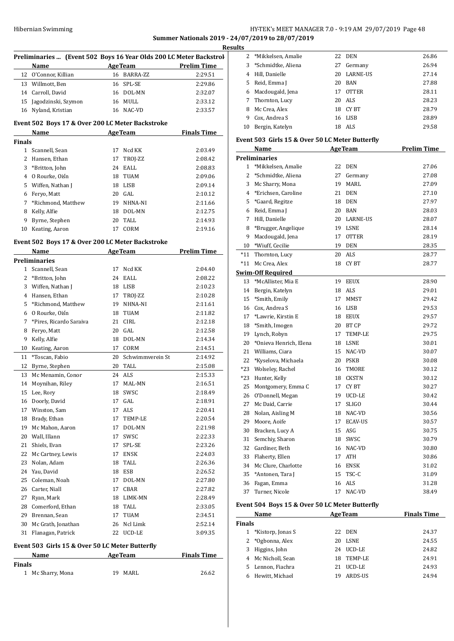## HY-TEK's MEET MANAGER 7.0 - 9:19 AM 29/07/2019 Page 48 **Summer Nationals 2019 - 24/07/2019 to 28/07/2019**

|               | Name                                             |    | <b>Example 2 Age Team</b> Prelim Time |                    |
|---------------|--------------------------------------------------|----|---------------------------------------|--------------------|
|               | 12 O'Connor, Killian                             |    | 16 BARRA-ZZ                           | 2:29.51            |
|               | 13 Willmott, Ben                                 |    | 16 SPL-SE                             | 2:29.86            |
|               | 14 Carroll, David                                |    | 16 DOL-MN                             | 2:32.07            |
|               | 15 Jagodzinski, Szymon                           |    | 16 MULL                               | 2:33.12            |
|               | 16 Nyland, Kristian                              |    | 16 NAC-VD                             | 2:33.57            |
|               | Event 502 Boys 17 & Over 200 LC Meter Backstroke |    |                                       |                    |
|               | Name                                             |    | <b>AgeTeam</b>                        | <b>Finals Time</b> |
| <b>Finals</b> |                                                  |    |                                       |                    |
|               | 1 Scannell, Sean                                 |    | 17 Ncd KK                             | 2:03.49            |
|               | 2 Hansen, Ethan                                  |    | 17 TROJ-ZZ                            | 2:08.42            |
|               | 3 *Britton, John                                 |    | 24 EALL                               | 2:08.83            |
|               | 4 0 Rourke, Oiśn                                 |    | 18 TUAM                               | 2:09.06            |
|               | 5 Wiffen, Nathan J                               |    | 18 LISB                               | 2:09.14            |
|               | 6 Feryo, Matt                                    |    | 20 GAL                                | 2:10.12            |
|               | 7 *Richmond, Matthew                             |    | 19 NHNA-NI                            | 2:11.66            |
| 8             | Kelly, Alfie                                     |    | 18 DOL-MN                             | 2:12.75            |
|               | 9 Byrne, Stephen                                 |    | 20 TALL                               | 2:14.93            |
|               | 10 Keating, Aaron                                |    | 17 CORM                               | 2:19.16            |
|               | Event 502 Boys 17 & Over 200 LC Meter Backstroke |    |                                       |                    |
|               | Name                                             |    | <b>AgeTeam</b>                        | <b>Prelim Time</b> |
|               | <b>Preliminaries</b>                             |    |                                       |                    |
|               | 1 Scannell, Sean                                 |    | 17 Ncd KK                             | 2:04.40            |
|               | 2 *Britton, John                                 |    | 24 EALL                               | 2:08.22            |
|               | 3 Wiffen, Nathan J                               |    | 18 LISB                               | 2:10.23            |
|               | 4 Hansen, Ethan                                  |    | 17 TROJ-ZZ                            | 2:10.28            |
|               | 5 *Richmond, Matthew                             |    | 19 NHNA-NI                            | 2:11.61            |
|               | 6 0 Rourke, Oiśn                                 |    | 18 TUAM                               | 2:11.82            |
|               | 7 *Pires, Ricardo Saraiva                        |    | 21 CIRL                               | 2:12.18            |
| 8             | Feryo, Matt                                      |    | 20 GAL                                | 2:12.58            |
| 9             | Kelly, Alfie                                     |    | 18 DOL-MN                             | 2:14.34            |
|               | 10 Keating, Aaron                                |    | 17 CORM                               | 2:14.51            |
| 11            | *Toscan, Fabio                                   | 20 | Schwimmverein St                      | 2:14.92            |
| 12            | Byrne, Stephen                                   |    | 20 TALL                               | 2:15.08            |
| 13            | Mc Menamin, Conor                                |    | 24 ALS                                | 2:15.33            |
|               | 14 Moynihan, Riley                               |    | 17 MAL-MN                             | 2:16.51            |
|               | 15 Lee, Rory                                     |    | 18 SWSC                               | 2:18.49            |
| 16            | Doorly, David                                    | 17 | GAL                                   | 2:18.91            |
|               | 17 Winston, Sam                                  | 17 | ALS                                   | 2:20.41            |
|               | 18 Brady, Ethan                                  |    | 17 TEMP-LE                            | 2:20.54            |
|               | 19 Mc Mahon, Aaron                               | 17 | DOL-MN                                | 2:21.98            |
|               | 20 Wall, Illann                                  | 17 | SWSC                                  | 2:22.33            |
|               | 21 Shiels, Evan                                  | 17 | SPL-SE                                | 2:23.26            |
|               | 22 Mc Cartney, Lewis                             |    | 17 ENSK                               | 2:24.03            |
|               | 23 Nolan, Adam                                   |    | 18 TALL                               | 2:26.36            |
|               | 24 Yau, David                                    |    | 18 ESB                                | 2:26.52            |
|               | 25 Coleman, Noah                                 | 17 | DOL-MN                                | 2:27.80            |
|               | 26 Carter, Niall                                 |    | 17 CBAR                               | 2:27.82            |
|               | 27 Ryan, Mark                                    |    | 18 LIMK-MN                            | 2:28.49            |
|               | 28 Comerford, Ethan                              |    | 18 TALL                               | 2:33.05            |
|               | 29 Brennan, Sean                                 |    | 17 TUAM                               | 2:34.51            |
|               | 30 Mc Grath, Jonathan                            |    | 26 Ncl Limk                           | 2:52.14            |
|               | 31 Flanagan, Patrick                             |    | 22 UCD-LE                             | 3:09.35            |
|               | Event 503 Girls 15 & Over 50 LC Meter Butterfly  |    |                                       |                    |
|               | Name AgeTeam                                     |    |                                       | <b>Finals Time</b> |
| <b>Finals</b> |                                                  |    |                                       |                    |
|               | 1 Mc Sharry, Mona                                |    | 19 MARL                               | 26.62              |

|    | 2 *Mikkelsen, Amalie |    | 22 DEN          | 26.86 |
|----|----------------------|----|-----------------|-------|
| 3  | *Schmidtke, Aliena   | 27 | Germany         | 26.94 |
| 4  | Hill, Danielle       | 20 | <b>LARNE-US</b> | 27.14 |
| 5. | Reid, Emma J         | 20 | <b>BAN</b>      | 27.88 |
| 6  | Macdougald, Jena     | 17 | <b>OTTER</b>    | 28.11 |
|    | 7 Thornton, Lucy     | 20 | ALS             | 28.23 |
| 8  | Mc Crea, Alex        | 18 | CY BT           | 28.79 |
| 9  | Cox, Andrea S        | 16 | LISB            | 28.89 |
| 10 | Bergin, Katelyn      | 18 | ALS.            | 29.58 |
|    |                      |    |                 |       |

## **Event 503 Girls 15 & Over 50 LC Meter Butterfly**

|                | Name                     |    | <b>AgeTeam</b> | <b>Prelim Time</b> |
|----------------|--------------------------|----|----------------|--------------------|
|                | <b>Preliminaries</b>     |    |                |                    |
| $\mathbf{1}$   | *Mikkelsen, Amalie       | 22 | DEN            | 27.06              |
| $\overline{c}$ | *Schmidtke, Aliena       | 27 | Germany        | 27.08              |
| 3              | Mc Sharry, Mona          | 19 | <b>MARL</b>    | 27.09              |
| 4              | *Erichsen, Caroline      | 21 | <b>DEN</b>     | 27.10              |
| 5              | *Gaard, Regitze          | 18 | <b>DEN</b>     | 27.97              |
| 6              | Reid, Emma J             | 20 | <b>BAN</b>     | 28.03              |
| 7              | Hill, Danielle           | 20 | LARNE-US       | 28.07              |
| 8              | *Brugger, Angelique      | 19 | <b>LSNE</b>    | 28.14              |
| 9              | Macdougald, Jena         | 17 | <b>OTTER</b>   | 28.19              |
| 10             | *Wiuff, Cecilie          | 19 | <b>DEN</b>     | 28.35              |
| $*11$          | Thornton, Lucy           | 20 | <b>ALS</b>     | 28.77              |
| $*11$          | Mc Crea, Alex            | 18 | <b>CYBT</b>    | 28.77              |
|                | <b>Swim-Off Required</b> |    |                |                    |
|                | 13 *McAllister, Mia E    | 19 | <b>EEUX</b>    | 28.90              |
| 14             | Bergin, Katelyn          |    | 18 ALS         | 29.01              |
| 15             | *Smith, Emily            | 17 | <b>MMST</b>    | 29.42              |
|                | 16 Cox, Andrea S         | 16 | <b>LISB</b>    | 29.53              |
|                | 17 *Lawrie, Kirstin E    | 18 | <b>EEUX</b>    | 29.57              |
| 18             | *Smith, Imogen           | 20 | <b>BT CP</b>   | 29.72              |
| 19             | Lynch, Robyn             | 17 | TEMP-LE        | 29.75              |
| 20             | *Onieva Henrich, Elena   | 18 | <b>LSNE</b>    | 30.01              |
| 21             | Williams, Ciara          | 15 | NAC-VD         | 30.07              |
| 22             | *Kyselova, Michaela      | 20 | <b>PSKB</b>    | 30.08              |
| $*23$          | Wolseley, Rachel         | 16 | <b>TMORE</b>   | 30.12              |
| $*23$          | Hunter, Kelly            | 18 | <b>CKSTN</b>   | 30.12              |
| 25             | Montgomery, Emma C       | 17 | CY BT          | 30.27              |
| 26             | O'Donnell, Megan         | 19 | UCD-LE         | 30.42              |
| 27             | Mc Daid, Carrie          | 17 | <b>SLIGO</b>   | 30.44              |
| 28             | Nolan, Aisling M         | 18 | NAC-VD         | 30.56              |
| 29             | Moore, Aoife             | 17 | <b>ECAV-US</b> | 30.57              |
| 30             | Bracken, Lucy A          | 15 | ASG            | 30.75              |
| 31             | Semchiy, Sharon          | 18 | SWSC           | 30.79              |
| 32             | Gardiner, Beth           | 16 | NAC-VD         | 30.80              |
| 33             | Flaherty, Ellen          | 17 | <b>ATH</b>     | 30.86              |
| 34             | Mc Clure, Charlotte      | 16 | <b>ENSK</b>    | 31.02              |
| 35             | *Antonen, Tara J         | 15 | TSC-C          | 31.09              |
| 36             | Fagan, Emma              | 16 | <b>ALS</b>     | 31.28              |
| 37             | Turner, Nicole           | 17 | NAC-VD         | 38.49              |
|                |                          |    |                |                    |

# **Event 504 Boys 15 & Over 50 LC Meter Butterfly**

| Name          |                     |     | <b>AgeTeam</b> | <b>Finals Time</b> |
|---------------|---------------------|-----|----------------|--------------------|
| <b>Finals</b> |                     |     |                |                    |
|               | 1 *Kistorp, Jonas S |     | 22 DEN         | 24.37              |
|               | 2 *Ogbonna, Alex    | 20. | <b>LSNE</b>    | 24.55              |
| 3             | Higgins, John       | 24  | UCD-LE         | 24.82              |
|               | 4 Mc Nicholl, Sean  | 18  | TEMP-LE        | 24.91              |
| 5.            | Lennon, Fiachra     | 21  | UCD-LE         | 24.93              |
|               | Hewitt. Michael     |     | <b>ARDS-US</b> | 24.94              |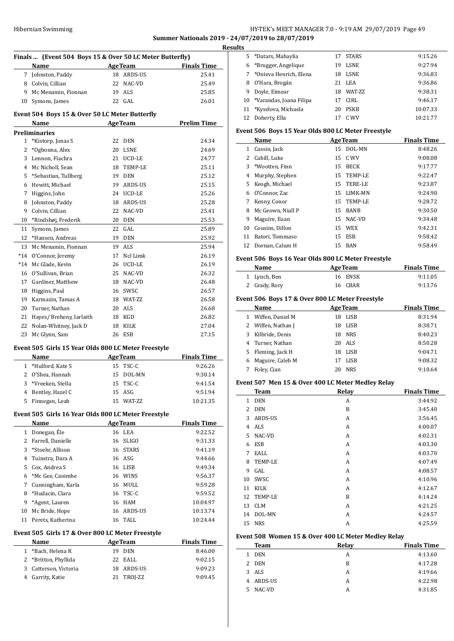## HY-TEK's MEET MANAGER 7.0 - 9:19 AM 29/07/2019 Page 49 **Summer Nationals 2019 - 24/07/2019 to 28/07/2019**

 $\frac{1}{2}$ 

| Finals  (Event 504 Boys 15 & Over 50 LC Meter Butterfly) |                                                     |    |                |                    |  |
|----------------------------------------------------------|-----------------------------------------------------|----|----------------|--------------------|--|
|                                                          | Name                                                |    | <b>AgeTeam</b> | <b>Finals Time</b> |  |
| $7^{\circ}$                                              | Johnston, Paddy                                     |    | 18 ARDS-US     | 25.41              |  |
|                                                          | 8 Colvin, Cillian                                   |    | 22 NAC-VD      | 25.49              |  |
|                                                          | 9 Mc Menamin, Fionnan                               |    | 19 ALS         | 25.85              |  |
| 10                                                       | Symons, James                                       |    | 22 GAL         | 26.01              |  |
|                                                          |                                                     |    |                |                    |  |
|                                                          | Event 504 Boys 15 & Over 50 LC Meter Butterfly      |    |                |                    |  |
|                                                          | Name                                                |    | AgeTeam        | <b>Prelim Time</b> |  |
|                                                          | <b>Preliminaries</b>                                |    |                |                    |  |
| 1                                                        | *Kistorp, Jonas S                                   |    | 22 DEN         | 24.34              |  |
| 2                                                        | *Ogbonna, Alex                                      |    | 20 LSNE        | 24.69              |  |
|                                                          | 3 Lennon, Fiachra                                   |    | 21 UCD-LE      | 24.77              |  |
|                                                          | 4 Mc Nicholl, Sean                                  |    | 18 TEMP-LE     | 25.11              |  |
| 5                                                        | *Sebastian, Tullberg                                |    | 19 DEN         | 25.12              |  |
| 6                                                        | Hewitt, Michael                                     |    | 19 ARDS-US     | 25.15              |  |
| 7                                                        | Higgins, John                                       |    | 24 UCD-LE      | 25.26              |  |
| 8                                                        | Johnston, Paddy                                     |    | 18 ARDS-US     | 25.28              |  |
| 9                                                        | Colvin, Cillian                                     |    | 22 NAC-VD      | 25.41              |  |
| 10                                                       | *Rindshøj, Frederik                                 |    | 20 DEN         | 25.53              |  |
| 11                                                       | Symons, James                                       | 22 | GAL.           | 25.89              |  |
| 12                                                       | *Hansen, Andreas                                    |    | 19 DEN         | 25.92              |  |
| 13                                                       | Mc Menamin, Fionnan                                 |    | 19 ALS         | 25.94              |  |
| $*14$                                                    | O'Connor, Jeremy                                    |    | 17 Ncl Limk    | 26.19              |  |
| $*14$                                                    | Mc Glade. Kevin                                     |    | 26 UCD-LE      | 26.19              |  |
| 16                                                       | O'Sullivan, Brian                                   |    | 25 NAC-VD      | 26.32              |  |
| 17                                                       | Gardiner, Matthew                                   |    | 18 NAC-VD      | 26.48              |  |
| 18                                                       | Higgins, Paul                                       |    | 16 SWSC        | 26.57              |  |
| 19                                                       | Karmazin, Tamas A                                   |    | 18 WAT-ZZ      | 26.58              |  |
| 20                                                       | Turner, Nathan                                      |    | 20 ALS         | 26.68              |  |
| 21                                                       | Hayes/ Breheny, Iarlaith                            |    | 18 KGD         | 26.82              |  |
| 22                                                       | Nolan-Whitney, Jack D                               |    | 18 KILK        | 27.04              |  |
| 23                                                       | Mc Glynn, Sam                                       |    | 26 ESB         | 27.15              |  |
|                                                          |                                                     |    |                |                    |  |
|                                                          | Event 505 Girls 15 Year Olds 800 LC Meter Freestyle |    |                |                    |  |
|                                                          | Name                                                |    | <b>AgeTeam</b> | <b>Finals Time</b> |  |
| $\mathbf{1}$                                             | *Hulford, Kate S                                    |    | 15 TSC-C       | 9:26.26            |  |
| 2                                                        | O'Shea, Hannah                                      | 15 | DOL-MN         | 9:30.14            |  |
| 3                                                        | *Vreeken, Stella                                    | 15 | TSC-C          | 9:41.54            |  |
| 4                                                        | Bentley, Hazel C                                    |    | 15 ASG         | 9:51.94            |  |
| 5                                                        | Finnegan, Leah                                      |    | 15 WAT-ZZ      | 10:21.35           |  |
|                                                          |                                                     |    |                |                    |  |
|                                                          | Event 505 Girls 16 Year Olds 800 LC Meter Freestyle |    |                |                    |  |
|                                                          | <b>Name</b>                                         |    | <b>AgeTeam</b> | <b>Finals Time</b> |  |
| 1                                                        | Donegan, Éle                                        |    | 16 LEA         | 9:22.52            |  |
| $\mathbf{2}$                                             | Farrell, Danielle                                   | 16 | <b>SLIGO</b>   | 9:31.33            |  |
| 3                                                        | *Stoehr, Allison                                    |    | 16 STARS       | 9:41.19            |  |
| 4                                                        | Tuinstra, Dara A                                    |    | 16 ASG         | 9:44.66            |  |
| 5                                                        | Cox, Andrea S                                       |    | 16 LISB        | 9:49.34            |  |
| 6                                                        | *Mc Gee, Caoimhe                                    |    | 16 WINS        | 9:56.37            |  |
| 7                                                        | Cunningham, Karla                                   |    | 16 MULL        | 9:59.28            |  |
| 8                                                        | *Hudacin, Clara                                     |    | 16 TSC-C       | 9:59.52            |  |
| 9                                                        | *Agent, Lauren                                      |    | 16 HAM         | 10:04.97           |  |
| 10                                                       | Mc Bride, Hope                                      |    | 16 ARDS-US     | 10:13.74           |  |
| 11                                                       | Perets, Katherina                                   | 16 | TALL           | 10:24.44           |  |
|                                                          |                                                     |    |                |                    |  |
|                                                          | Event 505 Girls 17 & Over 800 LC Meter Freestyle    |    |                |                    |  |
|                                                          | Name                                                |    | <b>AgeTeam</b> | <b>Finals Time</b> |  |
| $\mathbf{1}$                                             | *Bach, Helena R                                     |    | 19 DEN         | 8:46.00            |  |
| $\mathbf{2}$                                             | *Britton, Phyllida                                  | 22 | EALL           | 9:02.15            |  |
| 3                                                        | Catterson, Victoria                                 | 18 | ARDS-US        | 9:09.23            |  |
| 4                                                        | Garrity, Katie                                      | 21 | TROJ-ZZ        | 9:09.45            |  |

| <b>Results</b> |                            |     |                 |          |
|----------------|----------------------------|-----|-----------------|----------|
|                | 5 *Datars, Mahaylia        | 17  | <b>STARS</b>    | 9:15.26  |
| 6              | *Brugger, Angelique        | 19  | <b>LSNE</b>     | 9:27.94  |
| 7              | *Onieva Henrich, Elena     |     | 18 LSNE         | 9:36.83  |
| 8              | 0'Hara, Brogán             |     | 21 LEA          | 9:36.86  |
| 9              | Doyle, Eimear              | 18. | <b>WAT-7.7.</b> | 9:38.31  |
|                | 10 *Varandas, Joana Filipa | 17  | CIRL            | 9:46.17  |
|                | 11 *Kyselova, Michaela     | 20  | <b>PSKB</b>     | 10:07.33 |
| 12             | Doherty, Ella              | 17  | C. WV           | 10:21.77 |
|                |                            |     |                 |          |

## **Event 506 Boys 15 Year Olds 800 LC Meter Freestyle**

|    | Name              | <b>AgeTeam</b>    | <b>Finals Time</b> |
|----|-------------------|-------------------|--------------------|
| 1  | Cassin, Jack      | 15 DOL-MN         | 8:48.26            |
| 2  | Cahill, Luke      | 15 C WV           | 9:08.08            |
| 3  | *Wootten, Finn    | <b>BECK</b><br>15 | 9:17.77            |
| 4  | Murphy, Stephen   | 15 TEMP-LE        | 9:22.47            |
| 5. | Keogh, Michael    | TERE-LE<br>15     | 9:23.87            |
| 6  | O'Connor, Zac     | LIMK-MN<br>15     | 9:24.90            |
| 7  | Kenny, Conor      | 15 TEMP-LE        | 9:28.72            |
| 8  | Mc Geown, Niall P | <b>BANB</b><br>15 | 9:30.50            |
| 9  | Maguire, Euan     | NAC-VD<br>15      | 9:34.48            |
| 10 | Cousins, Dillon   | <b>WEX</b><br>15  | 9:42.31            |
| 11 | Batori, Tommaso   | ESB<br>15         | 9:58.42            |
| 12 | Dornan, Calum H   | <b>BAN</b><br>15  | 9:58.49            |

## **Event 506 Boys 16 Year Olds 800 LC Meter Freestyle**

| Name          | <b>AgeTeam</b> | <b>Finals Time</b> |
|---------------|----------------|--------------------|
| 1 Lynch, Ben  | 16 ENSK        | 9:11.05            |
| 2 Grady, Rory | 16 CBAR        | 9:13.76            |

#### **Event 506 Boys 17 & Over 800 LC Meter Freestyle**

|   | Name               |     | <b>AgeTeam</b> | <b>Finals Time</b> |
|---|--------------------|-----|----------------|--------------------|
| 1 | Wiffen, Daniel M   | 18  | LISB           | 8:31.94            |
|   | 2 Wiffen, Nathan J |     | 18 LISB        | 8:38.71            |
|   | 3 Kilbride, Denis  | 18  | NRS            | 8:40.23            |
|   | 4 Turner, Nathan   |     | 20 ALS         | 8:50.28            |
|   | 5 Fleming, Jack H  |     | 18 LISB        | 9:04.71            |
| 6 | Maguire, Caleb M   |     | 17 LISB        | 9:08.32            |
|   | Foley, Cian        | 20. | <b>NRS</b>     | 9:10.64            |

## **Event 507 Men 15 & Over 400 LC Meter Medley Relay**

|              | <b>Team</b> | Relay | <b>Finals Time</b> |
|--------------|-------------|-------|--------------------|
| $\mathbf{1}$ | <b>DEN</b>  | A     | 3:44.92            |
| 2            | <b>DEN</b>  | B     | 3:45.40            |
| 3            | ARDS-US     | A     | 3:56.45            |
| 4            | <b>ALS</b>  | A     | 4:00.07            |
| 5            | NAC-VD      | A     | 4:02.31            |
| 6            | ESB         | A     | 4:03.30            |
| 7            | EALL        | A     | 4:03.70            |
| 8            | TEMP-LE     | A     | 4:07.49            |
| 9            | GAL         | A     | 4:08.57            |
| 10           | SWSC        | A     | 4:10.96            |
| 11           | KILK        | A     | 4:12.67            |
| 12           | TEMP-LE     | B     | 4:14.24            |
| 13           | <b>CLM</b>  | А     | 4:21.25            |
| 14           | DOL-MN      | A     | 4:24.57            |
| 15           | <b>NRS</b>  | А     | 4:25.59            |

## **Event 508 Women 15 & Over 400 LC Meter Medley Relay**

| <b>Team</b>  | Relay | <b>Finals Time</b> |
|--------------|-------|--------------------|
| DEN<br>1.    | А     | 4:13.60            |
| 2 DEN        | B     | 4:17.28            |
| ALS<br>3.    | А     | 4:19.66            |
| 4 ARDS-US    | А     | 4:22.98            |
| NAC-VD<br>5. | А     | 4:31.85            |
|              |       |                    |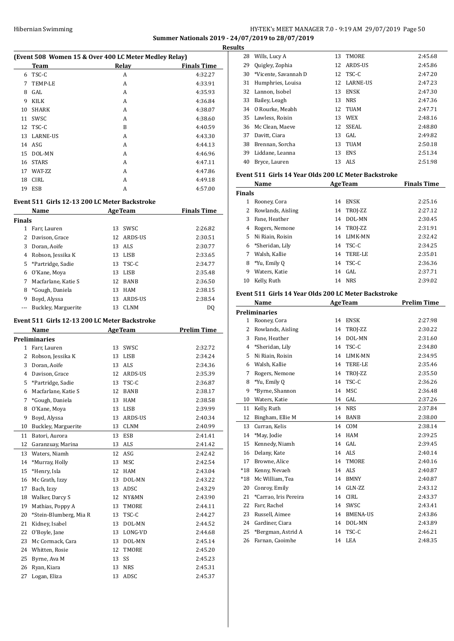## HY-TEK's MEET MANAGER 7.0 - 9:19 AM 29/07/2019 Page 50 **Summer Nationals 2019 - 24/07/2019 to 28/07/2019 Results**

| (Event 508 Women 15 & Over 400 LC Meter Medley Relay) |                 |       |                    |  |  |
|-------------------------------------------------------|-----------------|-------|--------------------|--|--|
|                                                       | <b>Team</b>     | Relay | <b>Finals Time</b> |  |  |
| 6                                                     | TSC-C           | A     | 4:32.27            |  |  |
| 7                                                     | TEMP-LE         | A     | 4:33.91            |  |  |
| 8                                                     | GAL.            | A     | 4:35.93            |  |  |
| 9                                                     | KILK            | A     | 4:36.84            |  |  |
| 10                                                    | <b>SHARK</b>    | A     | 4:38.07            |  |  |
| 11                                                    | <b>SWSC</b>     | A     | 4:38.60            |  |  |
| 12                                                    | TSC-C           | B     | 4:40.59            |  |  |
| 13                                                    | <b>LARNE-US</b> | A     | 4:43.30            |  |  |
| 14                                                    | ASG             | A     | 4:44.13            |  |  |
| 15                                                    | DOL-MN          | A     | 4:46.96            |  |  |
| 16                                                    | <b>STARS</b>    | A     | 4:47.11            |  |  |
| 17                                                    | WAT-ZZ          | A     | 4:47.86            |  |  |
| 18                                                    | <b>CIRL</b>     | A     | 4:49.18            |  |  |
| 19                                                    | <b>ESB</b>      | A     | 4:57.00            |  |  |

## **Event 511 Girls 12-13 200 LC Meter Backstroke**

|               | Name                | <b>AgeTeam</b> |             | <b>Finals Time</b> |  |
|---------------|---------------------|----------------|-------------|--------------------|--|
| <b>Finals</b> |                     |                |             |                    |  |
| 1             | Farr, Lauren        | 13             | SWSC        | 2:26.82            |  |
| 2             | Davison, Grace      | 12             | ARDS-US     | 2:30.51            |  |
| 3             | Doran, Aoife        |                | 13 ALS      | 2:30.77            |  |
| 4             | Robson, Jessika K   |                | 13 LISB     | 2:33.65            |  |
| 5             | *Partridge, Sadie   | 13             | TSC-C       | 2:34.77            |  |
| 6             | O'Kane, Moya        | 13             | <b>LISB</b> | 2:35.48            |  |
| 7             | Macfarlane. Katie S | 12             | <b>BANB</b> | 2:36.50            |  |
| 8             | *Gough, Daniela     | 13             | HAM         | 2:38.15            |  |
| 9             | Boyd, Alyssa        | 13             | ARDS-US     | 2:38.54            |  |
|               | Buckley, Marguerite | 13             | CLNM        | D <sub>0</sub>     |  |

## **Event 511 Girls 12-13 200 LC Meter Backstroke**

|                | <b>Name</b>            |    | <b>AgeTeam</b> | <b>Prelim Time</b> |
|----------------|------------------------|----|----------------|--------------------|
|                | <b>Preliminaries</b>   |    |                |                    |
| $\mathbf{1}$   | Farr, Lauren           | 13 | SWSC           | 2:32.72            |
| $\overline{c}$ | Robson, Jessika K      | 13 | <b>LISB</b>    | 2:34.24            |
| 3              | Doran, Aoife           | 13 | <b>ALS</b>     | 2:34.36            |
| 4              | Davison, Grace         | 12 | <b>ARDS-US</b> | 2:35.39            |
| 5              | *Partridge, Sadie      | 13 | TSC-C          | 2:36.87            |
| 6              | Macfarlane, Katie S    | 12 | <b>BANB</b>    | 2:38.17            |
| 7              | *Gough, Daniela        | 13 | <b>HAM</b>     | 2:38.58            |
| 8              | O'Kane, Moya           | 13 | <b>LISB</b>    | 2:39.99            |
| 9              | Boyd, Alyssa           | 13 | ARDS-US        | 2:40.34            |
| 10             | Buckley, Marguerite    | 13 | <b>CLNM</b>    | 2:40.99            |
| 11             | Batori, Aurora         | 13 | <b>ESB</b>     | 2:41.41            |
| 12             | Garanzuay, Marina      | 13 | ALS            | 2:41.42            |
| 13             | Waters, Niamh          | 12 | ASG            | 2:42.42            |
| 14             | *Murray, Holly         | 13 | <b>MSC</b>     | 2:42.54            |
| 15             | *Henry, Isla           | 12 | <b>HAM</b>     | 2:43.04            |
| 16             | Mc Grath, Izzy         | 13 | DOL-MN         | 2:43.22            |
| 17             | Bach, Izzy             | 13 | ADSC           | 2:43.29            |
| 18             | Walker, Darcy S        | 12 | NY&MN          | 2:43.90            |
| 19             | Mathias, Poppy A       | 13 | <b>TMORE</b>   | 2:44.11            |
| 20             | *Stein-Blumberg, Mia R | 13 | TSC-C          | 2:44.27            |
| 21             | Kidney, Isabel         | 13 | DOL-MN         | 2:44.52            |
| 22             | O'Boyle, Jane          | 13 | LONG-VD        | 2:44.68            |
| 23             | Mc Cormack, Cara       | 13 | DOL-MN         | 2:45.14            |
| 24             | Whitten, Rosie         | 12 | <b>TMORE</b>   | 2:45.20            |
| 25             | Byrne, Ava M           | 13 | SS             | 2:45.23            |
| 26             | Ryan, Kiara            | 13 | <b>NRS</b>     | 2:45.31            |
| 27             | Logan, Eliza           | 13 | ADSC           | 2:45.37            |

| 28            | Wills, Lucy A                                        | 13       | TMORE           | 2:45.68            |
|---------------|------------------------------------------------------|----------|-----------------|--------------------|
| 29            | Quigley, Zophia                                      | 12       | ARDS-US         | 2:45.86            |
| 30            | *Vicente, Savannah D                                 | 12       | TSC-C           | 2:47.20            |
| 31            | Humphries, Louisa                                    | 12       | LARNE-US        | 2:47.23            |
| 32            | Lannon, Isobel                                       | 13       | ENSK            | 2:47.30            |
| 33            | Bailey, Leagh                                        | 13       | NRS             | 2:47.36            |
| 34            | O Rourke, Meabh                                      | 12       | TUAM            | 2:47.71            |
| 35            | Lawless, Roisin                                      | 13       | WEX             | 2:48.16            |
| 36            | Mc Clean, Maeve                                      | 12       | SSEAL           | 2:48.80            |
| 37            | Davitt, Ciara                                        | 13       | GAL             | 2:49.82            |
|               | 38 Brennan, Sorcha                                   | 13       | TUAM            | 2:50.18            |
|               | 39 Liddane, Leanna                                   | 13       | ENS             | 2:51.34            |
|               | 40 Bryce, Lauren                                     | 13       | ALS             | 2:51.98            |
|               |                                                      |          |                 |                    |
|               | Event 511 Girls 14 Year Olds 200 LC Meter Backstroke |          |                 |                    |
|               | Name                                                 |          | <b>AgeTeam</b>  | <b>Finals Time</b> |
| <b>Finals</b> |                                                      |          |                 |                    |
|               | 1 Rooney, Cora                                       | 14       | ENSK            | 2:25.16            |
|               | 2 Rowlands, Aisling                                  | 14       | TROJ-ZZ         | 2:27.12            |
| 3             | Fane, Heather                                        | 14       | DOL-MN          | 2:30.45            |
| 4             | Rogers, Nemone                                       |          | 14 TROJ-ZZ      | 2:31.91            |
| 5             | Ni Riain, Roisin                                     | 14       | LIMK-MN         | 2:32.42            |
| 6             | *Sheridan, Lily                                      |          | 14 TSC-C        | 2:34.25            |
|               | 7 Walsh, Kallie                                      | 14       | TERE-LE         | 2:35.01            |
|               | 8 *Yu, Emily Q                                       | 14       | TSC-C           | 2:36.36            |
|               | 9 Waters, Katie                                      | 14       | GAL             | 2:37.71            |
| 10            | Kelly, Ruth                                          |          | 14 NRS          | 2:39.02            |
|               | Event 511 Girls 14 Year Olds 200 LC Meter Backstroke |          |                 |                    |
|               |                                                      |          |                 |                    |
|               |                                                      |          |                 |                    |
|               | Name                                                 |          | <b>AgeTeam</b>  | <b>Prelim Time</b> |
|               | <b>Preliminaries</b>                                 | 14       | ENSK            |                    |
|               | 1 Rooney, Cora                                       |          |                 | 2:27.98            |
| 2             | Rowlands, Aisling                                    | 14       | TROJ-ZZ         | 2:30.22            |
| 3<br>4        | Fane, Heather                                        | 14       | DOL-MN          | 2:31.60            |
|               | *Sheridan, Lily                                      | 14       | TSC-C           | 2:34.80            |
| 5             | Ni Riain, Roisin                                     | 14<br>14 | LIMK-MN         | 2:34.95            |
|               | 6 Walsh, Kallie                                      |          | TERE-LE         | 2:35.46            |
| 7             | Rogers, Nemone                                       | 14       | TROJ-ZZ         | 2:35.50            |
| 8<br>9        | *Yu, Emily Q                                         | 14<br>14 | TSC-C           | 2:36.26            |
|               | *Byrne, Shannon                                      |          | MSC             | 2:36.48            |
| 10            | Waters, Katie                                        | 14       | GAL             | 2:37.26            |
| 11            | Kelly, Ruth                                          | 14       | NRS             | 2:37.84            |
| 12            | Bingham, Ellie M                                     | 14       | BANB            | 2:38.00            |
| 13            | Curran, Kelis                                        | 14       | COM             | 2:38.14            |
| 14            | *May, Jodie                                          | 14       | HAM             | 2:39.25            |
| 15            | Kennedy, Niamh                                       | 14       | GAL             | 2:39.45            |
| 16            | Delany, Kate                                         | 14       | ALS             | 2:40.14            |
| 17            | Browne, Alice                                        | 14       | TMORE           | 2:40.16            |
| $^*18$        | Kenny, Nevaeh                                        | 14       | ALS             | 2:40.87            |
| $^*18$        | Mc William, Tea                                      | 14       | BMNY            | 2:40.87            |
| 20            | Conroy, Emily                                        | 14       | GLN-ZZ          | 2:43.12            |
| 21            | *Carrao, Iris Pereira                                | 14       | CIRL            | 2:43.37            |
| 22            | Farr, Rachel                                         | 14       | SWSC            | 2:43.41            |
| 23            | Russell, Aimee                                       | 14       | BMENA-US        | 2:43.86            |
| 24<br>25      | Gardiner, Ciara<br>*Bergman, Astrid A                | 14<br>14 | DOL-MN<br>TSC-C | 2:43.89<br>2:46.21 |

Farnan, Caoimhe 14 LEA 2:48.35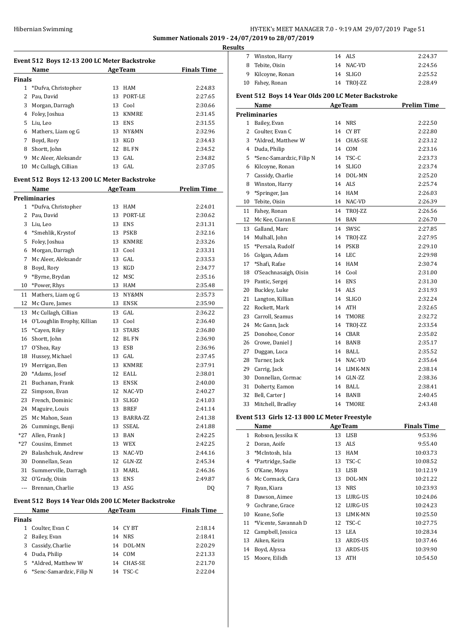## Hibernian Swimming **HY-TEK's MEET MANAGER 7.0 - 9:19 AM 29/07/2019** Page 51 **Summer Nationals 2019 - 24/07/2019 to 28/07/2019**

**Results**

÷,

 $\sim$ 

 $\overline{a}$ 

| Event 512 Boys 12-13 200 LC Meter Backstroke |                       |     |                |                    |  |
|----------------------------------------------|-----------------------|-----|----------------|--------------------|--|
|                                              | Name                  |     | <b>AgeTeam</b> | <b>Finals Time</b> |  |
| Finals                                       |                       |     |                |                    |  |
|                                              | 1 *Dufva, Christopher | 13  | HAM            | 2:24.83            |  |
| 2                                            | Pau, David            | 13. | PORT-LE        | 2:27.65            |  |
| 3                                            | Morgan, Darragh       |     | 13 Cool        | 2:30.66            |  |
| 4                                            | Foley, Joshua         | 13  | KNMRE          | 2:31.45            |  |
| 5.                                           | Liu, Leo              | 13  | <b>ENS</b>     | 2:31.55            |  |
| 6                                            | Mathers, Liam og G    | 13  | NY&MN          | 2:32.96            |  |
| 7                                            | Boyd, Rory            | 13  | <b>KGD</b>     | 2:34.43            |  |
| 8                                            | Shortt, John          | 12  | BL FN          | 2:34.52            |  |
| 9                                            | Mc Aleer, Aleksandr   | 13  | GAL.           | 2:34.82            |  |
| 10                                           | Mc Cullagh, Cillian   | 13  | GAL.           | 2:37.05            |  |
|                                              |                       |     |                |                    |  |

## **Event 512 Boys 12-13 200 LC Meter Backstroke**

| Name           |                            |    | <b>AgeTeam</b> | <b>Prelim Time</b> |
|----------------|----------------------------|----|----------------|--------------------|
|                | <b>Preliminaries</b>       |    |                |                    |
| 1              | *Dufva, Christopher        | 13 | <b>HAM</b>     | 2:24.01            |
| $\overline{2}$ | Pau, David                 | 13 | PORT-LE        | 2:30.62            |
| 3              | Liu, Leo                   | 13 | <b>ENS</b>     | 2:31.31            |
| 4              | *Smehlik, Krystof          | 13 | <b>PSKB</b>    | 2:32.16            |
| 5              | Foley, Joshua              | 13 | <b>KNMRE</b>   | 2:33.26            |
| 6              | Morgan, Darragh            | 13 | Cool           | 2:33.31            |
| 7              | Mc Aleer, Aleksandr        | 13 | GAL            | 2:33.53            |
| 8              | Boyd, Rory                 | 13 | KGD            | 2:34.77            |
| 9              | *Byrne, Brydan             | 12 | <b>MSC</b>     | 2:35.16            |
| 10             | *Power, Rhys               | 13 | <b>HAM</b>     | 2:35.48            |
| 11             | Mathers, Liam og G         | 13 | NY&MN          | 2:35.73            |
| 12             | Mc Clure, James            | 13 | <b>ENSK</b>    | 2:35.90            |
| 13             | Mc Cullagh, Cillian        | 13 | GAL            | 2:36.22            |
| 14             | O'Loughlin Brophy, Killian | 13 | Cool           | 2:36.40            |
| 15             | *Cayen, Riley              | 13 | <b>STARS</b>   | 2:36.80            |
| 16             | Shortt, John               | 12 | <b>BL FN</b>   | 2:36.90            |
| 17             | O'Shea, Ray                | 13 | <b>ESB</b>     | 2:36.96            |
| 18             | Hussey, Michael            | 13 | GAL            | 2:37.45            |
| 19             | Merrigan, Ben              | 13 | <b>KNMRE</b>   | 2:37.91            |
| 20             | *Adams, Josef              | 12 | <b>EALL</b>    | 2:38.01            |
| 21             | Buchanan, Frank            | 13 | <b>ENSK</b>    | 2:40.00            |
| 22             | Simpson, Evan              | 12 | NAC-VD         | 2:40.27            |
| 23             | French, Dominic            | 13 | <b>SLIGO</b>   | 2:41.03            |
| 24             | Maguire, Louis             | 13 | <b>BREF</b>    | 2:41.14            |
| 25             | Mc Mahon, Sean             | 13 | BARRA-ZZ       | 2:41.38            |
| 26             | Cummings, Benji            | 13 | <b>SSEAL</b>   | 2:41.88            |
| $*27$          | Allen, Frank J             | 13 | <b>BAN</b>     | 2:42.25            |
| $*27$          | Cousins, Emmet             | 13 | <b>WEX</b>     | 2:42.25            |
| 29             | Balashchuk, Andrew         | 13 | NAC-VD         | 2:44.16            |
| 30             | Donnellan, Sean            | 12 | GLN-ZZ         | 2:45.34            |
| 31             | Summerville, Darragh       | 13 | MARL           | 2:46.36            |
| 32             | O'Grady, Oisin             | 13 | <b>ENS</b>     | 2:49.87            |
| $\overline{a}$ | Brennan, Charlie           | 13 | ASG            | D <sub>0</sub>     |

## **Event 512 Boys 14 Year Olds 200 LC Meter Backstroke**

| <b>Name</b>   |                            |    | <b>AgeTeam</b> | <b>Finals Time</b> |
|---------------|----------------------------|----|----------------|--------------------|
| <b>Finals</b> |                            |    |                |                    |
| 1.            | Coulter, Evan C            |    | 14 CYBT        | 2:18.14            |
| 2             | Bailey, Evan               |    | 14 NRS         | 2:18.41            |
| 3             | Cassidy, Charlie           |    | 14 DOL-MN      | 2:20.29            |
|               | 4 Duda, Philip             | 14 | COM            | 2:21.33            |
|               | 5 *Aldred, Matthew W       | 14 | CHAS-SE        | 2:21.70            |
|               | 6 *Senc-Samardzic, Filip N | 14 | TSC-C          | 2:22.04            |

| LS. |                   |            |         |
|-----|-------------------|------------|---------|
|     | Winston, Harry    | 14 ALS     | 2:24.37 |
|     | 8 Tebite, Oisin   | 14 NAC-VD  | 2:24.56 |
|     | 9 Kilcoyne, Ronan | 14 SLIGO   | 2:25.52 |
|     | 10 Fahey, Ronan   | 14 TROJ-ZZ | 2:28.49 |
|     |                   |            |         |

## **Event 512 Boys 14 Year Olds 200 LC Meter Backstroke**

|                | Name                                           | <b>AgeTeam</b> |              | <b>Prelim Time</b> |
|----------------|------------------------------------------------|----------------|--------------|--------------------|
|                | <b>Preliminaries</b>                           |                |              |                    |
| 1              | Bailey, Evan                                   | 14             | <b>NRS</b>   | 2:22.50            |
| $\overline{2}$ | Coulter, Evan C                                | 14             | CY BT        | 2:22.80            |
| 3              | *Aldred, Matthew W                             | 14             | CHAS-SE      | 2:23.12            |
| $\overline{4}$ | Duda, Philip                                   | 14             | COM          | 2:23.16            |
| 5              | *Senc-Samardzic, Filip N                       | 14             | TSC-C        | 2:23.73            |
| 6              | Kilcoyne, Ronan                                | 14             | <b>SLIGO</b> | 2:23.74            |
| 7              | Cassidy, Charlie                               | 14             | DOL-MN       | 2:25.20            |
| 8              | Winston, Harry                                 | 14             | ALS          | 2:25.74            |
| 9              | *Springer, Jan                                 | 14             | <b>HAM</b>   | 2:26.03            |
| 10             | Tebite, Oisin                                  | 14             | NAC-VD       | 2:26.39            |
| 11             | Fahey, Ronan                                   | 14             | TROJ-ZZ      | 2:26.56            |
| 12             | Mc Kee, Ciaran E                               | 14             | <b>BAN</b>   | 2:26.70            |
| 13             | Galland, Marc                                  | 14             | SWSC         | 2:27.85            |
| 14             | Mulhall, John                                  | 14             | TROJ-ZZ      | 2:27.95            |
| 15             | *Persala, Rudolf                               | 14             | <b>PSKB</b>  | 2:29.10            |
| 16             | Colgan, Adam                                   | 14             | <b>LEC</b>   | 2:29.98            |
| 17             | *Shafi, Rafae                                  | 14             | <b>HAM</b>   | 2:30.74            |
| 18             | O'Seachnasaigh, Oisin                          | 14             | Cool         | 2:31.00            |
| 19             | Pantic, Sergej                                 | 14             | <b>ENS</b>   | 2:31.30            |
| 20             | Buckley, Luke                                  | 14             | <b>ALS</b>   | 2:31.93            |
| 21             | Langton, Killian                               | 14             | <b>SLIGO</b> | 2:32.24            |
| 22             | Rockett, Mark                                  | 14             | <b>ATH</b>   | 2:32.65            |
| 23             | Carroll, Seamus                                | 14             | TMORE        | 2:32.72            |
| 24             | Mc Gann, Jack                                  | 14             | TROJ-ZZ      | 2:33.54            |
| 25             | Donohoe, Conor                                 | 14             | CBAR         | 2:35.02            |
| 26             | Crowe, Daniel J                                | 14             | <b>BANB</b>  | 2:35.17            |
| 27             | Duggan, Luca                                   | 14             | BALL         | 2:35.52            |
| 28             | Turner, Jack                                   | 14             | NAC-VD       | 2:35.64            |
| 29             | Carrig, Jack                                   | 14             | LIMK-MN      | 2:38.14            |
| 30             | Donnellan, Cormac                              | 14             | GLN-ZZ       | 2:38.36            |
| 31             | Doherty, Eamon                                 | 14             | <b>BALL</b>  | 2:38.41            |
| 32             | Bell, Carter J                                 | 14             | <b>BANB</b>  | 2:40.45            |
| 33             | Mitchell, Bradley                              | 14             | TMORE        | 2:43.48            |
|                | Event E12, Cirls 12, 12, 900 LC Meter Executed |                |              |                    |

## **Event 513 Girls 12-13 800 LC Meter Freestyle**

|    | Name                 |    | <b>AgeTeam</b> | <b>Finals Time</b> |
|----|----------------------|----|----------------|--------------------|
| 1  | Robson, Jessika K    | 13 | <b>LISB</b>    | 9:53.96            |
| 2  | Doran, Aoife         | 13 | <b>ALS</b>     | 9:55.40            |
| 3  | *McIntosh, Isla      | 13 | HAM            | 10:03.73           |
| 4  | *Partridge, Sadie    | 13 | TSC-C          | 10:08.52           |
| 5  | O'Kane, Moya         | 13 | <b>LISB</b>    | 10:12.19           |
| 6  | Mc Cormack, Cara     | 13 | DOL-MN         | 10:21.22           |
| 7  | Ryan, Kiara          | 13 | <b>NRS</b>     | 10:23.93           |
| 8  | Dawson, Aimee        | 13 | LURG-US        | 10:24.06           |
| 9  | Cochrane, Grace      | 12 | LURG-US        | 10:24.23           |
| 10 | Keane, Sofie         | 13 | LIMK-MN        | 10:25.50           |
| 11 | *Vicente, Savannah D | 12 | TSC-C          | 10:27.75           |
| 12 | Campbell, Jessica    | 13 | LEA            | 10:28.34           |
| 13 | Aiken, Keira         | 13 | ARDS-US        | 10:37.46           |
| 14 | Boyd, Alyssa         | 13 | <b>ARDS-US</b> | 10:39.90           |
| 15 | Moore, Eilidh        | 13 | <b>ATH</b>     | 10:54.50           |